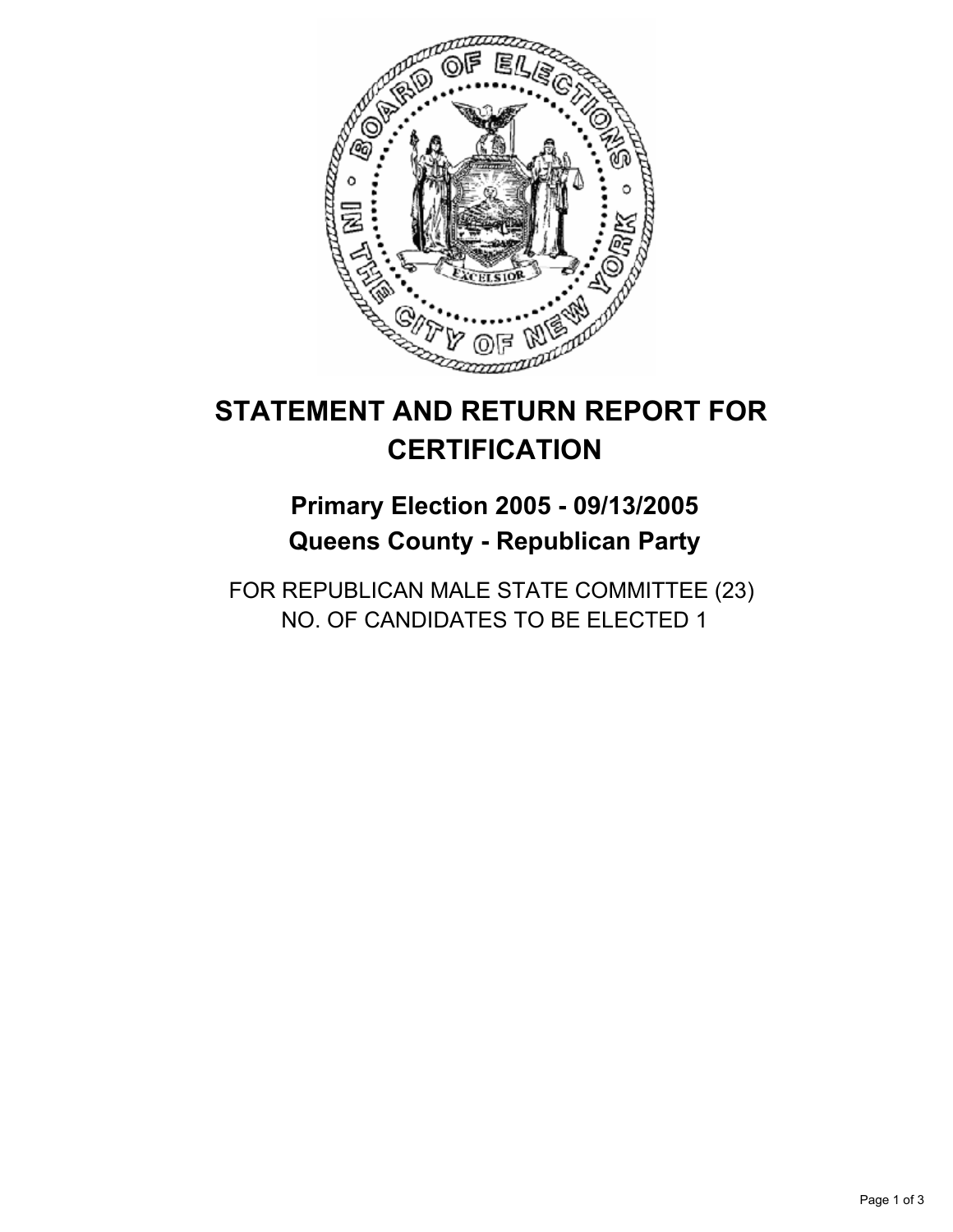

# **Primary Election 2005 - 09/13/2005 Queens County - Republican Party**

FOR REPUBLICAN MALE STATE COMMITTEE (23) NO. OF CANDIDATES TO BE ELECTED 1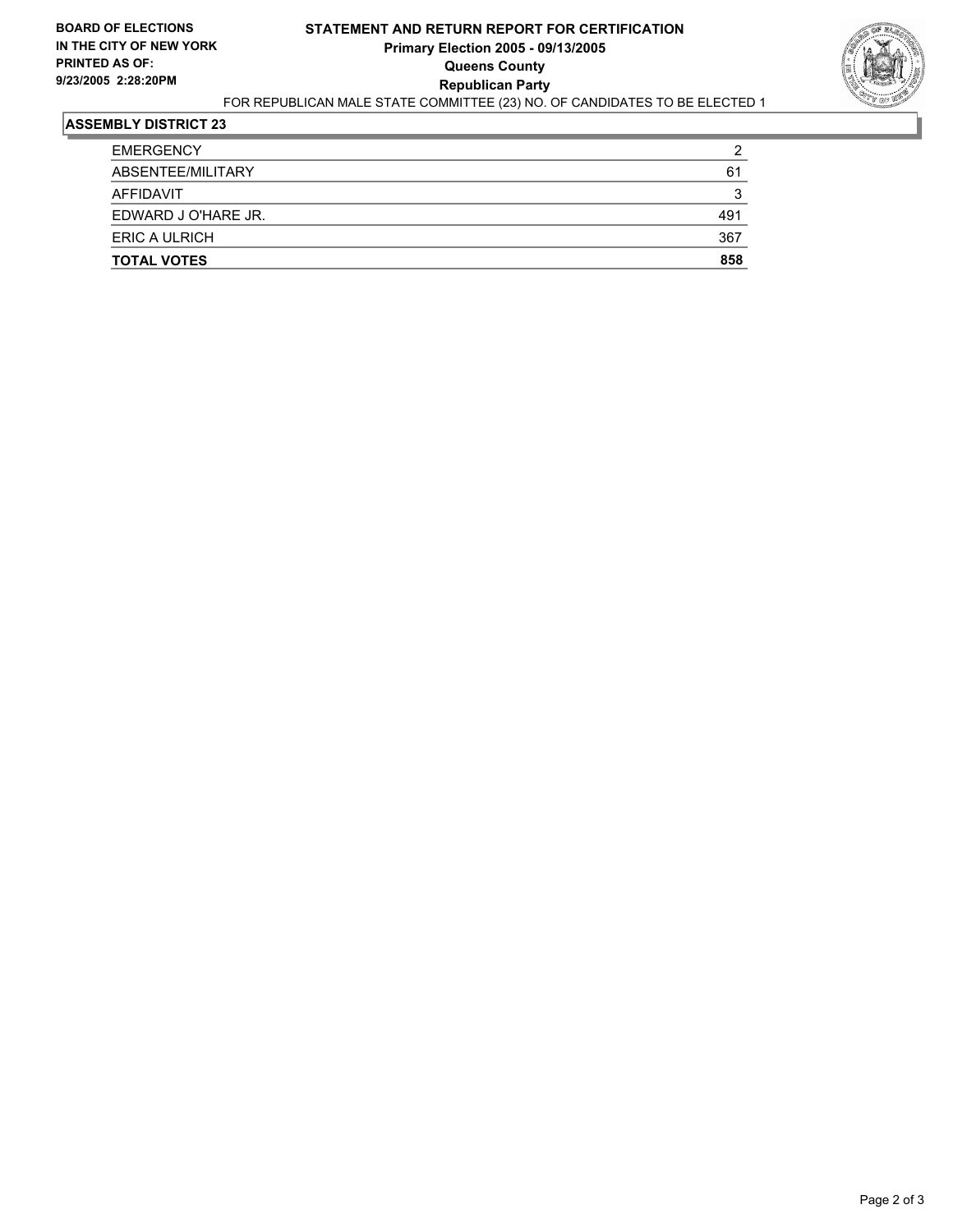#### **STATEMENT AND RETURN REPORT FOR CERTIFICATION Primary Election 2005 - 09/13/2005 Queens County Republican Party** FOR REPUBLICAN MALE STATE COMMITTEE (23) NO. OF CANDIDATES TO BE ELECTED 1



| <b>TOTAL VOTES</b>  | 858 |
|---------------------|-----|
| ERIC A ULRICH       | 367 |
| EDWARD J O'HARE JR. | 491 |
| AFFIDAVIT           | ີ   |
| ABSENTEE/MILITARY   | 61  |
| <b>EMERGENCY</b>    | າ   |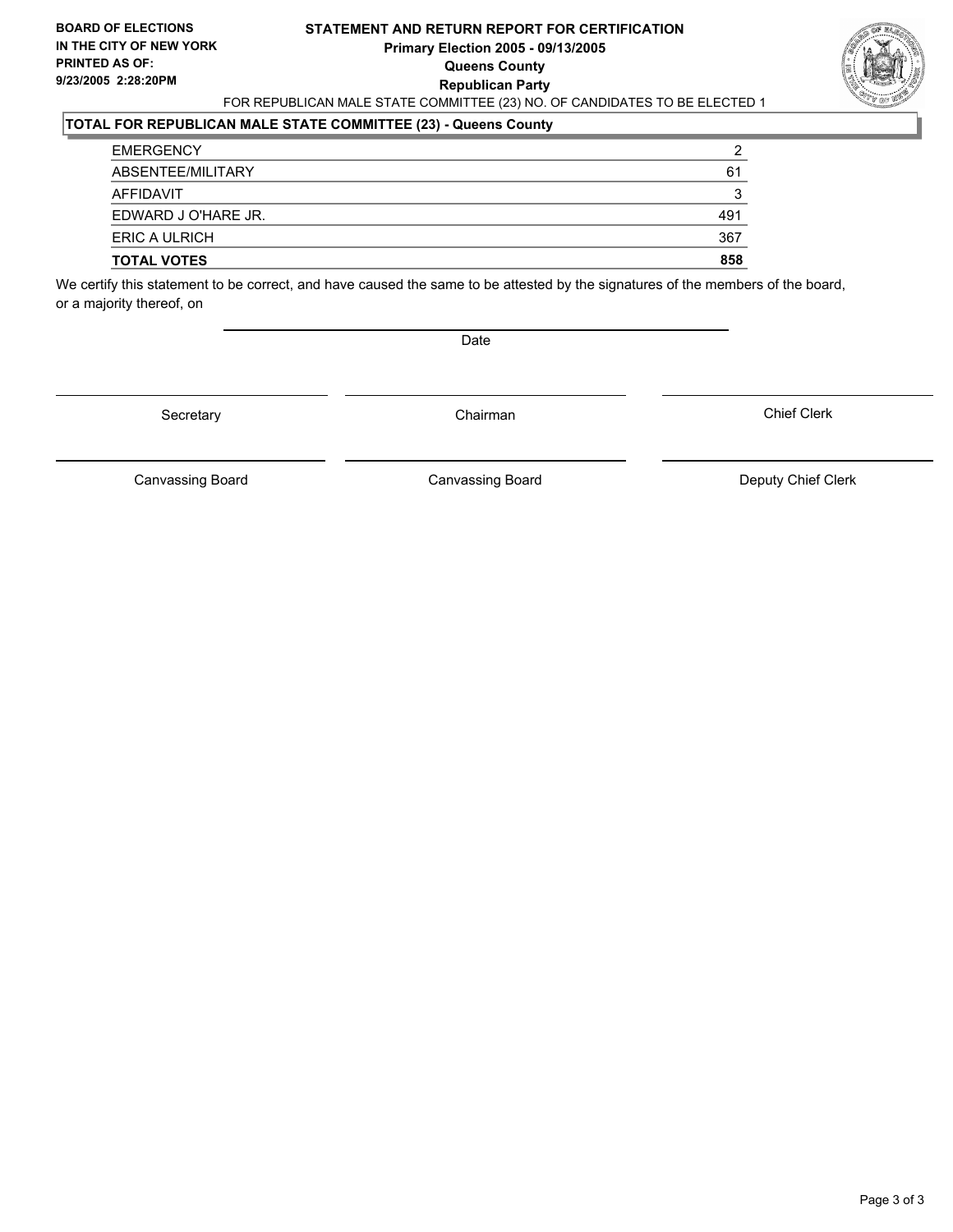#### **STATEMENT AND RETURN REPORT FOR CERTIFICATION Primary Election 2005 - 09/13/2005 Queens County Republican Party** FOR REPUBLICAN MALE STATE COMMITTEE (23) NO. OF CANDIDATES TO BE ELECTED 1



### **TOTAL FOR REPUBLICAN MALE STATE COMMITTEE (23) - Queens County**

| <b>TOTAL VOTES</b>  | 858 |
|---------------------|-----|
| ERIC A ULRICH       | 367 |
| EDWARD J O'HARE JR. | 491 |
| AFFIDAVIT           |     |
| ABSENTEE/MILITARY   | 61  |
| <b>EMERGENCY</b>    |     |

We certify this statement to be correct, and have caused the same to be attested by the signatures of the members of the board, or a majority thereof, on

Date

Secretary Chairman

Canvassing Board **Canvassing Board** Canvassing Board **Deputy Chief Clerk** 

Canvassing Board

Chief Clerk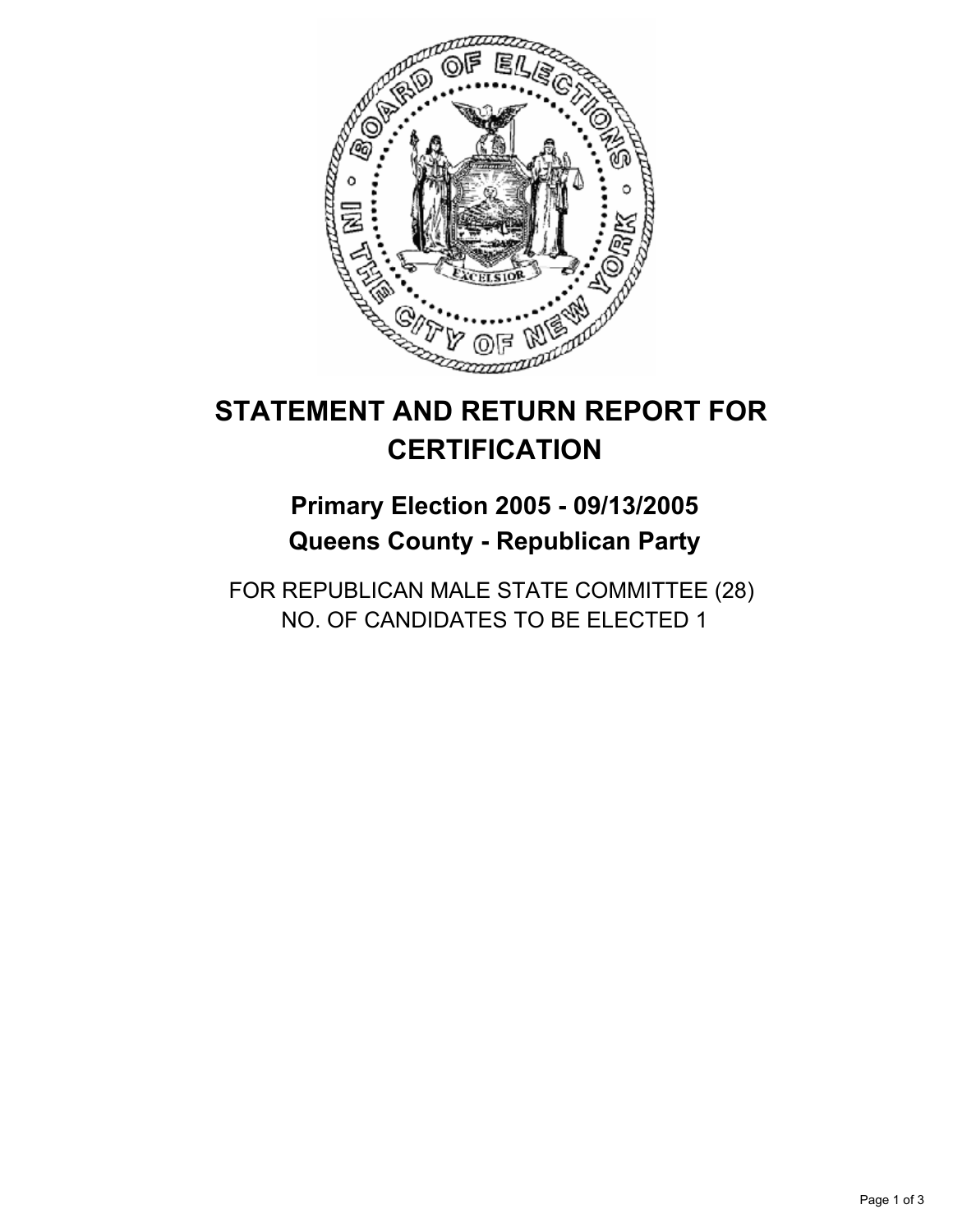

# **Primary Election 2005 - 09/13/2005 Queens County - Republican Party**

FOR REPUBLICAN MALE STATE COMMITTEE (28) NO. OF CANDIDATES TO BE ELECTED 1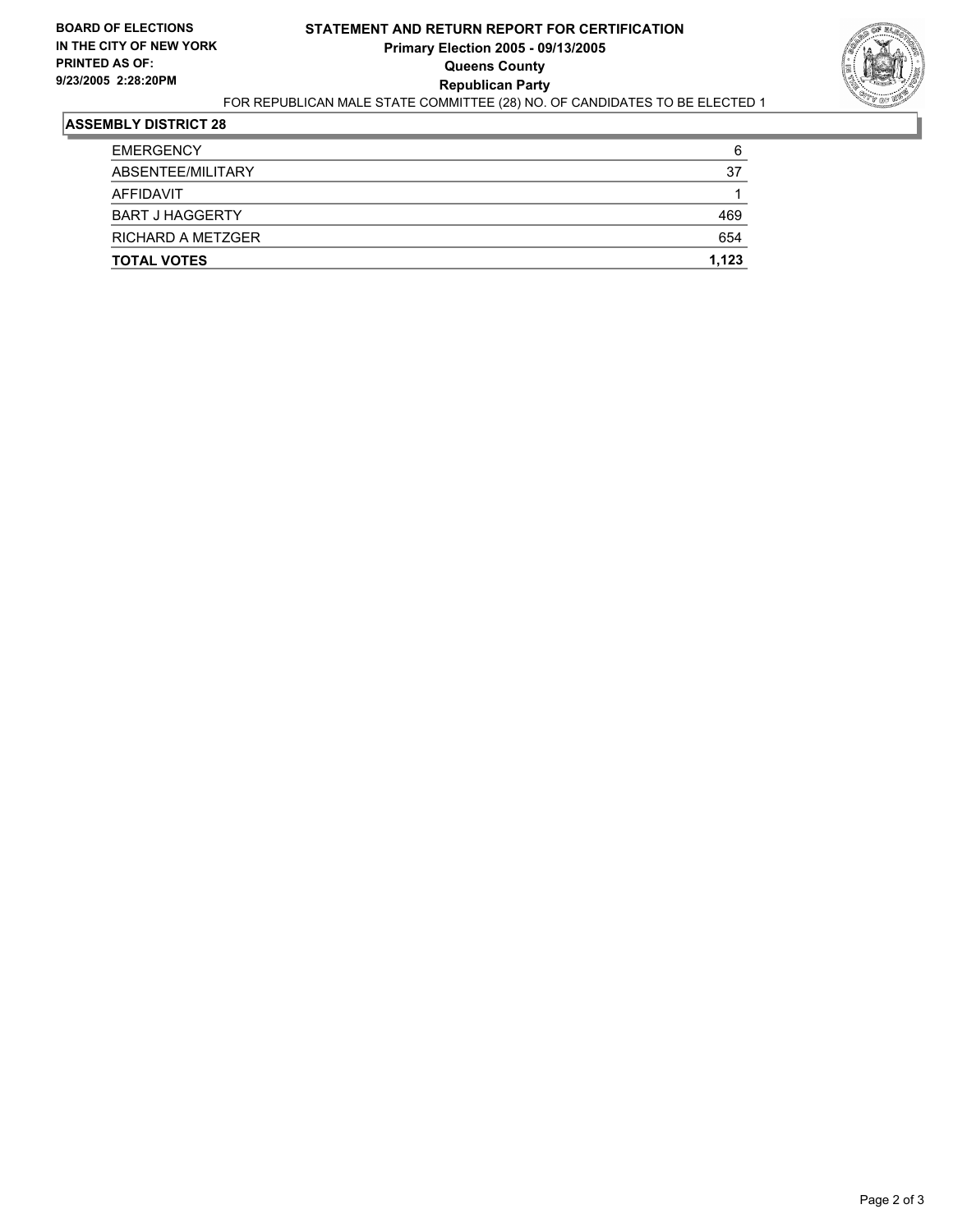#### **STATEMENT AND RETURN REPORT FOR CERTIFICATION Primary Election 2005 - 09/13/2005 Queens County Republican Party** FOR REPUBLICAN MALE STATE COMMITTEE (28) NO. OF CANDIDATES TO BE ELECTED 1



| <b>TOTAL VOTES</b>       | 1,123 |
|--------------------------|-------|
| <b>RICHARD A METZGER</b> | 654   |
| <b>BART J HAGGERTY</b>   | 469   |
| AFFIDAVIT                |       |
| ABSENTEE/MILITARY        | 37    |
| <b>EMERGENCY</b>         | 6     |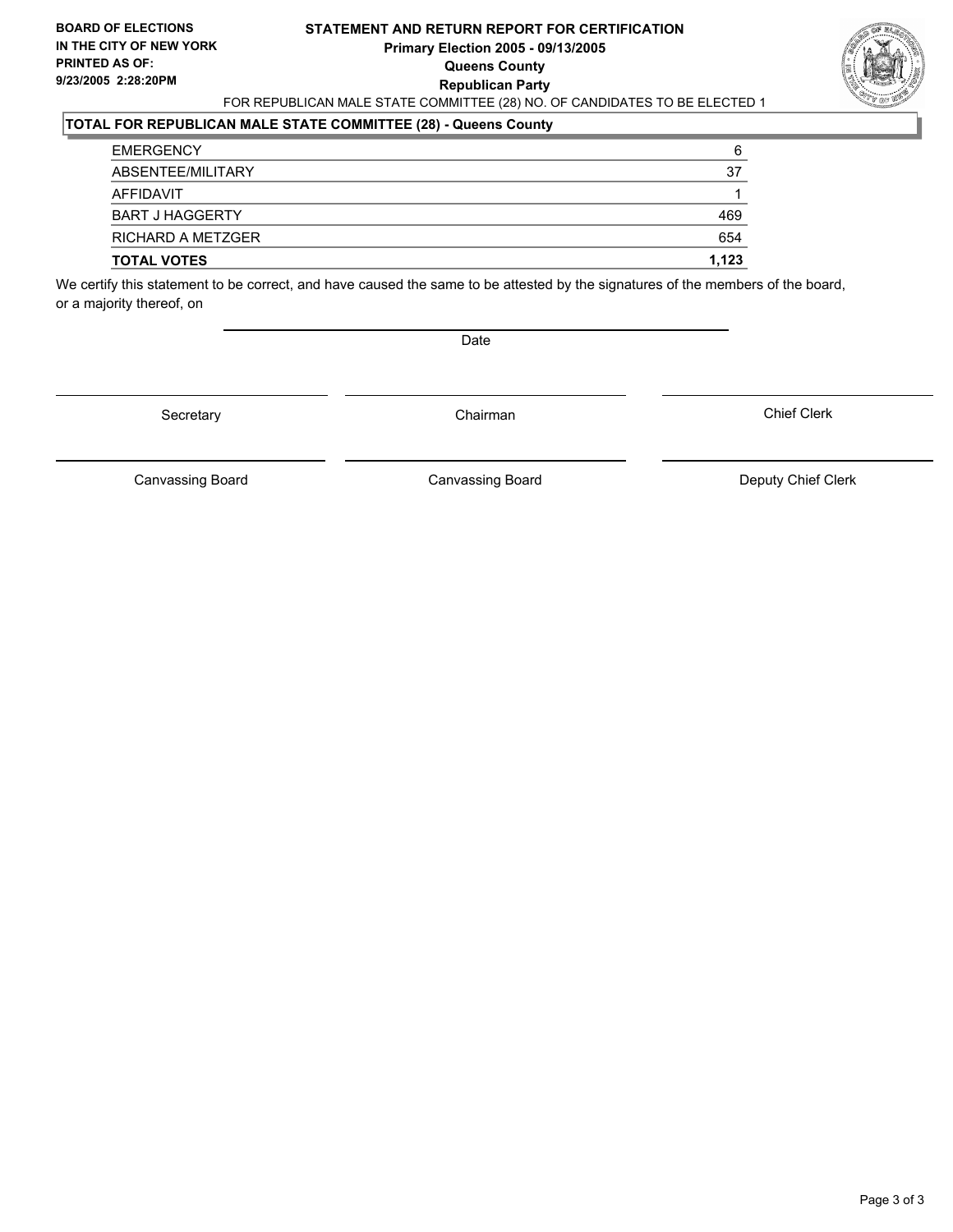#### **STATEMENT AND RETURN REPORT FOR CERTIFICATION Primary Election 2005 - 09/13/2005 Queens County Republican Party** FOR REPUBLICAN MALE STATE COMMITTEE (28) NO. OF CANDIDATES TO BE ELECTED 1



#### **TOTAL FOR REPUBLICAN MALE STATE COMMITTEE (28) - Queens County**

| <b>RICHARD A METZGER</b><br><b>TOTAL VOTES</b> | 654<br>1,123 |
|------------------------------------------------|--------------|
|                                                |              |
| <b>BART J HAGGERTY</b>                         | 469          |
| AFFIDAVIT                                      |              |
| ABSENTEE/MILITARY                              | 37           |
| <b>EMERGENCY</b>                               | 6            |

We certify this statement to be correct, and have caused the same to be attested by the signatures of the members of the board, or a majority thereof, on

Date

Secretary Chairman

Canvassing Board Canvassing Board **Canvassing Board** Canvassing Board **Deputy Chief Clerk** 

Chief Clerk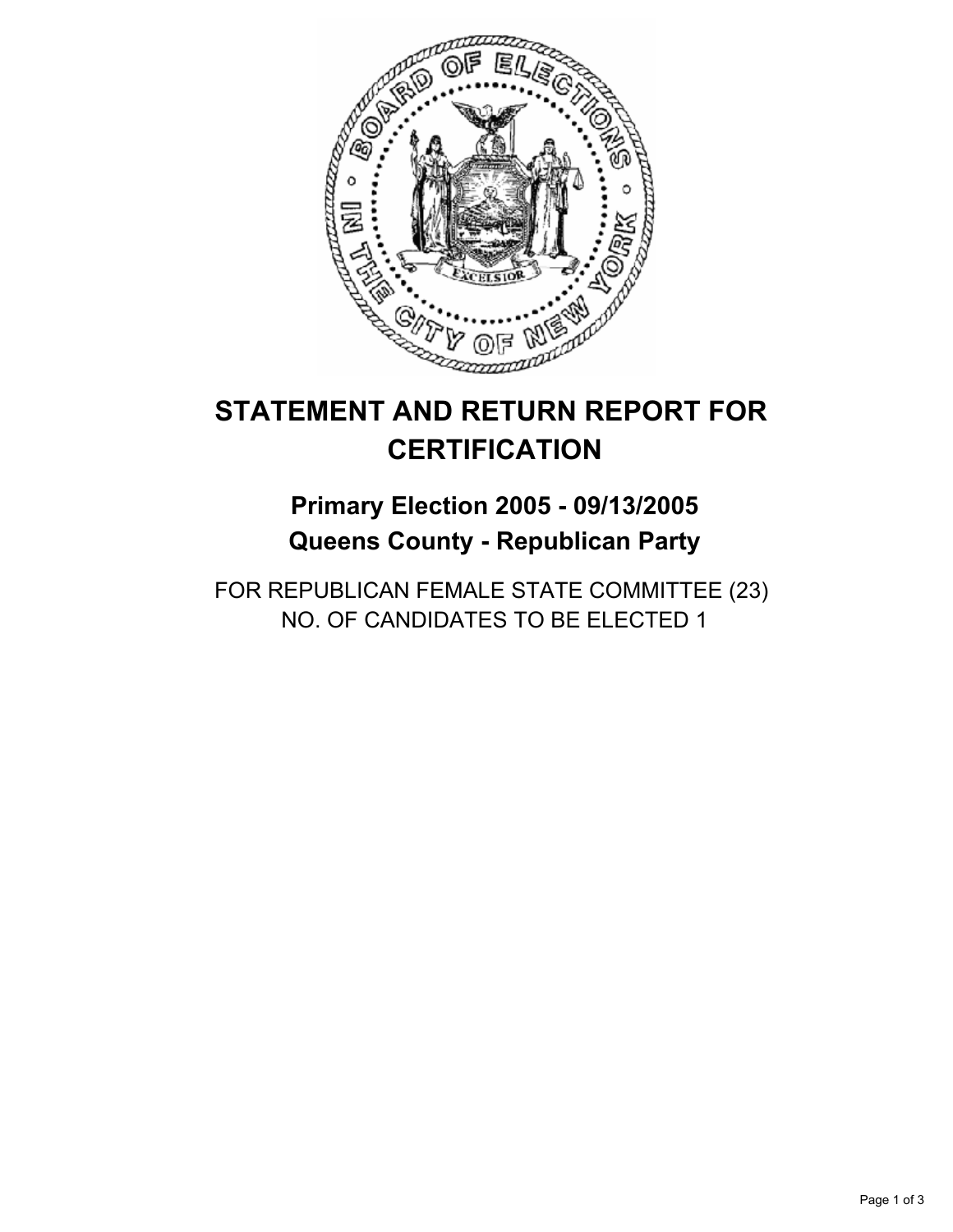

# **Primary Election 2005 - 09/13/2005 Queens County - Republican Party**

FOR REPUBLICAN FEMALE STATE COMMITTEE (23) NO. OF CANDIDATES TO BE ELECTED 1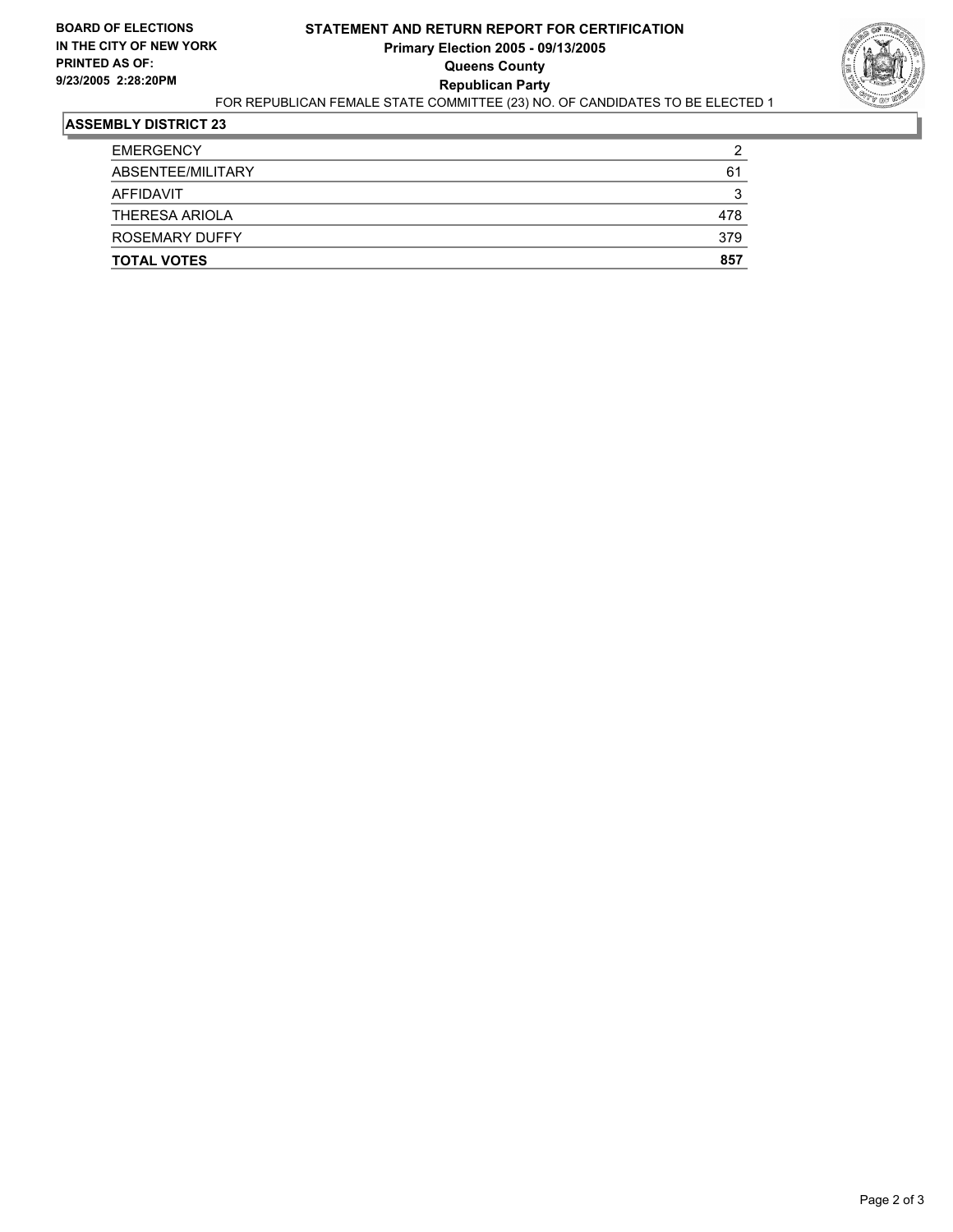#### **STATEMENT AND RETURN REPORT FOR CERTIFICATION Primary Election 2005 - 09/13/2005 Queens County Republican Party** FOR REPUBLICAN FEMALE STATE COMMITTEE (23) NO. OF CANDIDATES TO BE ELECTED 1



| <b>TOTAL VOTES</b>    | 857 |
|-----------------------|-----|
| <b>ROSEMARY DUFFY</b> | 379 |
| <b>THERESA ARIOLA</b> | 478 |
| AFFIDAVIT             | 3   |
| ABSENTEE/MILITARY     | 61  |
| <b>EMERGENCY</b>      | 2   |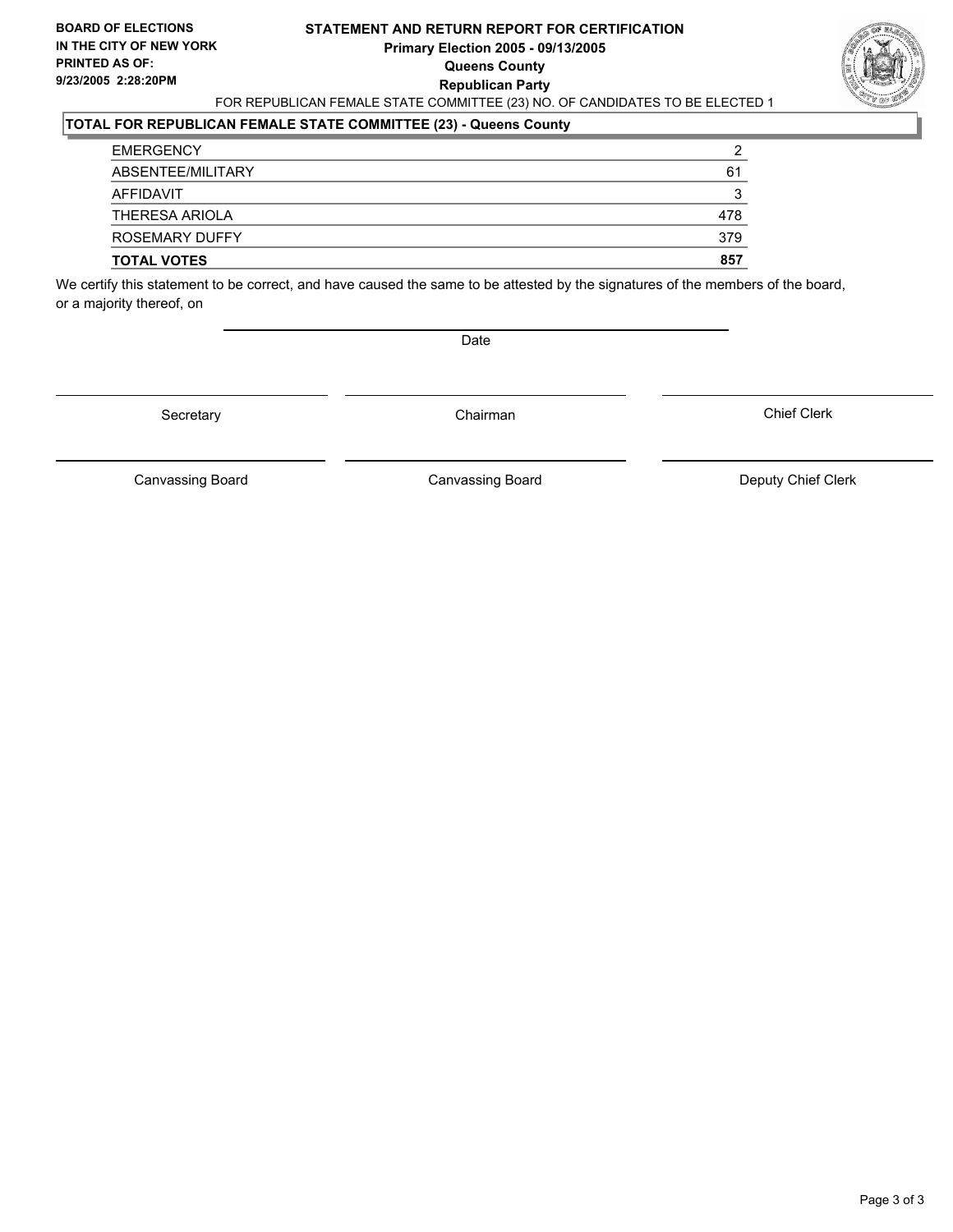#### **STATEMENT AND RETURN REPORT FOR CERTIFICATION Primary Election 2005 - 09/13/2005 Queens County Republican Party** FOR REPUBLICAN FEMALE STATE COMMITTEE (23) NO. OF CANDIDATES TO BE ELECTED 1



### **TOTAL FOR REPUBLICAN FEMALE STATE COMMITTEE (23) - Queens County**

| <b>TOTAL VOTES</b>    | 857 |
|-----------------------|-----|
| <b>ROSEMARY DUFFY</b> | 379 |
| <b>THERESA ARIOLA</b> | 478 |
| AFFIDAVIT             |     |
| ABSENTEE/MILITARY     | 61  |
| <b>EMERGENCY</b>      | ◠   |

We certify this statement to be correct, and have caused the same to be attested by the signatures of the members of the board, or a majority thereof, on

Date

Secretary Chairman

Chief Clerk

Canvassing Board **Canvassing Board** Canvassing Board **Deputy Chief Clerk** 

Canvassing Board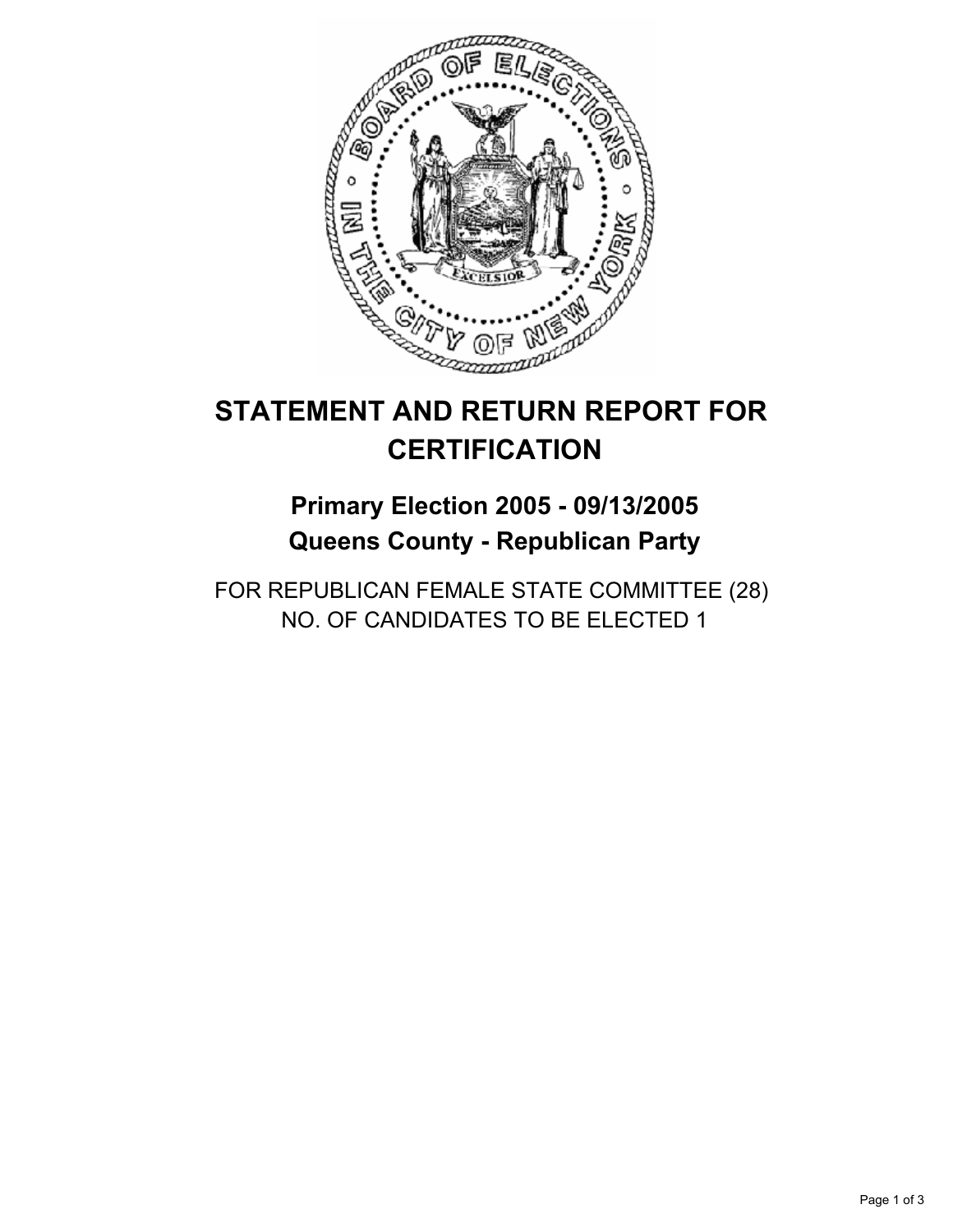

# **Primary Election 2005 - 09/13/2005 Queens County - Republican Party**

FOR REPUBLICAN FEMALE STATE COMMITTEE (28) NO. OF CANDIDATES TO BE ELECTED 1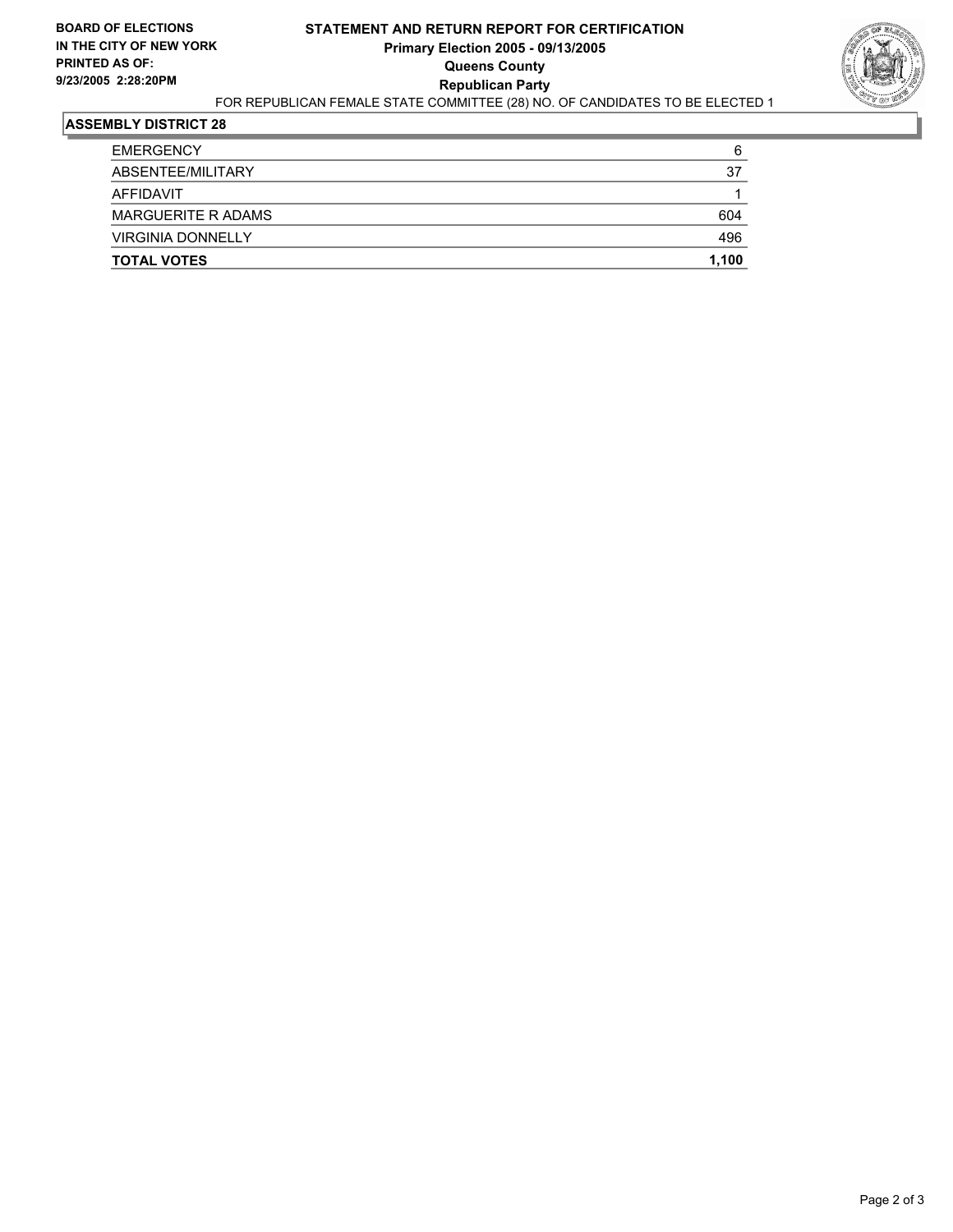#### **STATEMENT AND RETURN REPORT FOR CERTIFICATION Primary Election 2005 - 09/13/2005 Queens County Republican Party** FOR REPUBLICAN FEMALE STATE COMMITTEE (28) NO. OF CANDIDATES TO BE ELECTED 1



| <b>TOTAL VOTES</b>        | 1,100 |
|---------------------------|-------|
| <b>VIRGINIA DONNELLY</b>  | 496   |
| <b>MARGUERITE R ADAMS</b> | 604   |
| AFFIDAVIT                 |       |
| ABSENTEE/MILITARY         | 37    |
| <b>EMERGENCY</b>          | 6     |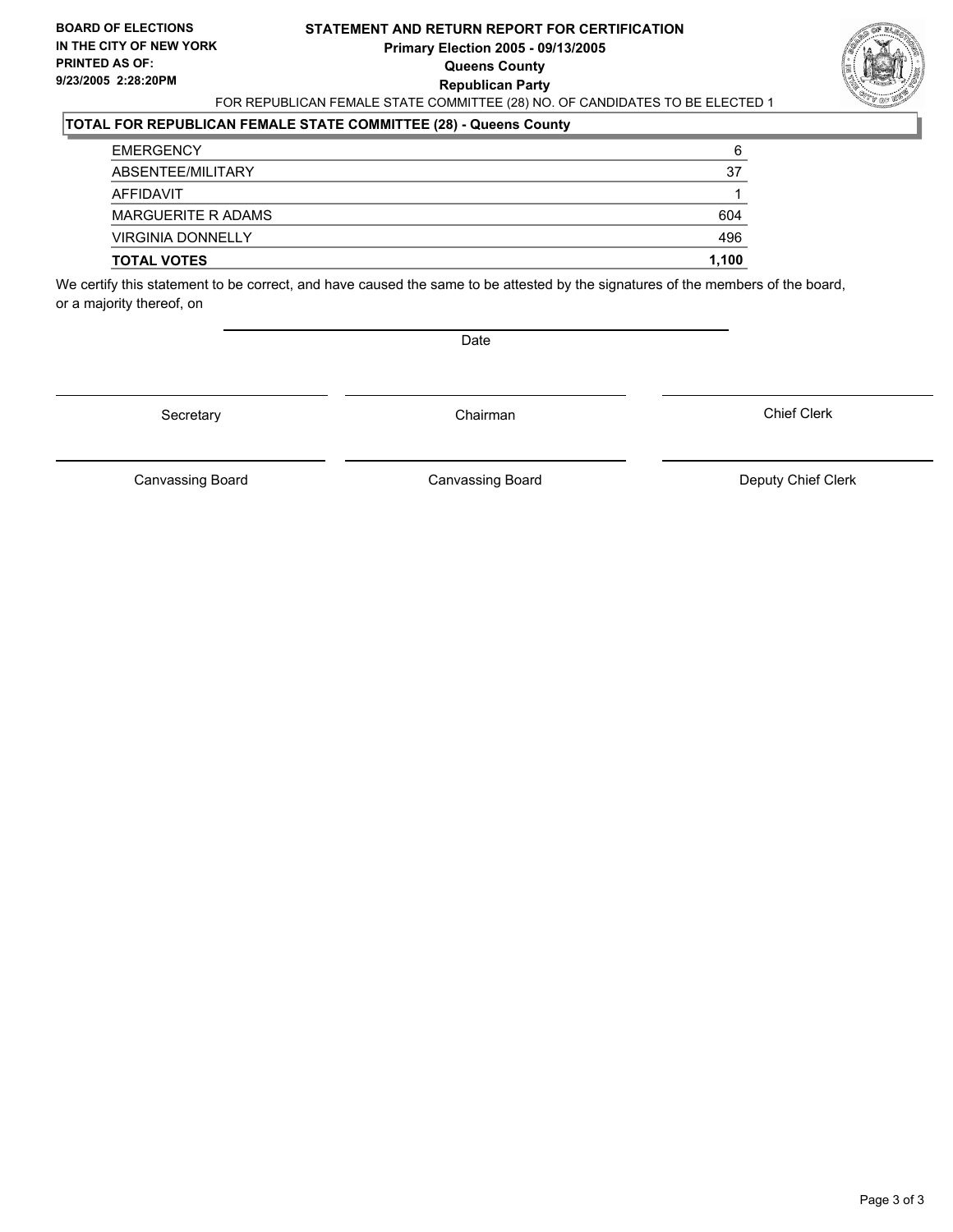#### **STATEMENT AND RETURN REPORT FOR CERTIFICATION Primary Election 2005 - 09/13/2005 Queens County Republican Party** FOR REPUBLICAN FEMALE STATE COMMITTEE (28) NO. OF CANDIDATES TO BE ELECTED 1



### **TOTAL FOR REPUBLICAN FEMALE STATE COMMITTEE (28) - Queens County**

| <b>EMERGENCY</b>          | 6     |
|---------------------------|-------|
| ABSENTEE/MILITARY         | 37    |
| AFFIDAVIT                 |       |
| <b>MARGUERITE R ADAMS</b> | 604   |
| <b>VIRGINIA DONNELLY</b>  | 496   |
| <b>TOTAL VOTES</b>        | 1,100 |

We certify this statement to be correct, and have caused the same to be attested by the signatures of the members of the board, or a majority thereof, on

Date

Secretary Chairman

Canvassing Board **Canvassing Board** Canvassing Board **Deputy Chief Clerk** 

Canvassing Board

Chief Clerk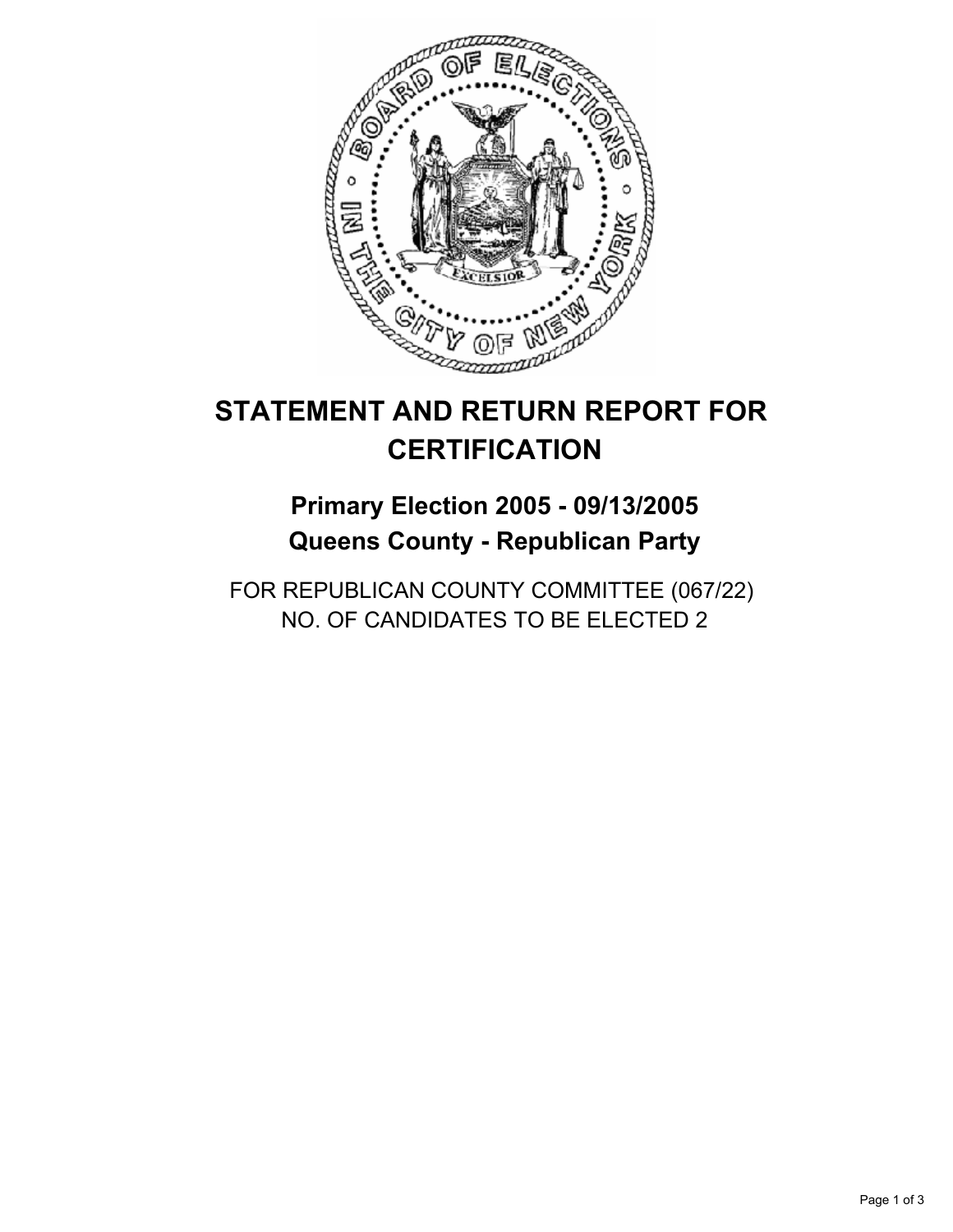

# **Primary Election 2005 - 09/13/2005 Queens County - Republican Party**

FOR REPUBLICAN COUNTY COMMITTEE (067/22) NO. OF CANDIDATES TO BE ELECTED 2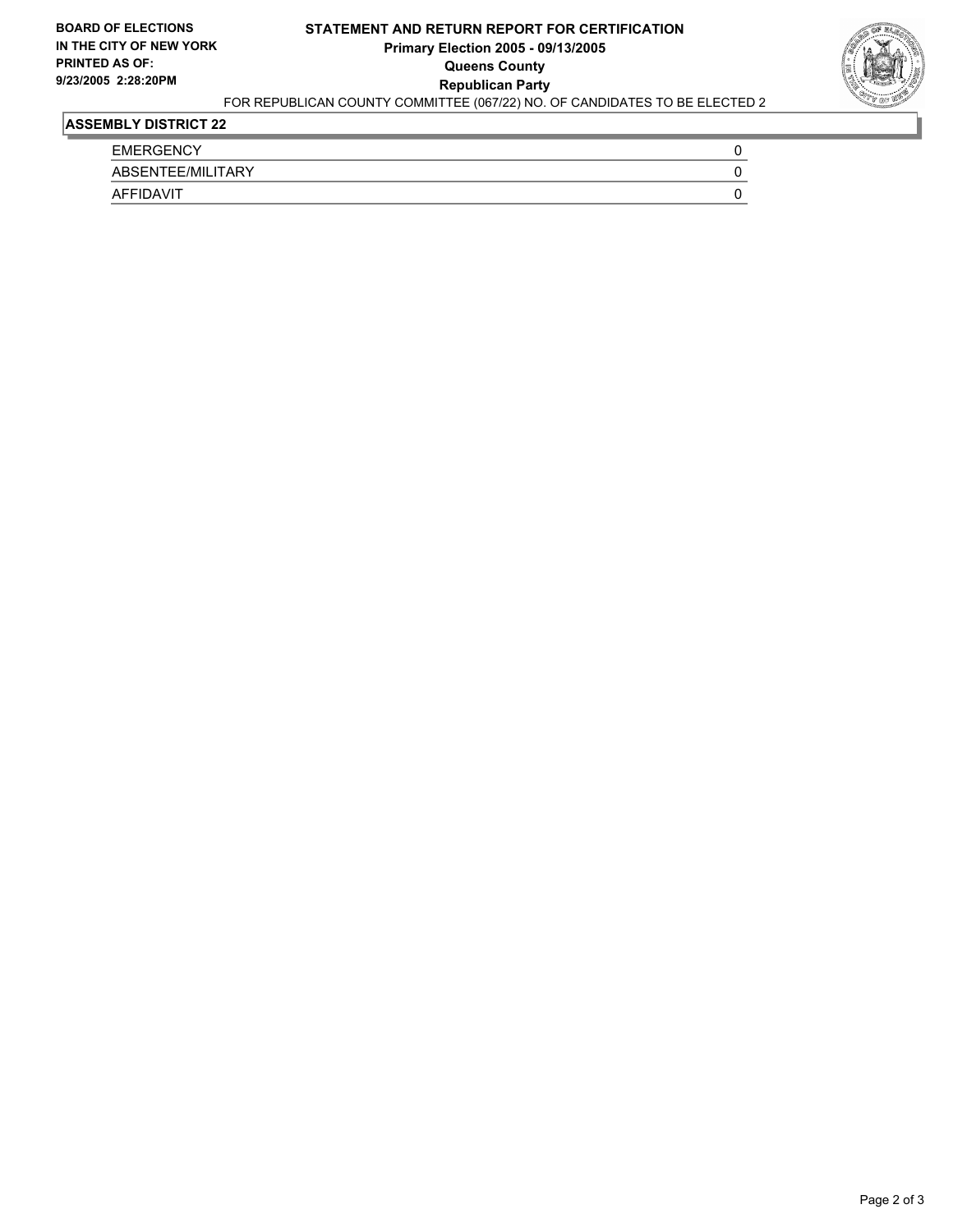### **STATEMENT AND RETURN REPORT FOR CERTIFICATION Primary Election 2005 - 09/13/2005 Queens County Republican Party**



### FOR REPUBLICAN COUNTY COMMITTEE (067/22) NO. OF CANDIDATES TO BE ELECTED 2

| <b>EMERGENCY</b>             |  |
|------------------------------|--|
| ABSENTEE/MILITARY            |  |
| <b>DAVIT</b><br><b>AFFIL</b> |  |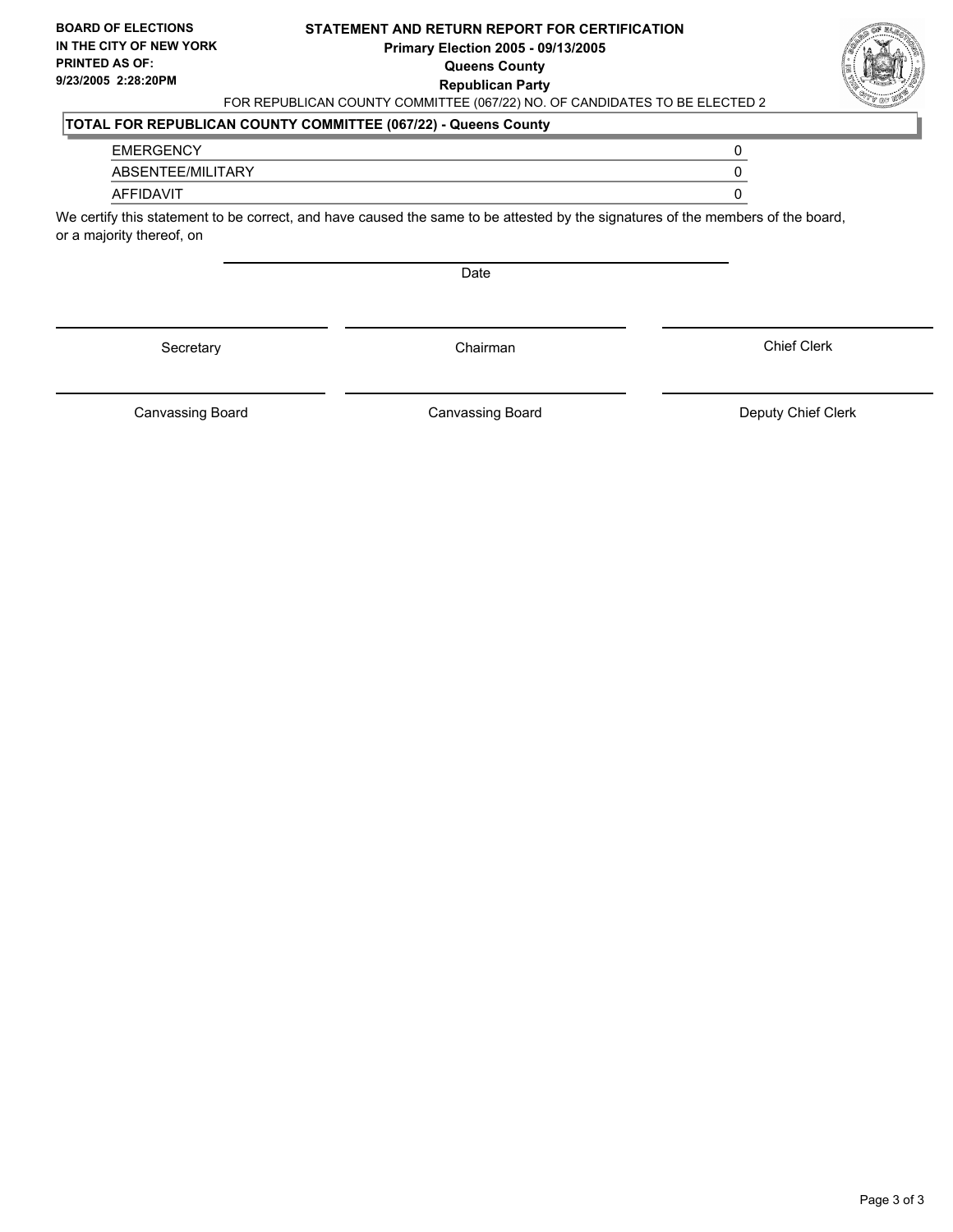#### **STATEMENT AND RETURN REPORT FOR CERTIFICATION Primary Election 2005 - 09/13/2005 Queens County Republican Party** FOR REPUBLICAN COUNTY COMMITTEE (067/22) NO. OF CANDIDATES TO BE ELECTED 2



### **TOTAL FOR REPUBLICAN COUNTY COMMITTEE (067/22) - Queens County**

#### EMERGENCY 0

ABSENTEE/MILITARY 0

#### AFFIDAVIT 0

We certify this statement to be correct, and have caused the same to be attested by the signatures of the members of the board, or a majority thereof, on

Date

Secretary **Chairman** 

Canvassing Board Canvassing Board **Canvassing Board** Canvassing Board **Deputy Chief Clerk** 

Chief Clerk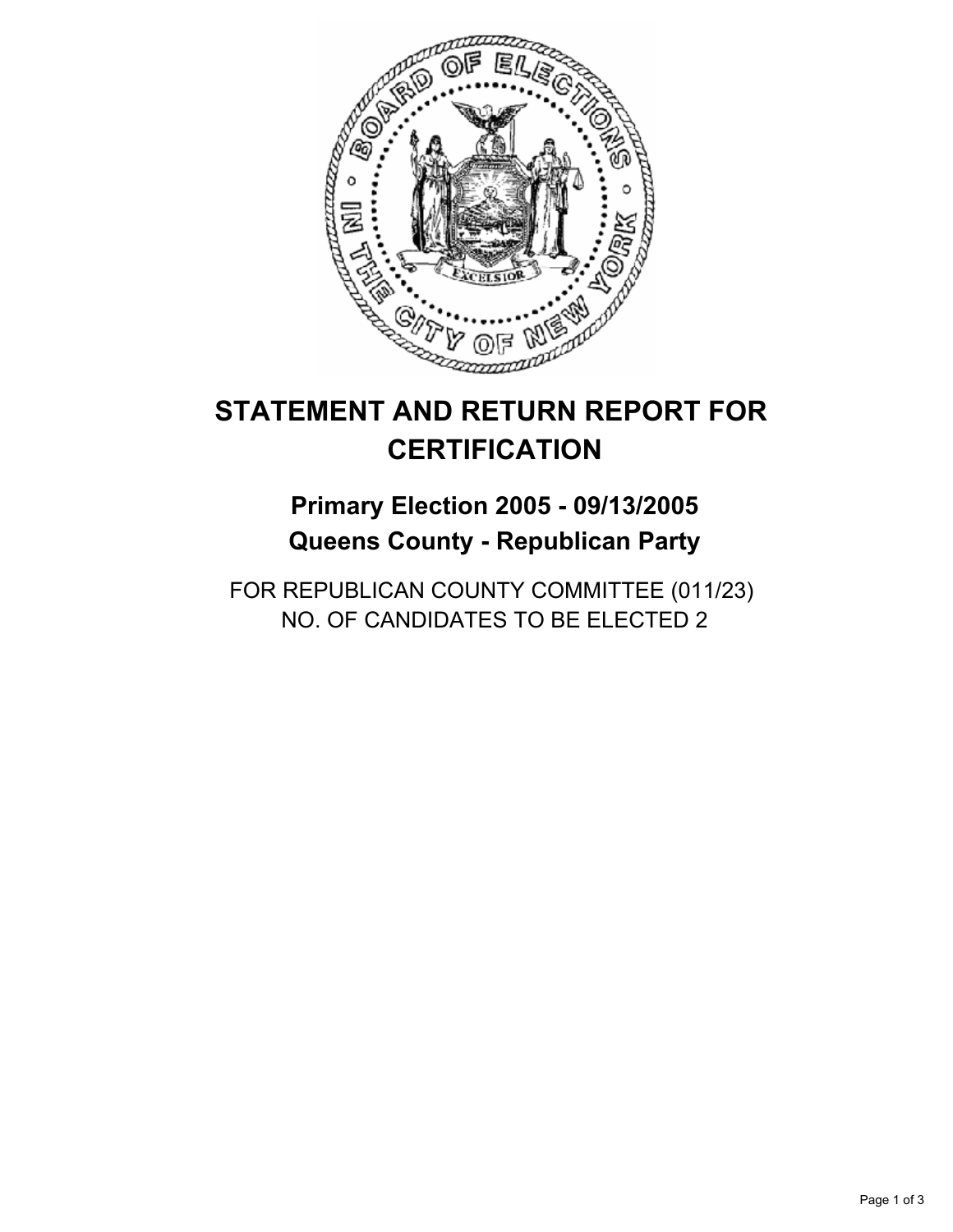

# **Primary Election 2005 - 09/13/2005 Queens County - Republican Party**

FOR REPUBLICAN COUNTY COMMITTEE (011/23) NO. OF CANDIDATES TO BE ELECTED 2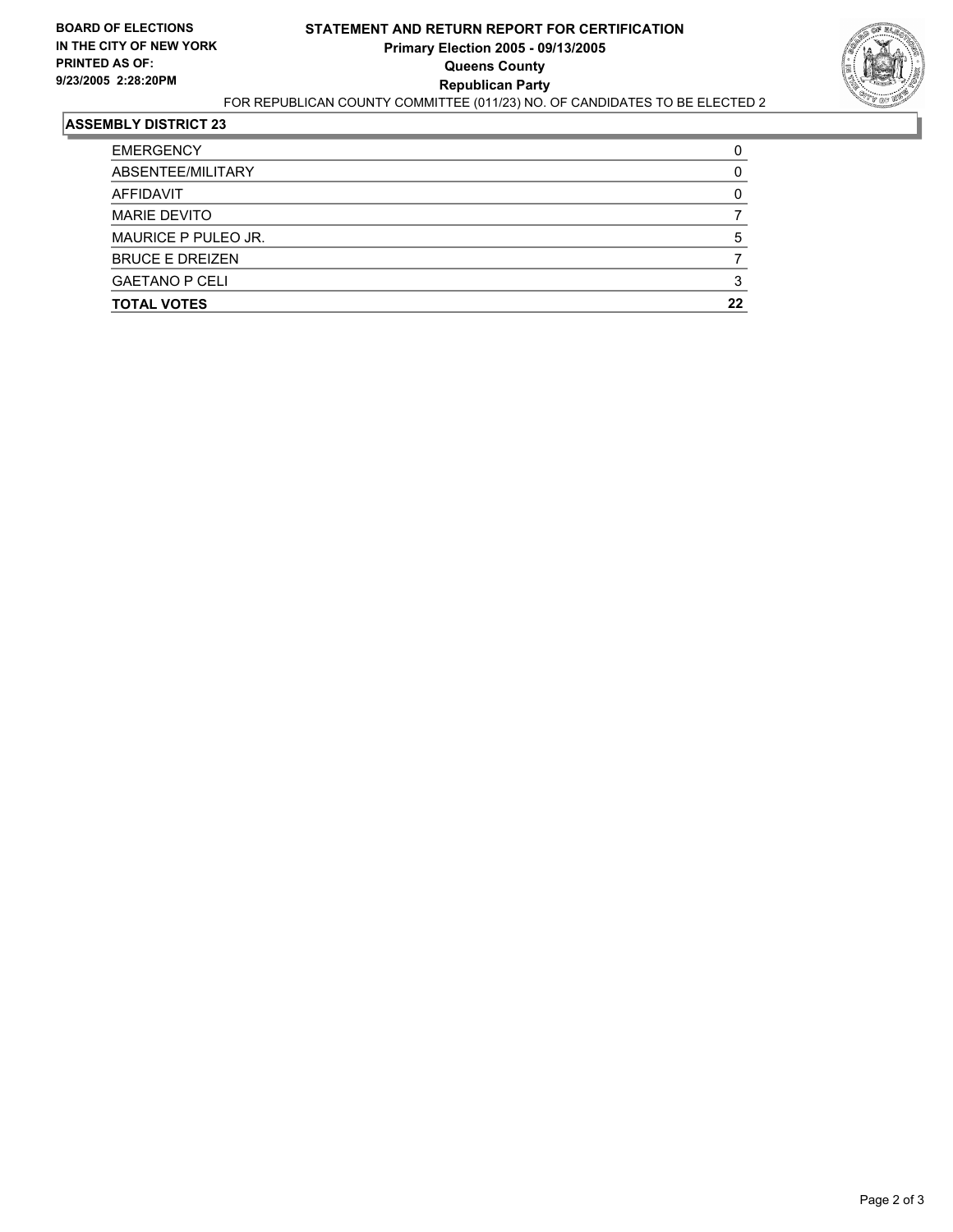

| <b>TOTAL VOTES</b>     | 22 |
|------------------------|----|
| <b>GAETANO P CELI</b>  |    |
| <b>BRUCE E DREIZEN</b> |    |
| MAURICE P PULEO JR.    |    |
| <b>MARIE DEVITO</b>    |    |
| AFFIDAVIT              |    |
| ABSENTEE/MILITARY      |    |
| <b>EMERGENCY</b>       |    |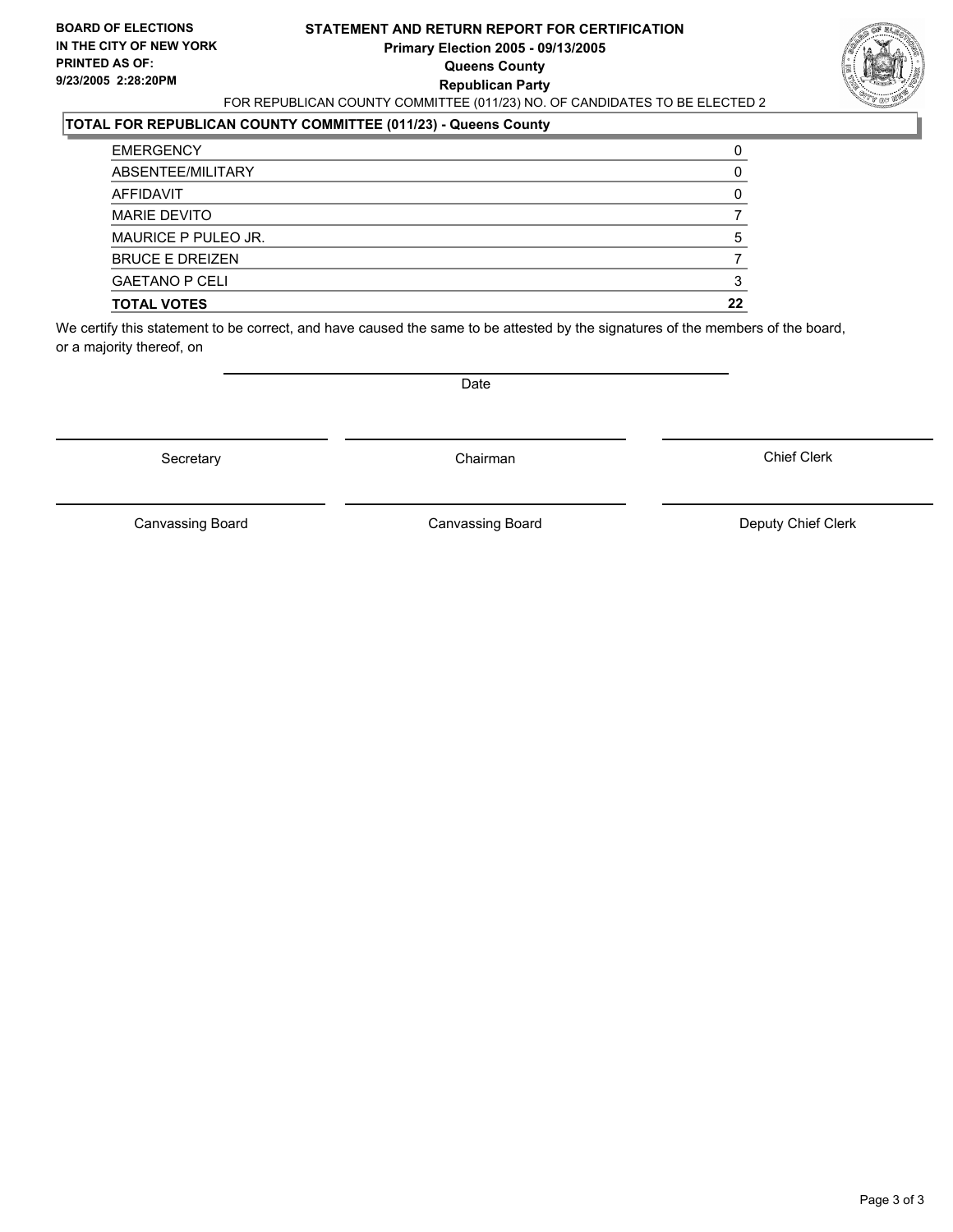#### **STATEMENT AND RETURN REPORT FOR CERTIFICATION Primary Election 2005 - 09/13/2005 Queens County Republican Party** FOR REPUBLICAN COUNTY COMMITTEE (011/23) NO. OF CANDIDATES TO BE ELECTED 2



#### **TOTAL FOR REPUBLICAN COUNTY COMMITTEE (011/23) - Queens County**

| <b>TOTAL VOTES</b>     | 22 |
|------------------------|----|
| <b>GAETANO P CELI</b>  |    |
| <b>BRUCE E DREIZEN</b> |    |
| MAURICE P PULEO JR.    |    |
| <b>MARIE DEVITO</b>    |    |
| AFFIDAVIT              |    |
| ABSENTEE/MILITARY      |    |
| <b>EMERGENCY</b>       |    |

We certify this statement to be correct, and have caused the same to be attested by the signatures of the members of the board, or a majority thereof, on

Secretary **Chairman** 

Date

Chief Clerk

Canvassing Board

Canvassing Board **Canvassing Board** Canvassing Board **Deputy Chief Clerk**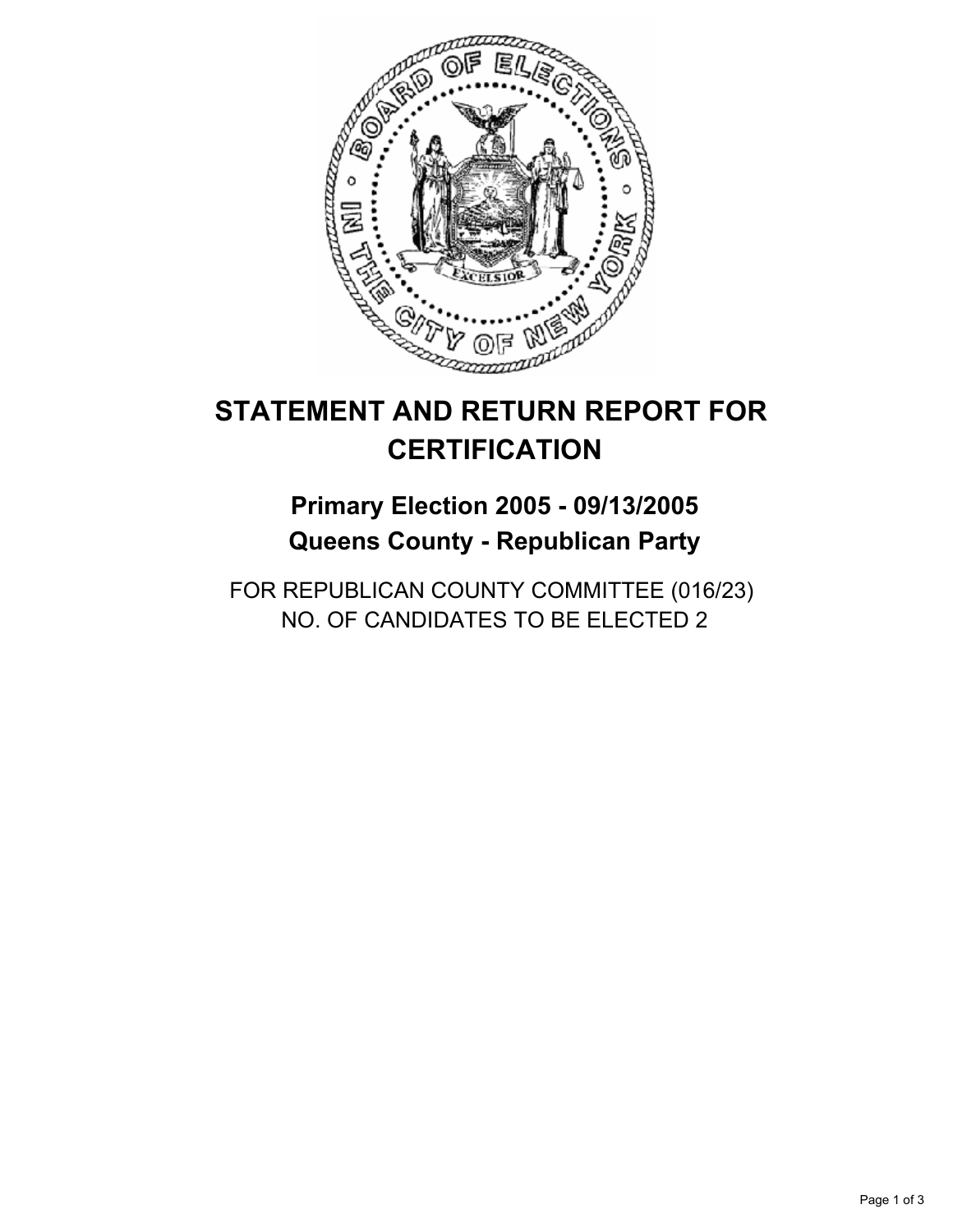

# **Primary Election 2005 - 09/13/2005 Queens County - Republican Party**

FOR REPUBLICAN COUNTY COMMITTEE (016/23) NO. OF CANDIDATES TO BE ELECTED 2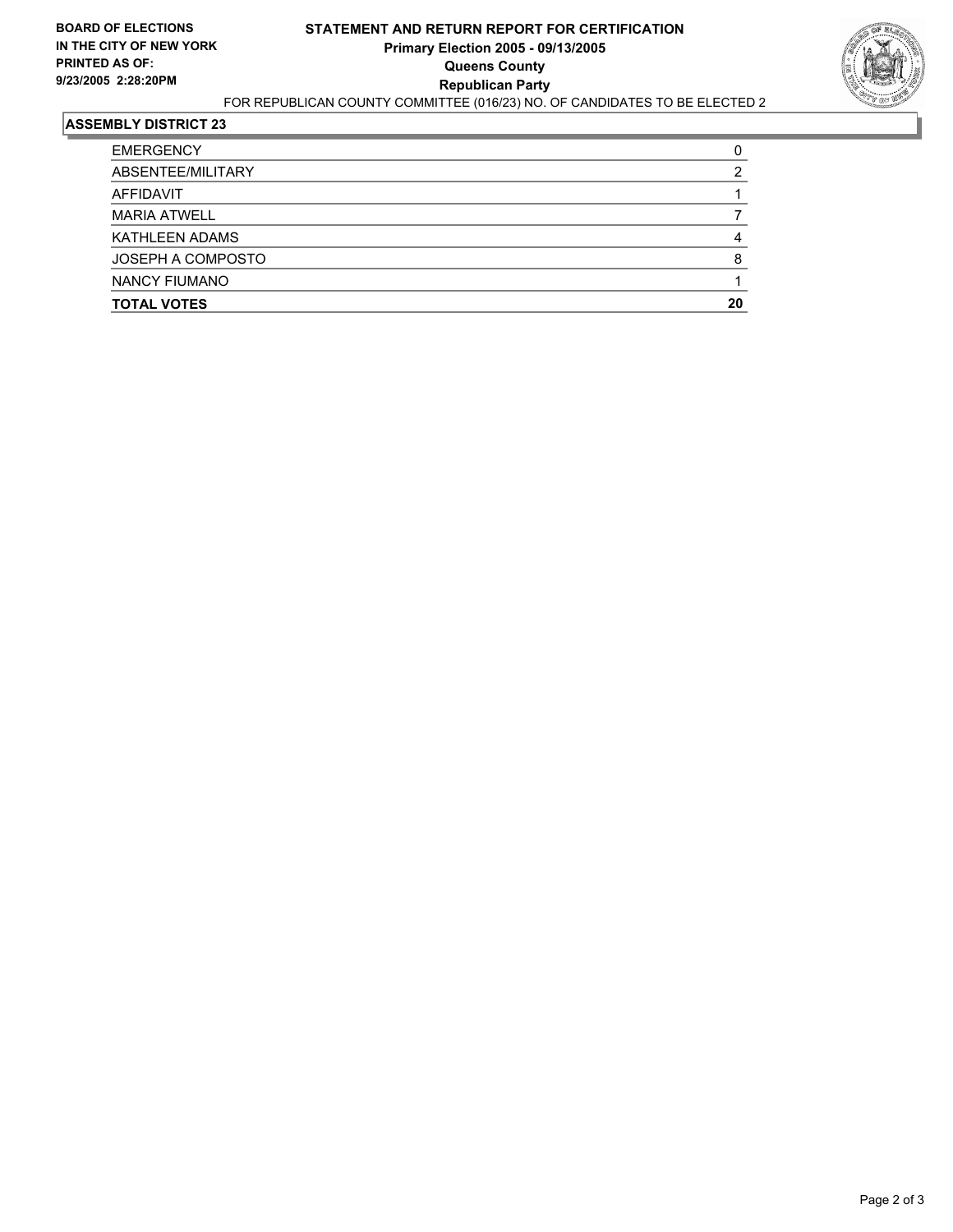

| <b>TOTAL VOTES</b>    | 20 |
|-----------------------|----|
| <b>NANCY FIUMANO</b>  |    |
| JOSEPH A COMPOSTO     |    |
| <b>KATHLEEN ADAMS</b> |    |
| <b>MARIA ATWELL</b>   |    |
| AFFIDAVIT             |    |
| ABSENTEE/MILITARY     |    |
| <b>EMERGENCY</b>      |    |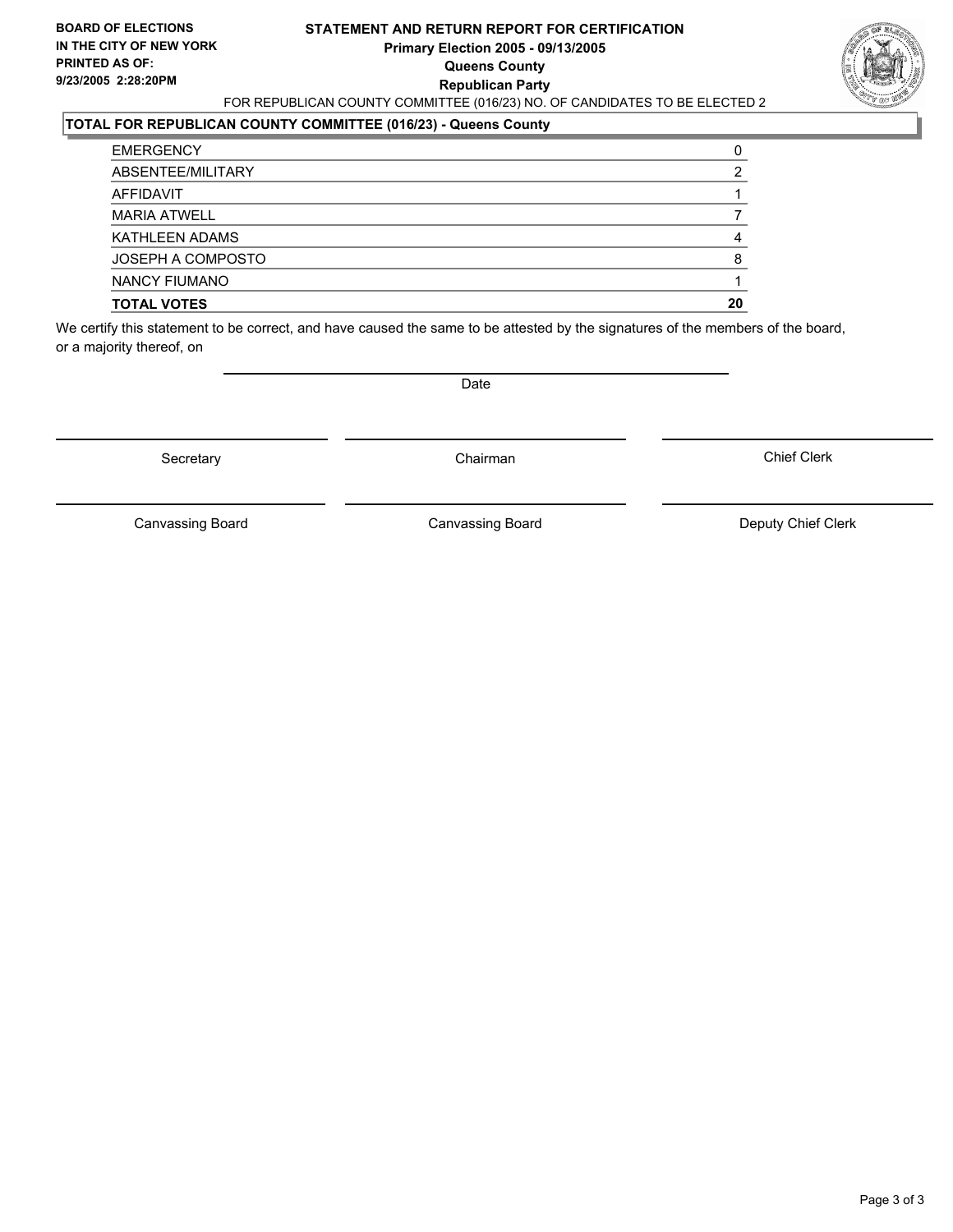#### **STATEMENT AND RETURN REPORT FOR CERTIFICATION Primary Election 2005 - 09/13/2005 Queens County Republican Party** FOR REPUBLICAN COUNTY COMMITTEE (016/23) NO. OF CANDIDATES TO BE ELECTED 2



### **TOTAL FOR REPUBLICAN COUNTY COMMITTEE (016/23) - Queens County**

| <b>TOTAL VOTES</b>   | 20 |
|----------------------|----|
| <b>NANCY FIUMANO</b> |    |
| JOSEPH A COMPOSTO    |    |
| KATHLEEN ADAMS       |    |
| <b>MARIA ATWELL</b>  |    |
| AFFIDAVIT            |    |
| ABSENTEE/MILITARY    |    |
| <b>EMERGENCY</b>     |    |

We certify this statement to be correct, and have caused the same to be attested by the signatures of the members of the board, or a majority thereof, on

Secretary **Chairman** 

Date

Chief Clerk

Canvassing Board

Canvassing Board **Canvassing Board** Canvassing Board **Deputy Chief Clerk**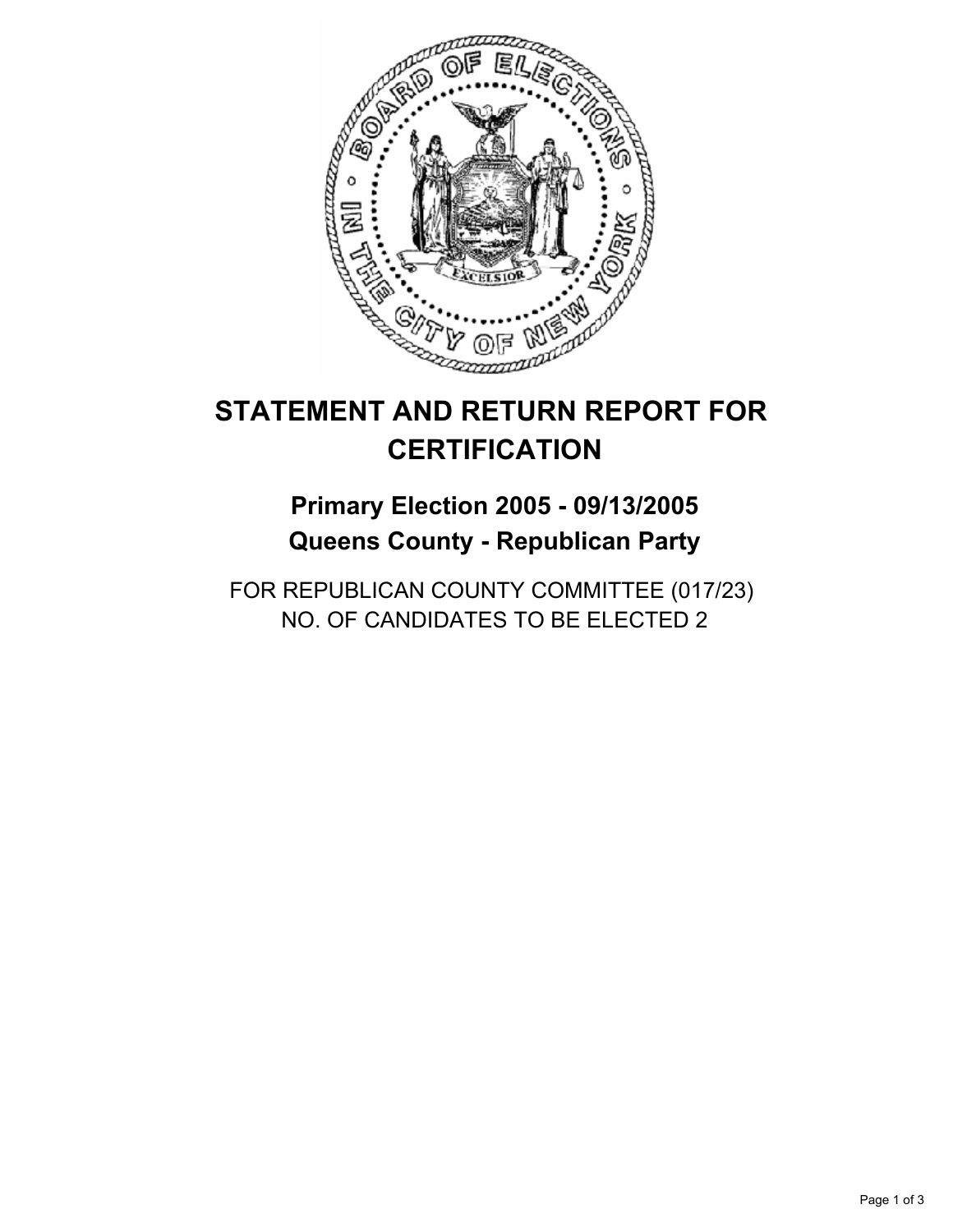

# **Primary Election 2005 - 09/13/2005 Queens County - Republican Party**

FOR REPUBLICAN COUNTY COMMITTEE (017/23) NO. OF CANDIDATES TO BE ELECTED 2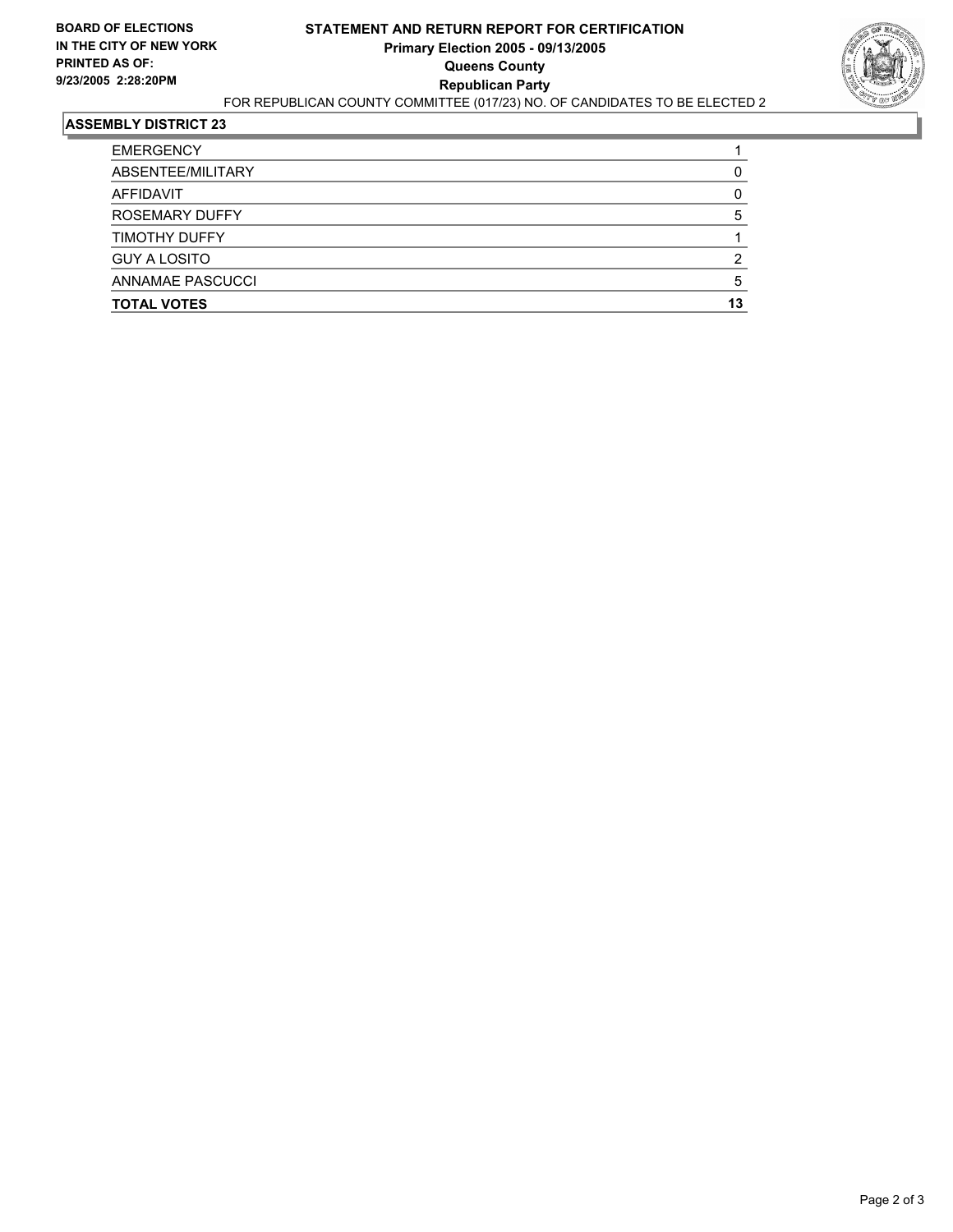

| <b>EMERGENCY</b>      |    |
|-----------------------|----|
| ABSENTEE/MILITARY     |    |
| AFFIDAVIT             |    |
| <b>ROSEMARY DUFFY</b> |    |
| <b>TIMOTHY DUFFY</b>  |    |
| <b>GUY A LOSITO</b>   |    |
| ANNAMAE PASCUCCI      |    |
| <b>TOTAL VOTES</b>    | 13 |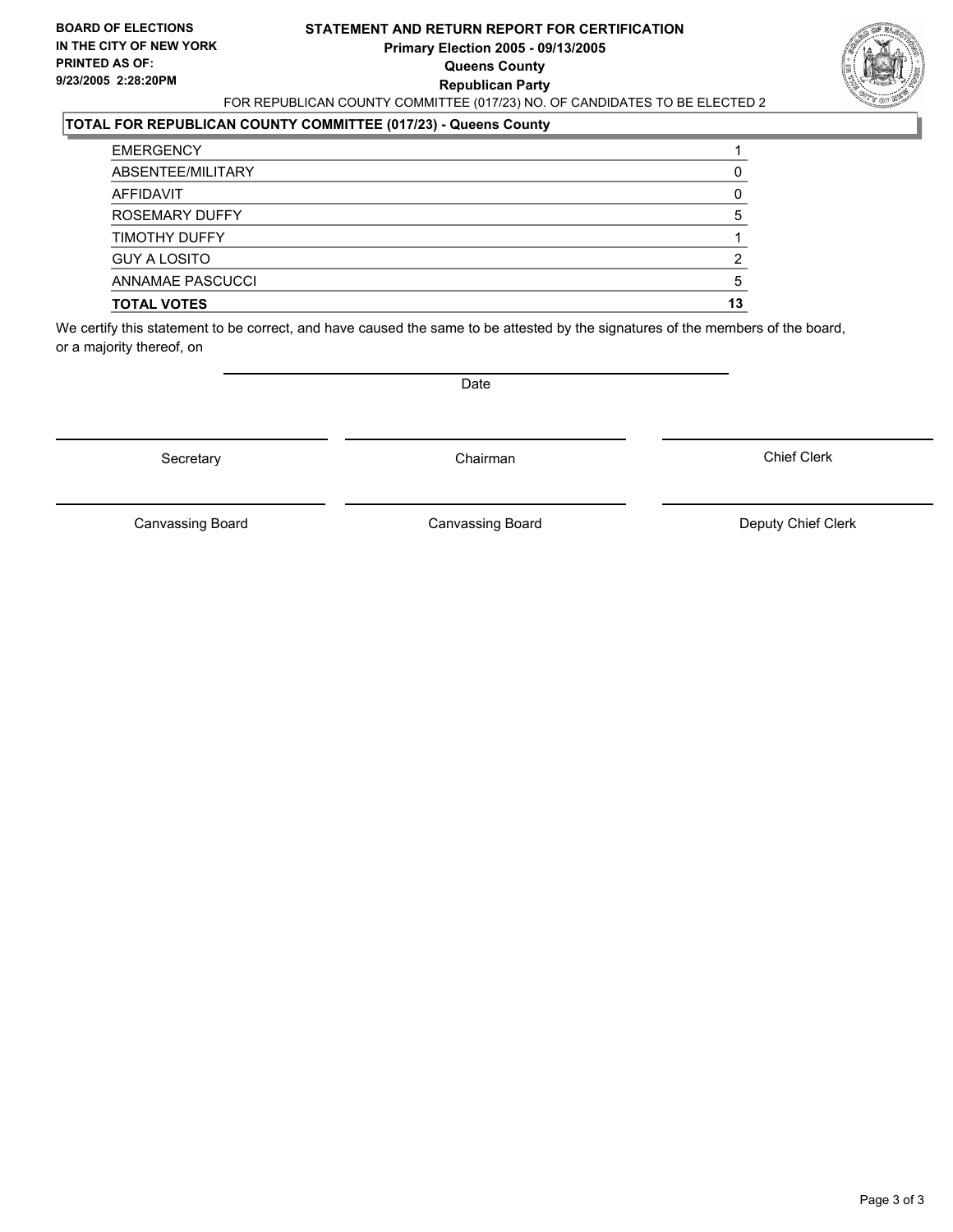#### **STATEMENT AND RETURN REPORT FOR CERTIFICATION Primary Election 2005 - 09/13/2005 Queens County Republican Party** FOR REPUBLICAN COUNTY COMMITTEE (017/23) NO. OF CANDIDATES TO BE ELECTED 2



### **TOTAL FOR REPUBLICAN COUNTY COMMITTEE (017/23) - Queens County**

| ABSENTEE/MILITARY<br>AFFIDAVIT |    |
|--------------------------------|----|
| ROSEMARY DUFFY                 |    |
| TIMOTHY DUFFY                  |    |
| <b>GUY A LOSITO</b>            |    |
| ANNAMAE PASCUCCI               |    |
| <b>TOTAL VOTES</b>             | 13 |

We certify this statement to be correct, and have caused the same to be attested by the signatures of the members of the board, or a majority thereof, on

Secretary **Chairman** 

Date

Chief Clerk

Canvassing Board

Canvassing Board **Canvassing Board** Canvassing Board **Deputy Chief Clerk**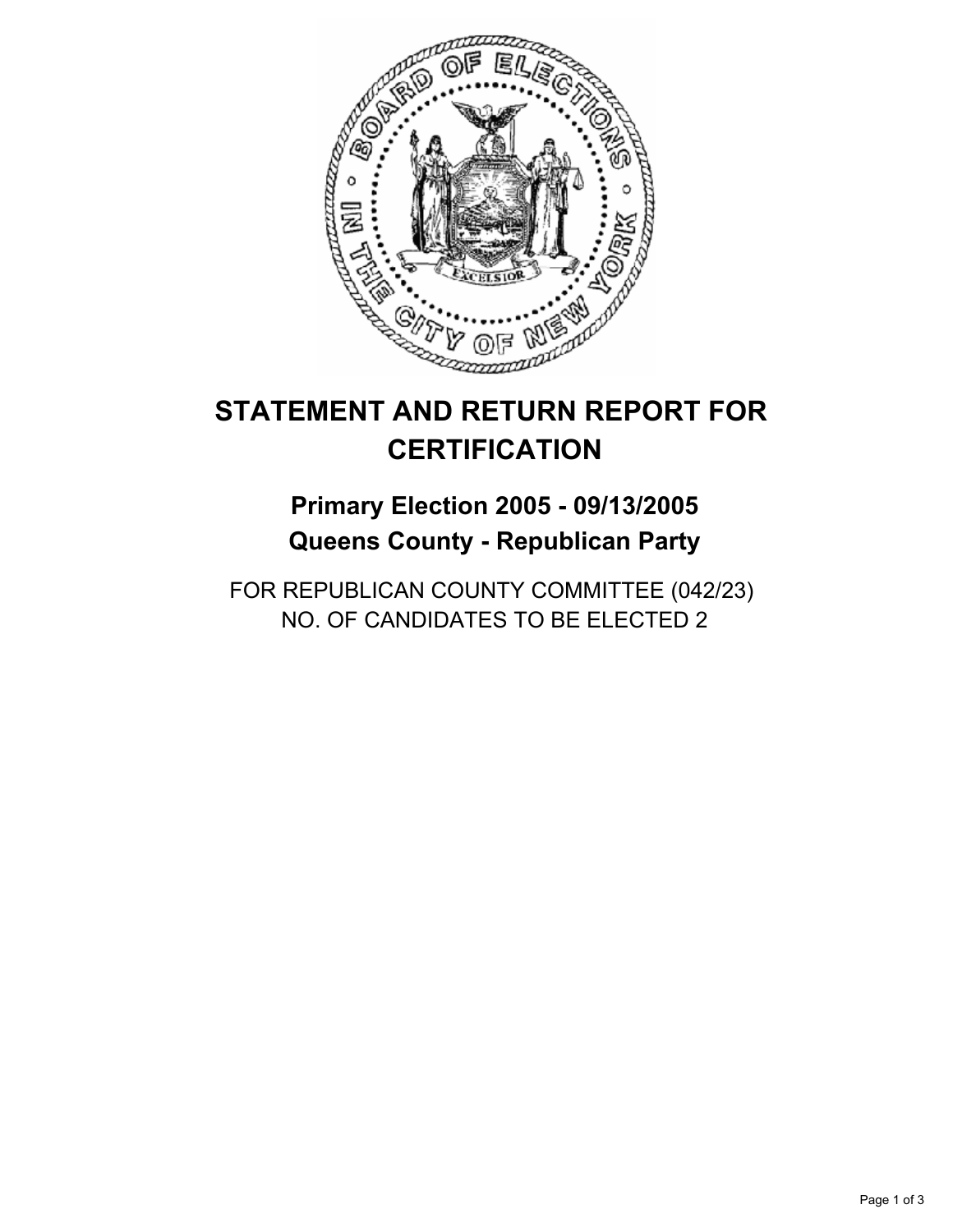

# **Primary Election 2005 - 09/13/2005 Queens County - Republican Party**

FOR REPUBLICAN COUNTY COMMITTEE (042/23) NO. OF CANDIDATES TO BE ELECTED 2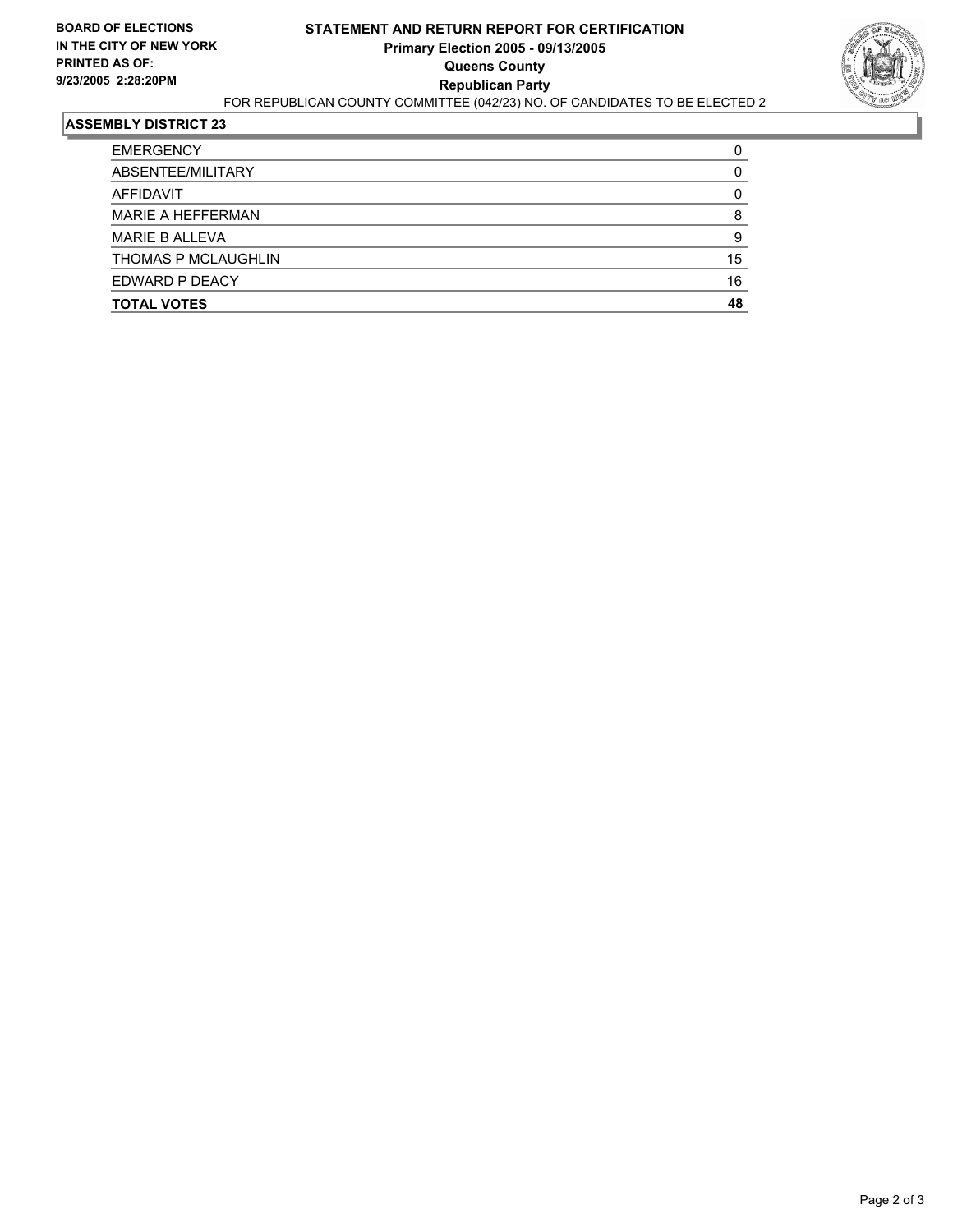

| <b>TOTAL VOTES</b>       | 48 |
|--------------------------|----|
| EDWARD P DEACY           | 16 |
| THOMAS P MCLAUGHLIN      | 15 |
| <b>MARIE B ALLEVA</b>    |    |
| <b>MARIE A HEFFERMAN</b> |    |
| AFFIDAVIT                |    |
| ABSENTEE/MILITARY        |    |
| <b>EMERGENCY</b>         |    |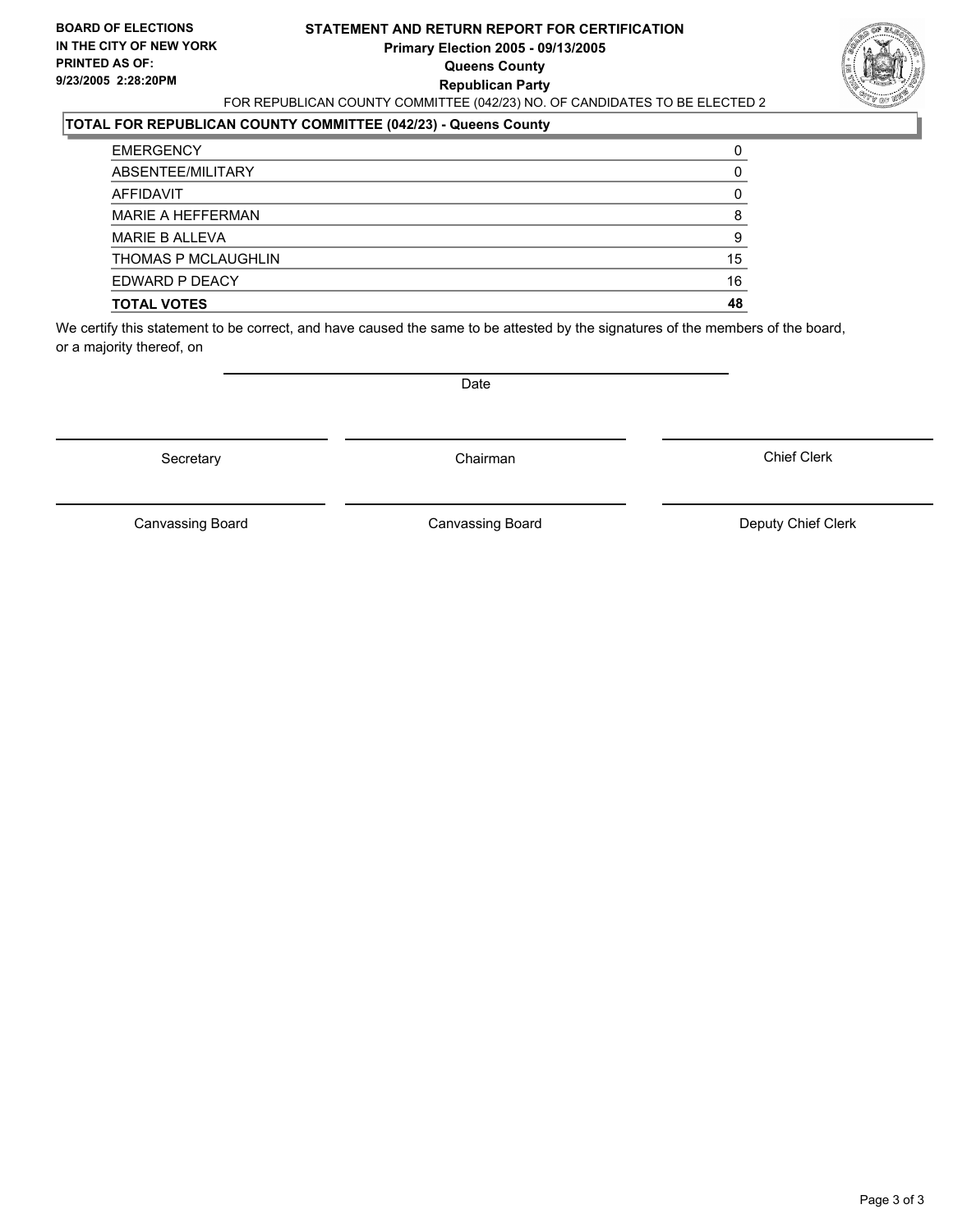#### **STATEMENT AND RETURN REPORT FOR CERTIFICATION Primary Election 2005 - 09/13/2005 Queens County Republican Party** FOR REPUBLICAN COUNTY COMMITTEE (042/23) NO. OF CANDIDATES TO BE ELECTED 2



### **TOTAL FOR REPUBLICAN COUNTY COMMITTEE (042/23) - Queens County**

| <b>TOTAL VOTES</b>    | 48 |
|-----------------------|----|
| EDWARD P DEACY        | 16 |
| THOMAS P MCLAUGHLIN   | 15 |
| <b>MARIE B ALLEVA</b> | 9  |
| MARIE A HEFFERMAN     |    |
| AFFIDAVIT             |    |
| ABSENTEE/MILITARY     |    |
| <b>EMERGENCY</b>      |    |

We certify this statement to be correct, and have caused the same to be attested by the signatures of the members of the board, or a majority thereof, on

Secretary **Chairman** 

Date

Chief Clerk

Canvassing Board

Canvassing Board **Canvassing Board** Canvassing Board **Deputy Chief Clerk**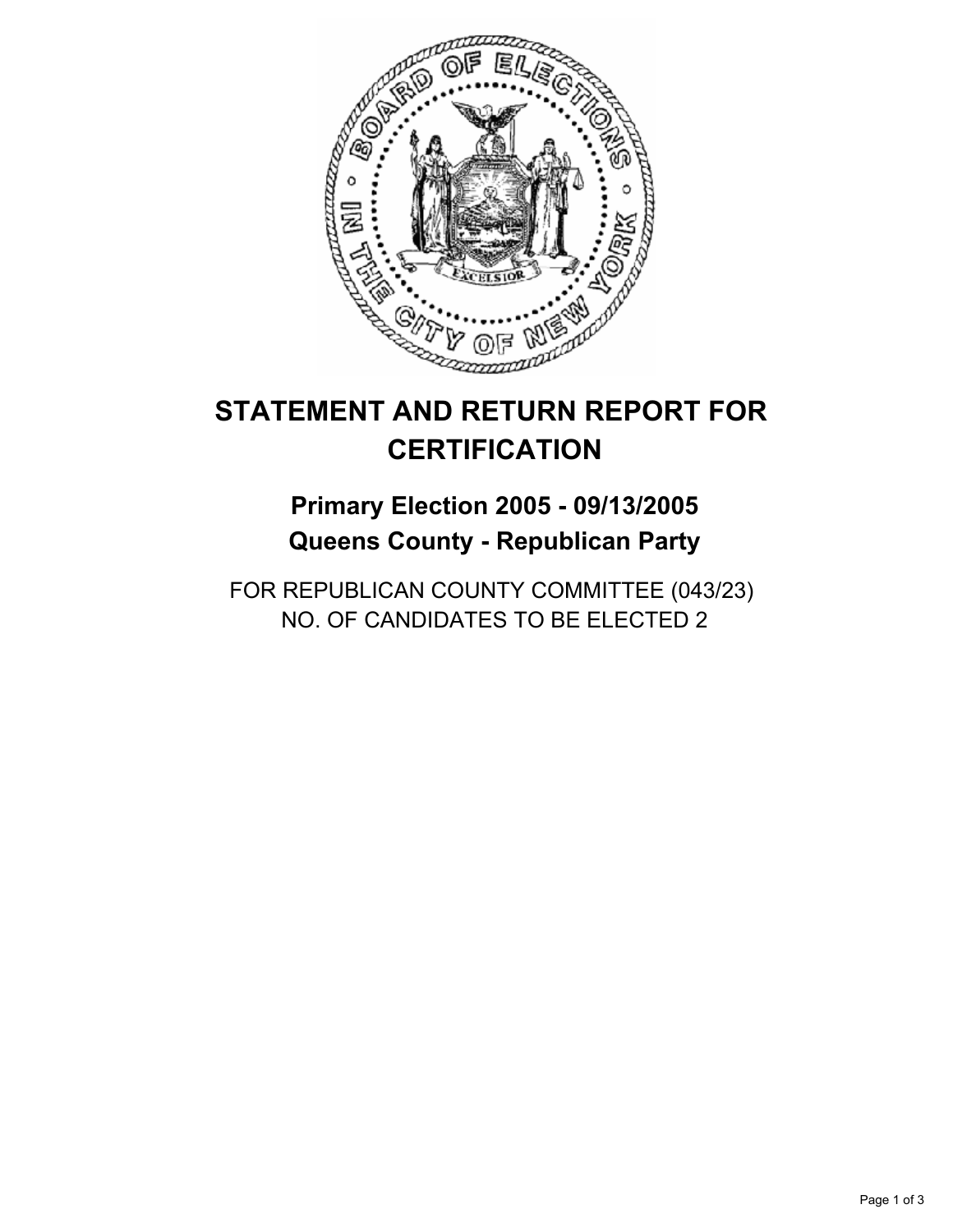

# **Primary Election 2005 - 09/13/2005 Queens County - Republican Party**

FOR REPUBLICAN COUNTY COMMITTEE (043/23) NO. OF CANDIDATES TO BE ELECTED 2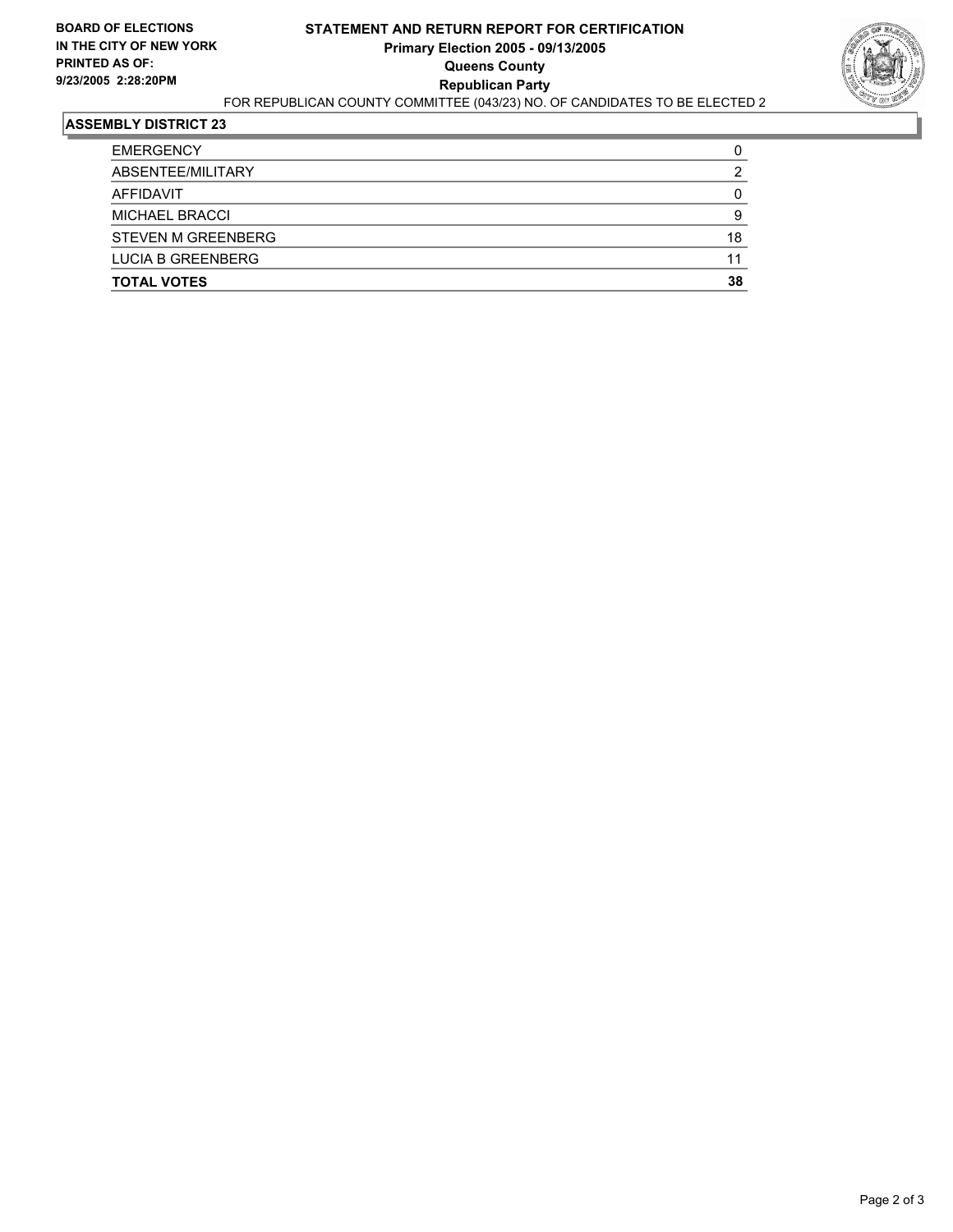

| <b>EMERGENCY</b>          |    |
|---------------------------|----|
| ABSENTEE/MILITARY         |    |
| AFFIDAVIT                 |    |
| <b>MICHAEL BRACCI</b>     |    |
| <b>STEVEN M GREENBERG</b> | 18 |
| <b>LUCIA B GREENBERG</b>  | 11 |
| <b>TOTAL VOTES</b>        | 38 |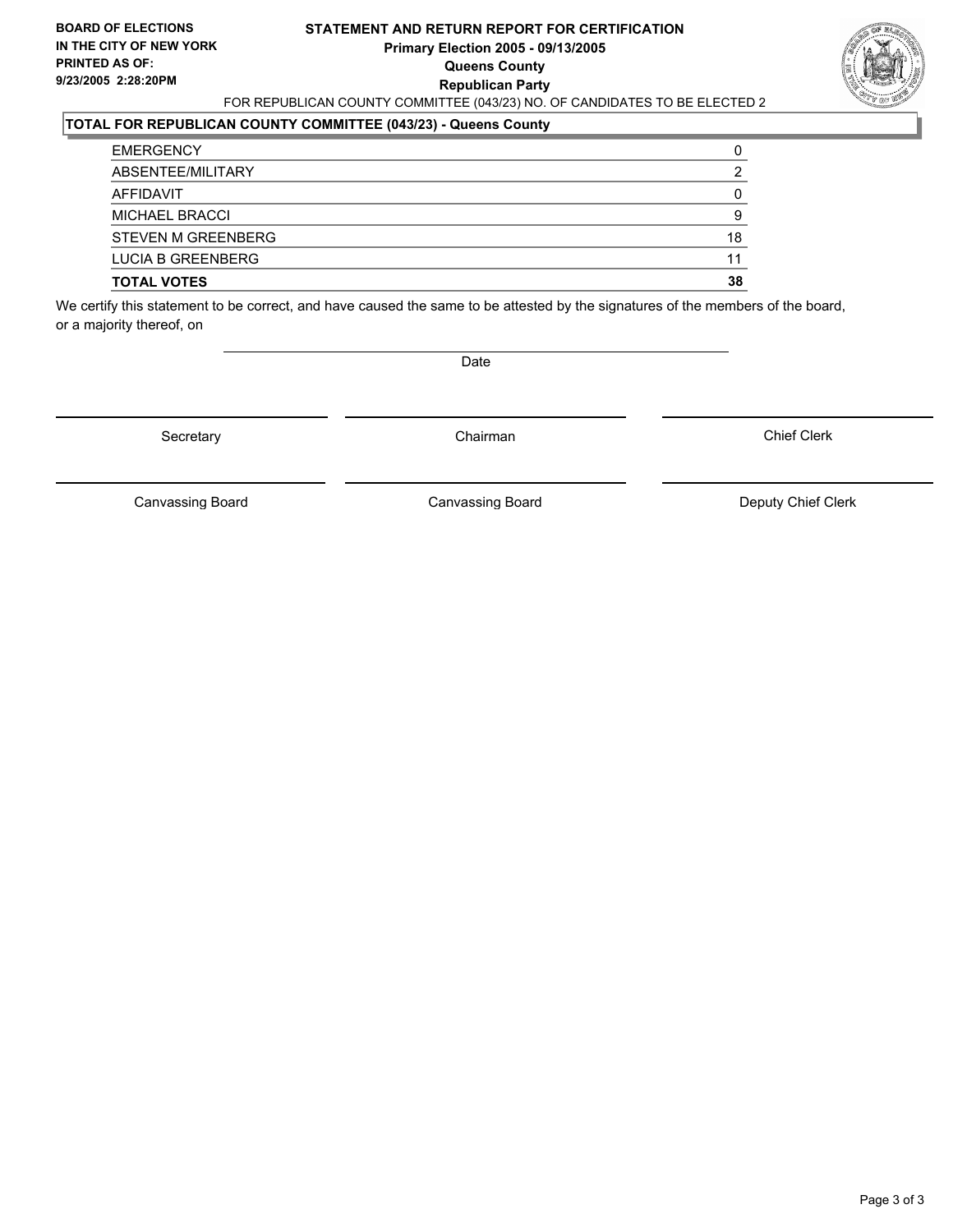#### **STATEMENT AND RETURN REPORT FOR CERTIFICATION Primary Election 2005 - 09/13/2005 Queens County Republican Party** FOR REPUBLICAN COUNTY COMMITTEE (043/23) NO. OF CANDIDATES TO BE ELECTED 2



#### **TOTAL FOR REPUBLICAN COUNTY COMMITTEE (043/23) - Queens County**

| <b>EMERGENCY</b>          |    |
|---------------------------|----|
| ABSENTEE/MILITARY         |    |
| AFFIDAVIT                 |    |
| <b>MICHAEL BRACCI</b>     |    |
| <b>STEVEN M GREENBERG</b> | 18 |
| <b>LUCIA B GREENBERG</b>  | 11 |
| <b>TOTAL VOTES</b>        | 38 |

We certify this statement to be correct, and have caused the same to be attested by the signatures of the members of the board, or a majority thereof, on

Secretary **Chairman** 

Date

Chief Clerk

Canvassing Board **Canvassing Board** Canvassing Board **Deputy Chief Clerk** 

Canvassing Board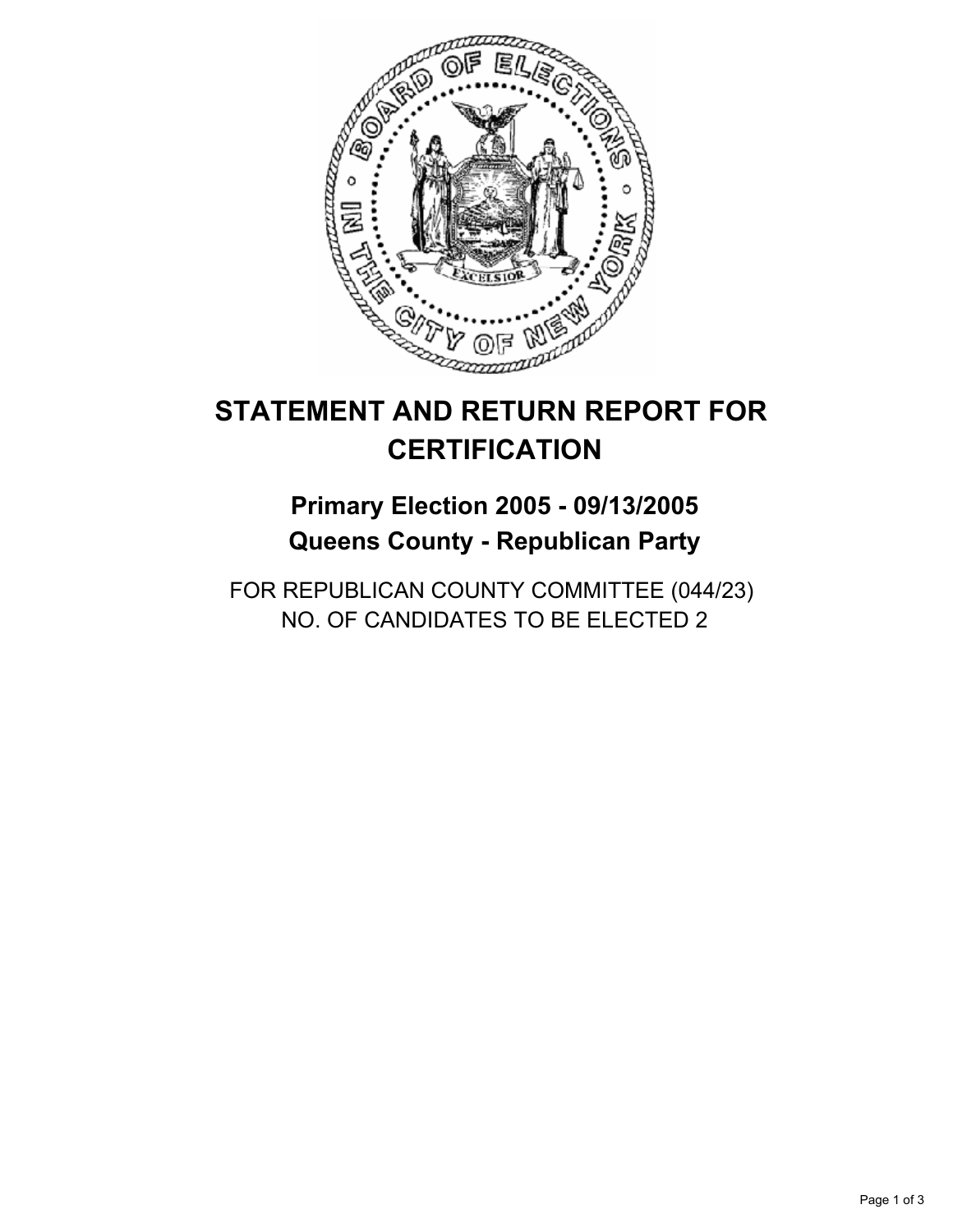

# **Primary Election 2005 - 09/13/2005 Queens County - Republican Party**

FOR REPUBLICAN COUNTY COMMITTEE (044/23) NO. OF CANDIDATES TO BE ELECTED 2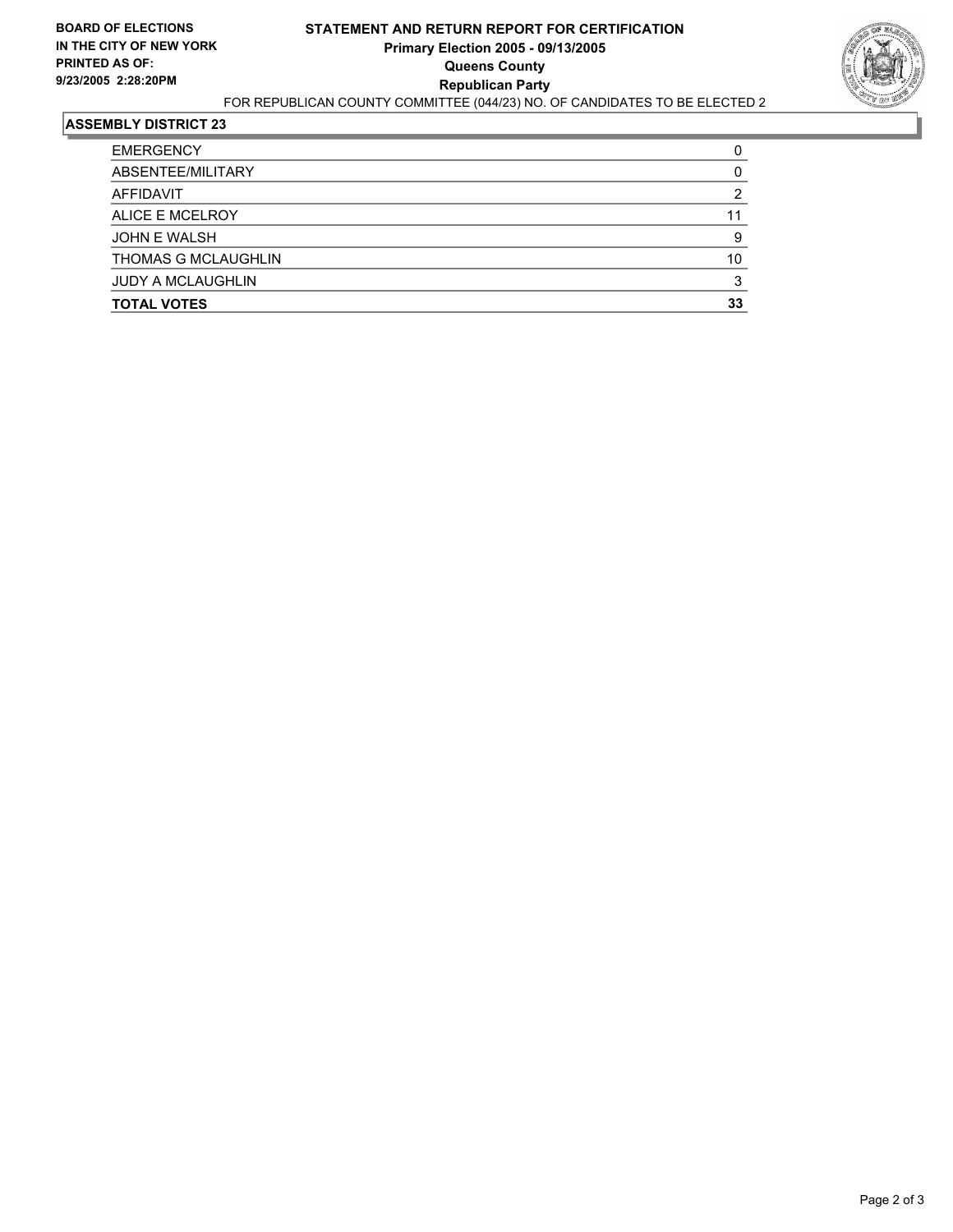

| <b>TOTAL VOTES</b>       | 33 |
|--------------------------|----|
| <b>JUDY A MCLAUGHLIN</b> |    |
| THOMAS G MCLAUGHLIN      | 10 |
| <b>JOHN E WALSH</b>      |    |
| ALICE E MCELROY          | 11 |
| AFFIDAVIT                |    |
| ABSENTEE/MILITARY        |    |
| <b>EMERGENCY</b>         |    |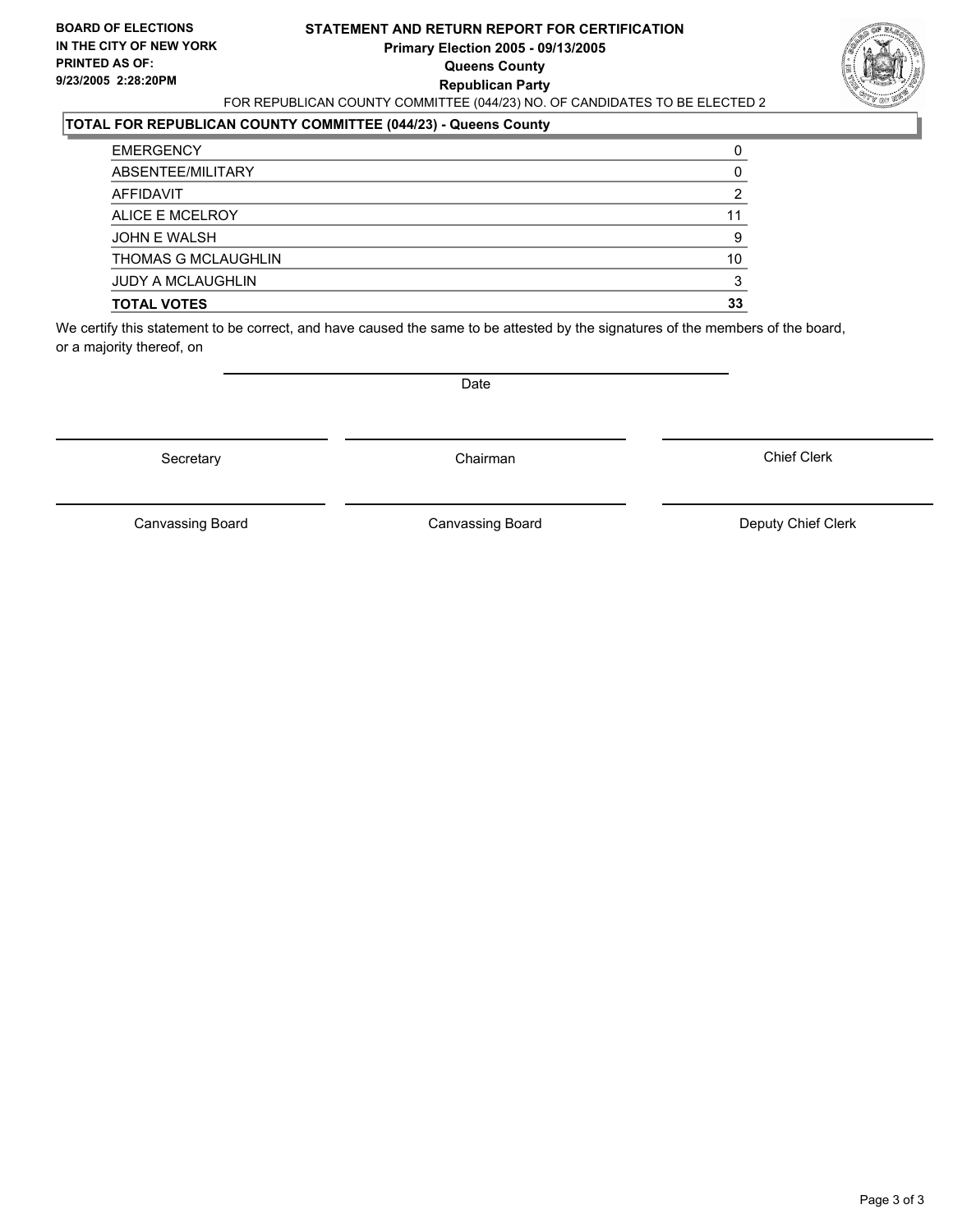#### **STATEMENT AND RETURN REPORT FOR CERTIFICATION Primary Election 2005 - 09/13/2005 Queens County Republican Party** FOR REPUBLICAN COUNTY COMMITTEE (044/23) NO. OF CANDIDATES TO BE ELECTED 2



### **TOTAL FOR REPUBLICAN COUNTY COMMITTEE (044/23) - Queens County**

| <b>EMERGENCY</b>         |    |
|--------------------------|----|
| ABSENTEE/MILITARY        |    |
| AFFIDAVIT                |    |
| ALICE E MCELROY          |    |
| <b>JOHN E WALSH</b>      |    |
| THOMAS G MCLAUGHLIN      | 10 |
| <b>JUDY A MCLAUGHLIN</b> |    |
| <b>TOTAL VOTES</b>       | 33 |

We certify this statement to be correct, and have caused the same to be attested by the signatures of the members of the board, or a majority thereof, on

Secretary **Chairman** 

Date

Chief Clerk

Canvassing Board

Canvassing Board **Canvassing Board** Canvassing Board **Deputy Chief Clerk**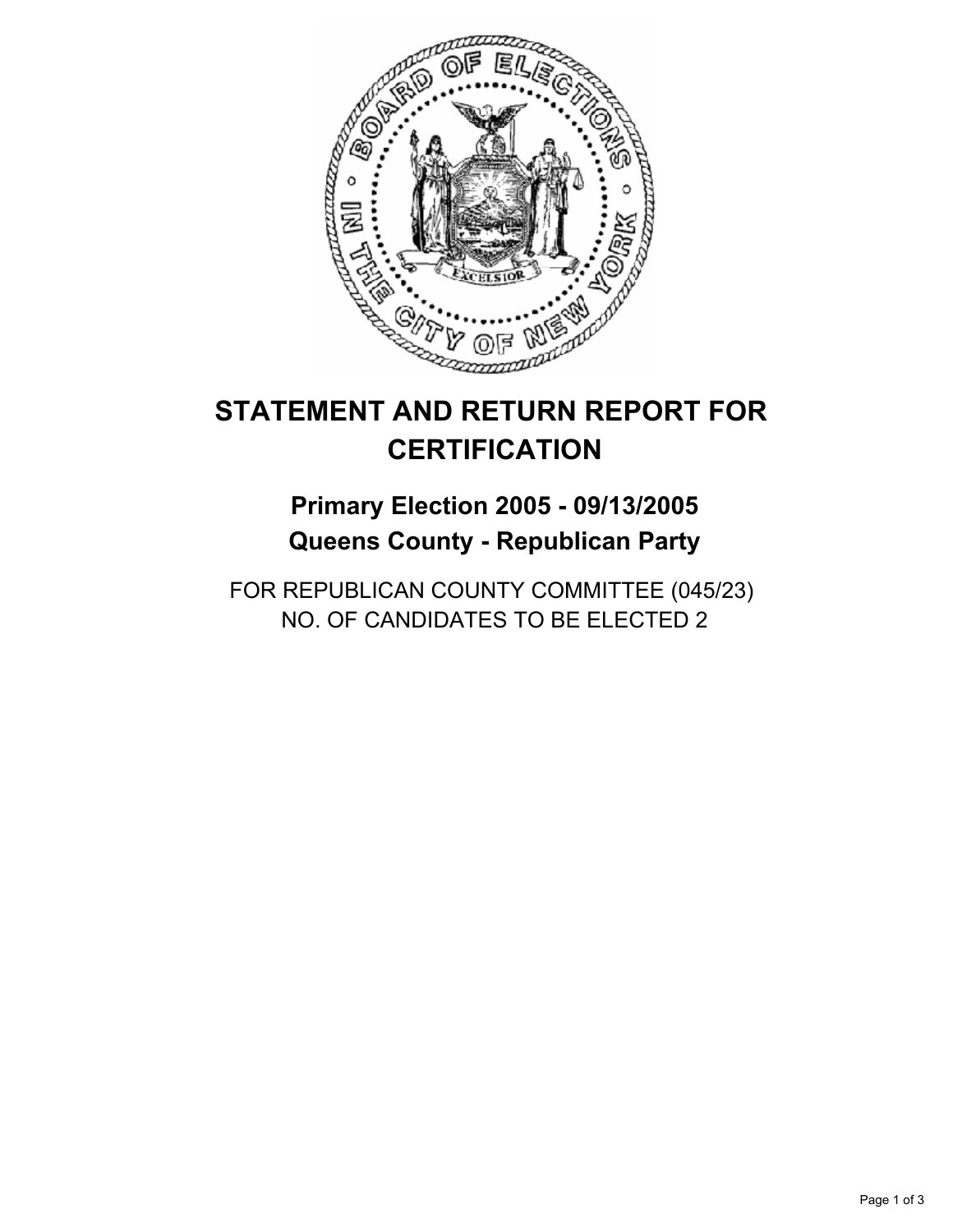

# **Primary Election 2005 - 09/13/2005 Queens County - Republican Party**

FOR REPUBLICAN COUNTY COMMITTEE (045/23) NO. OF CANDIDATES TO BE ELECTED 2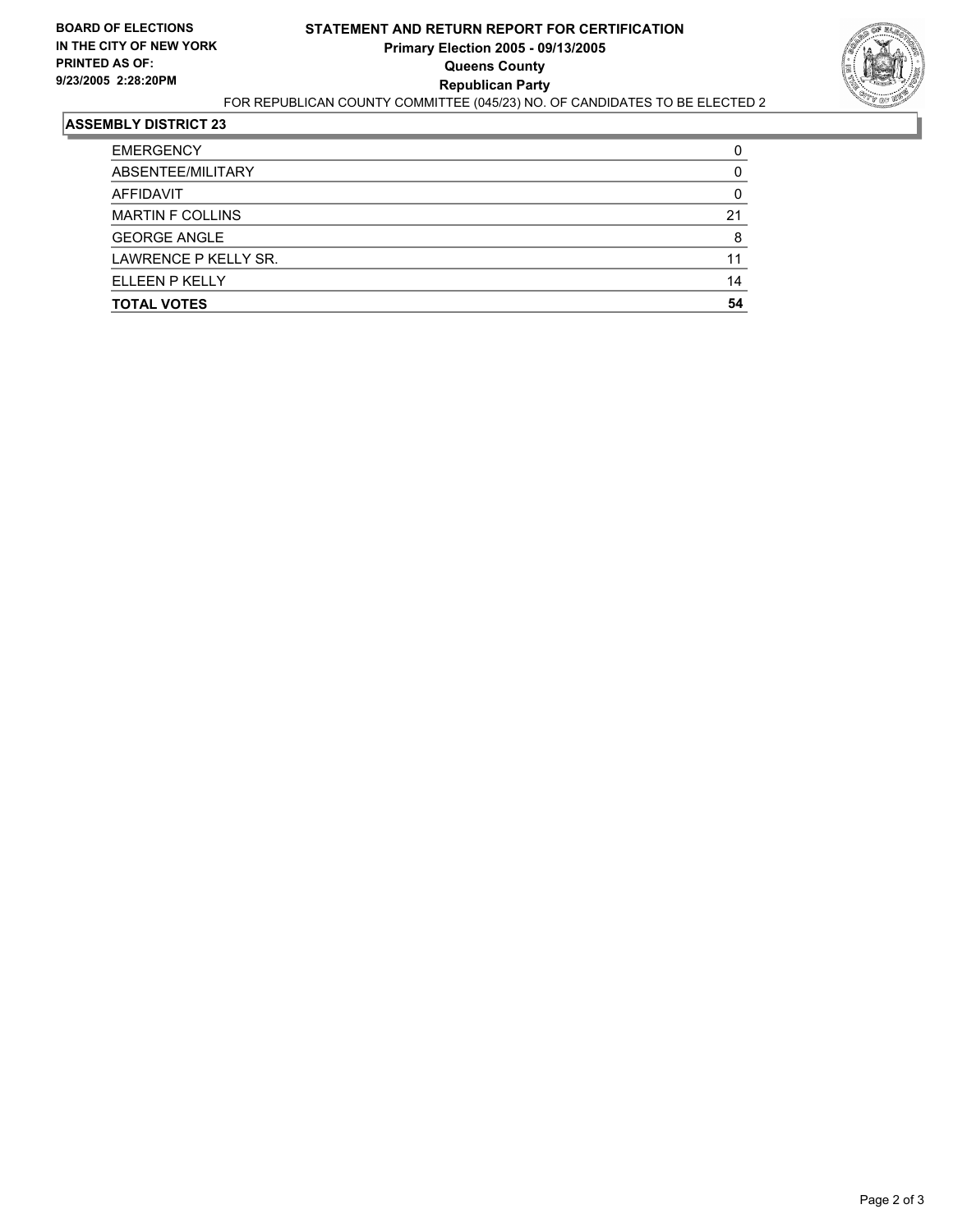

| <b>TOTAL VOTES</b>      | 54 |
|-------------------------|----|
| ELLEEN P KELLY          | 14 |
| LAWRENCE P KELLY SR.    | 11 |
| <b>GEORGE ANGLE</b>     |    |
| <b>MARTIN F COLLINS</b> | 21 |
| AFFIDAVIT               |    |
| ABSENTEE/MILITARY       |    |
| <b>EMERGENCY</b>        |    |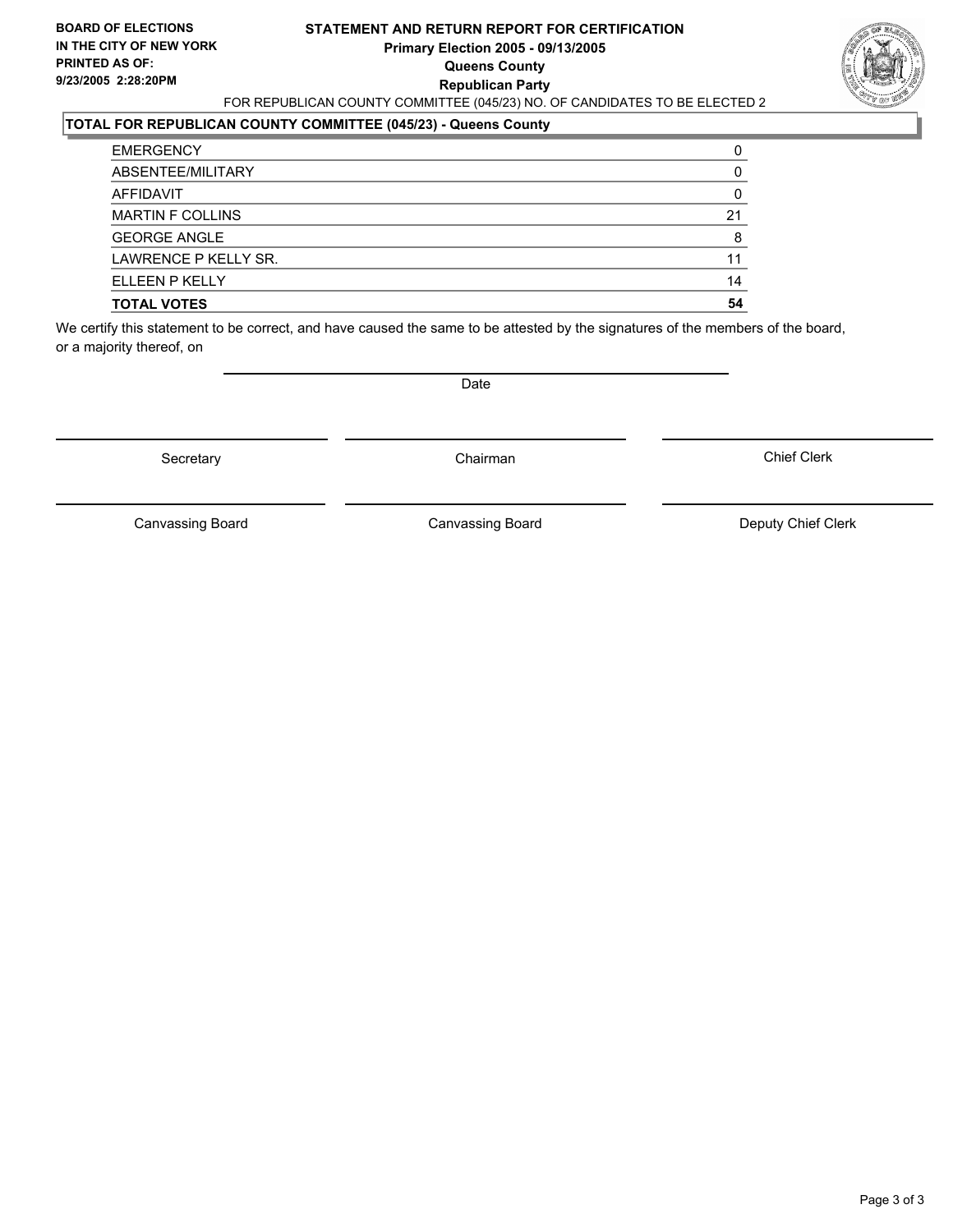#### **STATEMENT AND RETURN REPORT FOR CERTIFICATION Primary Election 2005 - 09/13/2005 Queens County Republican Party** FOR REPUBLICAN COUNTY COMMITTEE (045/23) NO. OF CANDIDATES TO BE ELECTED 2



### **TOTAL FOR REPUBLICAN COUNTY COMMITTEE (045/23) - Queens County**

| <b>TOTAL VOTES</b>      | 54 |
|-------------------------|----|
| ELLEEN P KELLY          | 14 |
| LAWRENCE P KELLY SR.    | 11 |
| <b>GEORGE ANGLE</b>     |    |
| <b>MARTIN F COLLINS</b> | 21 |
| AFFIDAVIT               |    |
| ABSENTEE/MILITARY       |    |
| <b>EMERGENCY</b>        |    |

We certify this statement to be correct, and have caused the same to be attested by the signatures of the members of the board, or a majority thereof, on

Secretary **Chairman** 

Date

Chief Clerk

Canvassing Board

Canvassing Board **Canvassing Board** Canvassing Board **Deputy Chief Clerk**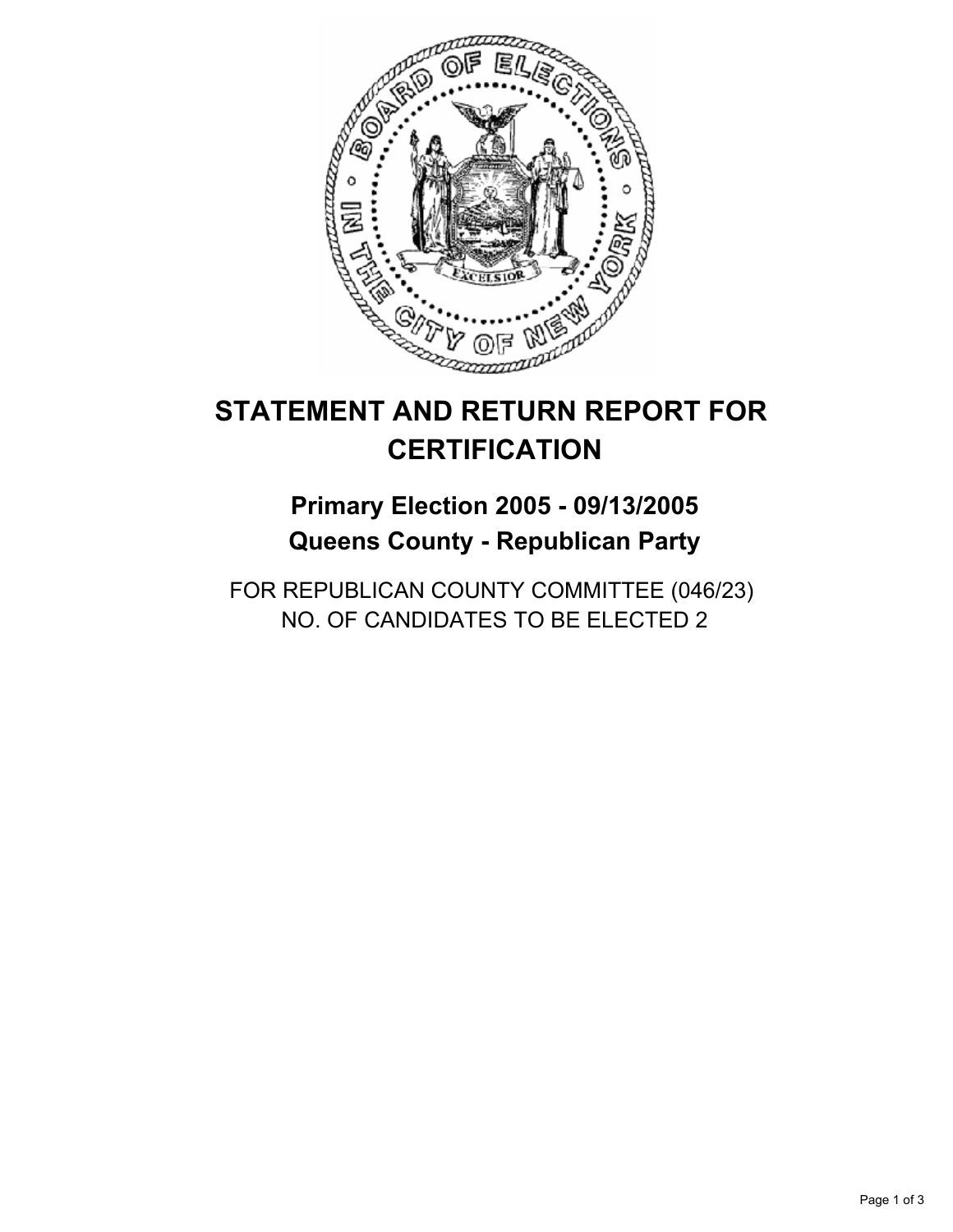

## **Primary Election 2005 - 09/13/2005 Queens County - Republican Party**

FOR REPUBLICAN COUNTY COMMITTEE (046/23) NO. OF CANDIDATES TO BE ELECTED 2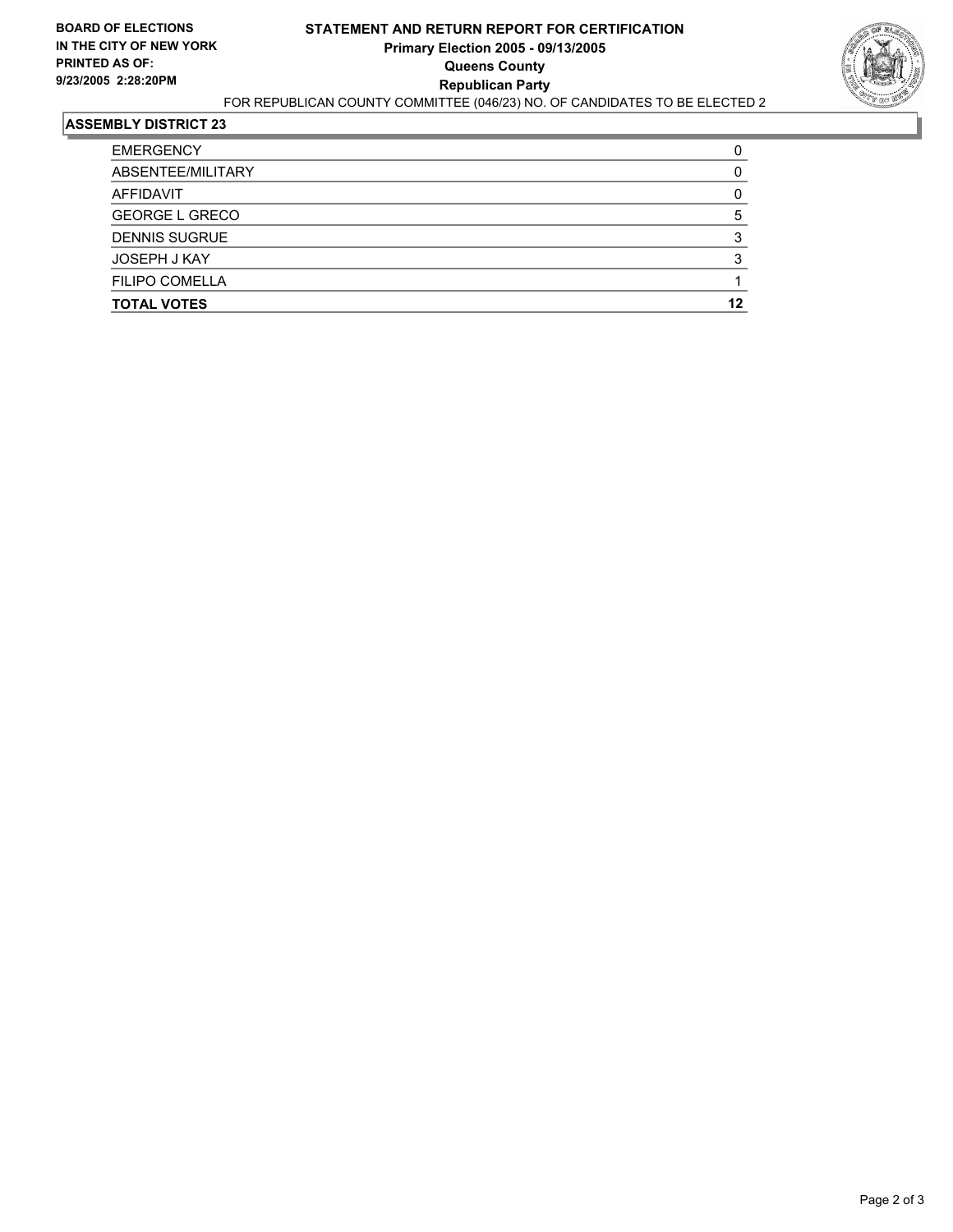

| ABSENTEE/MILITARY     |    |
|-----------------------|----|
| AFFIDAVIT             |    |
| <b>GEORGE L GRECO</b> |    |
| <b>DENNIS SUGRUE</b>  |    |
| JOSEPH J KAY          |    |
| <b>FILIPO COMELLA</b> |    |
| <b>TOTAL VOTES</b>    | 12 |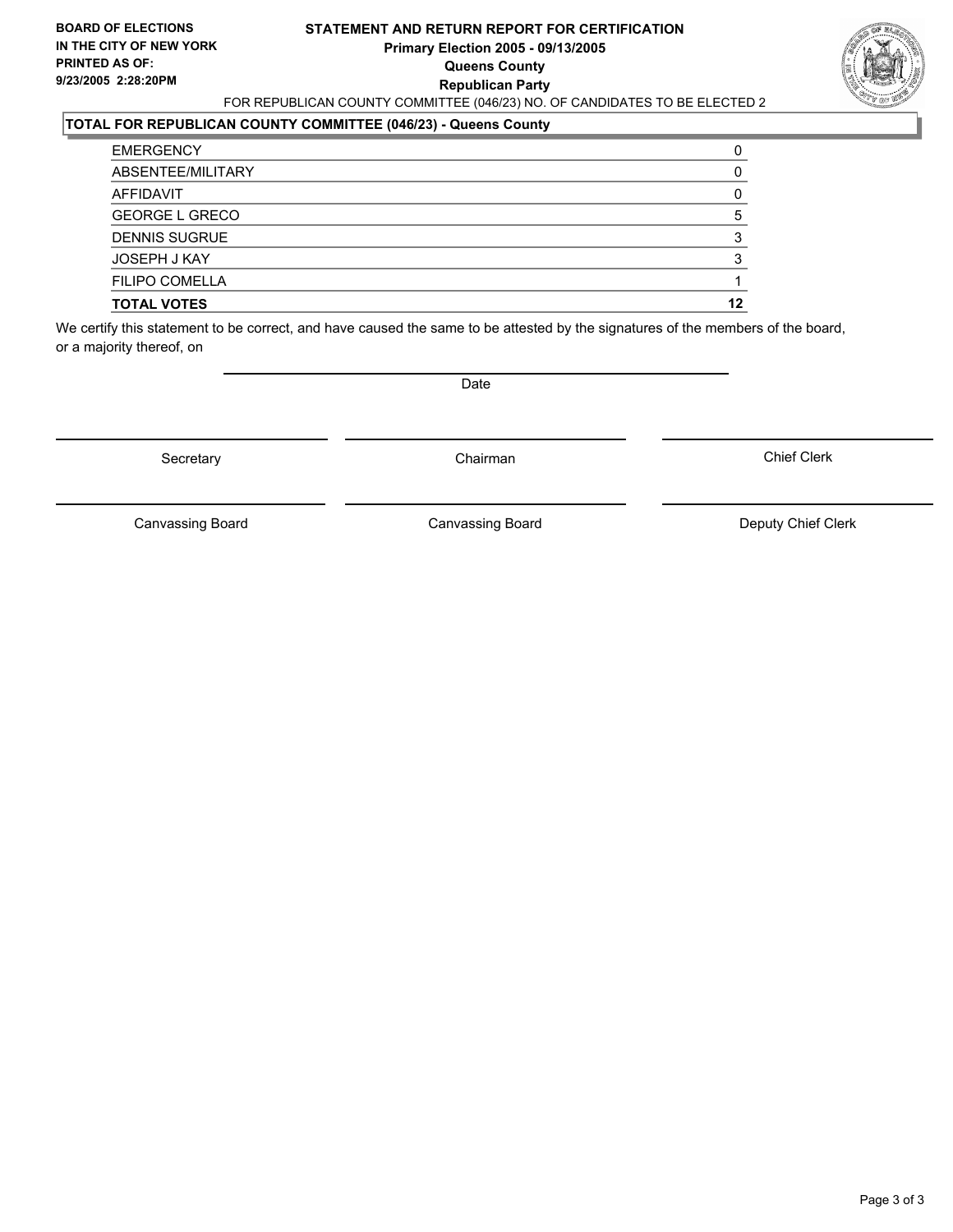#### **STATEMENT AND RETURN REPORT FOR CERTIFICATION Primary Election 2005 - 09/13/2005 Queens County Republican Party** FOR REPUBLICAN COUNTY COMMITTEE (046/23) NO. OF CANDIDATES TO BE ELECTED 2



### **TOTAL FOR REPUBLICAN COUNTY COMMITTEE (046/23) - Queens County**

| <b>TOTAL VOTES</b>    | 12 |
|-----------------------|----|
| <b>FILIPO COMELLA</b> |    |
| JOSEPH J KAY          |    |
| <b>DENNIS SUGRUE</b>  |    |
| <b>GEORGE L GRECO</b> |    |
| AFFIDAVIT             |    |
| ABSENTEE/MILITARY     |    |
| <b>EMERGENCY</b>      |    |

We certify this statement to be correct, and have caused the same to be attested by the signatures of the members of the board, or a majority thereof, on

Secretary **Chairman** 

Date

Chief Clerk

Canvassing Board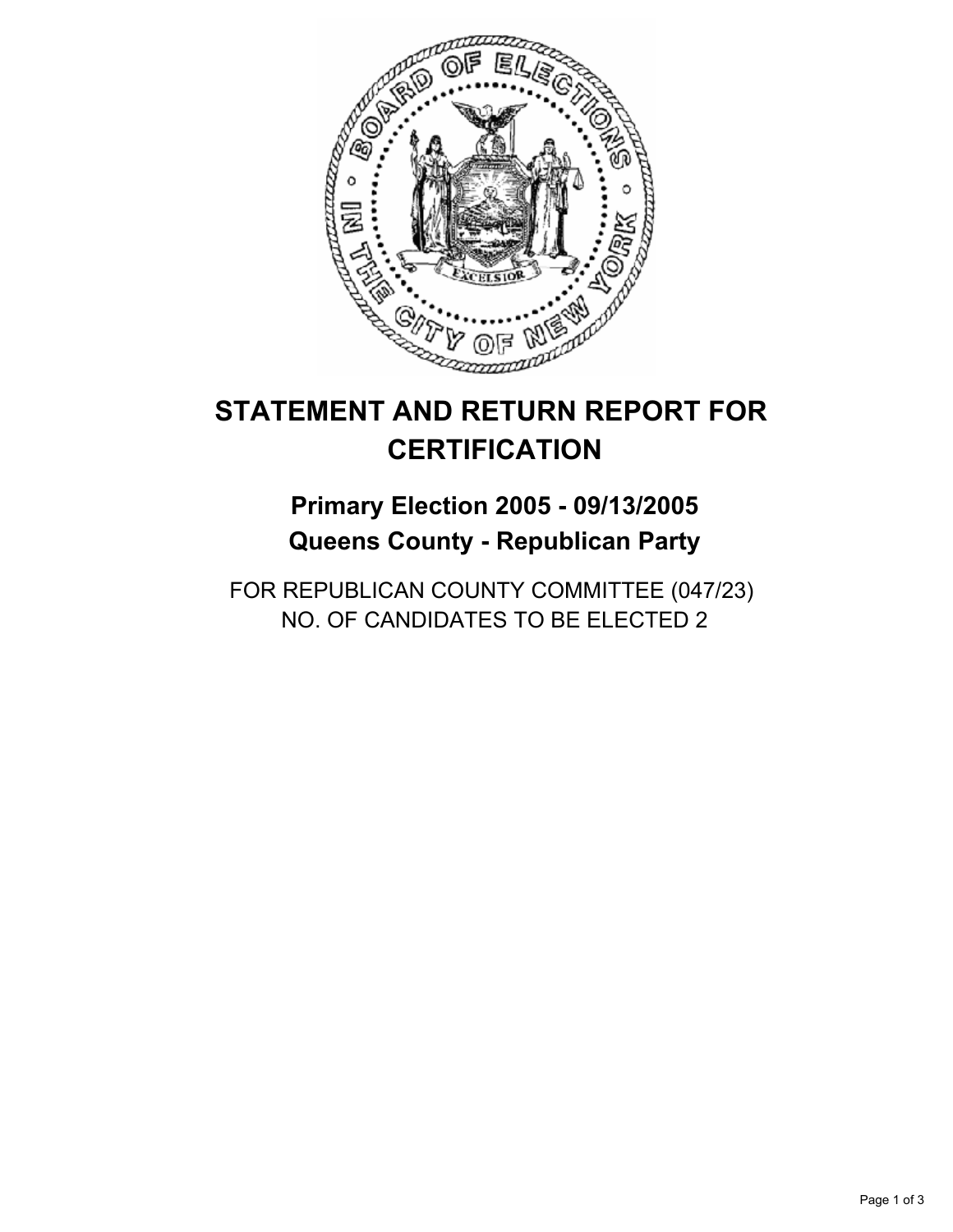

## **Primary Election 2005 - 09/13/2005 Queens County - Republican Party**

FOR REPUBLICAN COUNTY COMMITTEE (047/23) NO. OF CANDIDATES TO BE ELECTED 2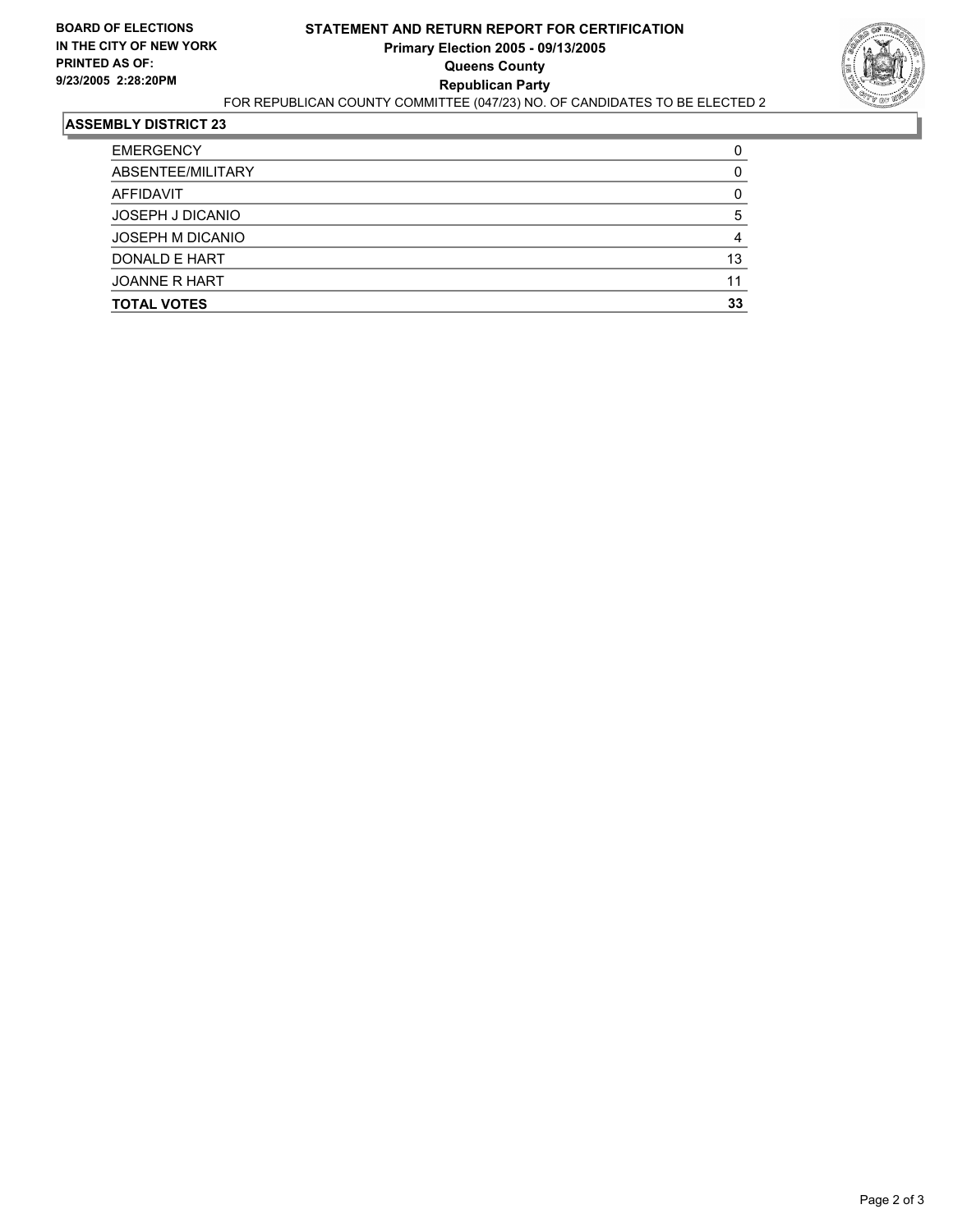

| 13 |
|----|
|    |
| 33 |
|    |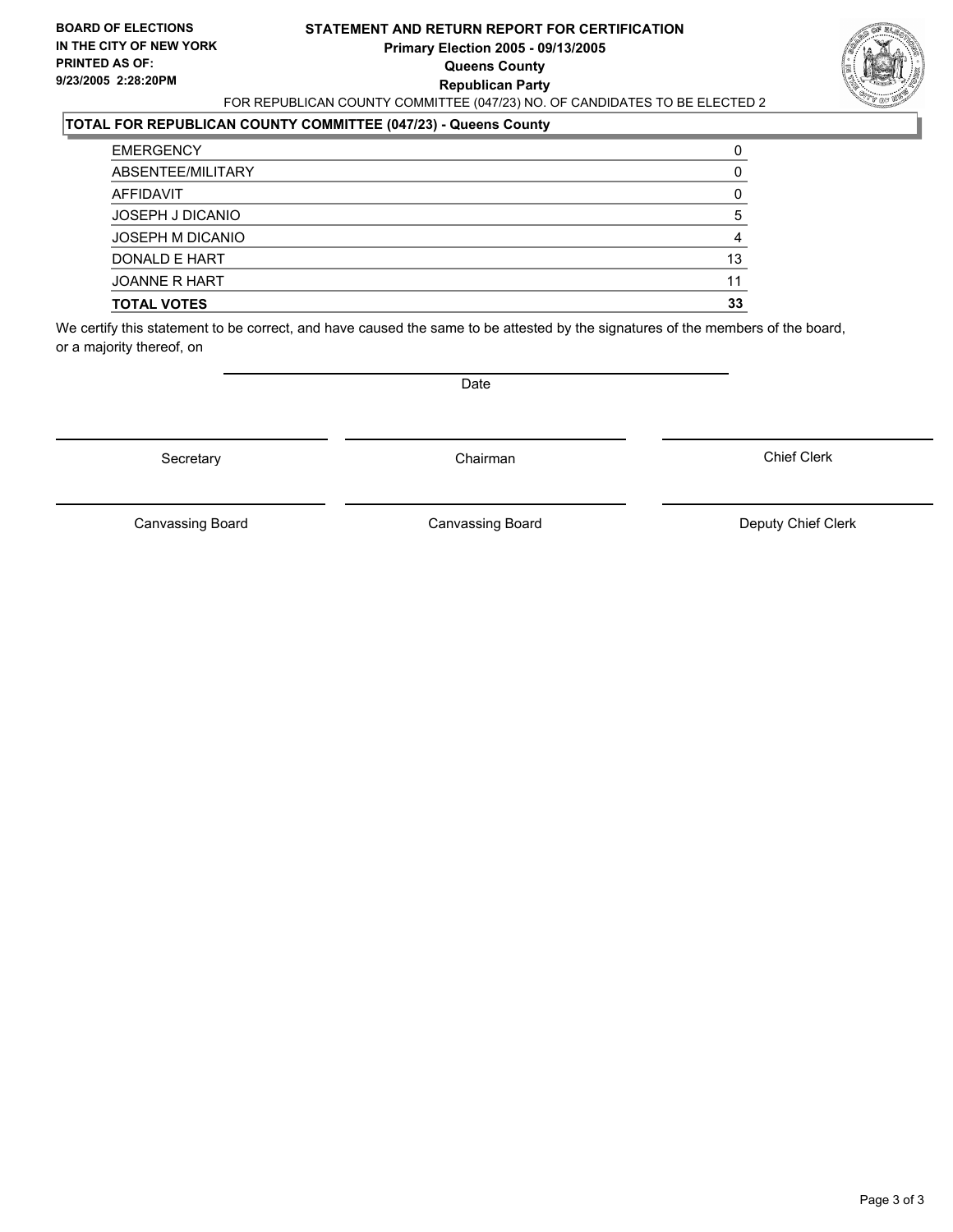#### **STATEMENT AND RETURN REPORT FOR CERTIFICATION Primary Election 2005 - 09/13/2005 Queens County Republican Party** FOR REPUBLICAN COUNTY COMMITTEE (047/23) NO. OF CANDIDATES TO BE ELECTED 2



### **TOTAL FOR REPUBLICAN COUNTY COMMITTEE (047/23) - Queens County**

| <b>TOTAL VOTES</b> | 33 |
|--------------------|----|
| JOANNE R HART      | 11 |
| DONALD E HART      | 13 |
| JOSEPH M DICANIO   |    |
| JOSEPH J DICANIO   |    |
| AFFIDAVIT          |    |
| ABSENTEE/MILITARY  |    |
| <b>EMERGENCY</b>   |    |

We certify this statement to be correct, and have caused the same to be attested by the signatures of the members of the board, or a majority thereof, on

Secretary **Chairman** 

Date

Chief Clerk

Canvassing Board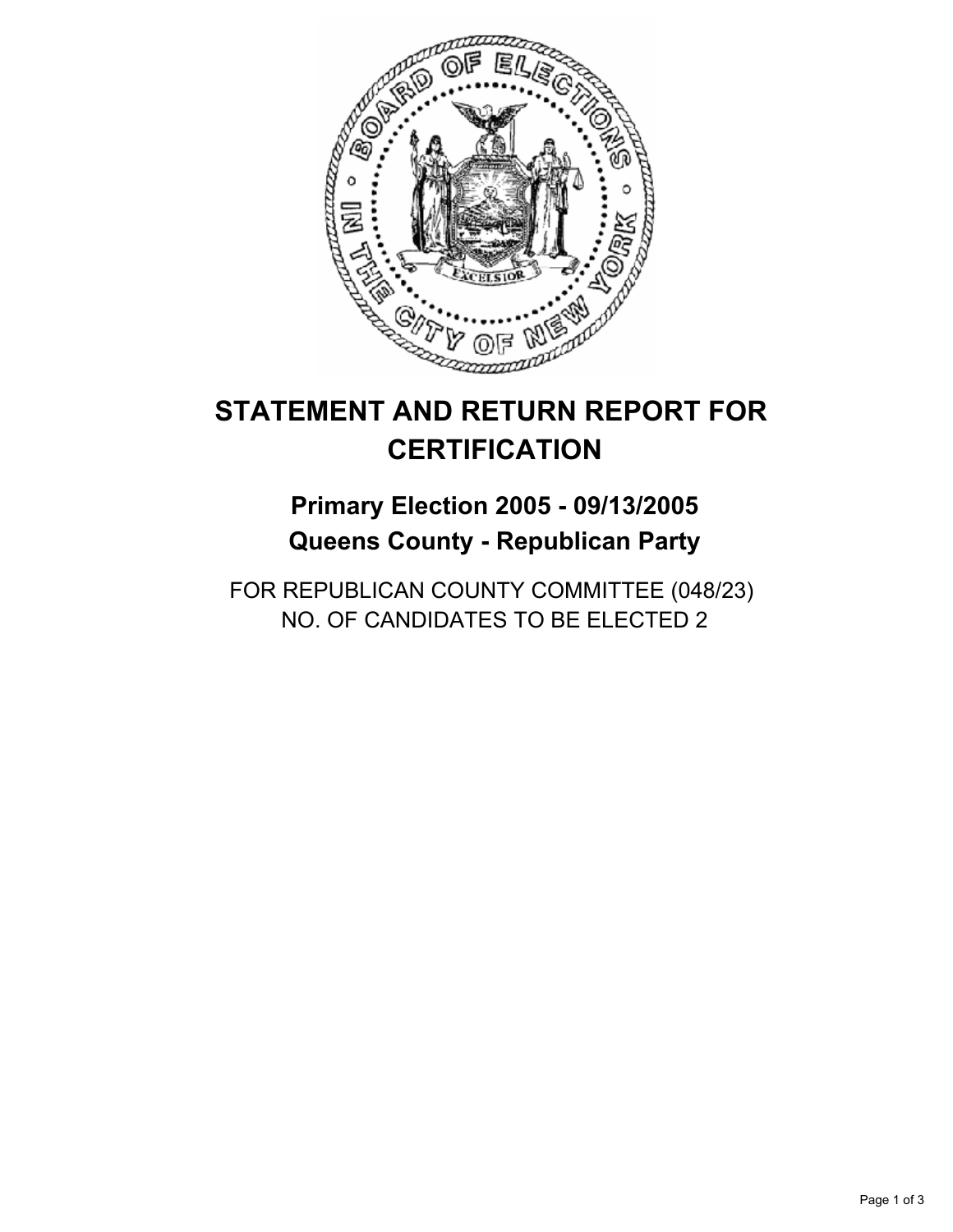

## **Primary Election 2005 - 09/13/2005 Queens County - Republican Party**

FOR REPUBLICAN COUNTY COMMITTEE (048/23) NO. OF CANDIDATES TO BE ELECTED 2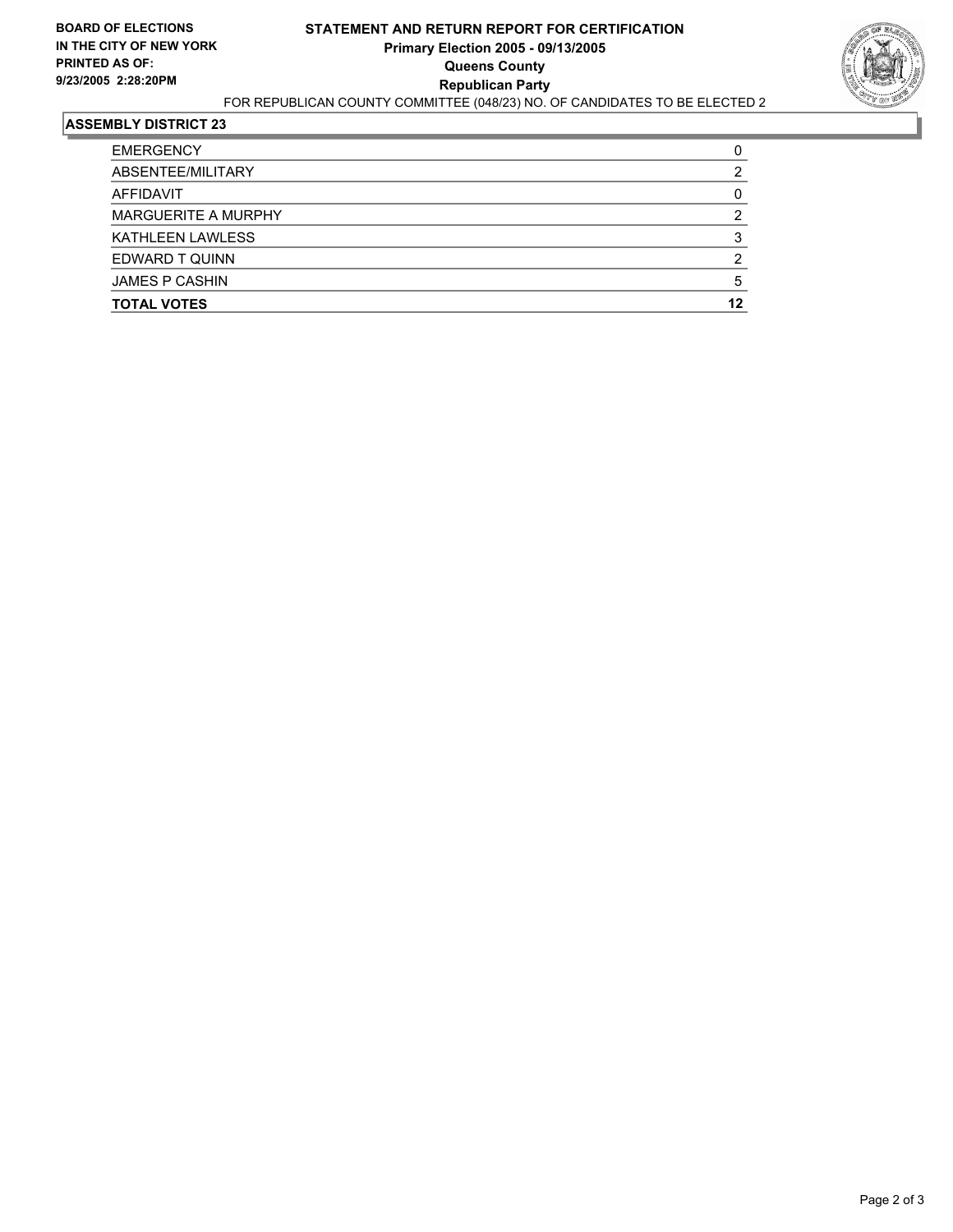

| <b>TOTAL VOTES</b>    | 12 |
|-----------------------|----|
| <b>JAMES P CASHIN</b> |    |
| EDWARD T QUINN        | ◠  |
| KATHLEEN LAWLESS      |    |
| MARGUERITE A MURPHY   |    |
| AFFIDAVIT             |    |
| ABSENTEE/MILITARY     |    |
| <b>EMERGENCY</b>      |    |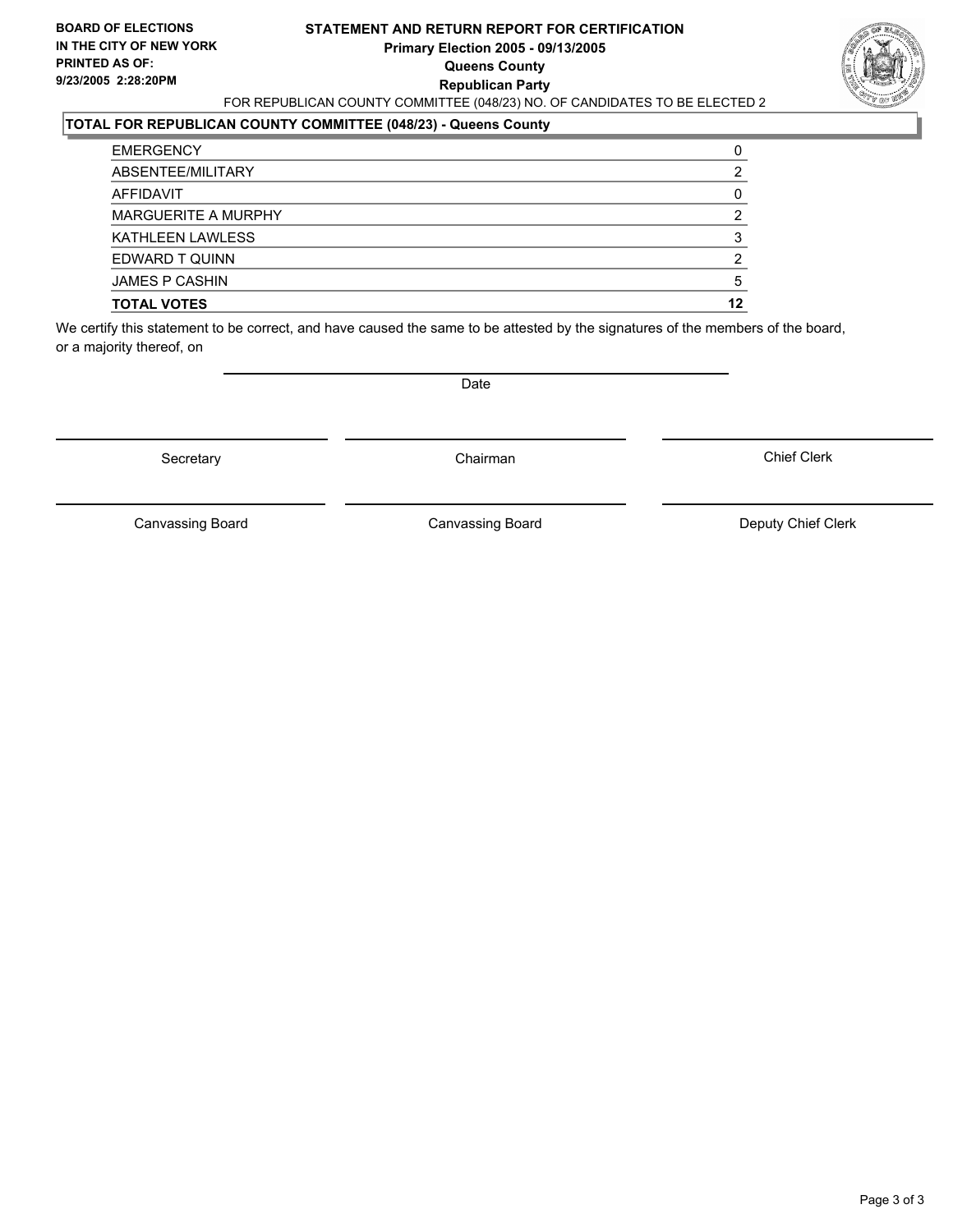#### **STATEMENT AND RETURN REPORT FOR CERTIFICATION Primary Election 2005 - 09/13/2005 Queens County Republican Party** FOR REPUBLICAN COUNTY COMMITTEE (048/23) NO. OF CANDIDATES TO BE ELECTED 2



#### **TOTAL FOR REPUBLICAN COUNTY COMMITTEE (048/23) - Queens County**

| <b>TOTAL VOTES</b>      | 12 |
|-------------------------|----|
| <b>JAMES P CASHIN</b>   |    |
| EDWARD T QUINN          |    |
| <b>KATHLEEN LAWLESS</b> |    |
| MARGUERITE A MURPHY     |    |
| AFFIDAVIT               |    |
| ABSENTEE/MILITARY       |    |
| <b>EMERGENCY</b>        |    |

We certify this statement to be correct, and have caused the same to be attested by the signatures of the members of the board, or a majority thereof, on

Secretary **Chairman** 

Date

Chief Clerk

Canvassing Board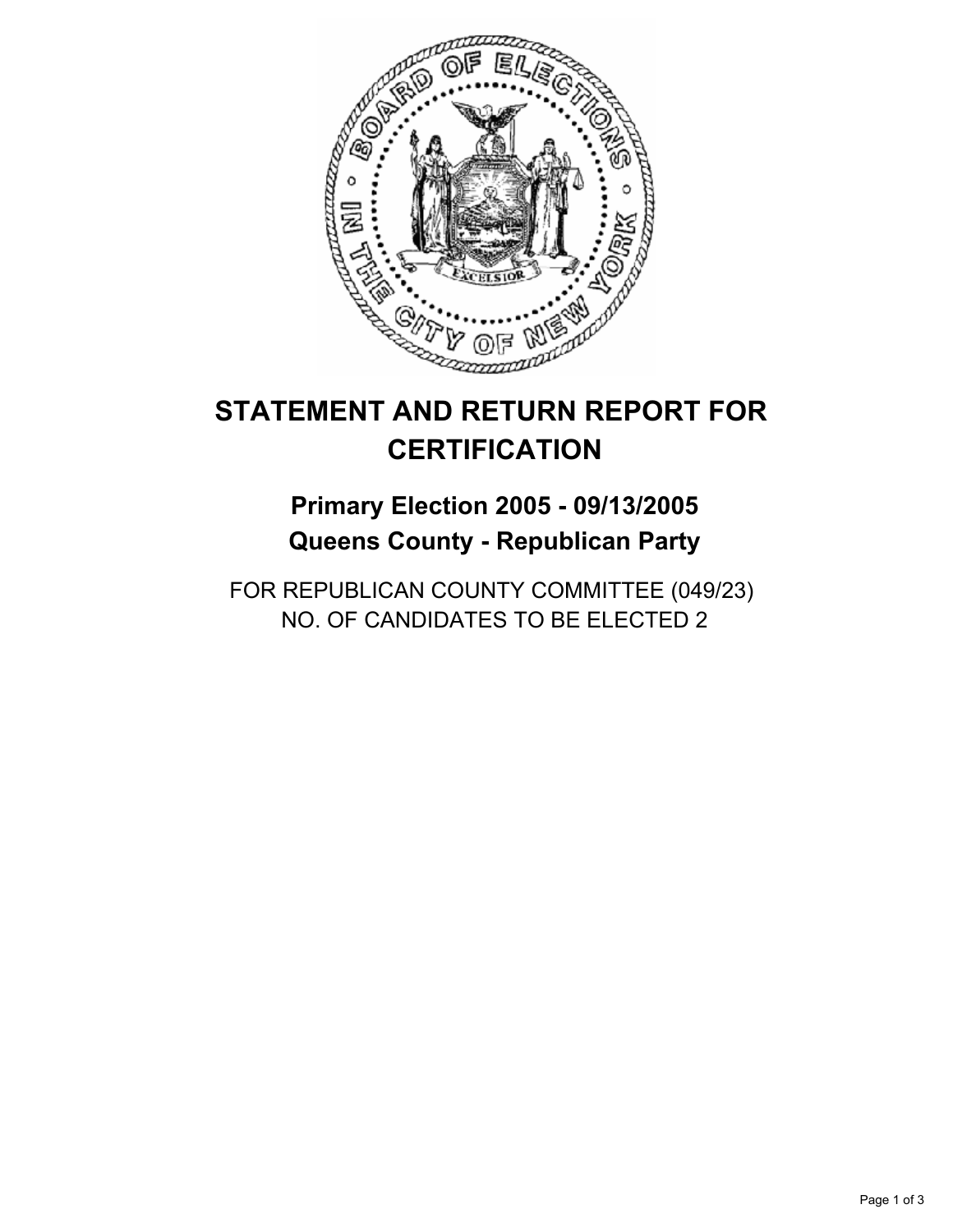

## **Primary Election 2005 - 09/13/2005 Queens County - Republican Party**

FOR REPUBLICAN COUNTY COMMITTEE (049/23) NO. OF CANDIDATES TO BE ELECTED 2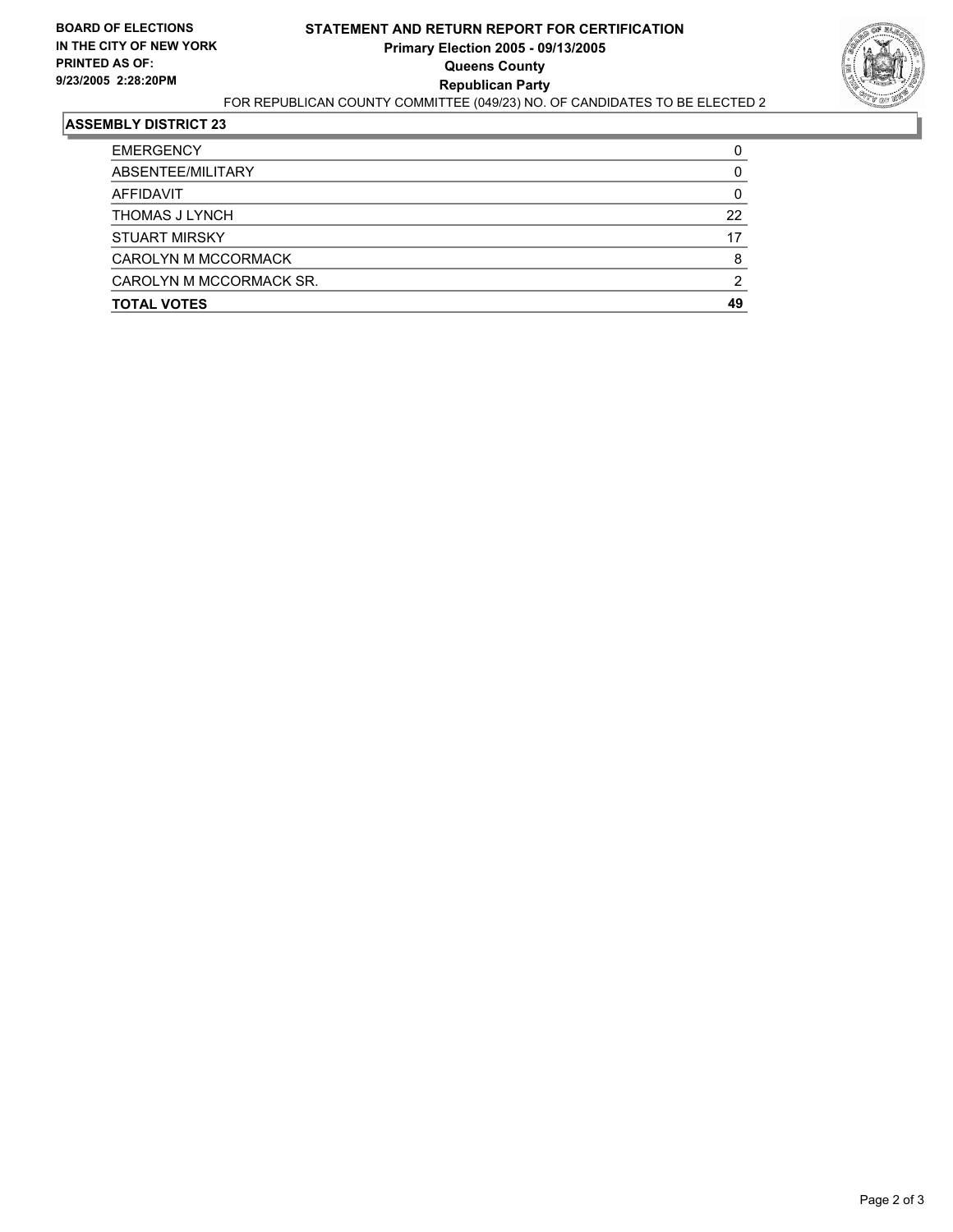

| <b>EMERGENCY</b>        |    |
|-------------------------|----|
| ABSENTEE/MILITARY       |    |
| AFFIDAVIT               |    |
| THOMAS J LYNCH          | 22 |
| <b>STUART MIRSKY</b>    | 17 |
| CAROLYN M MCCORMACK     | 8  |
| CAROLYN M MCCORMACK SR. |    |
| <b>TOTAL VOTES</b>      | 49 |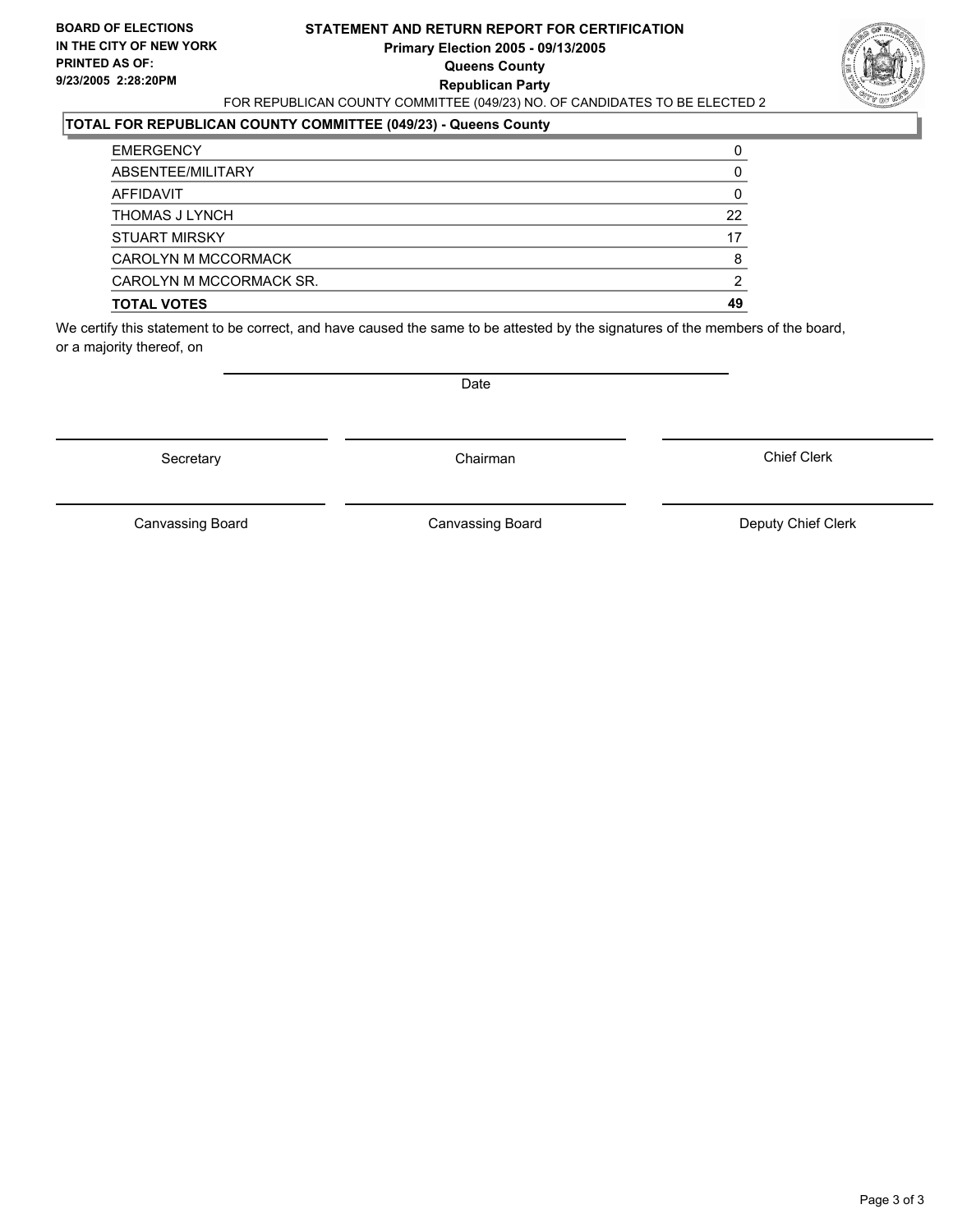#### **STATEMENT AND RETURN REPORT FOR CERTIFICATION Primary Election 2005 - 09/13/2005 Queens County Republican Party** FOR REPUBLICAN COUNTY COMMITTEE (049/23) NO. OF CANDIDATES TO BE ELECTED 2



### **TOTAL FOR REPUBLICAN COUNTY COMMITTEE (049/23) - Queens County**

| <b>TOTAL VOTES</b>      | 49 |
|-------------------------|----|
| CAROLYN M MCCORMACK SR. | ົ  |
| CAROLYN M MCCORMACK     | 8  |
| <b>STUART MIRSKY</b>    | 17 |
| <b>THOMAS J LYNCH</b>   | 22 |
| AFFIDAVIT               |    |
| ABSENTEE/MILITARY       |    |
| <b>EMERGENCY</b>        |    |

We certify this statement to be correct, and have caused the same to be attested by the signatures of the members of the board, or a majority thereof, on

Secretary **Chairman** 

Date

Chief Clerk

Canvassing Board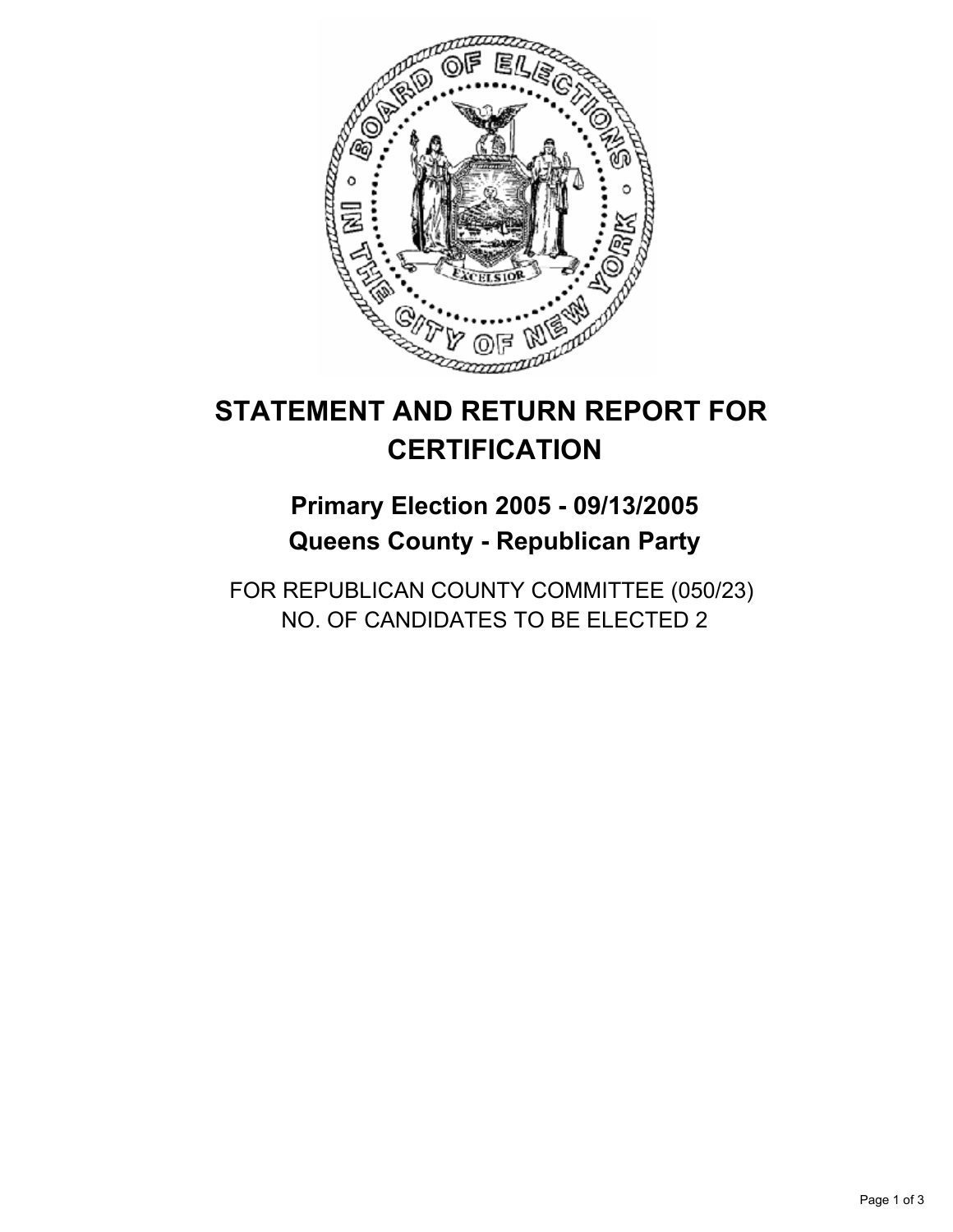

## **Primary Election 2005 - 09/13/2005 Queens County - Republican Party**

FOR REPUBLICAN COUNTY COMMITTEE (050/23) NO. OF CANDIDATES TO BE ELECTED 2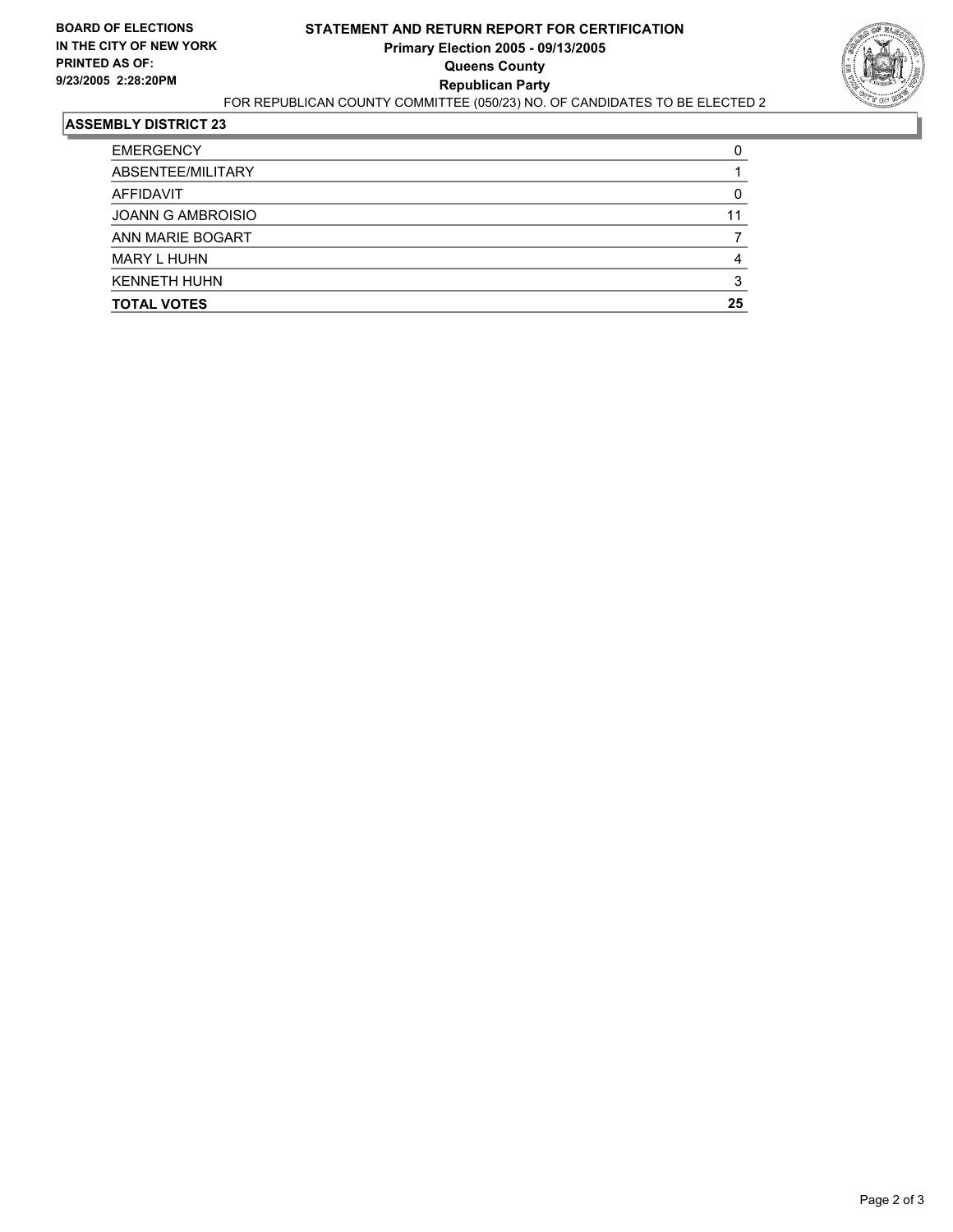

| <b>TOTAL VOTES</b>       | 25 |
|--------------------------|----|
| <b>KENNETH HUHN</b>      |    |
| <b>MARY L HUHN</b>       |    |
| ANN MARIE BOGART         |    |
| <b>JOANN G AMBROISIO</b> | 11 |
| AFFIDAVIT                |    |
| ABSENTEE/MILITARY        |    |
| <b>EMERGENCY</b>         |    |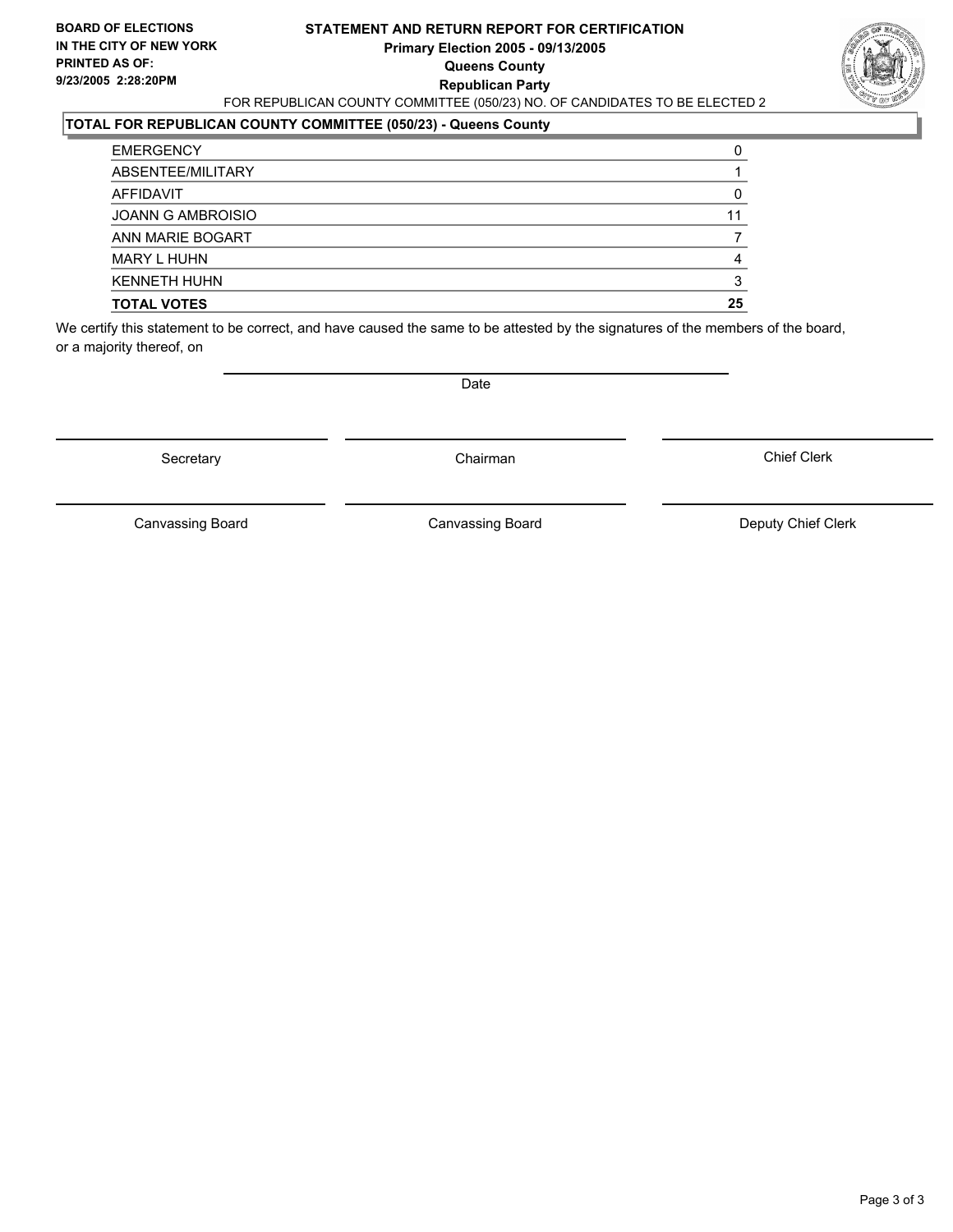#### **STATEMENT AND RETURN REPORT FOR CERTIFICATION Primary Election 2005 - 09/13/2005 Queens County Republican Party** FOR REPUBLICAN COUNTY COMMITTEE (050/23) NO. OF CANDIDATES TO BE ELECTED 2



### **TOTAL FOR REPUBLICAN COUNTY COMMITTEE (050/23) - Queens County**

| <b>TOTAL VOTES</b>       | 25 |
|--------------------------|----|
| <b>KENNETH HUHN</b>      |    |
| <b>MARY L HUHN</b>       |    |
| ANN MARIE BOGART         |    |
| <b>JOANN G AMBROISIO</b> | 11 |
| AFFIDAVIT                |    |
| ABSENTEE/MILITARY        |    |
| <b>EMERGENCY</b>         |    |

We certify this statement to be correct, and have caused the same to be attested by the signatures of the members of the board, or a majority thereof, on

Secretary **Chairman** 

Date

Chief Clerk

Canvassing Board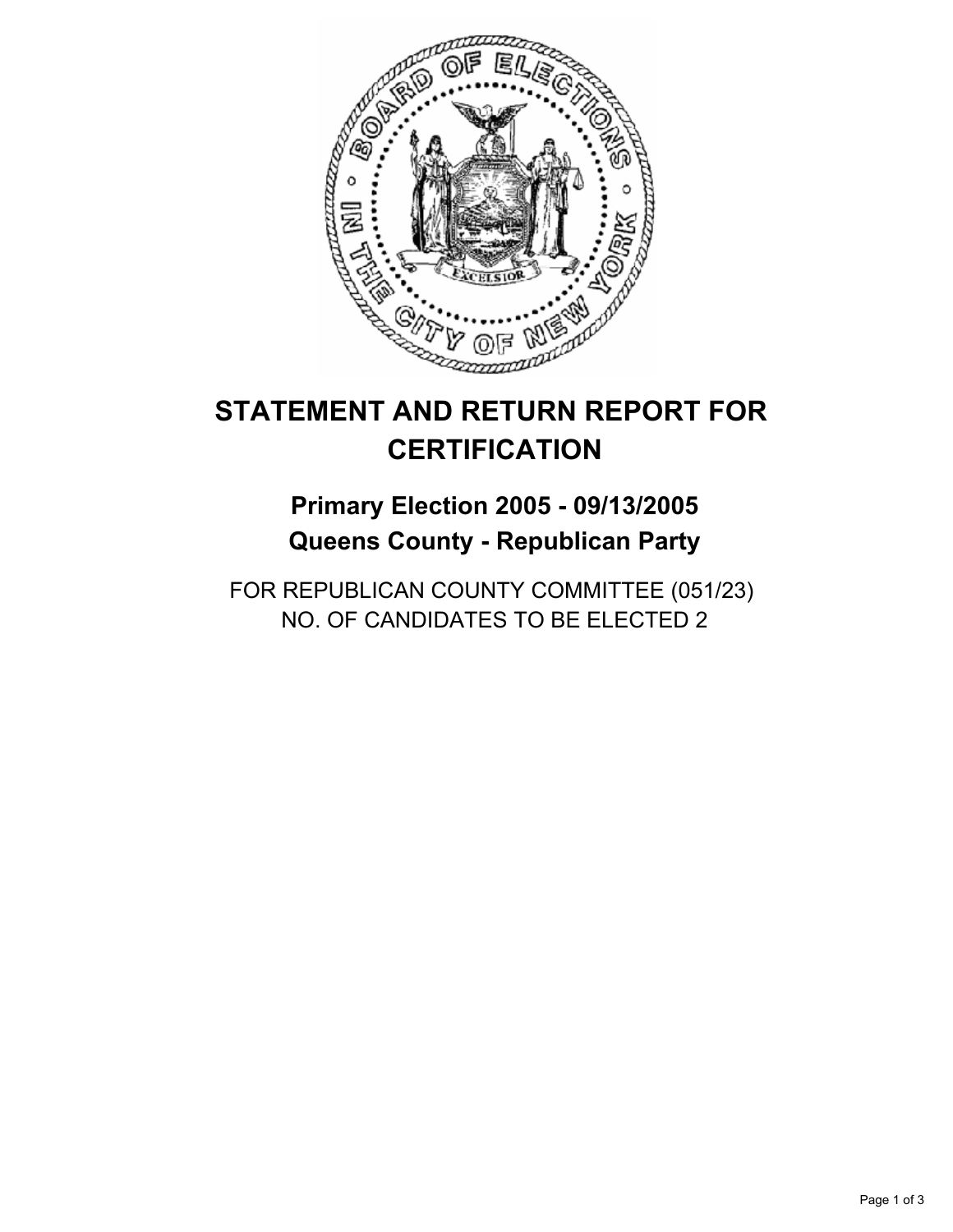

## **Primary Election 2005 - 09/13/2005 Queens County - Republican Party**

FOR REPUBLICAN COUNTY COMMITTEE (051/23) NO. OF CANDIDATES TO BE ELECTED 2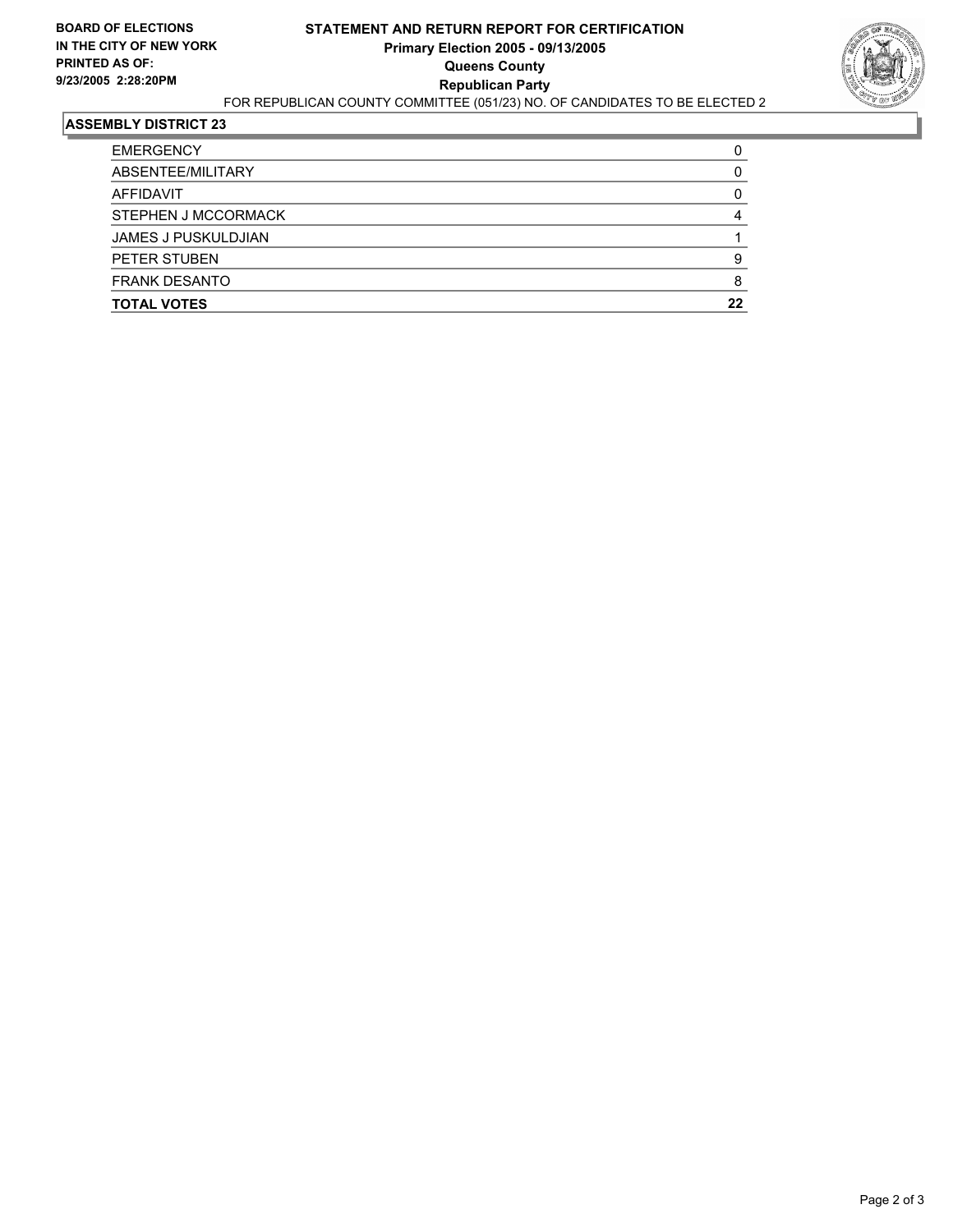

| <b>EMERGENCY</b>           |    |
|----------------------------|----|
| ABSENTEE/MILITARY          |    |
| AFFIDAVIT                  |    |
| STEPHEN J MCCORMACK        |    |
| <b>JAMES J PUSKULDJIAN</b> |    |
| PETER STUBEN               |    |
| <b>FRANK DESANTO</b>       |    |
| <b>TOTAL VOTES</b>         | 22 |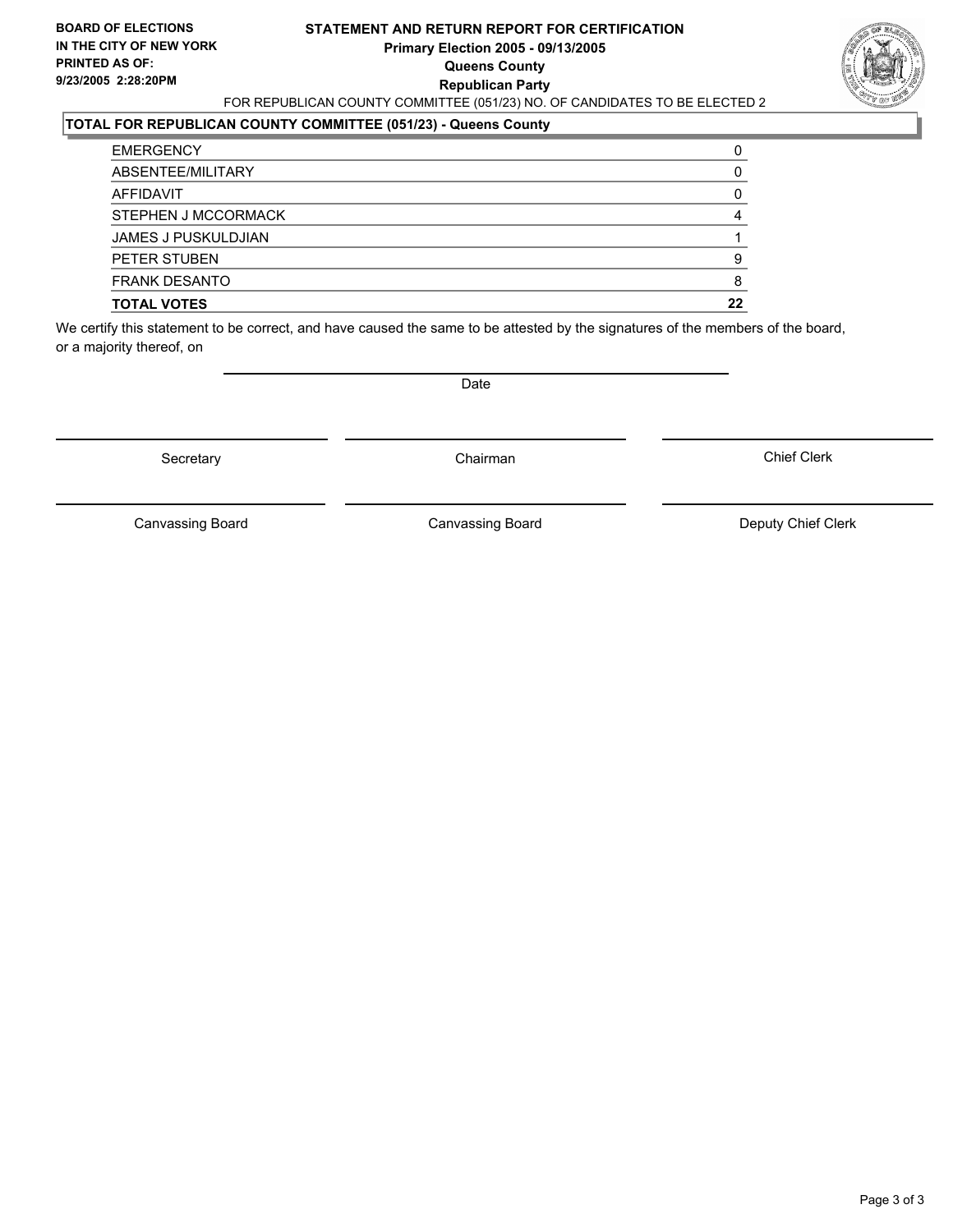#### **STATEMENT AND RETURN REPORT FOR CERTIFICATION Primary Election 2005 - 09/13/2005 Queens County Republican Party** FOR REPUBLICAN COUNTY COMMITTEE (051/23) NO. OF CANDIDATES TO BE ELECTED 2



#### **TOTAL FOR REPUBLICAN COUNTY COMMITTEE (051/23) - Queens County**

| <b>TOTAL VOTES</b>         | 22 |
|----------------------------|----|
| <b>FRANK DESANTO</b>       |    |
| PETER STUBEN               |    |
| <b>JAMES J PUSKULDJIAN</b> |    |
| <b>STEPHEN J MCCORMACK</b> |    |
| AFFIDAVIT                  |    |
| ABSENTEE/MILITARY          |    |
| <b>EMERGENCY</b>           |    |

We certify this statement to be correct, and have caused the same to be attested by the signatures of the members of the board, or a majority thereof, on

Secretary **Chairman** 

Date

Chief Clerk

Canvassing Board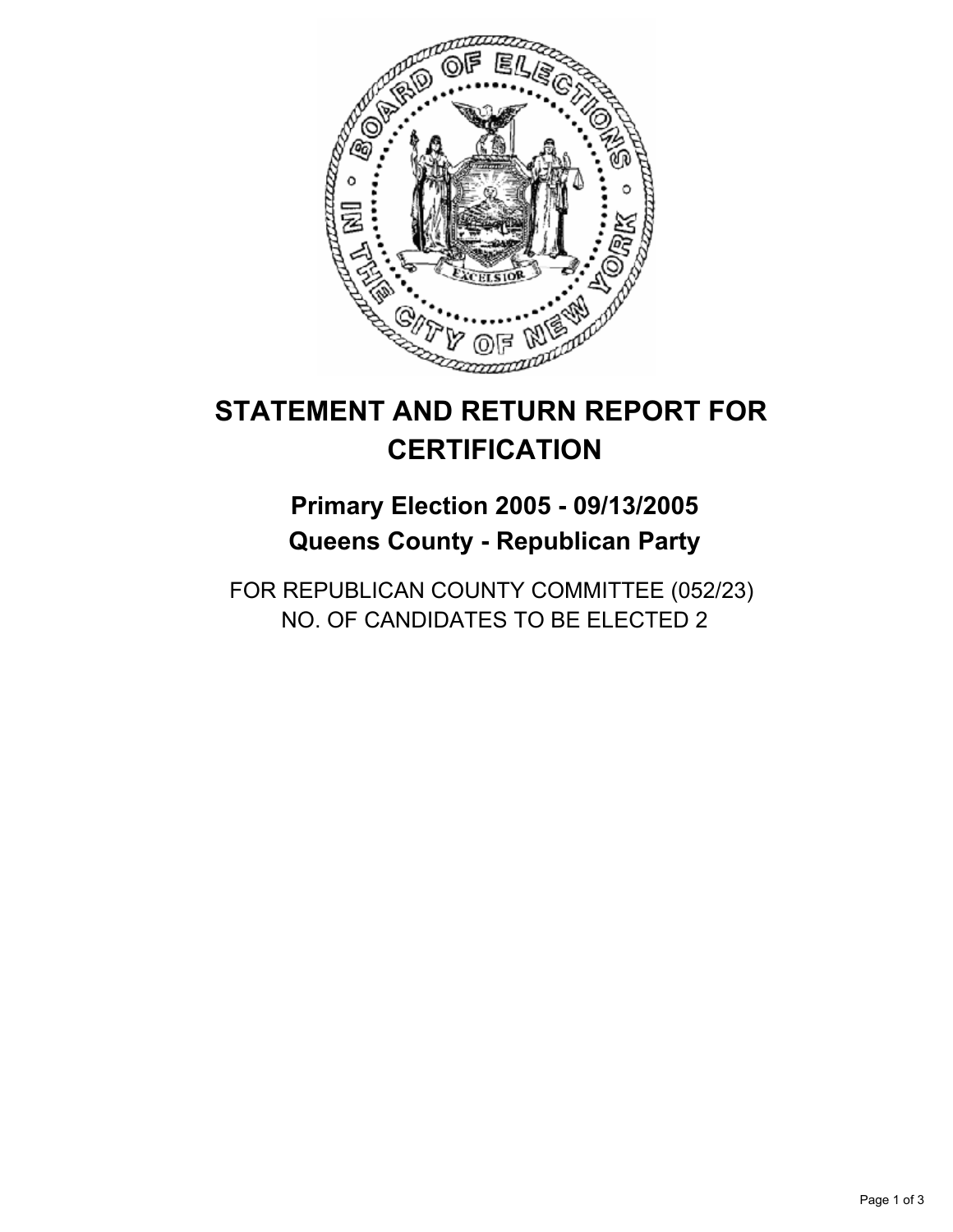

## **Primary Election 2005 - 09/13/2005 Queens County - Republican Party**

FOR REPUBLICAN COUNTY COMMITTEE (052/23) NO. OF CANDIDATES TO BE ELECTED 2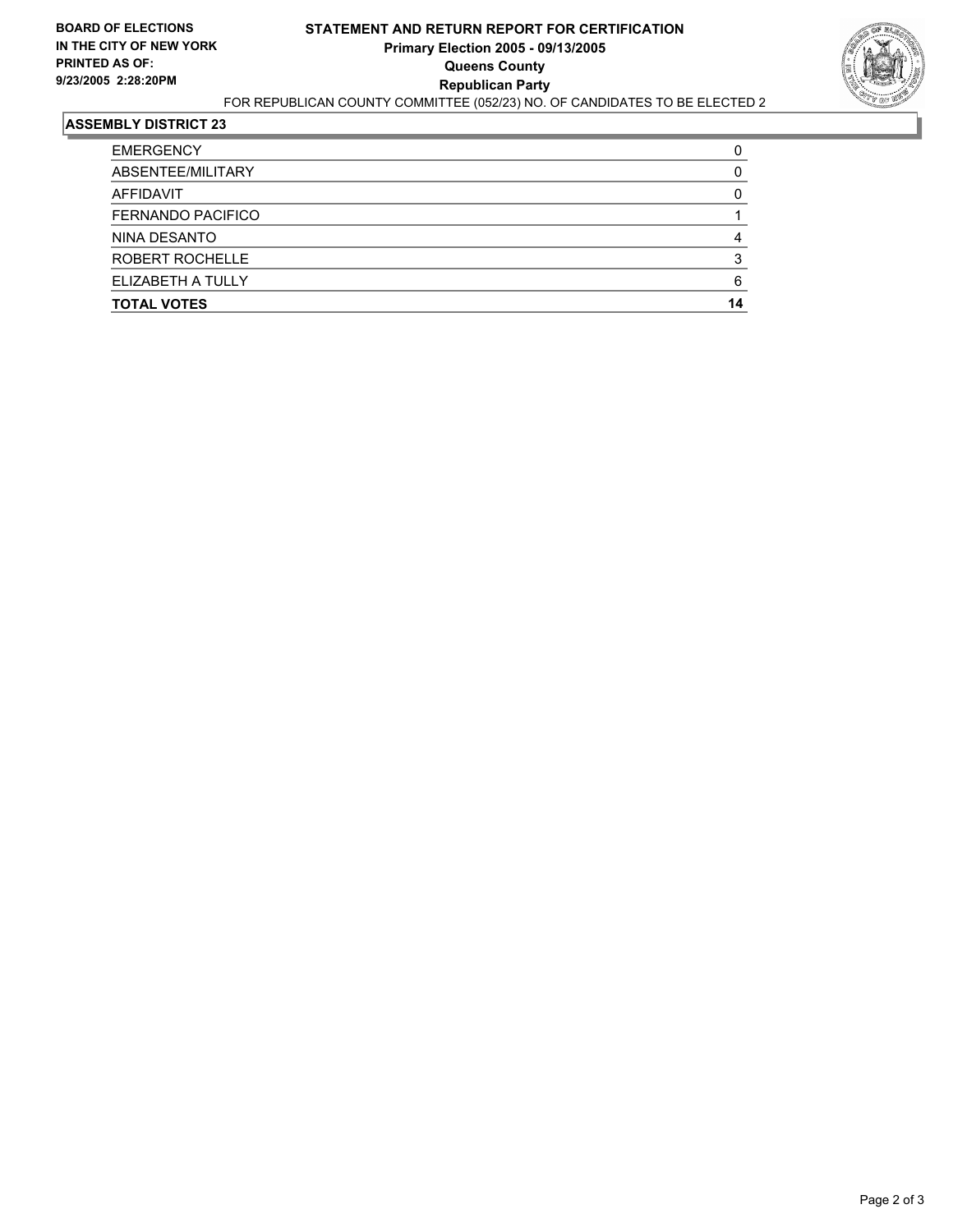

| <b>EMERGENCY</b>         |    |
|--------------------------|----|
| ABSENTEE/MILITARY        |    |
| AFFIDAVIT                |    |
| <b>FERNANDO PACIFICO</b> |    |
| NINA DESANTO             |    |
| ROBERT ROCHELLE          |    |
| ELIZABETH A TULLY        |    |
| <b>TOTAL VOTES</b>       | 14 |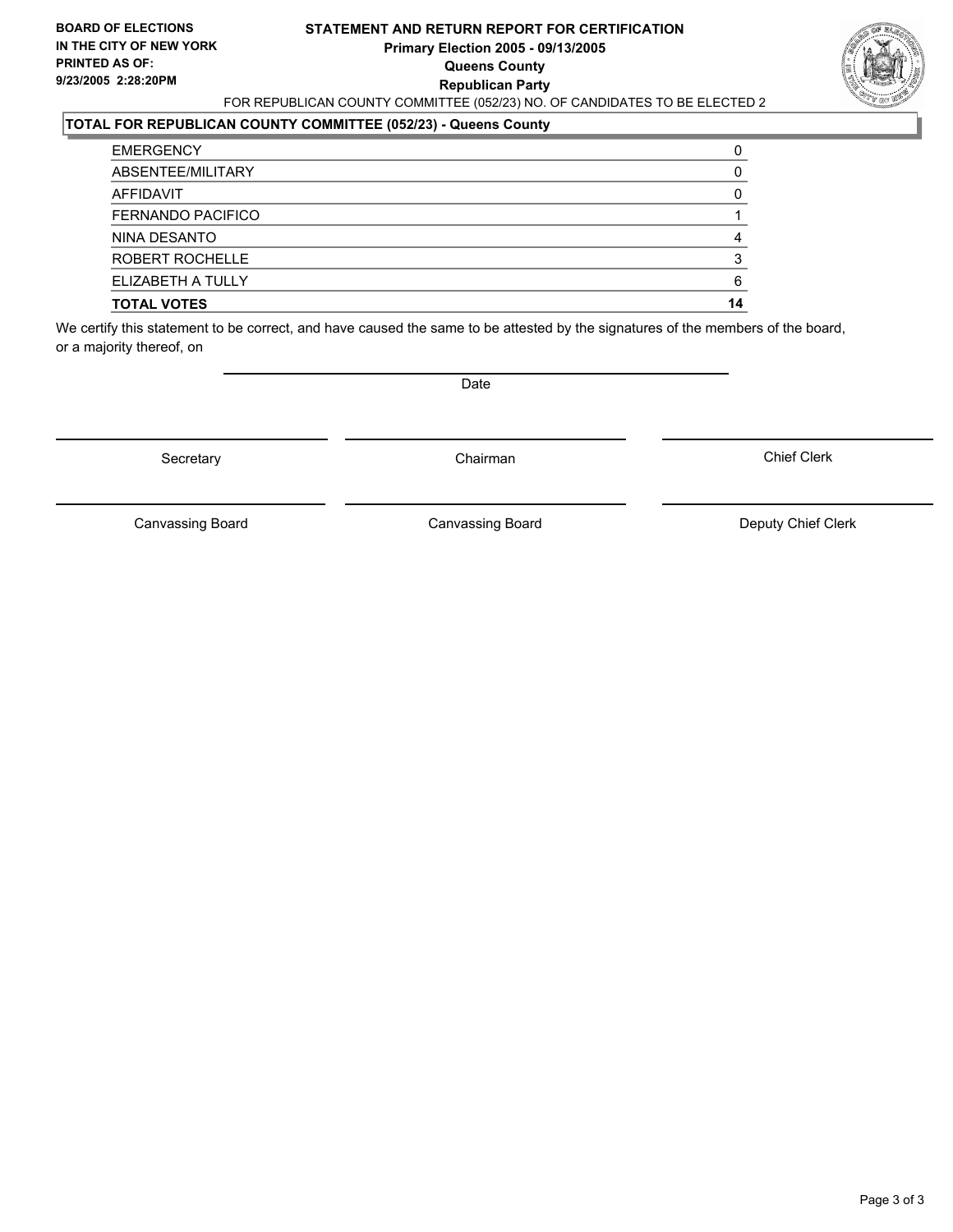#### **STATEMENT AND RETURN REPORT FOR CERTIFICATION Primary Election 2005 - 09/13/2005 Queens County Republican Party** FOR REPUBLICAN COUNTY COMMITTEE (052/23) NO. OF CANDIDATES TO BE ELECTED 2



#### **TOTAL FOR REPUBLICAN COUNTY COMMITTEE (052/23) - Queens County**

| <b>TOTAL VOTES</b>       | 14 |
|--------------------------|----|
| ELIZABETH A TULLY        |    |
| ROBERT ROCHELLE          |    |
| NINA DESANTO             |    |
| <b>FERNANDO PACIFICO</b> |    |
| AFFIDAVIT                |    |
| ABSENTEE/MILITARY        |    |
| <b>EMERGENCY</b>         |    |

We certify this statement to be correct, and have caused the same to be attested by the signatures of the members of the board, or a majority thereof, on

Secretary **Chairman** 

Date

Chief Clerk

Canvassing Board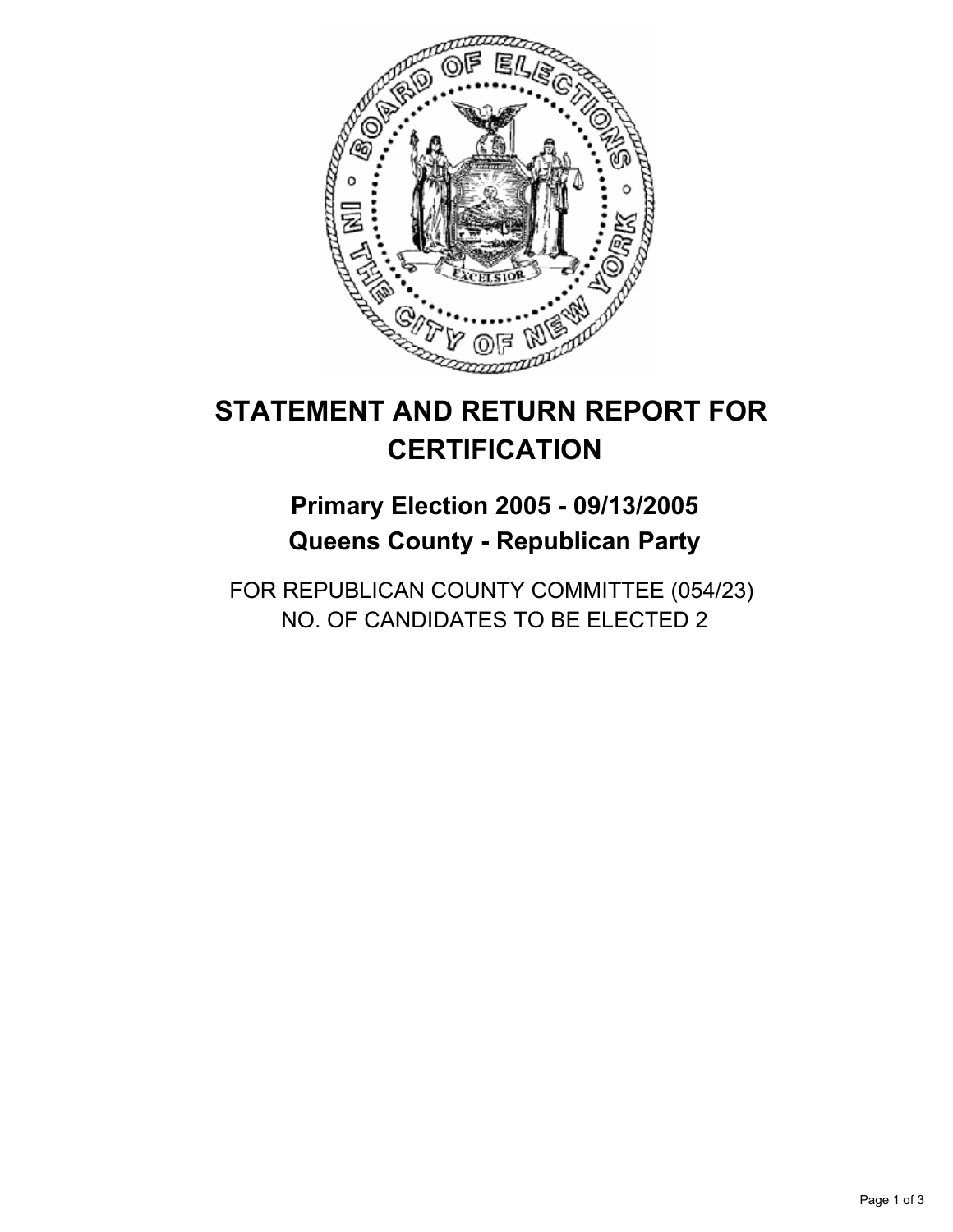

## **Primary Election 2005 - 09/13/2005 Queens County - Republican Party**

FOR REPUBLICAN COUNTY COMMITTEE (054/23) NO. OF CANDIDATES TO BE ELECTED 2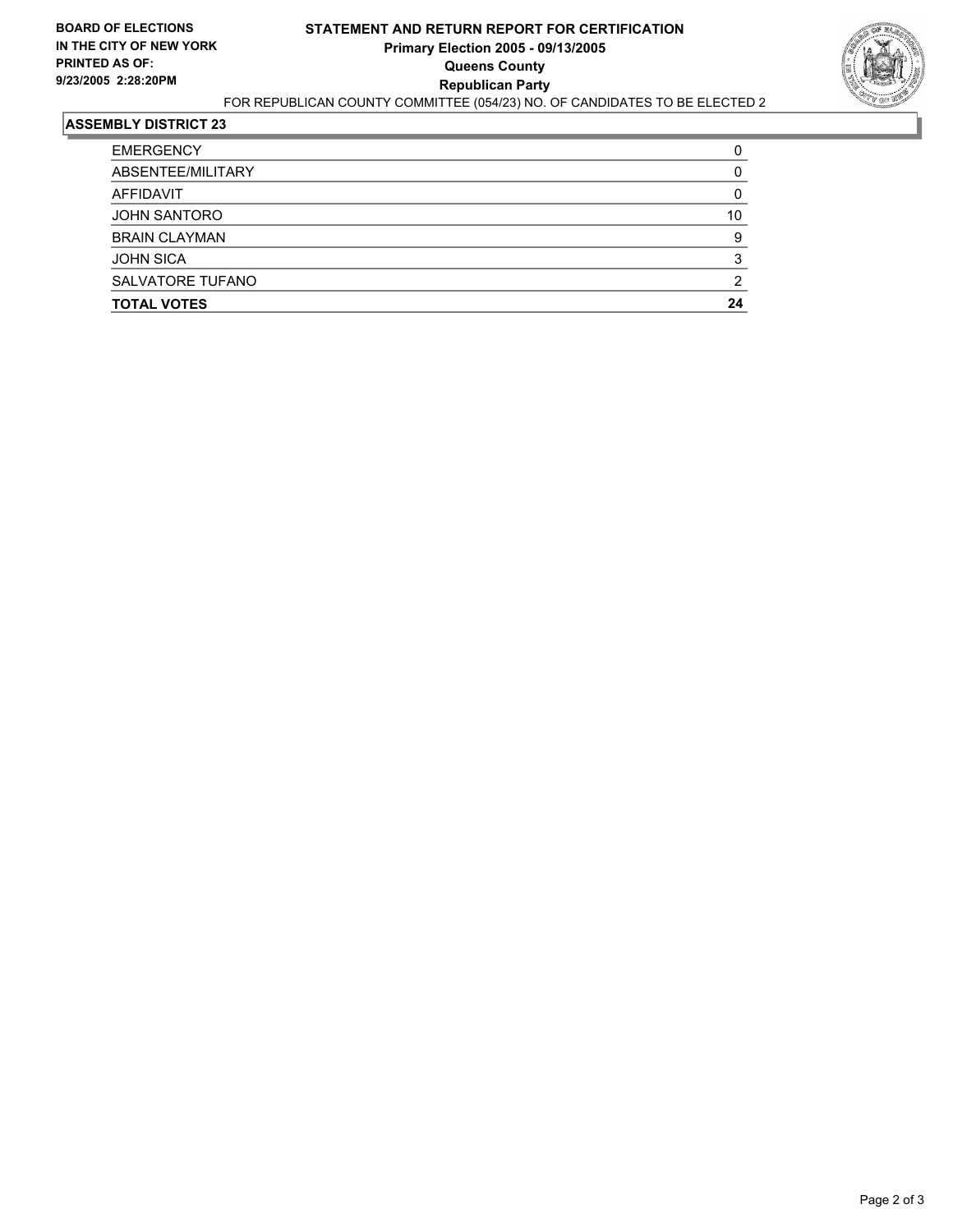

| <b>TOTAL VOTES</b>      | 24 |
|-------------------------|----|
| <b>SALVATORE TUFANO</b> |    |
| <b>JOHN SICA</b>        |    |
| <b>BRAIN CLAYMAN</b>    | c  |
| <b>JOHN SANTORO</b>     | 10 |
| AFFIDAVIT               |    |
| ABSENTEE/MILITARY       |    |
| <b>EMERGENCY</b>        |    |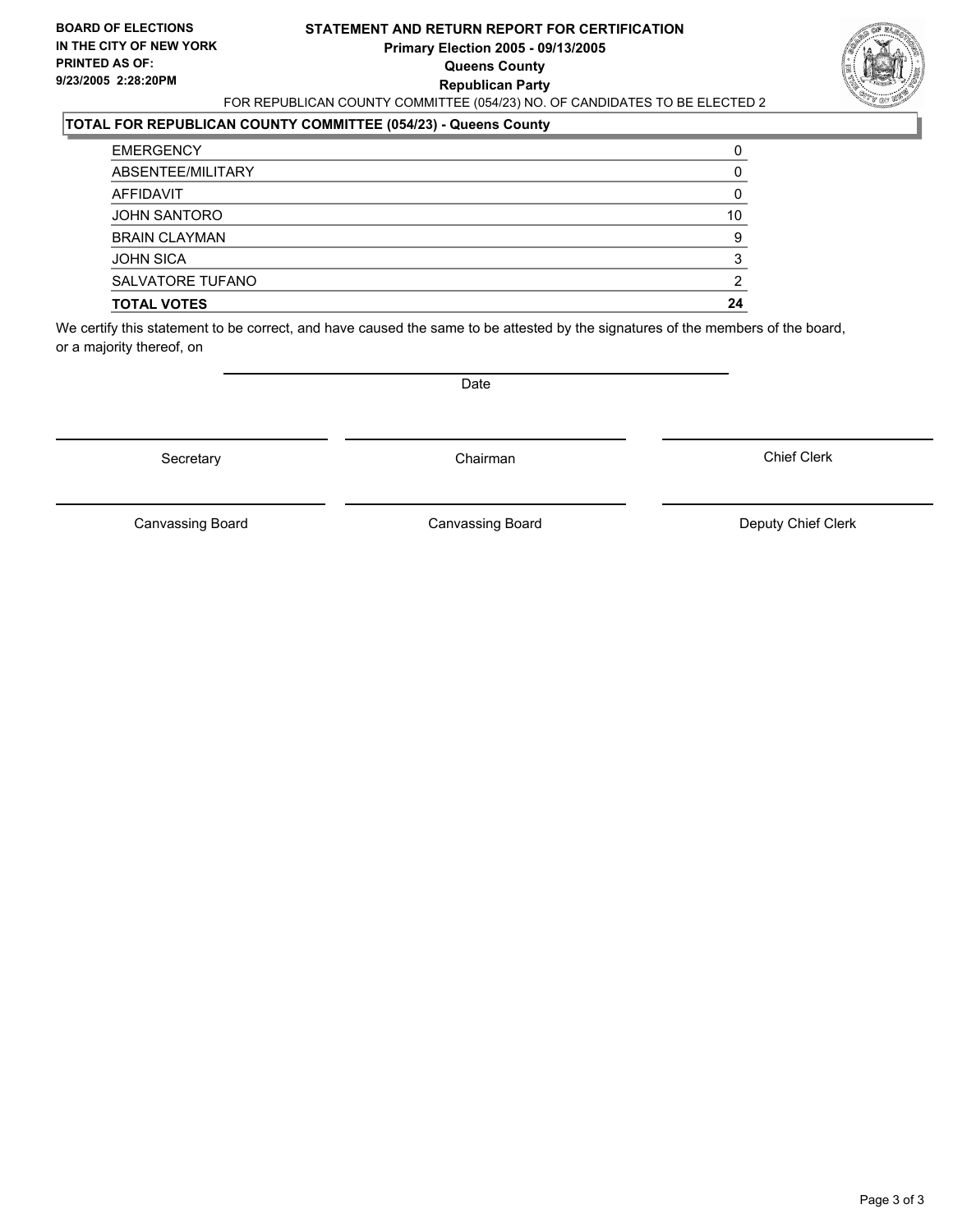#### **STATEMENT AND RETURN REPORT FOR CERTIFICATION Primary Election 2005 - 09/13/2005 Queens County Republican Party** FOR REPUBLICAN COUNTY COMMITTEE (054/23) NO. OF CANDIDATES TO BE ELECTED 2



### **TOTAL FOR REPUBLICAN COUNTY COMMITTEE (054/23) - Queens County**

| <b>TOTAL VOTES</b>      | 24 |
|-------------------------|----|
| <b>SALVATORE TUFANO</b> |    |
| <b>JOHN SICA</b>        |    |
| <b>BRAIN CLAYMAN</b>    | 9  |
| <b>JOHN SANTORO</b>     | 10 |
| AFFIDAVIT               |    |
| ABSENTEE/MILITARY       |    |
| <b>EMERGENCY</b>        |    |

We certify this statement to be correct, and have caused the same to be attested by the signatures of the members of the board, or a majority thereof, on

Secretary **Chairman** 

Date

Chief Clerk

Canvassing Board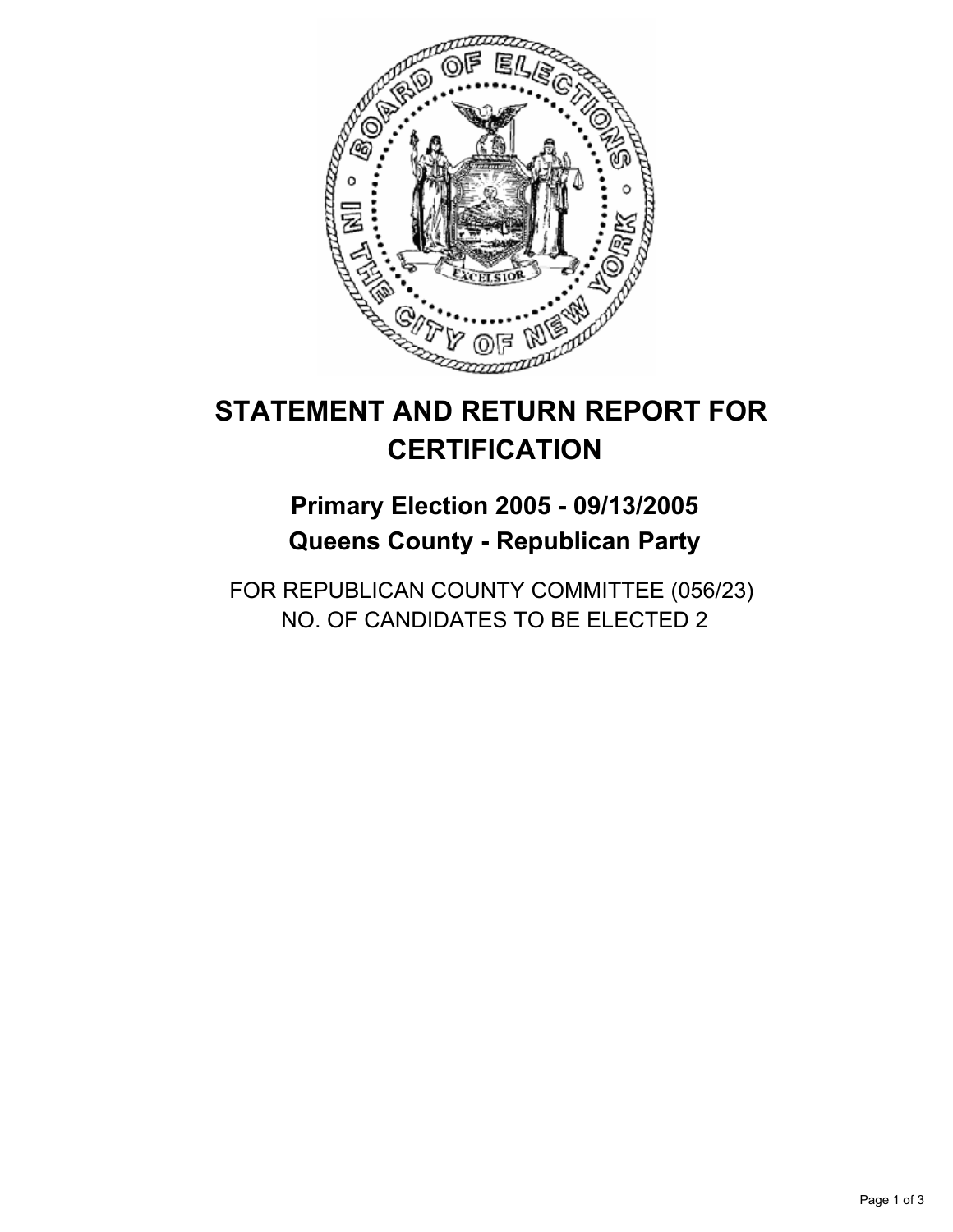

## **Primary Election 2005 - 09/13/2005 Queens County - Republican Party**

FOR REPUBLICAN COUNTY COMMITTEE (056/23) NO. OF CANDIDATES TO BE ELECTED 2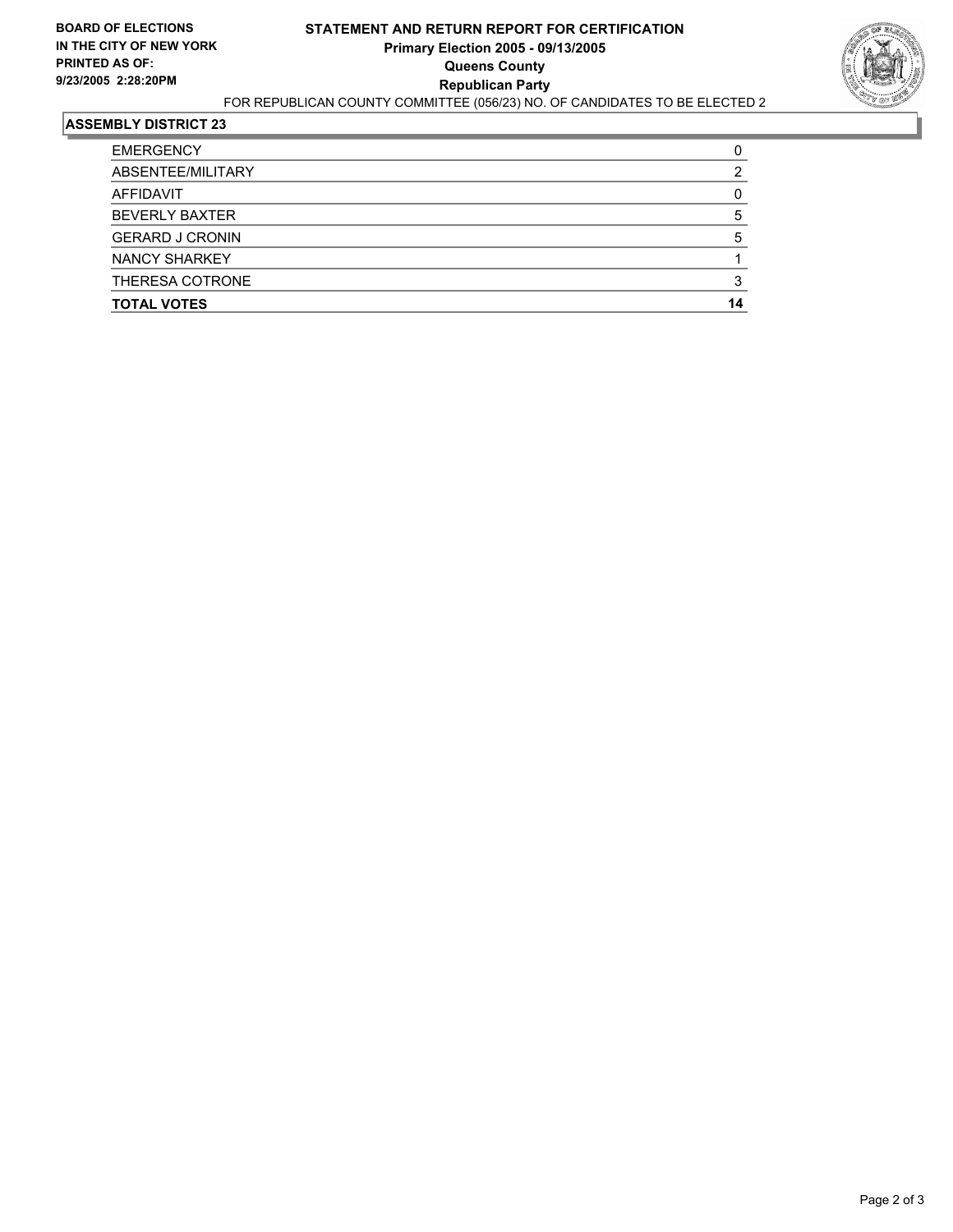

| <b>TOTAL VOTES</b>     | 14 |
|------------------------|----|
| THERESA COTRONE        |    |
| <b>NANCY SHARKEY</b>   |    |
| <b>GERARD J CRONIN</b> |    |
| <b>BEVERLY BAXTER</b>  |    |
| AFFIDAVIT              |    |
| ABSENTEE/MILITARY      |    |
| <b>EMERGENCY</b>       |    |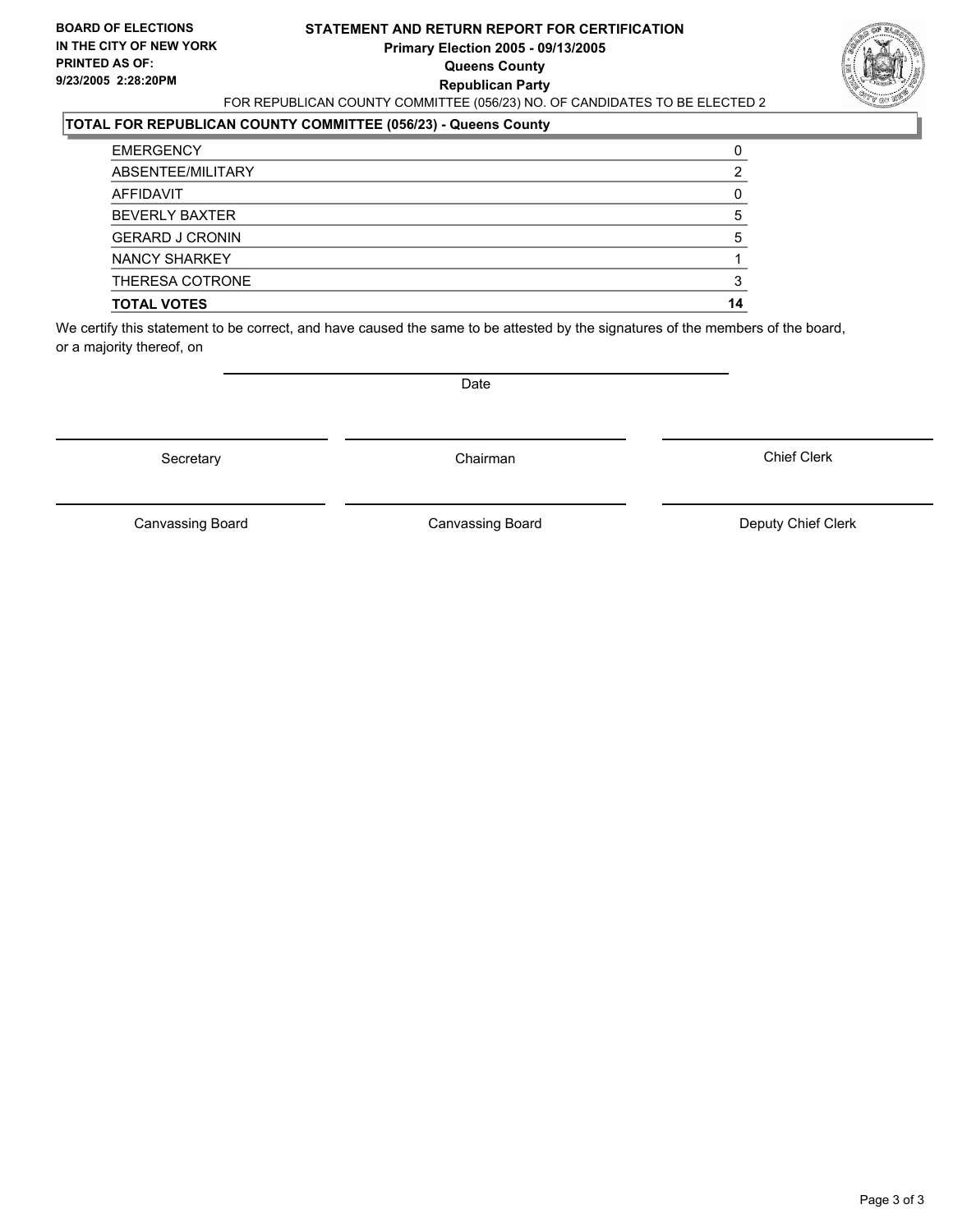#### **STATEMENT AND RETURN REPORT FOR CERTIFICATION Primary Election 2005 - 09/13/2005 Queens County Republican Party** FOR REPUBLICAN COUNTY COMMITTEE (056/23) NO. OF CANDIDATES TO BE ELECTED 2



### **TOTAL FOR REPUBLICAN COUNTY COMMITTEE (056/23) - Queens County**

| <b>TOTAL VOTES</b>     | 14 |
|------------------------|----|
| THERESA COTRONE        |    |
| NANCY SHARKEY          |    |
| <b>GERARD J CRONIN</b> |    |
| <b>BEVERLY BAXTER</b>  |    |
| AFFIDAVIT              |    |
| ABSENTEE/MILITARY      |    |
| <b>EMERGENCY</b>       |    |

We certify this statement to be correct, and have caused the same to be attested by the signatures of the members of the board, or a majority thereof, on

Secretary **Chairman** 

Date

Chief Clerk

Canvassing Board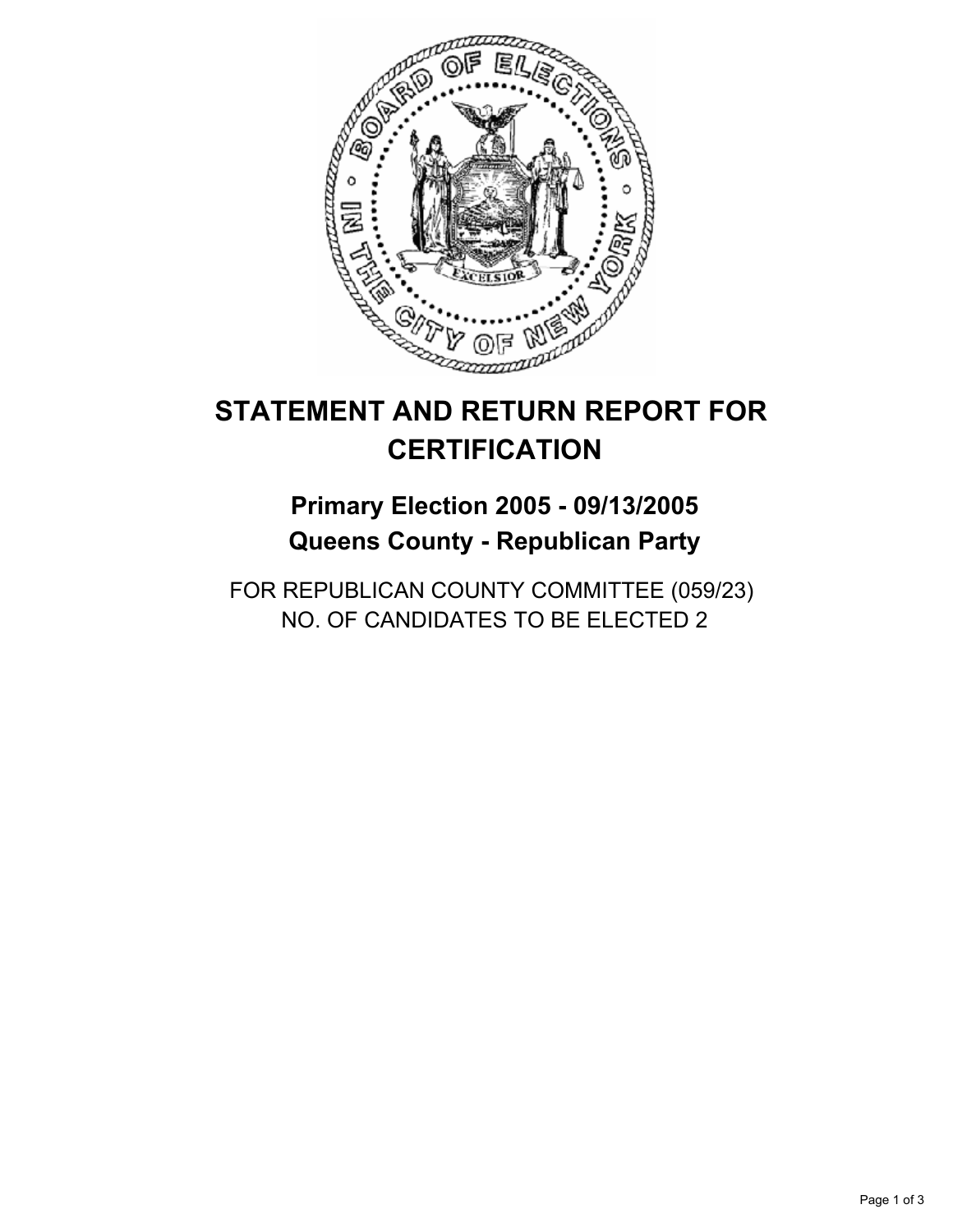

## **Primary Election 2005 - 09/13/2005 Queens County - Republican Party**

FOR REPUBLICAN COUNTY COMMITTEE (059/23) NO. OF CANDIDATES TO BE ELECTED 2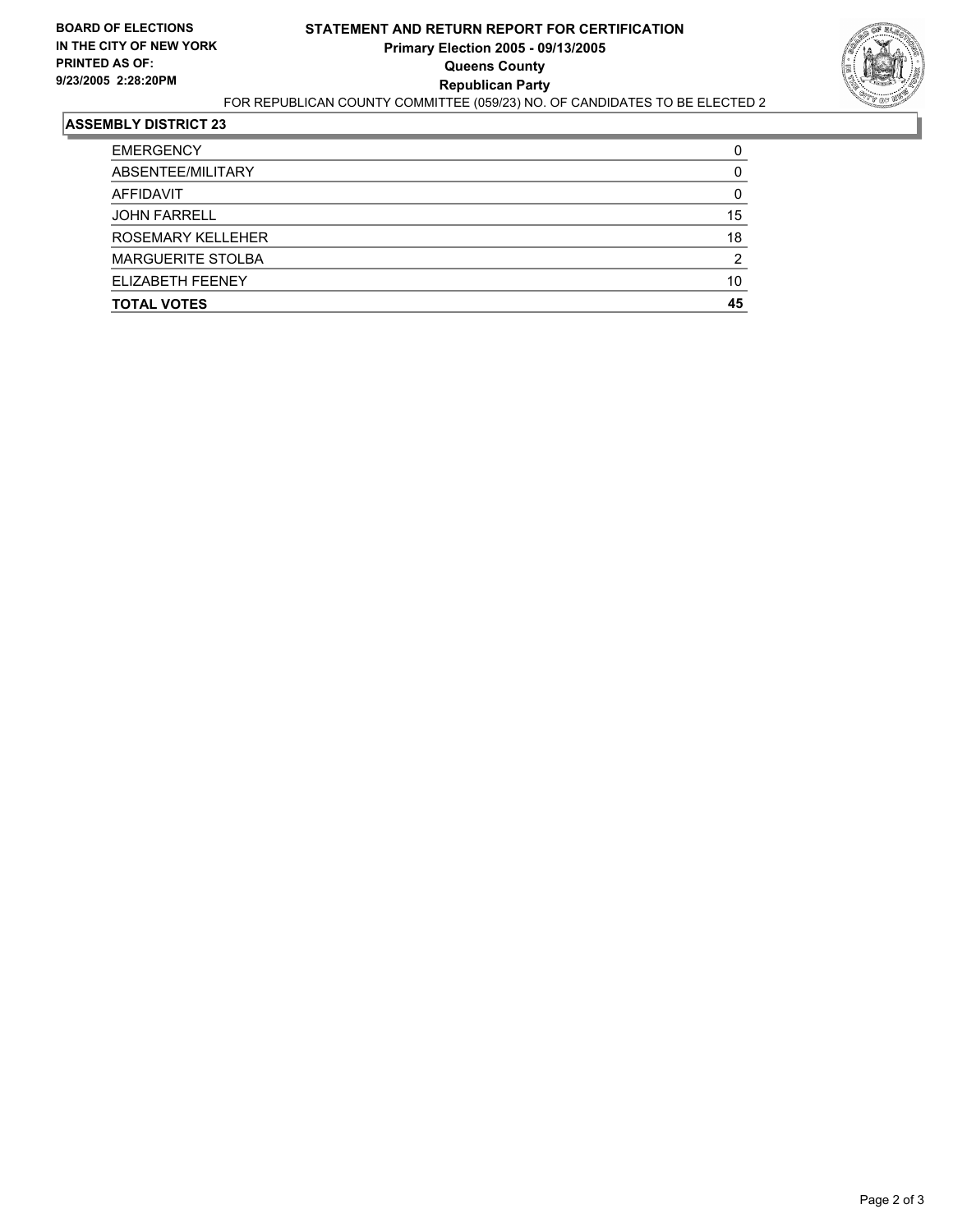

| ELIZABETH FEENEY         | 10 |
|--------------------------|----|
| <b>MARGUERITE STOLBA</b> | ົ  |
| <b>ROSEMARY KELLEHER</b> | 18 |
| <b>JOHN FARRELL</b>      | 15 |
| AFFIDAVIT                |    |
| ABSENTEE/MILITARY        |    |
| <b>EMERGENCY</b>         |    |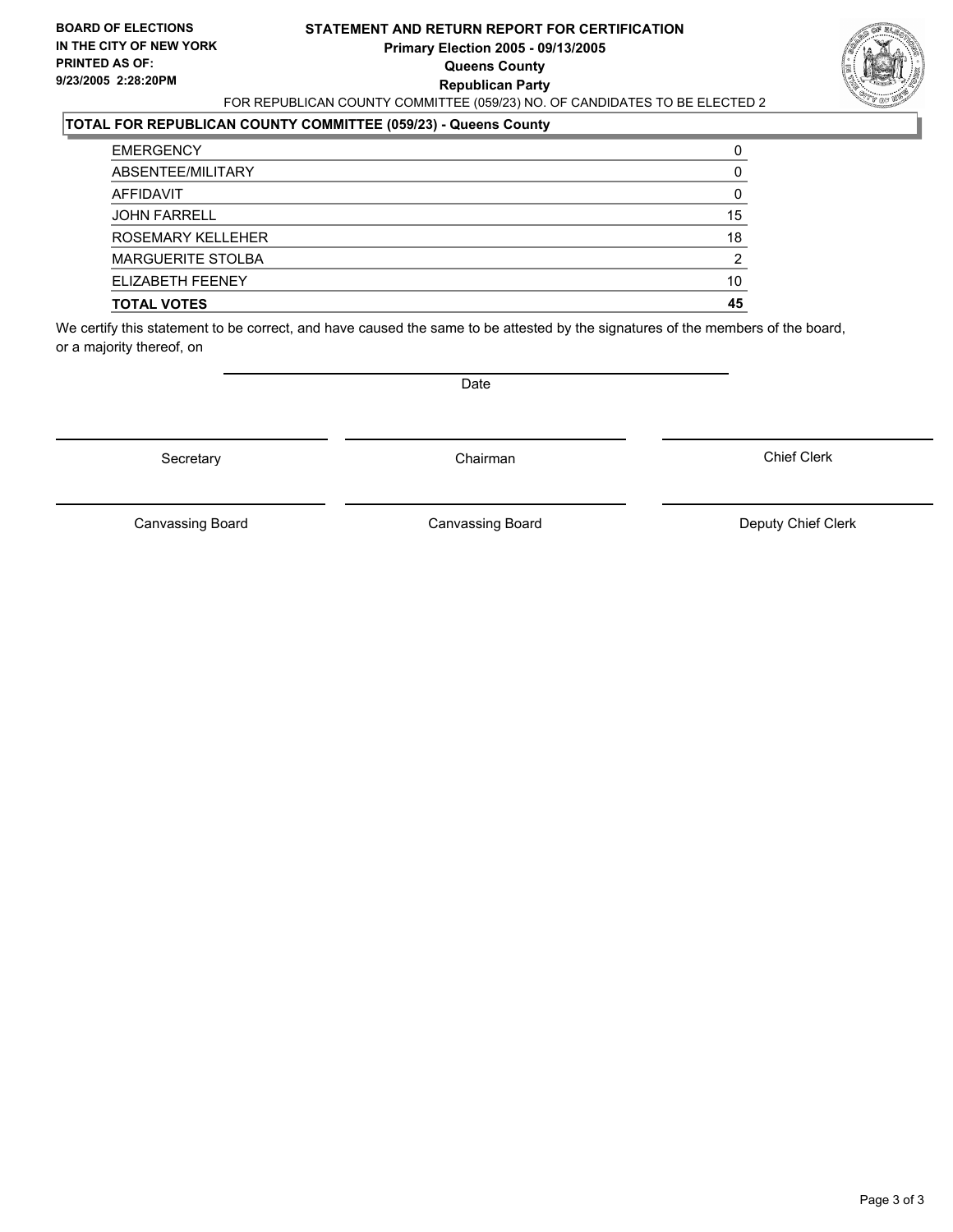#### **STATEMENT AND RETURN REPORT FOR CERTIFICATION Primary Election 2005 - 09/13/2005 Queens County Republican Party** FOR REPUBLICAN COUNTY COMMITTEE (059/23) NO. OF CANDIDATES TO BE ELECTED 2



### **TOTAL FOR REPUBLICAN COUNTY COMMITTEE (059/23) - Queens County**

| <b>JOHN FARRELL</b>      | 15 |
|--------------------------|----|
| <b>ROSEMARY KELLEHER</b> | 18 |
| <b>MARGUERITE STOLBA</b> | ◠  |
| ELIZABETH FEENEY         | 10 |
| <b>TOTAL VOTES</b>       | 45 |

We certify this statement to be correct, and have caused the same to be attested by the signatures of the members of the board, or a majority thereof, on

Secretary **Chairman** 

Date

Chief Clerk

Canvassing Board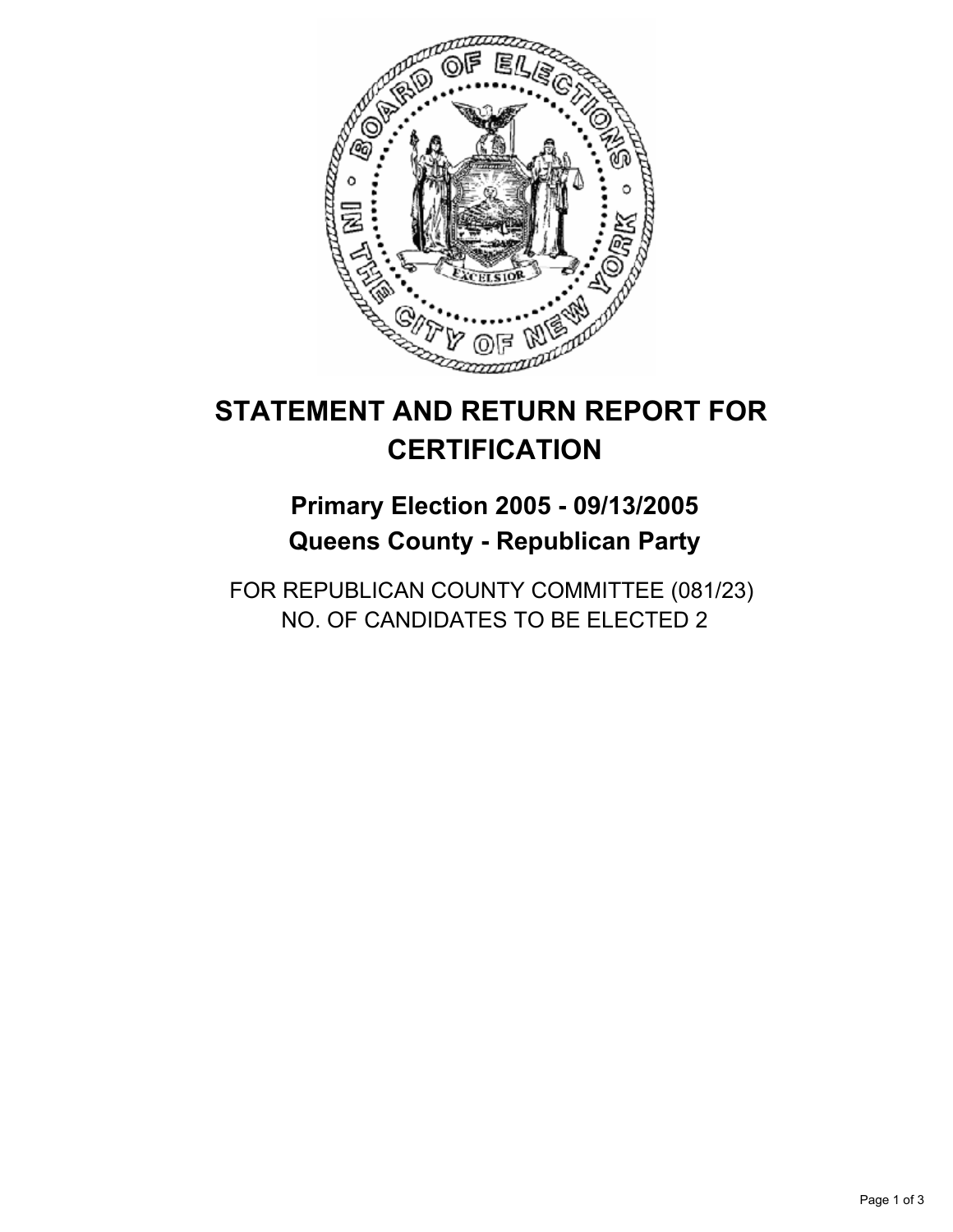

## **Primary Election 2005 - 09/13/2005 Queens County - Republican Party**

FOR REPUBLICAN COUNTY COMMITTEE (081/23) NO. OF CANDIDATES TO BE ELECTED 2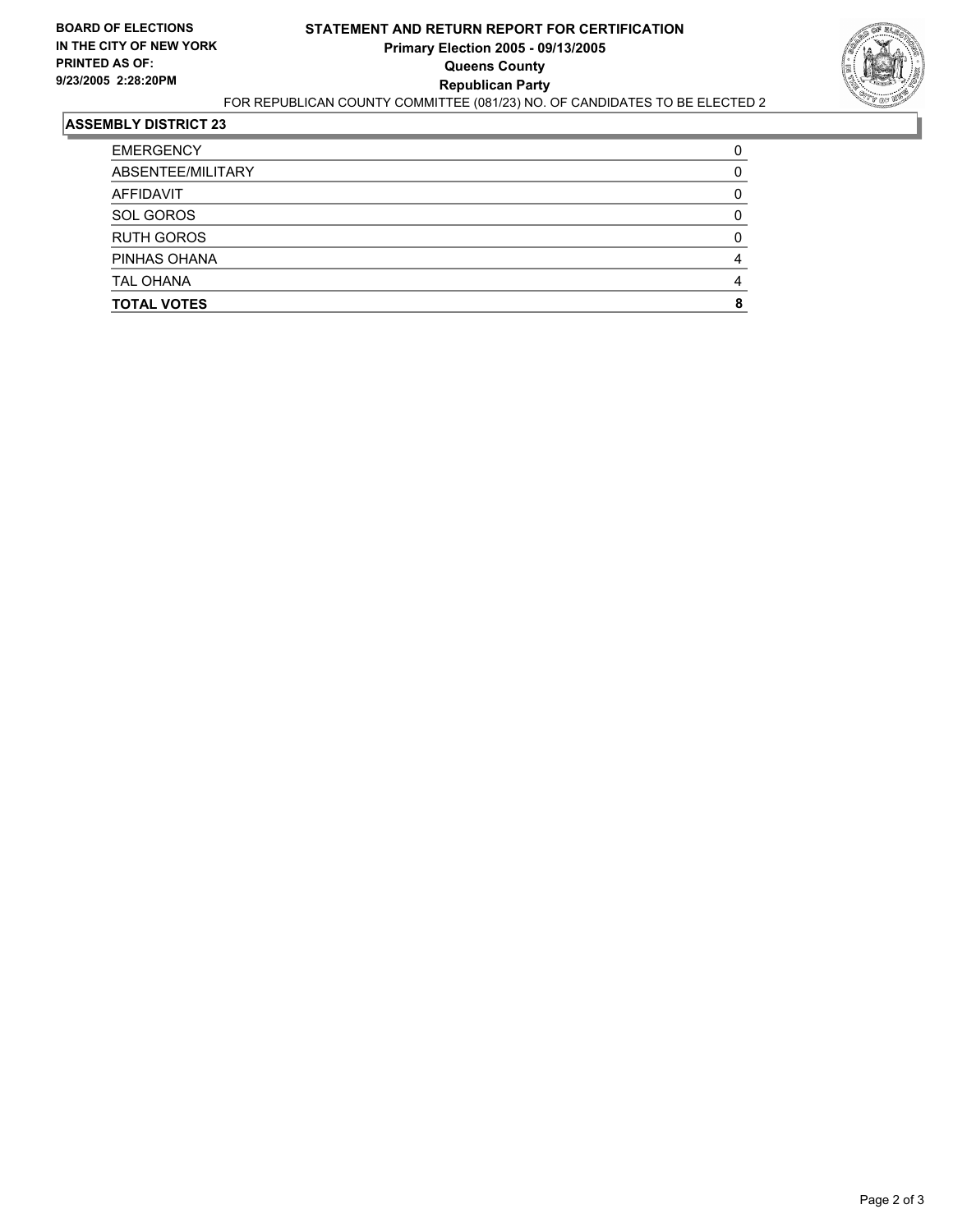

| <b>EMERGENCY</b>   |  |
|--------------------|--|
| ABSENTEE/MILITARY  |  |
| AFFIDAVIT          |  |
| <b>SOL GOROS</b>   |  |
| <b>RUTH GOROS</b>  |  |
| PINHAS OHANA       |  |
| <b>TAL OHANA</b>   |  |
| <b>TOTAL VOTES</b> |  |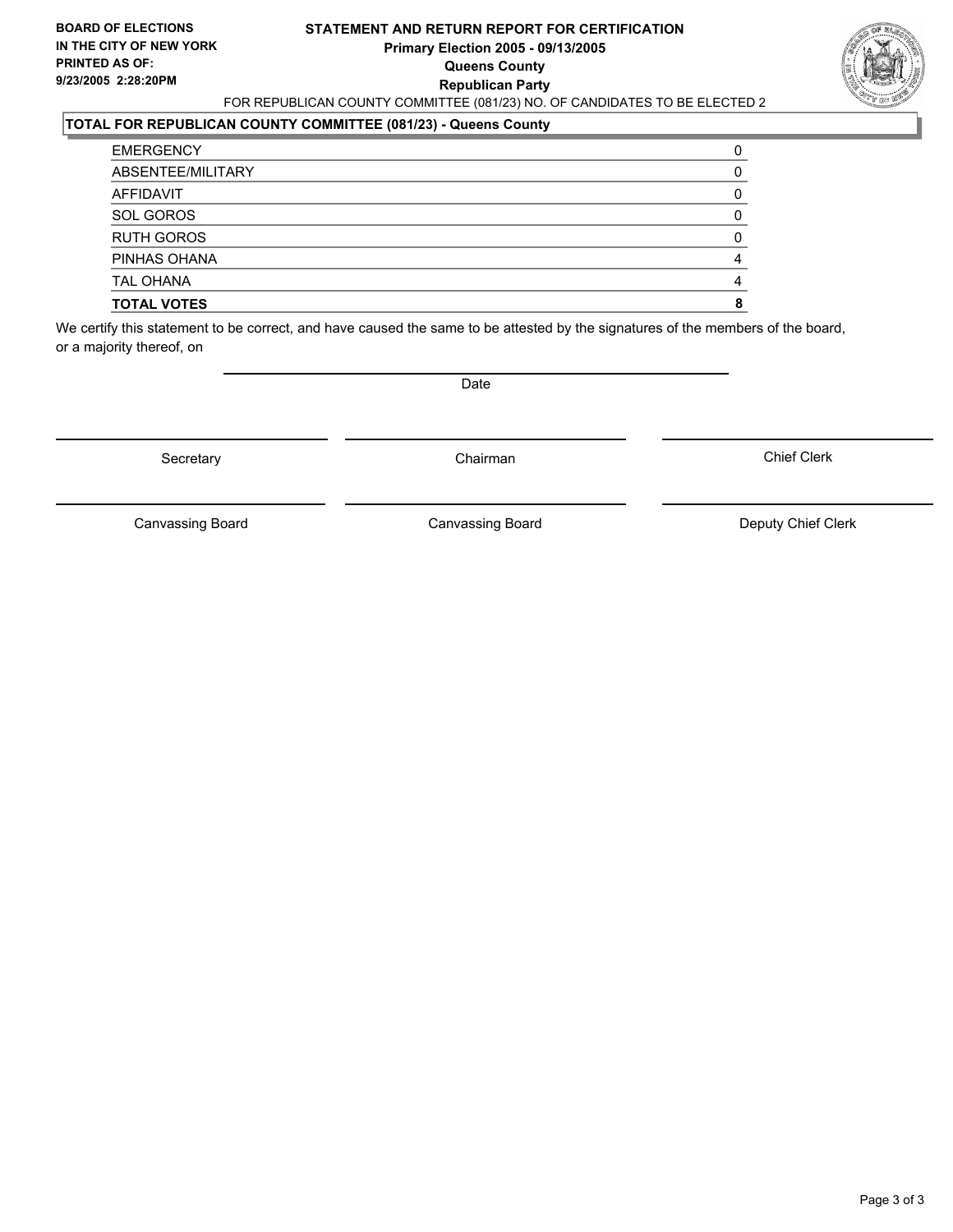#### **STATEMENT AND RETURN REPORT FOR CERTIFICATION Primary Election 2005 - 09/13/2005 Queens County Republican Party** FOR REPUBLICAN COUNTY COMMITTEE (081/23) NO. OF CANDIDATES TO BE ELECTED 2



### **TOTAL FOR REPUBLICAN COUNTY COMMITTEE (081/23) - Queens County**

| <b>EMERGENCY</b>   |  |
|--------------------|--|
| ABSENTEE/MILITARY  |  |
| AFFIDAVIT          |  |
| SOL GOROS          |  |
| <b>RUTH GOROS</b>  |  |
| PINHAS OHANA       |  |
| <b>TAL OHANA</b>   |  |
| <b>TOTAL VOTES</b> |  |

We certify this statement to be correct, and have caused the same to be attested by the signatures of the members of the board, or a majority thereof, on

Secretary **Chairman** 

Date

Chief Clerk

Canvassing Board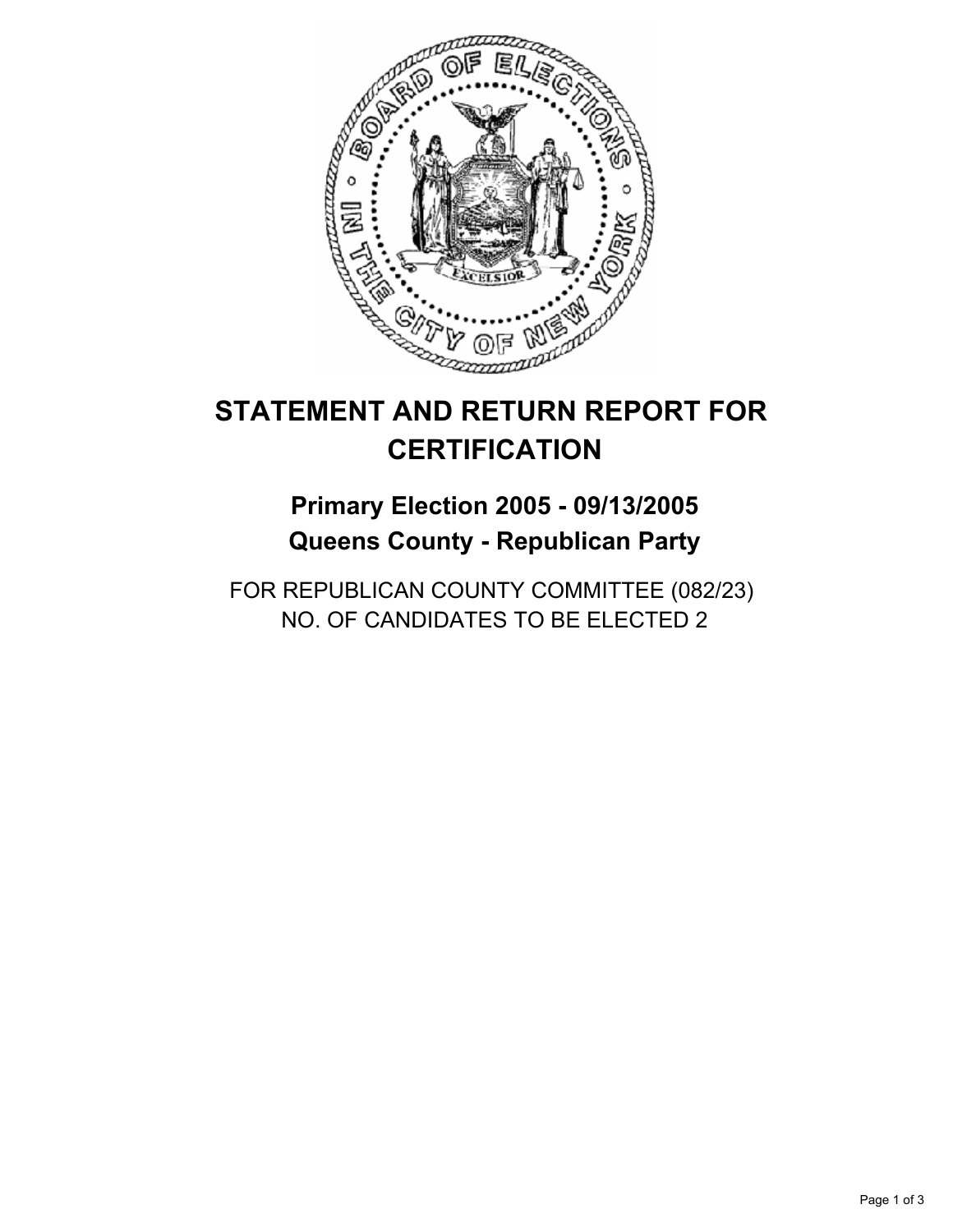

## **Primary Election 2005 - 09/13/2005 Queens County - Republican Party**

FOR REPUBLICAN COUNTY COMMITTEE (082/23) NO. OF CANDIDATES TO BE ELECTED 2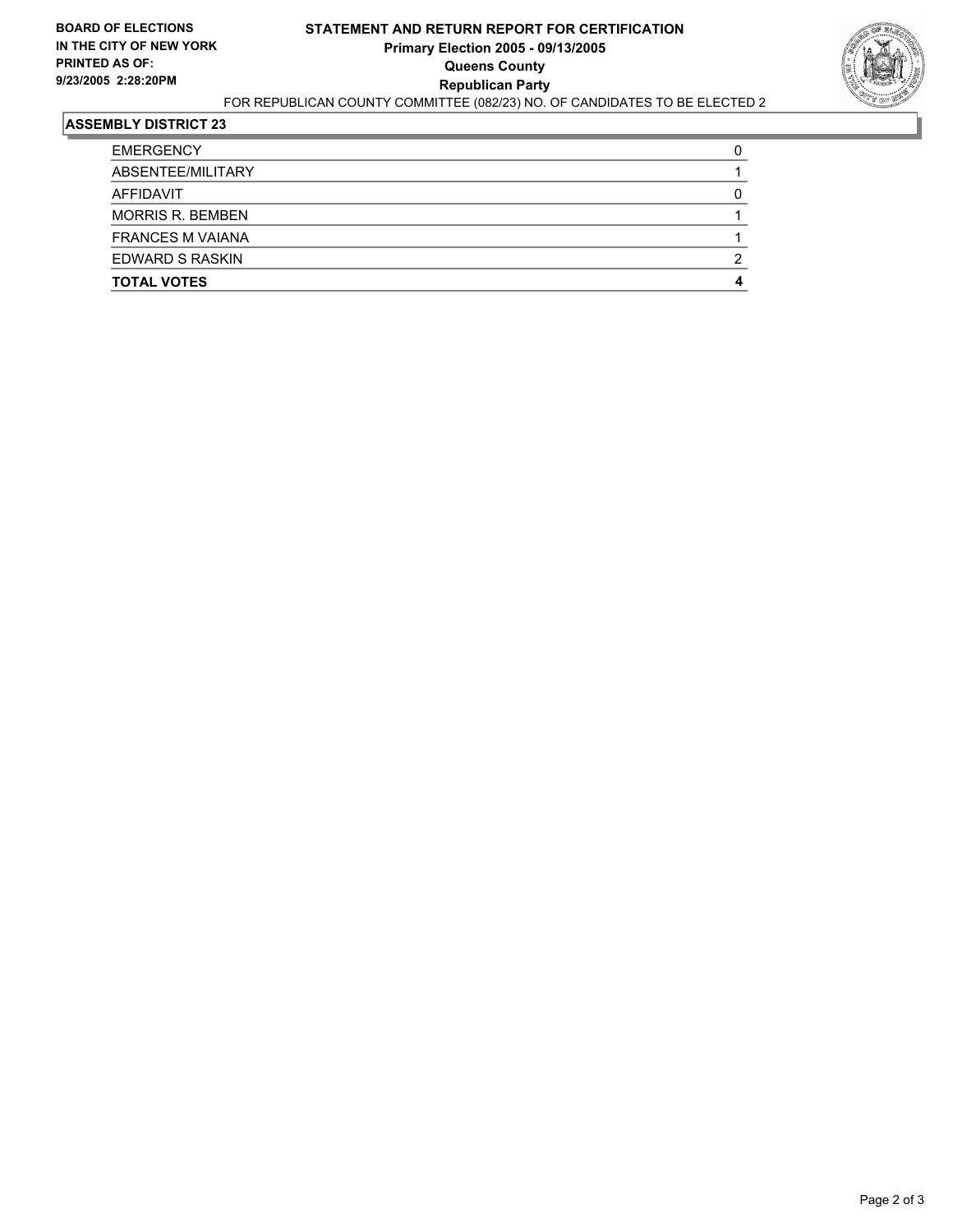

| <b>EMERGENCY</b>        |  |
|-------------------------|--|
| ABSENTEE/MILITARY       |  |
| AFFIDAVIT               |  |
| <b>MORRIS R. BEMBEN</b> |  |
| <b>FRANCES M VAIANA</b> |  |
| EDWARD S RASKIN         |  |
| <b>TOTAL VOTES</b>      |  |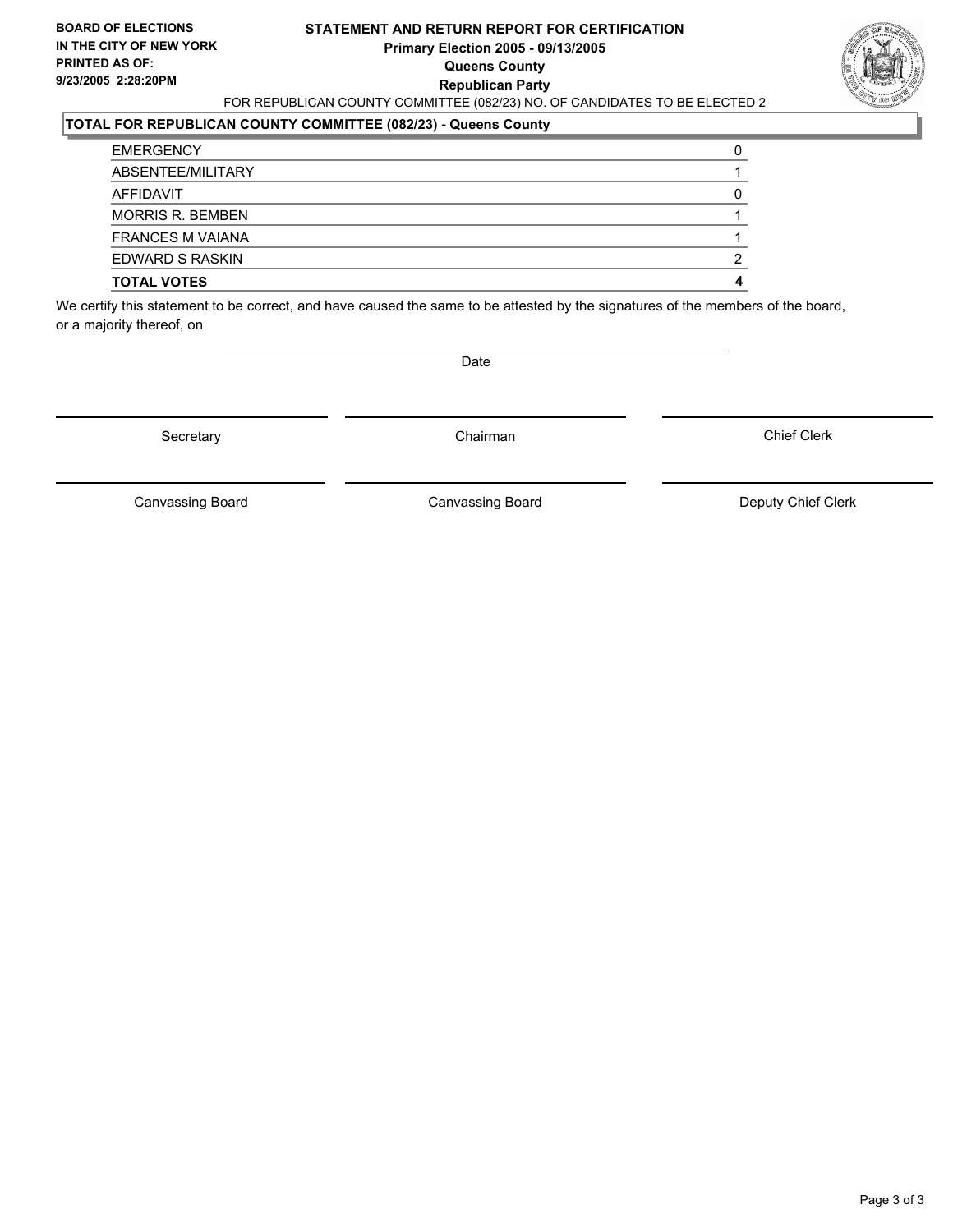#### **STATEMENT AND RETURN REPORT FOR CERTIFICATION Primary Election 2005 - 09/13/2005 Queens County Republican Party** FOR REPUBLICAN COUNTY COMMITTEE (082/23) NO. OF CANDIDATES TO BE ELECTED 2



#### **TOTAL FOR REPUBLICAN COUNTY COMMITTEE (082/23) - Queens County**

| <b>EMERGENCY</b>        |   |
|-------------------------|---|
| ABSENTEE/MILITARY       |   |
| AFFIDAVIT               |   |
| <b>MORRIS R. BEMBEN</b> |   |
| <b>FRANCES M VAIANA</b> |   |
| EDWARD S RASKIN         | ◠ |
| <b>TOTAL VOTES</b>      |   |

We certify this statement to be correct, and have caused the same to be attested by the signatures of the members of the board, or a majority thereof, on

Date

Secretary **Chairman** 

Chief Clerk

Canvassing Board **Canvassing Board** Canvassing Board **Deputy Chief Clerk** 

Canvassing Board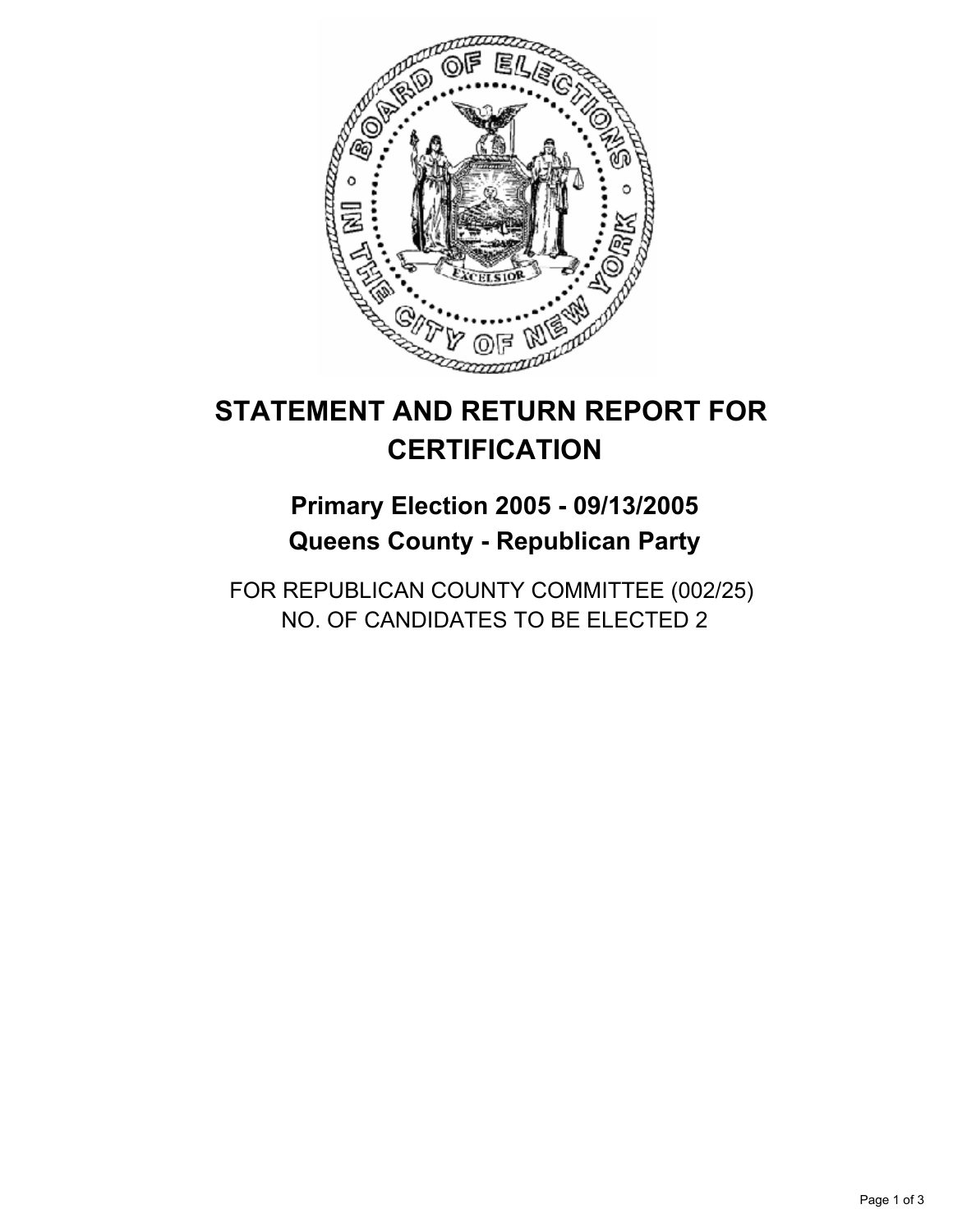

## **Primary Election 2005 - 09/13/2005 Queens County - Republican Party**

FOR REPUBLICAN COUNTY COMMITTEE (002/25) NO. OF CANDIDATES TO BE ELECTED 2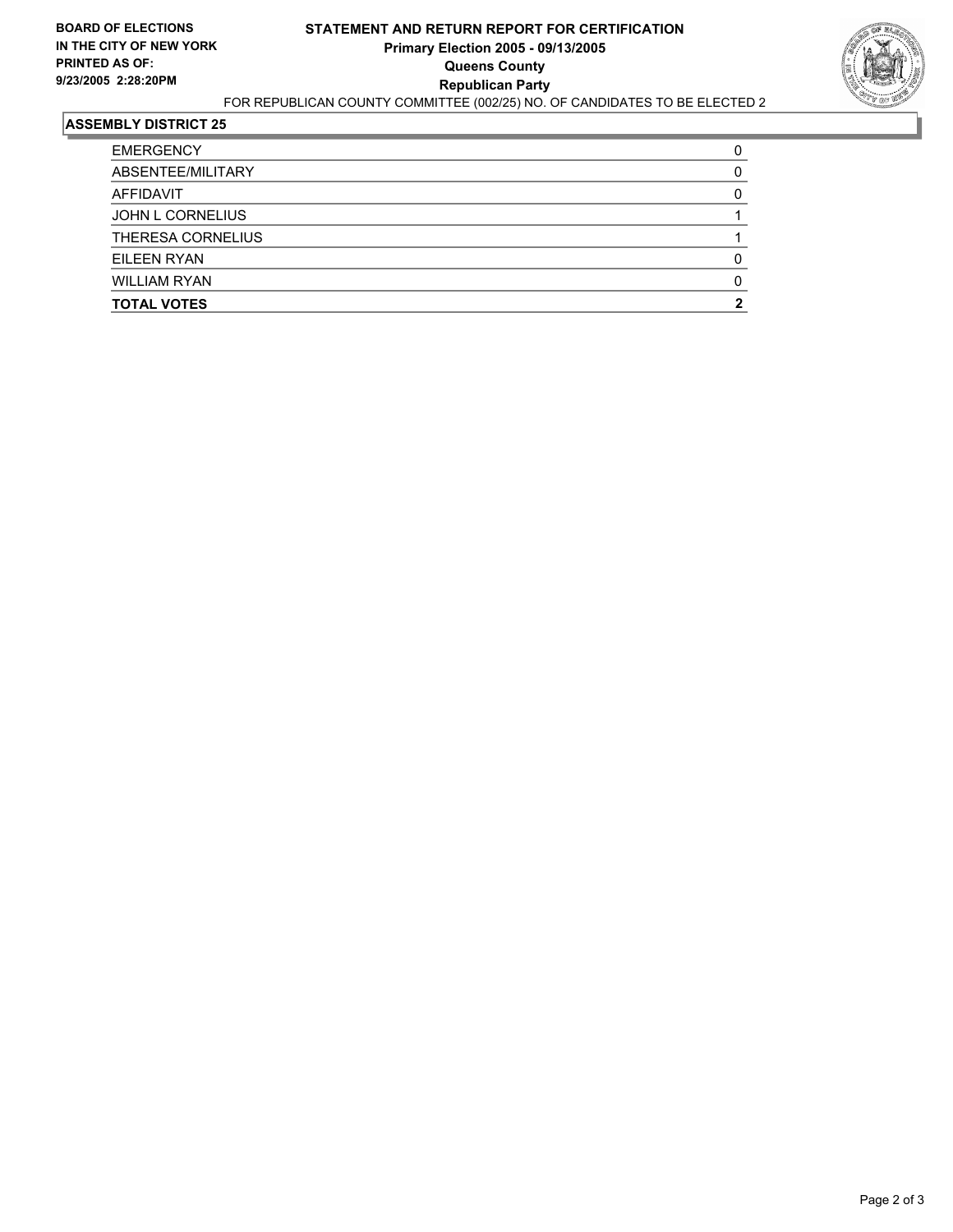

| <b>EMERGENCY</b>        |  |
|-------------------------|--|
| ABSENTEE/MILITARY       |  |
| AFFIDAVIT               |  |
| <b>JOHN L CORNELIUS</b> |  |
| THERESA CORNELIUS       |  |
| EILEEN RYAN             |  |
| <b>WILLIAM RYAN</b>     |  |
| <b>TOTAL VOTES</b>      |  |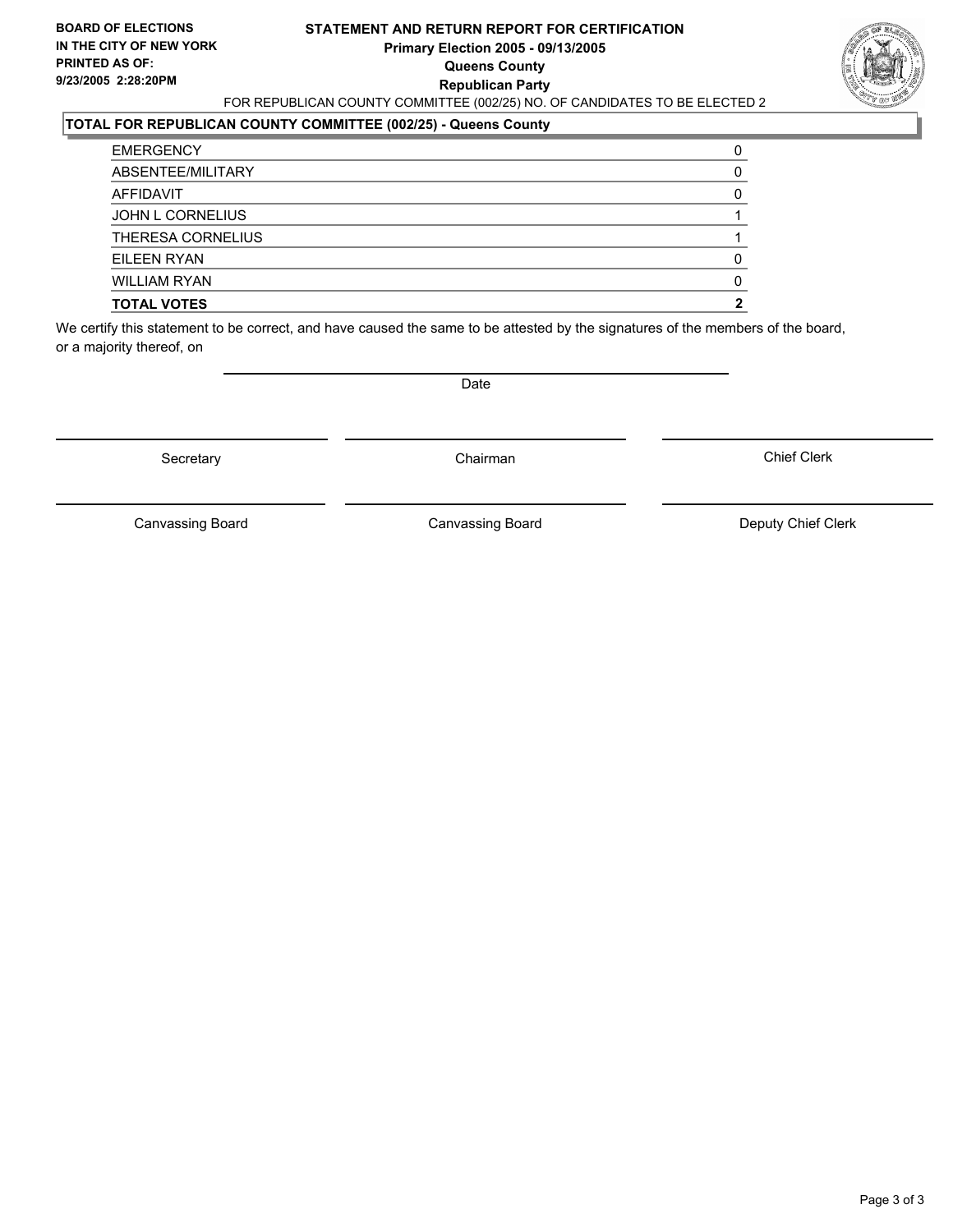#### **STATEMENT AND RETURN REPORT FOR CERTIFICATION Primary Election 2005 - 09/13/2005 Queens County Republican Party** FOR REPUBLICAN COUNTY COMMITTEE (002/25) NO. OF CANDIDATES TO BE ELECTED 2



### **TOTAL FOR REPUBLICAN COUNTY COMMITTEE (002/25) - Queens County**

| <b>TOTAL VOTES</b>       |  |
|--------------------------|--|
| <b>WILLIAM RYAN</b>      |  |
| EILEEN RYAN              |  |
| <b>THERESA CORNELIUS</b> |  |
| JOHN L CORNELIUS         |  |
| AFFIDAVIT                |  |
| ABSENTEE/MILITARY        |  |
| <b>EMERGENCY</b>         |  |

We certify this statement to be correct, and have caused the same to be attested by the signatures of the members of the board, or a majority thereof, on

Secretary **Chairman** 

Date

Chief Clerk

Canvassing Board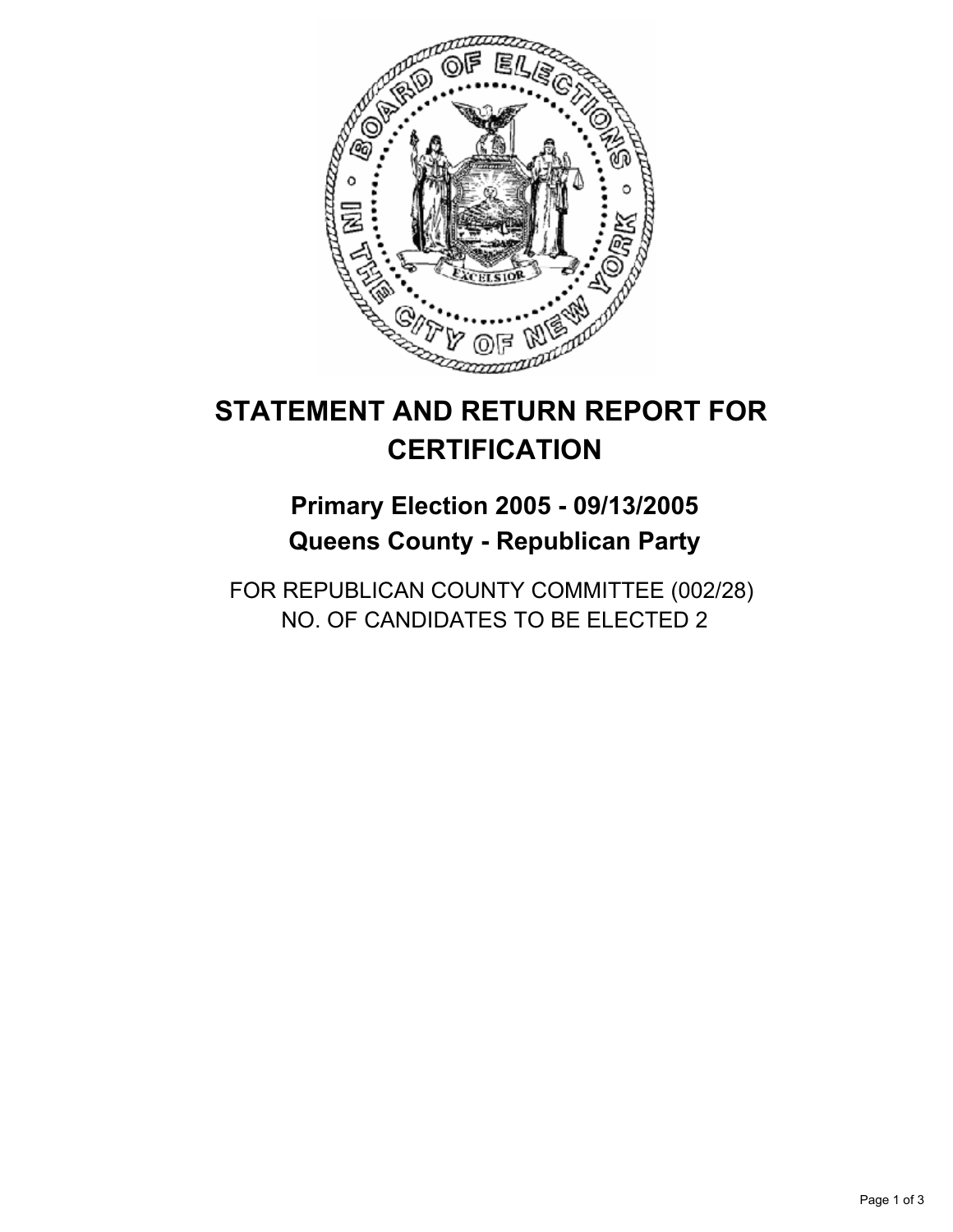

## **Primary Election 2005 - 09/13/2005 Queens County - Republican Party**

FOR REPUBLICAN COUNTY COMMITTEE (002/28) NO. OF CANDIDATES TO BE ELECTED 2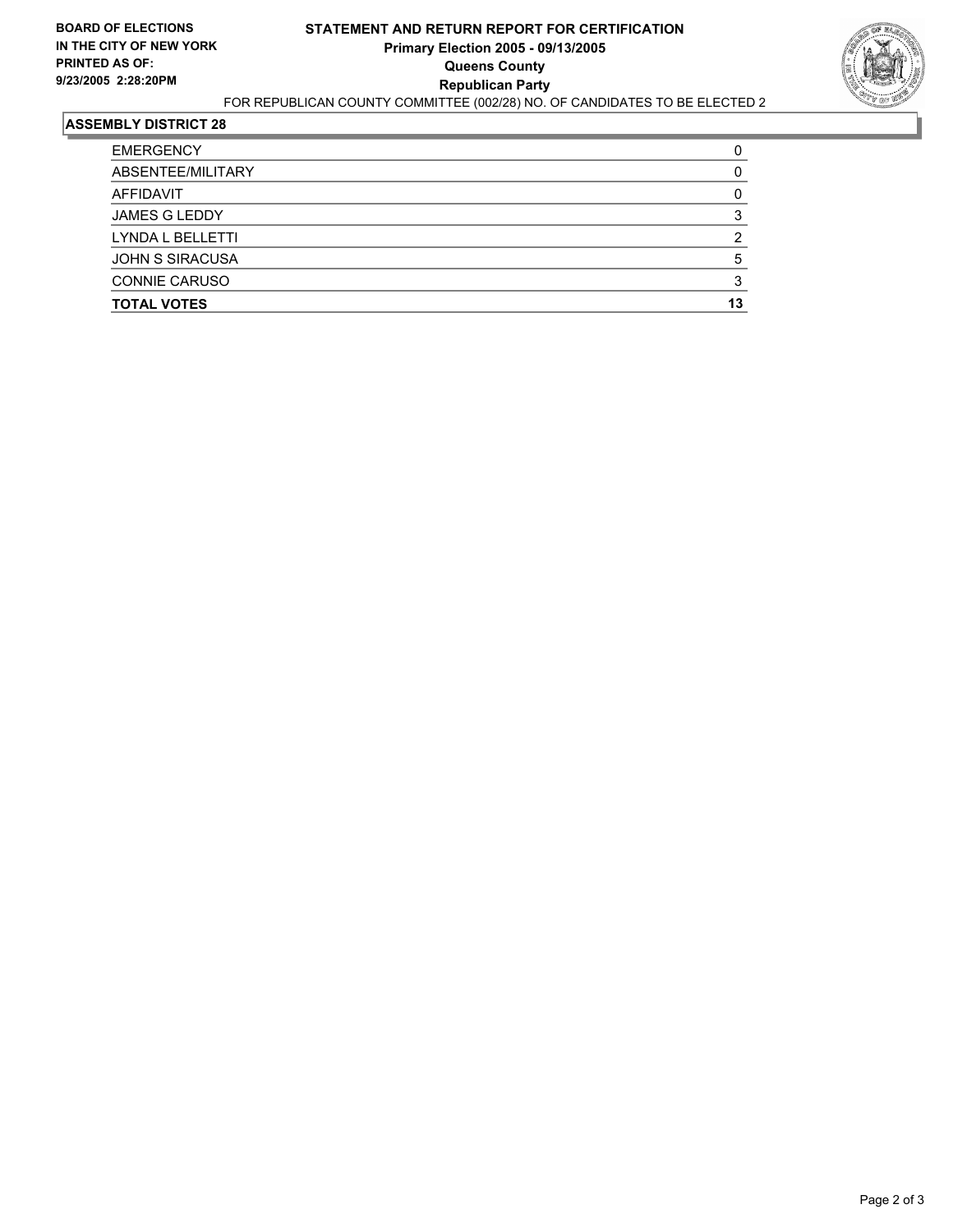

| <b>EMERGENCY</b>        |    |
|-------------------------|----|
| ABSENTEE/MILITARY       |    |
| AFFIDAVIT               |    |
| <b>JAMES G LEDDY</b>    |    |
| <b>LYNDA L BELLETTI</b> |    |
| <b>JOHN S SIRACUSA</b>  |    |
| <b>CONNIE CARUSO</b>    |    |
| <b>TOTAL VOTES</b>      | 13 |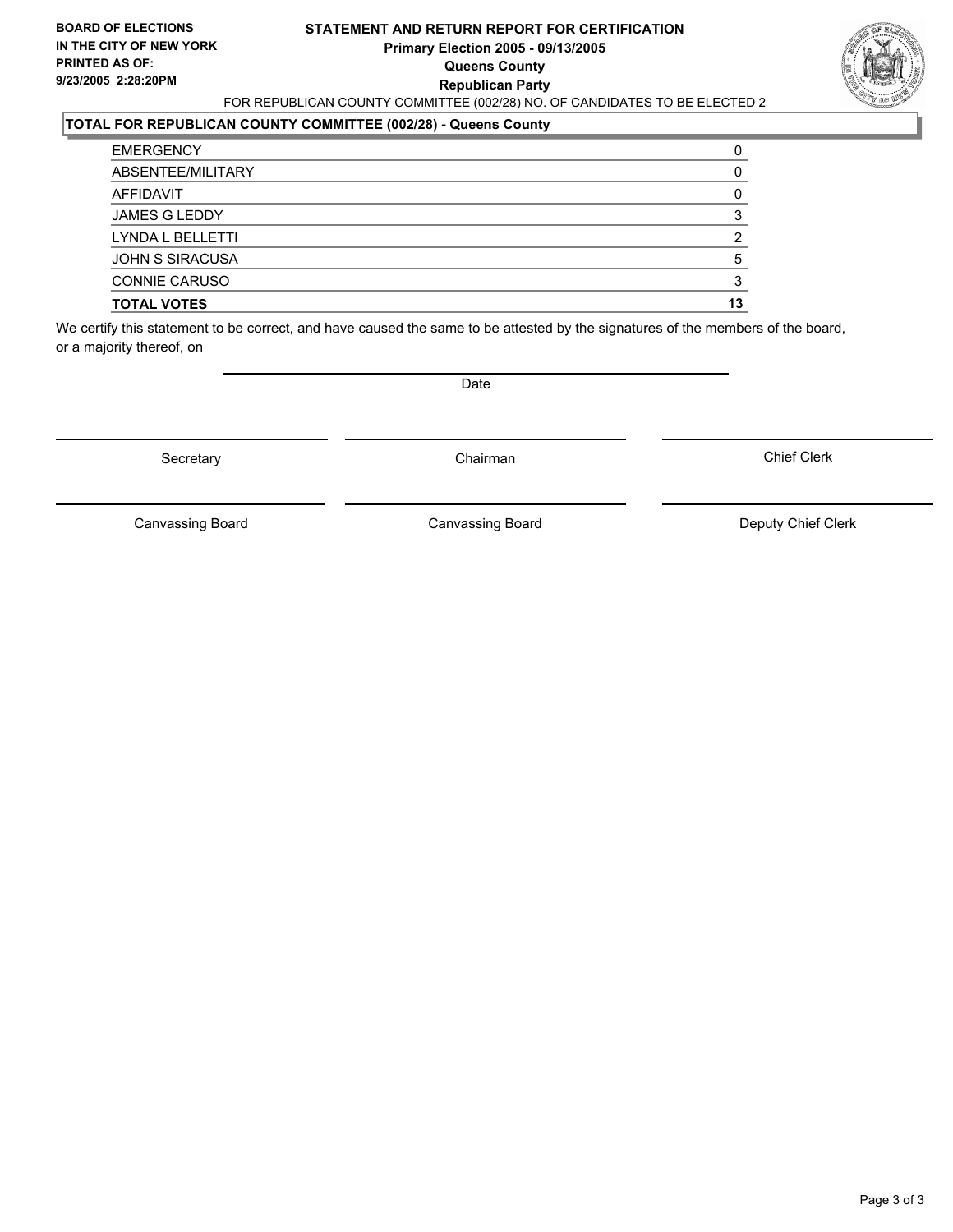#### **STATEMENT AND RETURN REPORT FOR CERTIFICATION Primary Election 2005 - 09/13/2005 Queens County Republican Party** FOR REPUBLICAN COUNTY COMMITTEE (002/28) NO. OF CANDIDATES TO BE ELECTED 2



### **TOTAL FOR REPUBLICAN COUNTY COMMITTEE (002/28) - Queens County**

| <b>TOTAL VOTES</b>     | 13 |
|------------------------|----|
| <b>CONNIE CARUSO</b>   |    |
| <b>JOHN S SIRACUSA</b> |    |
| LYNDA L BELLETTI       |    |
| <b>JAMES G LEDDY</b>   |    |
| AFFIDAVIT              |    |
| ABSENTEE/MILITARY      |    |
| <b>EMERGENCY</b>       |    |

We certify this statement to be correct, and have caused the same to be attested by the signatures of the members of the board, or a majority thereof, on

Secretary **Chairman** 

Date

Chief Clerk

Canvassing Board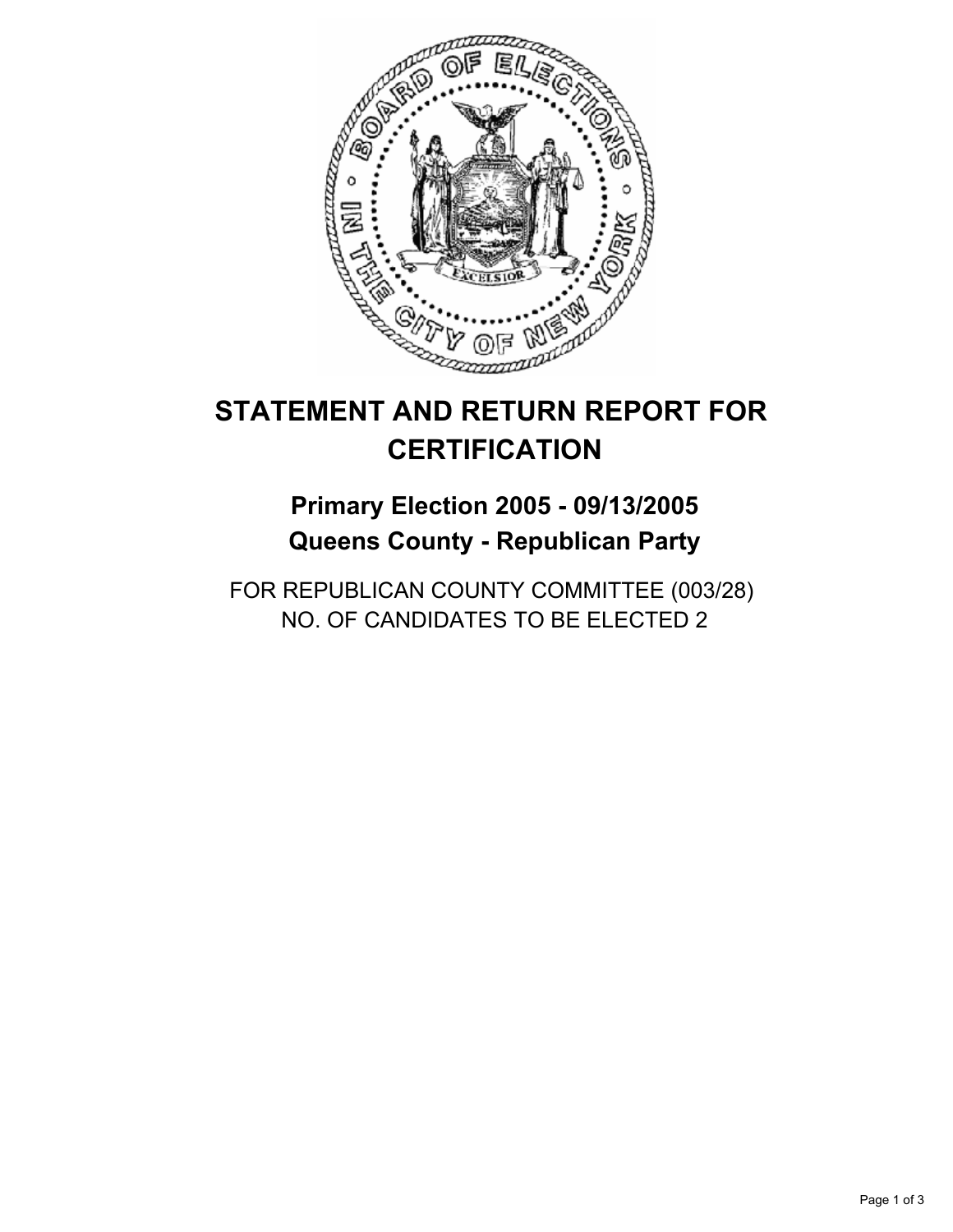

## **Primary Election 2005 - 09/13/2005 Queens County - Republican Party**

FOR REPUBLICAN COUNTY COMMITTEE (003/28) NO. OF CANDIDATES TO BE ELECTED 2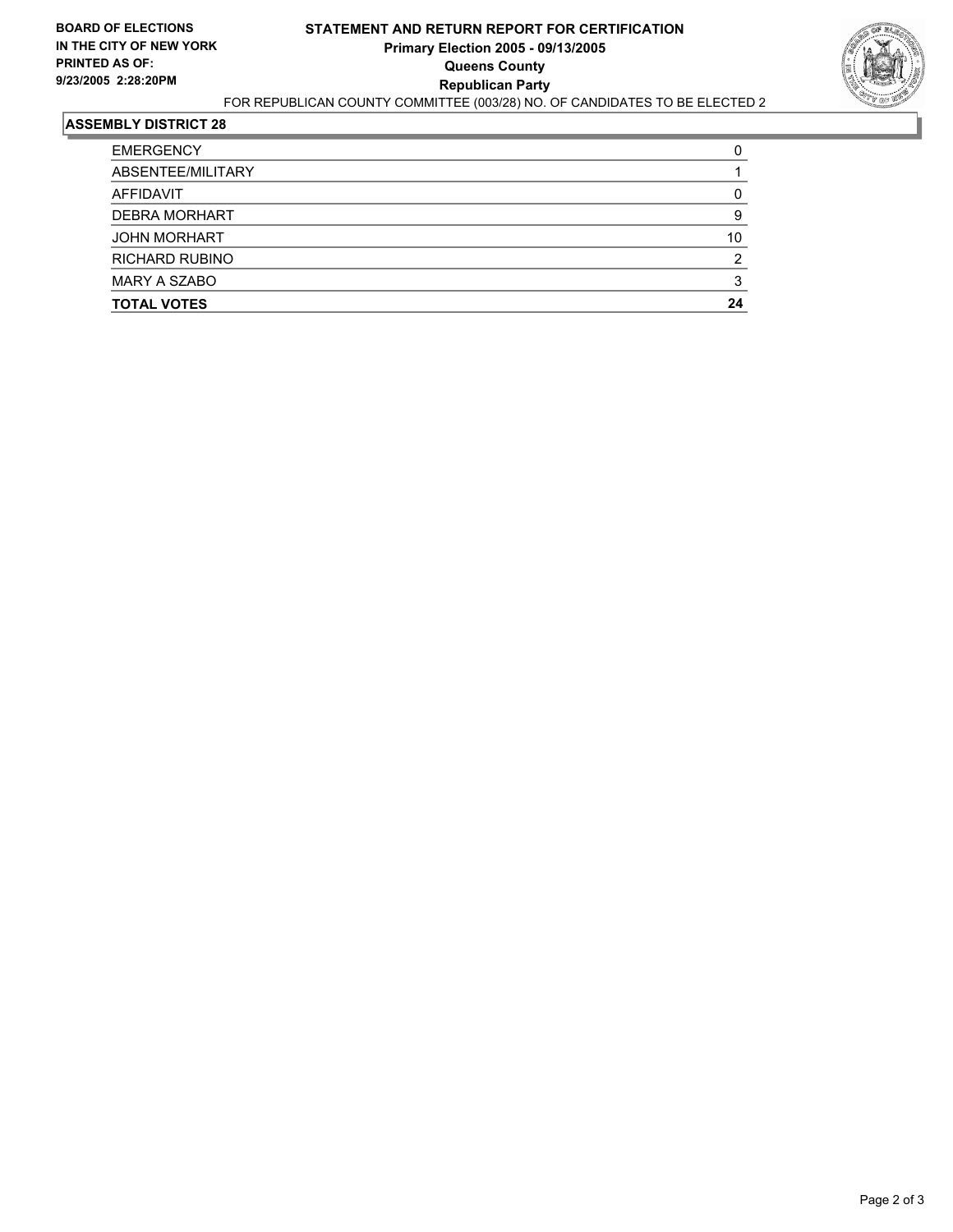

| <b>EMERGENCY</b>     |    |
|----------------------|----|
| ABSENTEE/MILITARY    |    |
| AFFIDAVIT            |    |
| <b>DEBRA MORHART</b> |    |
| <b>JOHN MORHART</b>  | 10 |
| RICHARD RUBINO       |    |
| <b>MARY A SZABO</b>  |    |
| <b>TOTAL VOTES</b>   | 24 |
|                      |    |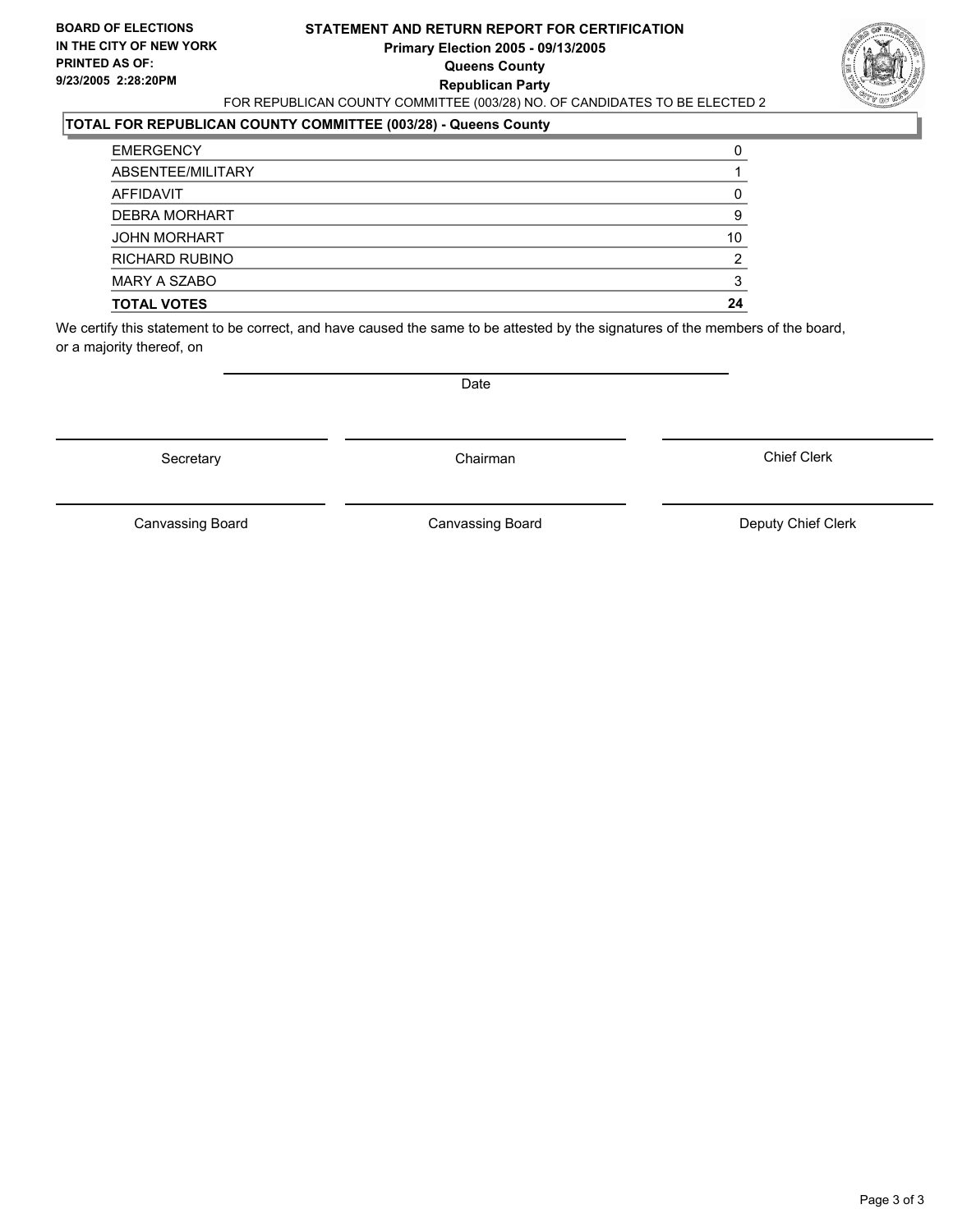#### **STATEMENT AND RETURN REPORT FOR CERTIFICATION Primary Election 2005 - 09/13/2005 Queens County Republican Party** FOR REPUBLICAN COUNTY COMMITTEE (003/28) NO. OF CANDIDATES TO BE ELECTED 2

### **TOTAL FOR REPUBLICAN COUNTY COMMITTEE (003/28) - Queens County**

| <b>TOTAL VOTES</b>    | 24 |
|-----------------------|----|
| <b>MARY A SZABO</b>   |    |
| <b>RICHARD RUBINO</b> |    |
| <b>JOHN MORHART</b>   | 10 |
| <b>DEBRA MORHART</b>  |    |
| AFFIDAVIT             |    |
| ABSENTEE/MILITARY     |    |
| <b>EMERGENCY</b>      |    |

We certify this statement to be correct, and have caused the same to be attested by the signatures of the members of the board, or a majority thereof, on

Secretary **Chairman** 

Date

Chief Clerk

Canvassing Board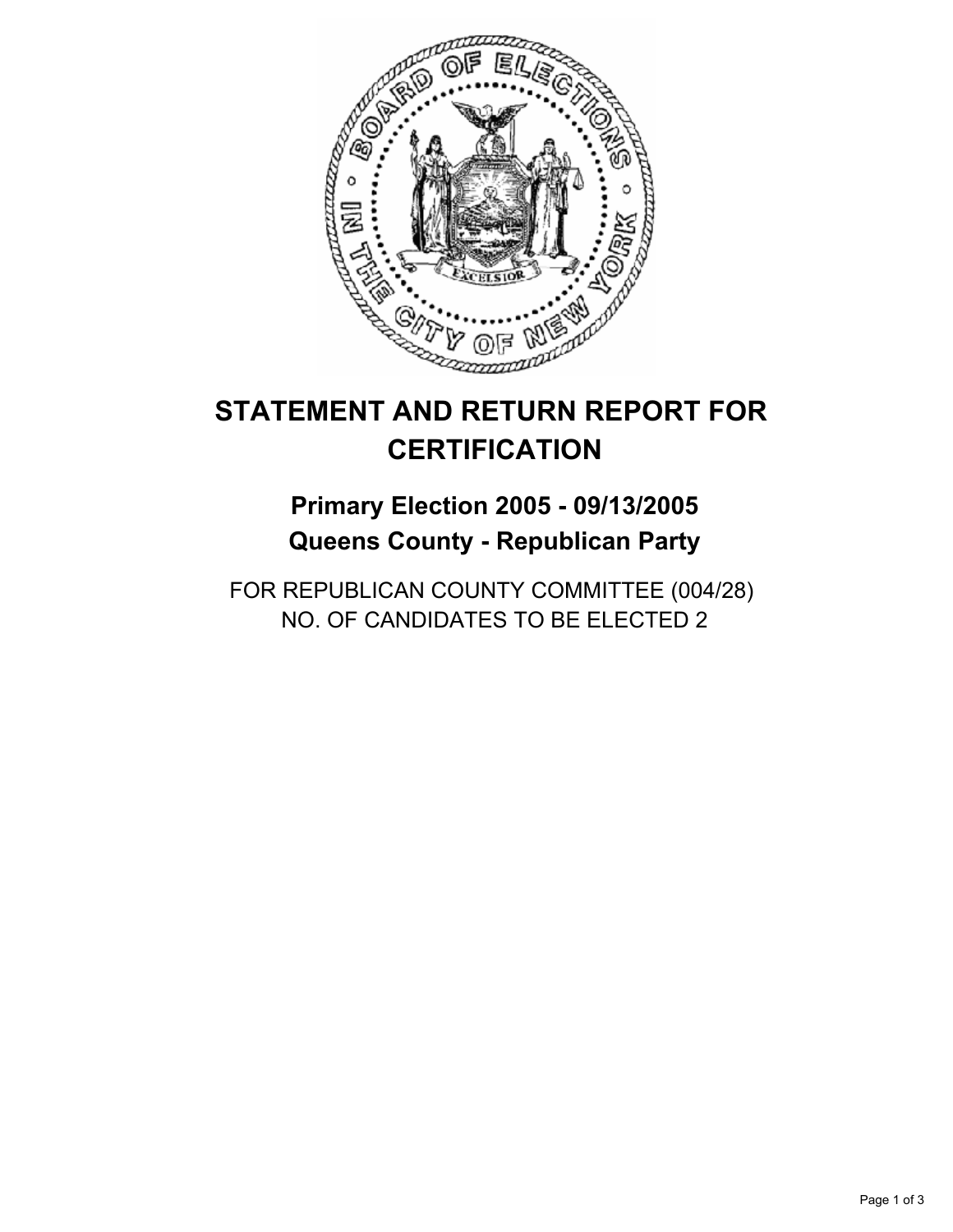

## **Primary Election 2005 - 09/13/2005 Queens County - Republican Party**

FOR REPUBLICAN COUNTY COMMITTEE (004/28) NO. OF CANDIDATES TO BE ELECTED 2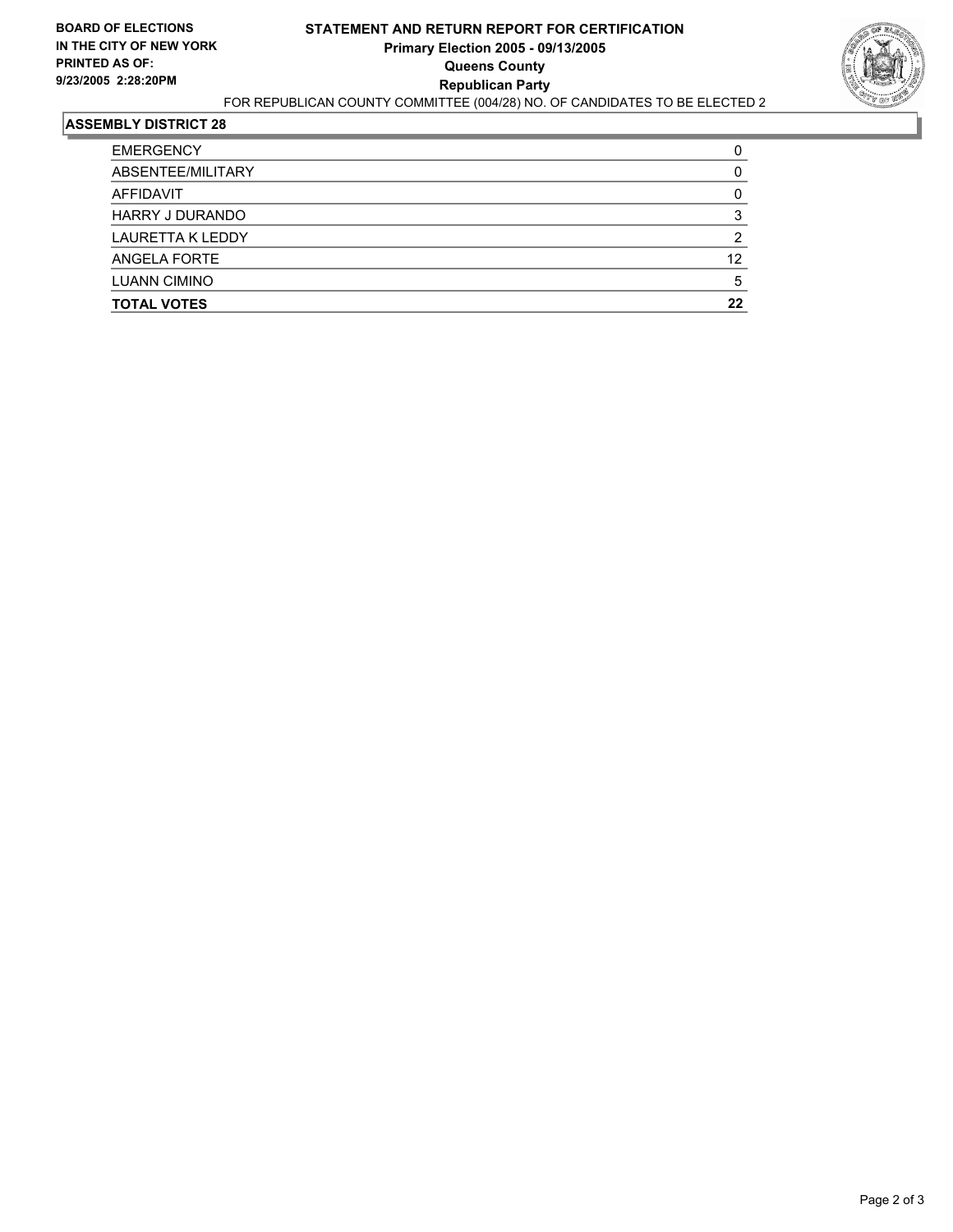

| <b>EMERGENCY</b>        |    |
|-------------------------|----|
| ABSENTEE/MILITARY       |    |
| AFFIDAVIT               |    |
| <b>HARRY J DURANDO</b>  |    |
| <b>LAURETTA K LEDDY</b> |    |
| ANGELA FORTE            | 12 |
| <b>LUANN CIMINO</b>     |    |
| <b>TOTAL VOTES</b>      | 22 |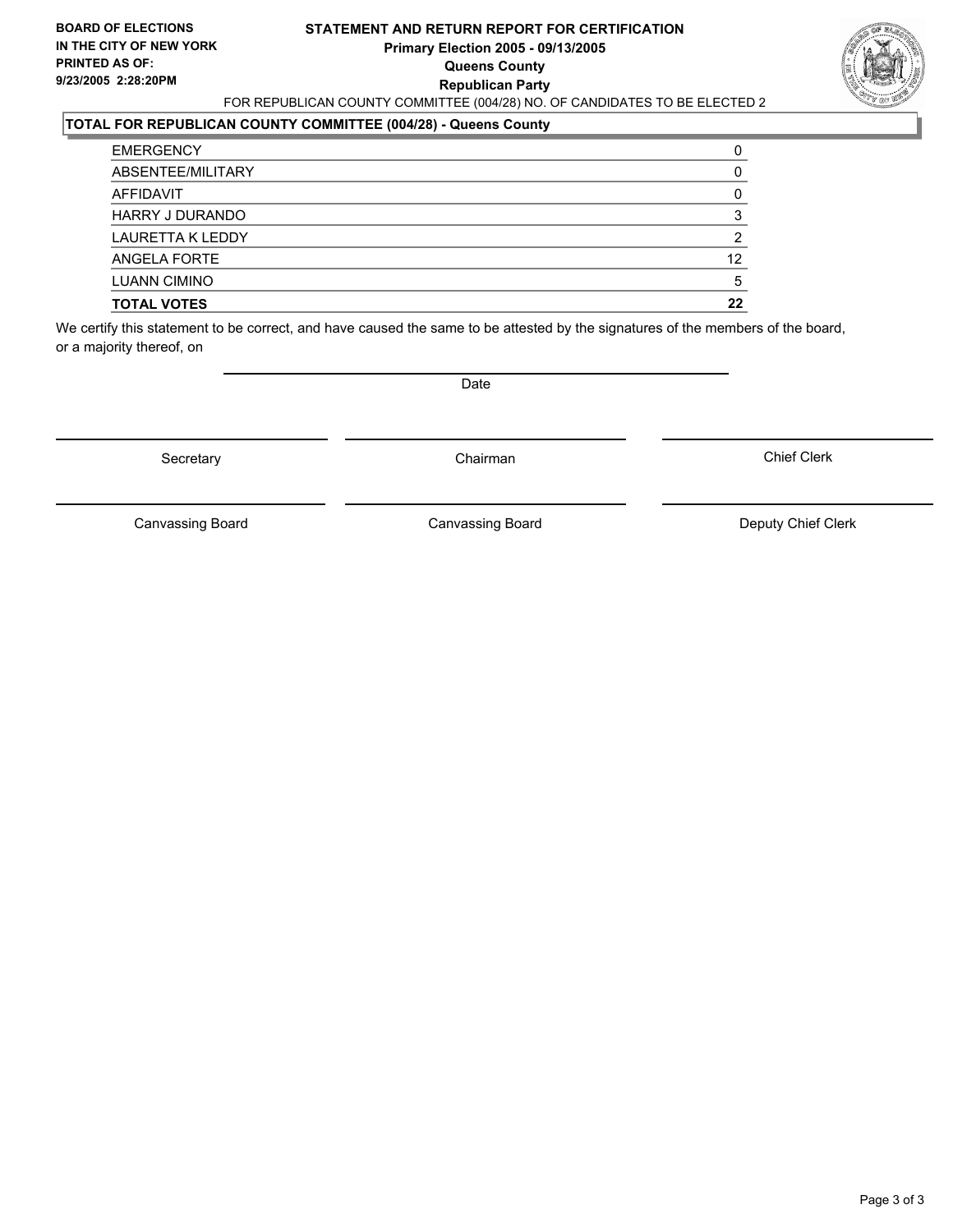#### **STATEMENT AND RETURN REPORT FOR CERTIFICATION Primary Election 2005 - 09/13/2005 Queens County Republican Party** FOR REPUBLICAN COUNTY COMMITTEE (004/28) NO. OF CANDIDATES TO BE ELECTED 2



#### **TOTAL FOR REPUBLICAN COUNTY COMMITTEE (004/28) - Queens County**

| <b>TOTAL VOTES</b>      | 22 |
|-------------------------|----|
| <b>LUANN CIMINO</b>     |    |
| ANGELA FORTE            | 12 |
| <b>LAURETTA K LEDDY</b> |    |
| <b>HARRY J DURANDO</b>  |    |
| AFFIDAVIT               |    |
| ABSENTEE/MILITARY       |    |
| <b>EMERGENCY</b>        |    |

We certify this statement to be correct, and have caused the same to be attested by the signatures of the members of the board, or a majority thereof, on

Secretary **Chairman** 

Date

Chief Clerk

Canvassing Board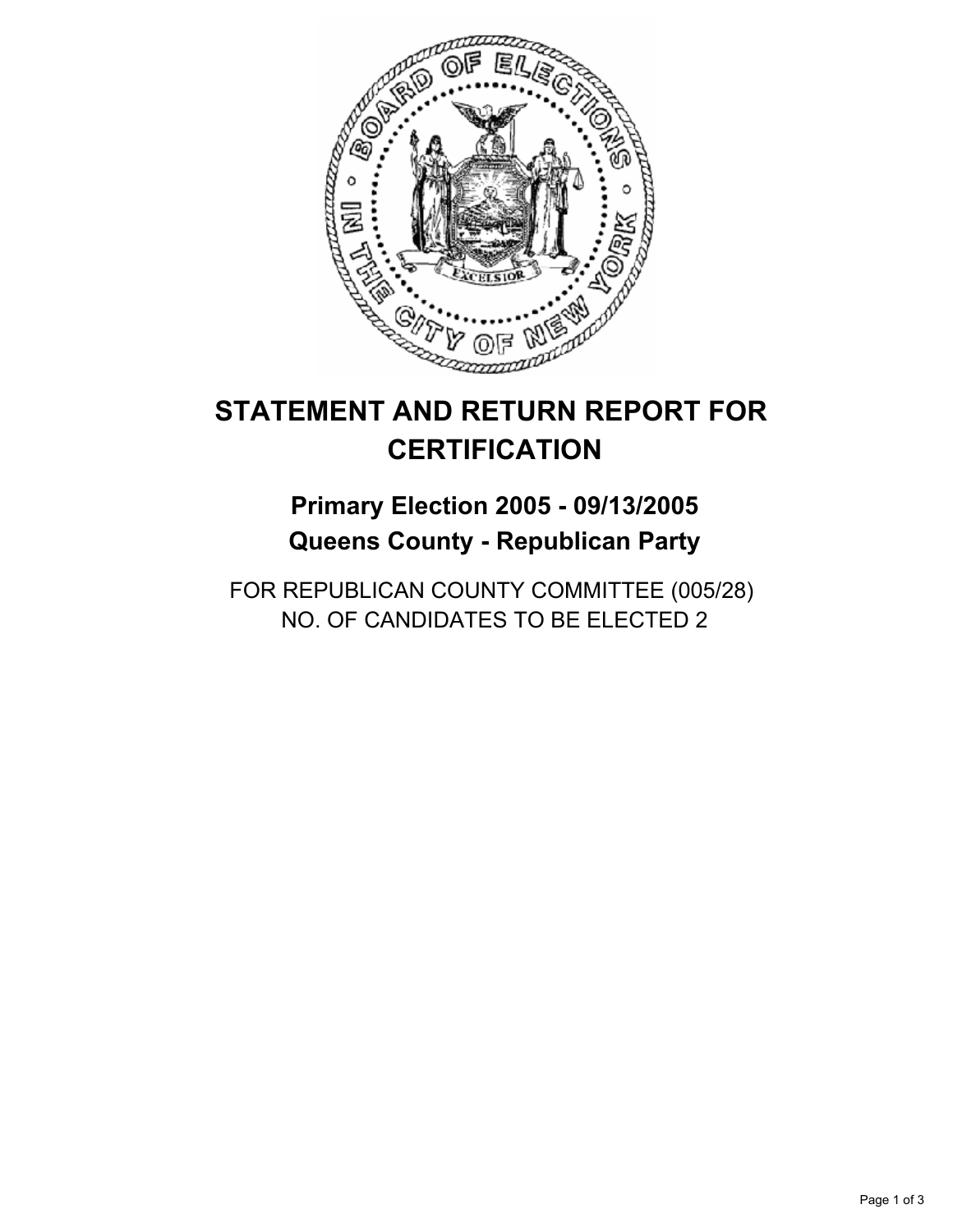

## **Primary Election 2005 - 09/13/2005 Queens County - Republican Party**

FOR REPUBLICAN COUNTY COMMITTEE (005/28) NO. OF CANDIDATES TO BE ELECTED 2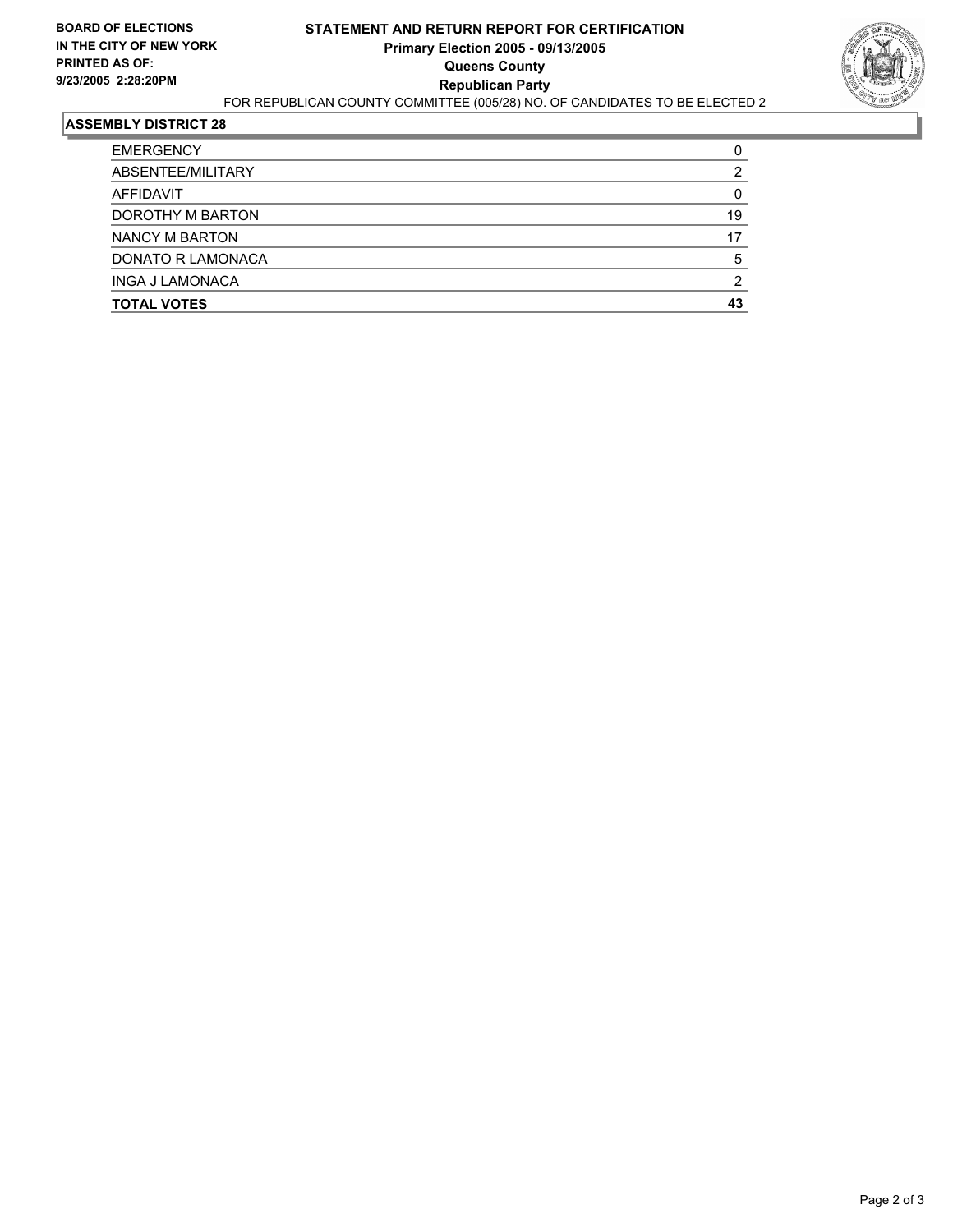

| <b>EMERGENCY</b>         |    |
|--------------------------|----|
| ABSENTEE/MILITARY        |    |
| AFFIDAVIT                |    |
| DOROTHY M BARTON         | 19 |
| NANCY M BARTON           | 17 |
| <b>DONATO R LAMONACA</b> |    |
| <b>INGA J LAMONACA</b>   |    |
| <b>TOTAL VOTES</b>       |    |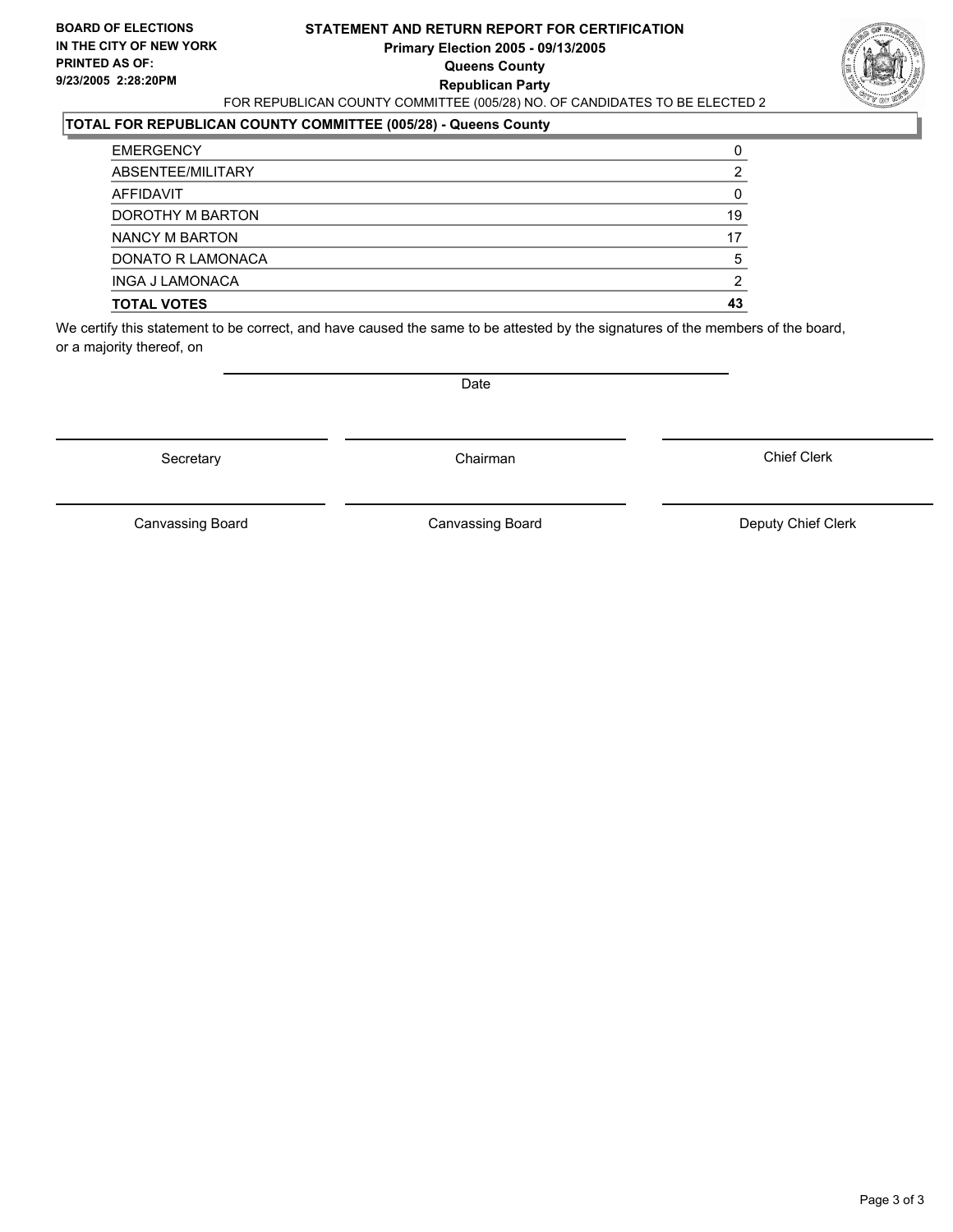#### **STATEMENT AND RETURN REPORT FOR CERTIFICATION Primary Election 2005 - 09/13/2005 Queens County Republican Party** FOR REPUBLICAN COUNTY COMMITTEE (005/28) NO. OF CANDIDATES TO BE ELECTED 2



#### **TOTAL FOR REPUBLICAN COUNTY COMMITTEE (005/28) - Queens County**

| <b>TOTAL VOTES</b>     | 43 |
|------------------------|----|
| <b>INGA J LAMONACA</b> |    |
| DONATO R LAMONACA      | 5  |
| NANCY M BARTON         | 17 |
| DOROTHY M BARTON       | 19 |
| AFFIDAVIT              |    |
| ABSENTEE/MILITARY      |    |
| <b>EMERGENCY</b>       |    |

We certify this statement to be correct, and have caused the same to be attested by the signatures of the members of the board, or a majority thereof, on

Secretary **Chairman** 

Date

Chief Clerk

Canvassing Board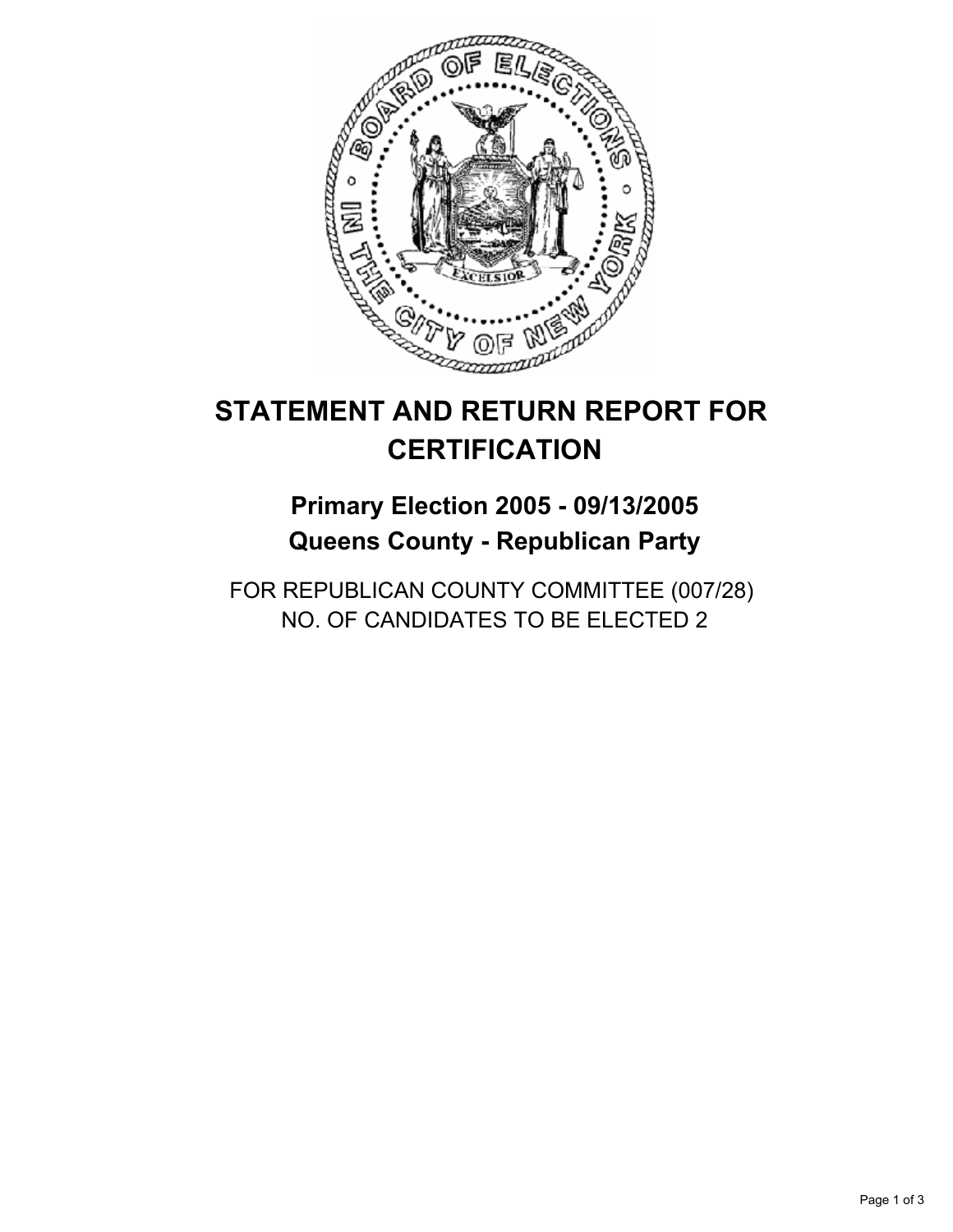

## **Primary Election 2005 - 09/13/2005 Queens County - Republican Party**

FOR REPUBLICAN COUNTY COMMITTEE (007/28) NO. OF CANDIDATES TO BE ELECTED 2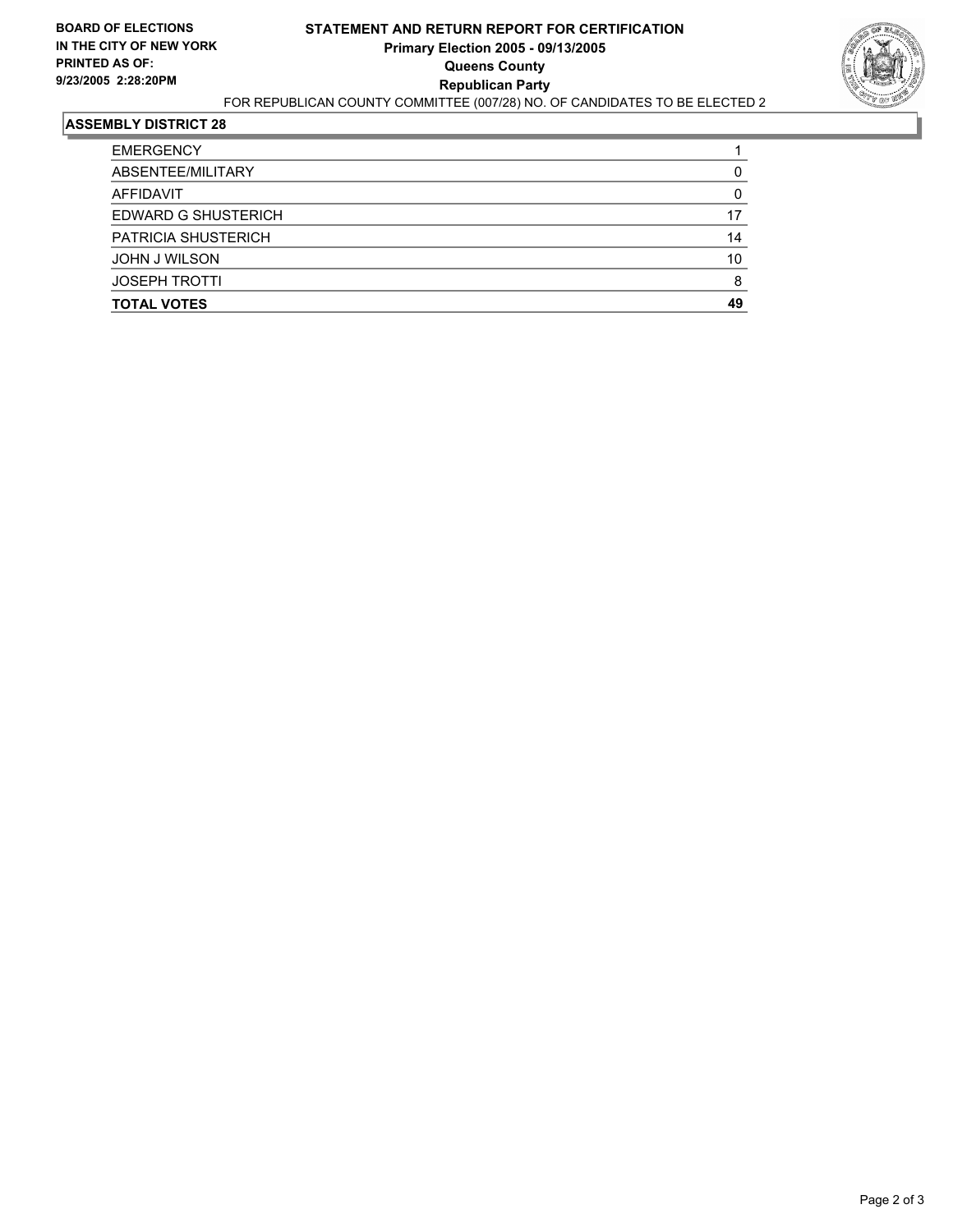

| <b>EMERGENCY</b>           |    |
|----------------------------|----|
| ABSENTEE/MILITARY          |    |
| AFFIDAVIT                  |    |
| <b>EDWARD G SHUSTERICH</b> | 17 |
| <b>PATRICIA SHUSTERICH</b> | 14 |
| <b>JOHN J WILSON</b>       | 10 |
| <b>JOSEPH TROTTI</b>       |    |
| <b>TOTAL VOTES</b>         | 49 |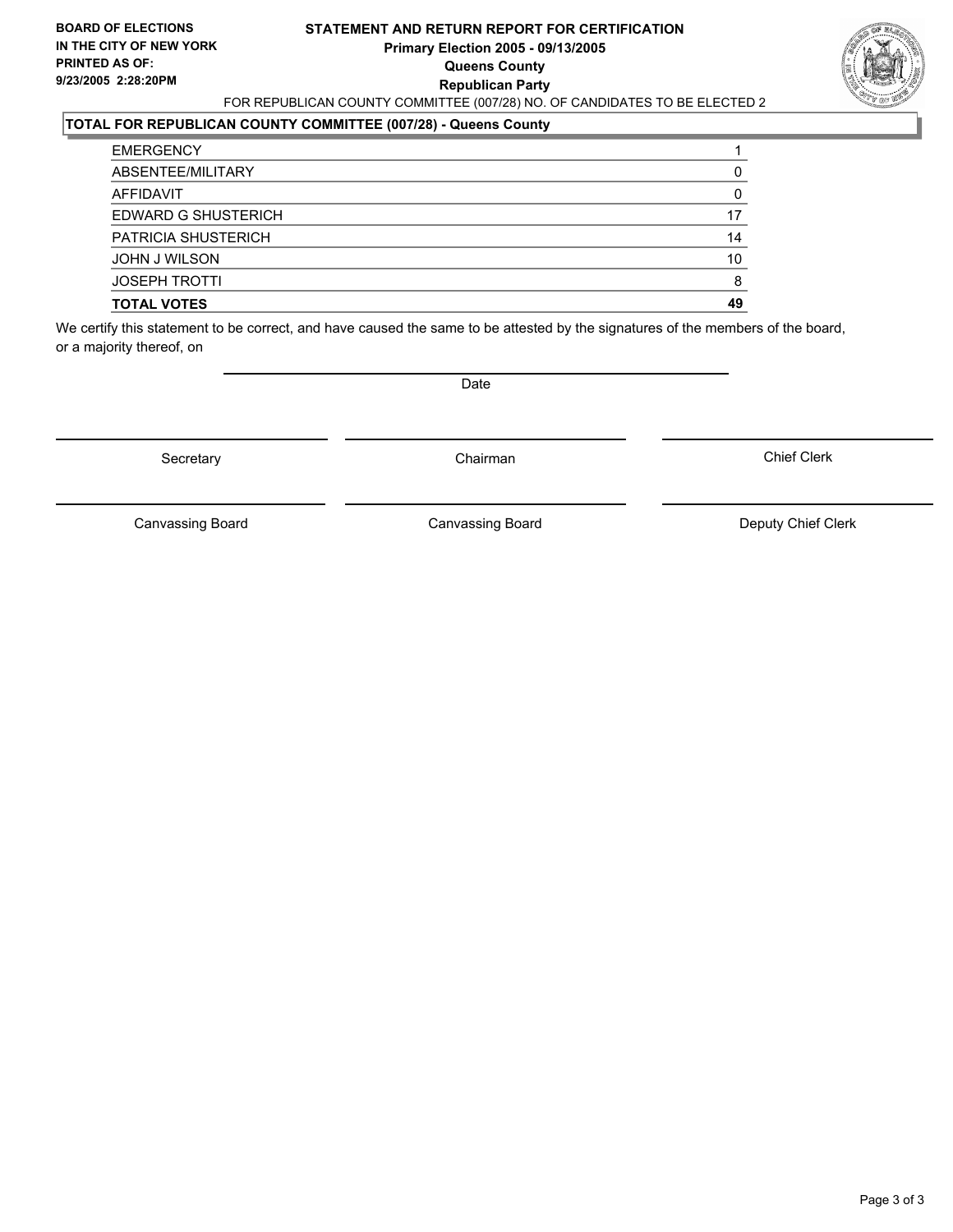#### **STATEMENT AND RETURN REPORT FOR CERTIFICATION Primary Election 2005 - 09/13/2005 Queens County Republican Party** FOR REPUBLICAN COUNTY COMMITTEE (007/28) NO. OF CANDIDATES TO BE ELECTED 2



#### **TOTAL FOR REPUBLICAN COUNTY COMMITTEE (007/28) - Queens County**

| <b>TOTAL VOTES</b>         | 49 |
|----------------------------|----|
| <b>JOSEPH TROTTI</b>       |    |
| JOHN J WILSON              | 10 |
| <b>PATRICIA SHUSTERICH</b> | 14 |
| EDWARD G SHUSTERICH        | 17 |
| AFFIDAVIT                  |    |
| ABSENTEE/MILITARY          |    |
| <b>EMERGENCY</b>           |    |

We certify this statement to be correct, and have caused the same to be attested by the signatures of the members of the board, or a majority thereof, on

Secretary **Chairman** 

Date

Chief Clerk

Canvassing Board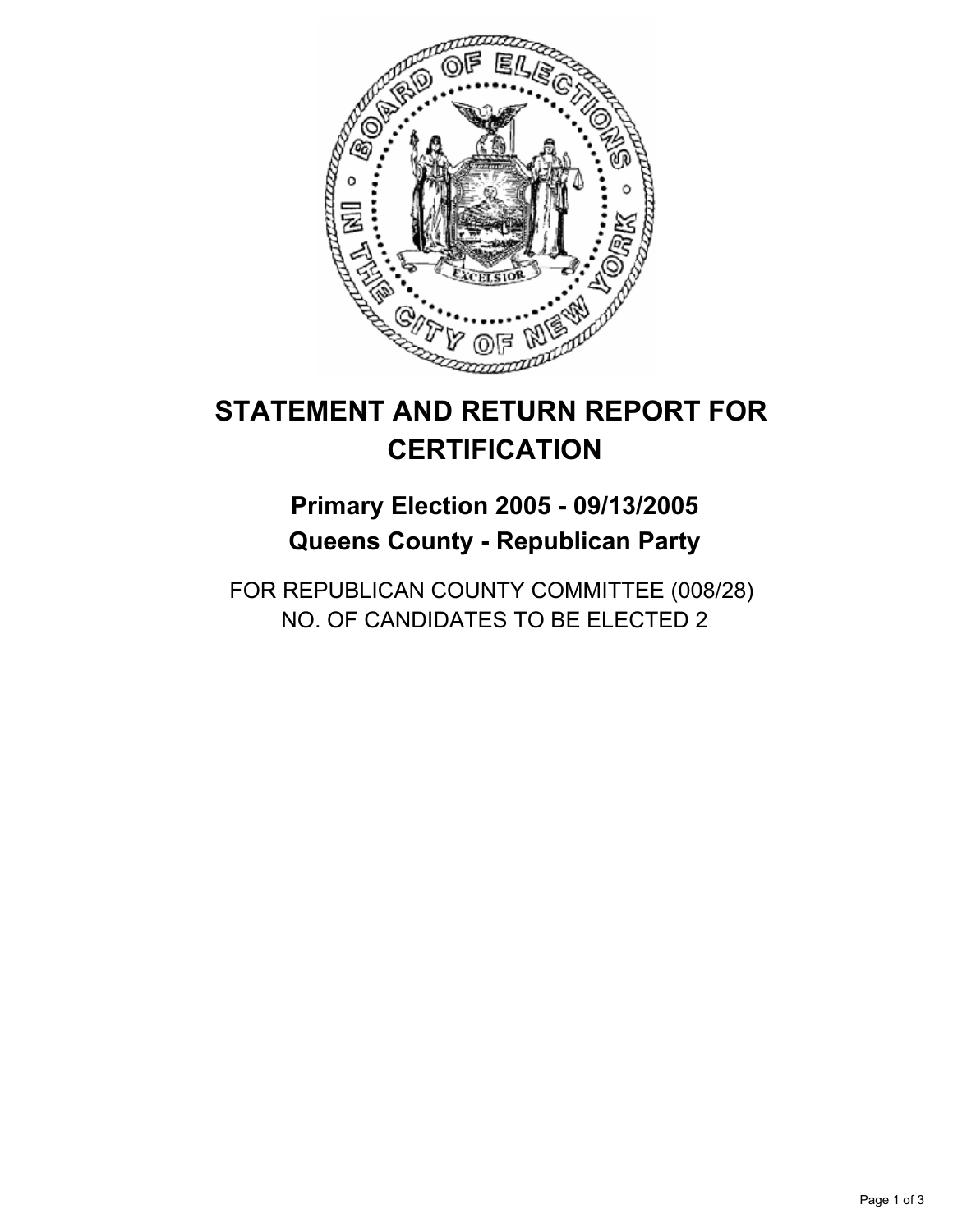

## **Primary Election 2005 - 09/13/2005 Queens County - Republican Party**

FOR REPUBLICAN COUNTY COMMITTEE (008/28) NO. OF CANDIDATES TO BE ELECTED 2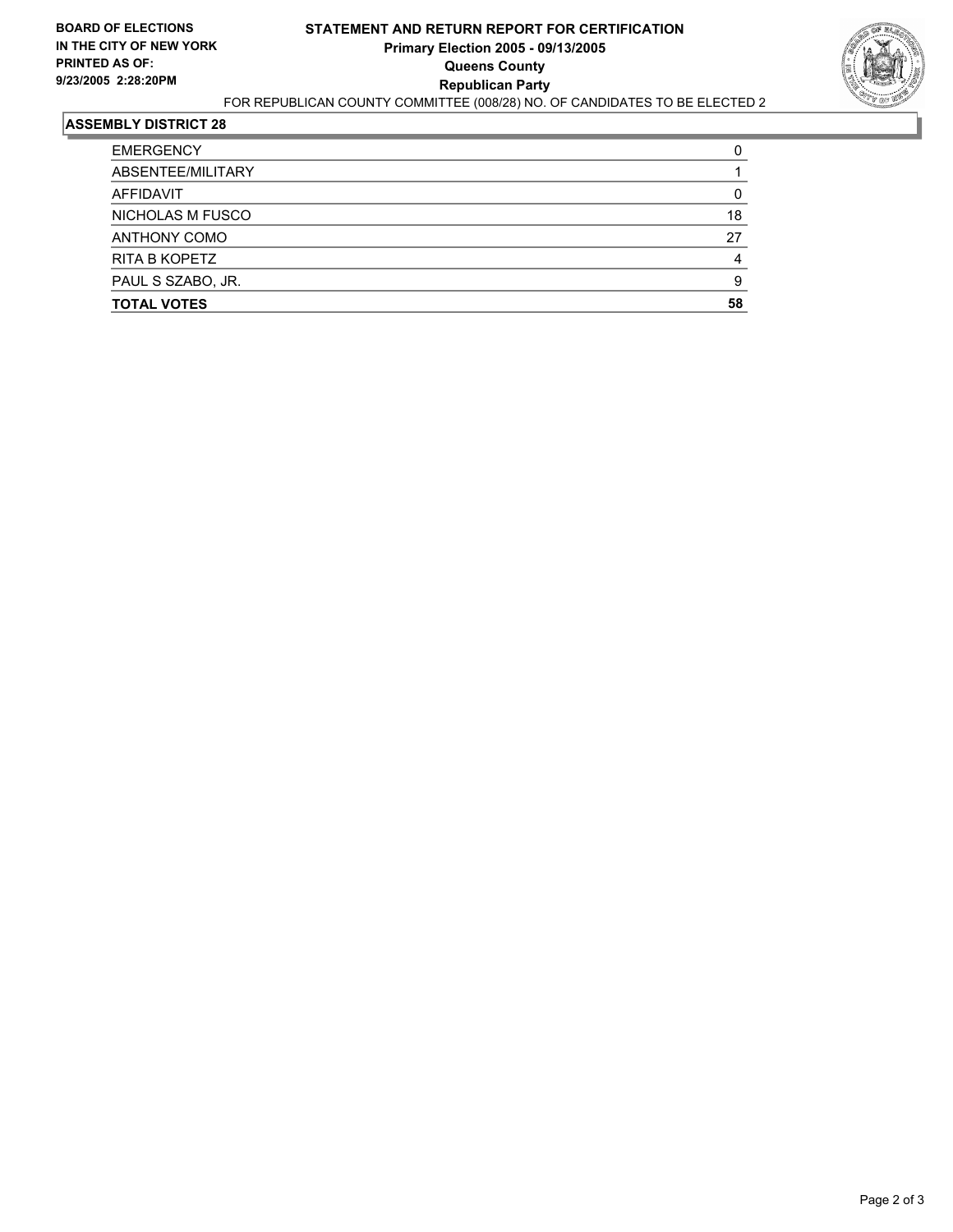

| <b>EMERGENCY</b>    |    |
|---------------------|----|
| ABSENTEE/MILITARY   |    |
| AFFIDAVIT           |    |
| NICHOLAS M FUSCO    | 18 |
| <b>ANTHONY COMO</b> | 27 |
| RITA B KOPETZ       |    |
| PAUL S SZABO, JR.   | ч  |
| <b>TOTAL VOTES</b>  | 58 |
|                     |    |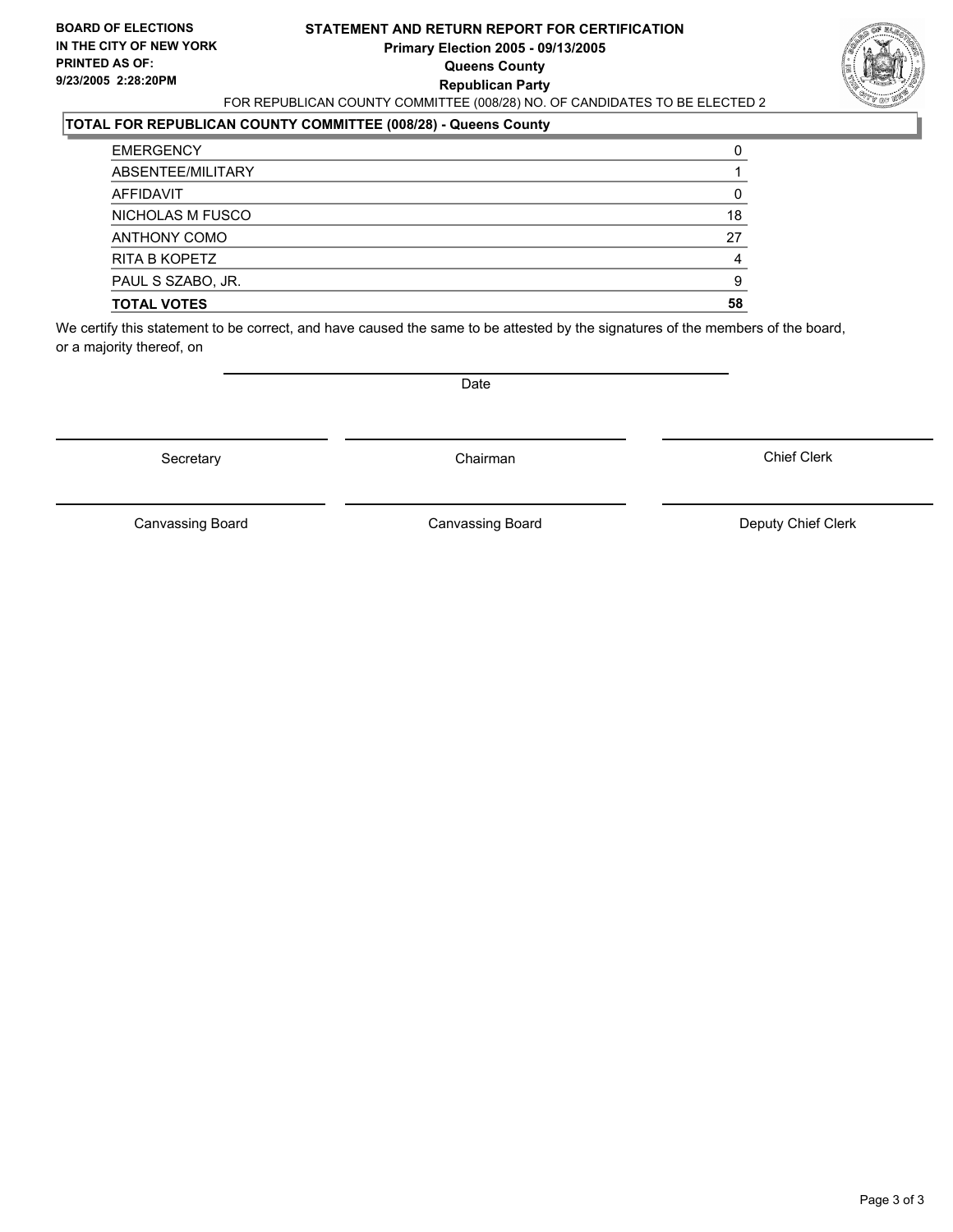#### **STATEMENT AND RETURN REPORT FOR CERTIFICATION Primary Election 2005 - 09/13/2005 Queens County Republican Party** FOR REPUBLICAN COUNTY COMMITTEE (008/28) NO. OF CANDIDATES TO BE ELECTED 2



### **TOTAL FOR REPUBLICAN COUNTY COMMITTEE (008/28) - Queens County**

| <b>TOTAL VOTES</b>   | 58 |
|----------------------|----|
| PAUL S SZABO, JR.    | 9  |
| <b>RITA B KOPETZ</b> |    |
| <b>ANTHONY COMO</b>  | 27 |
| NICHOLAS M FUSCO     | 18 |
| AFFIDAVIT            |    |
| ABSENTEE/MILITARY    |    |
| <b>EMERGENCY</b>     |    |

We certify this statement to be correct, and have caused the same to be attested by the signatures of the members of the board, or a majority thereof, on

Secretary **Chairman** 

Date

Chief Clerk

Canvassing Board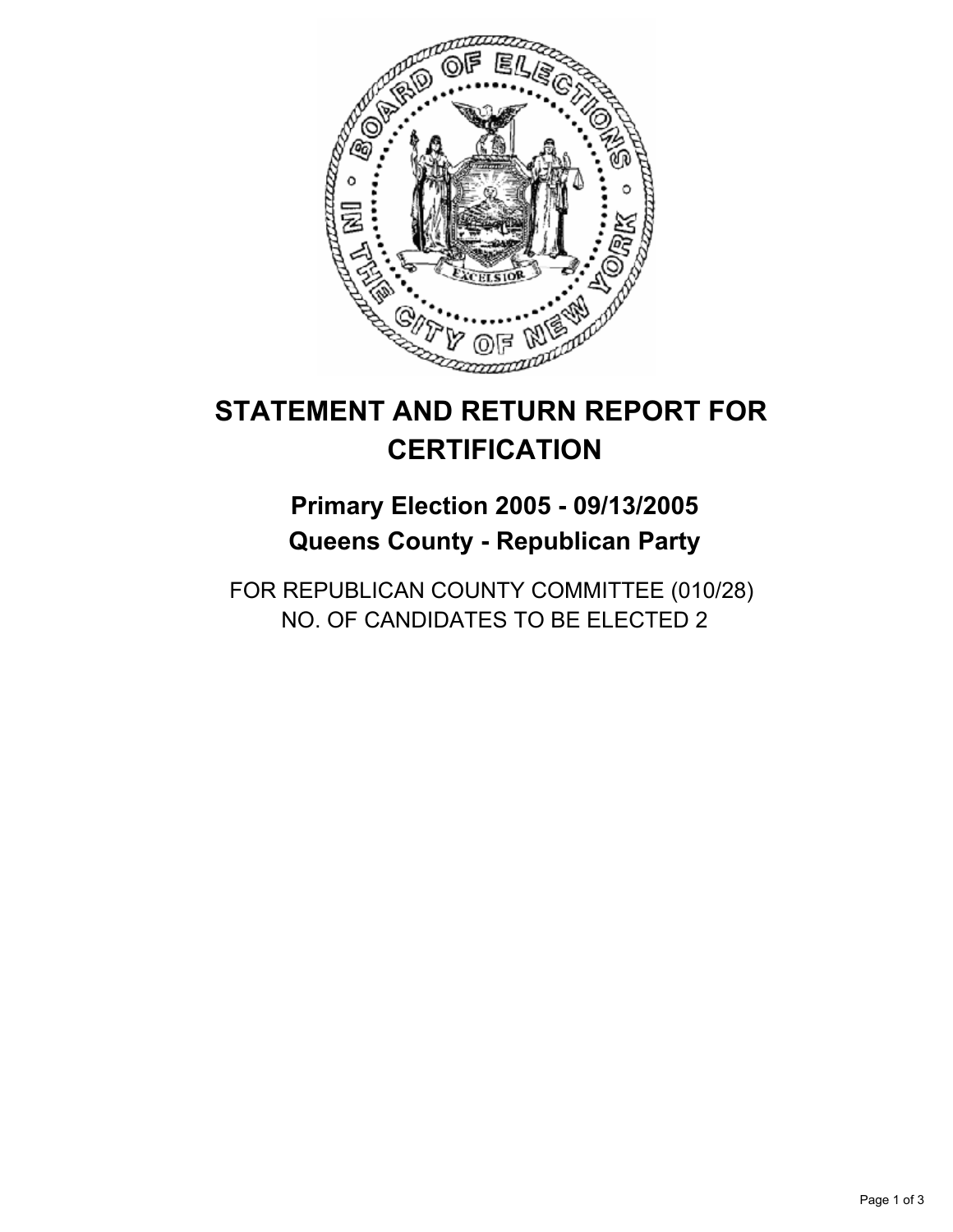

## **Primary Election 2005 - 09/13/2005 Queens County - Republican Party**

FOR REPUBLICAN COUNTY COMMITTEE (010/28) NO. OF CANDIDATES TO BE ELECTED 2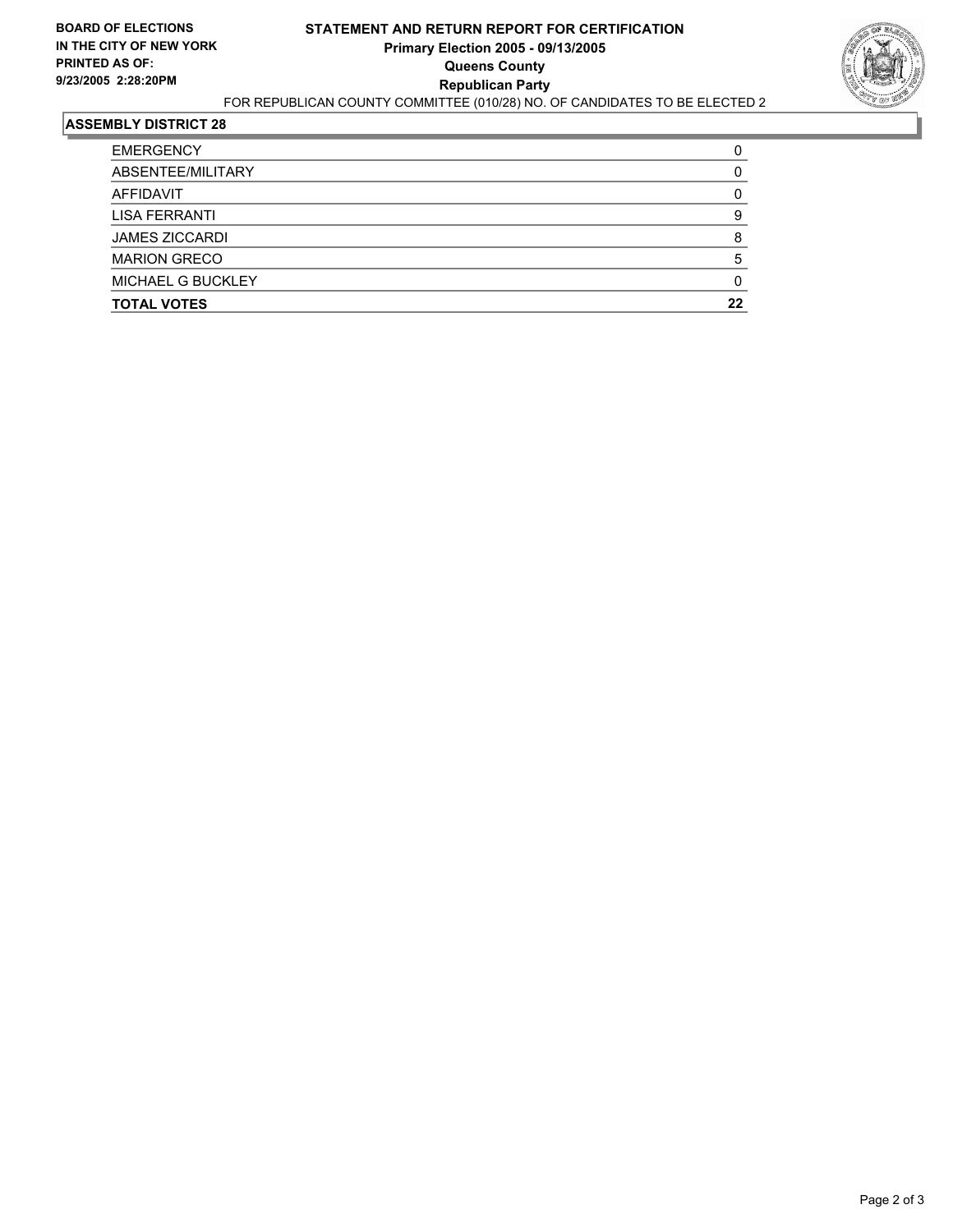

| <b>EMERGENCY</b>         |    |
|--------------------------|----|
| ABSENTEE/MILITARY        |    |
| AFFIDAVIT                |    |
| LISA FERRANTI            |    |
| <b>JAMES ZICCARDI</b>    |    |
| <b>MARION GRECO</b>      |    |
| <b>MICHAEL G BUCKLEY</b> |    |
| <b>TOTAL VOTES</b>       | 22 |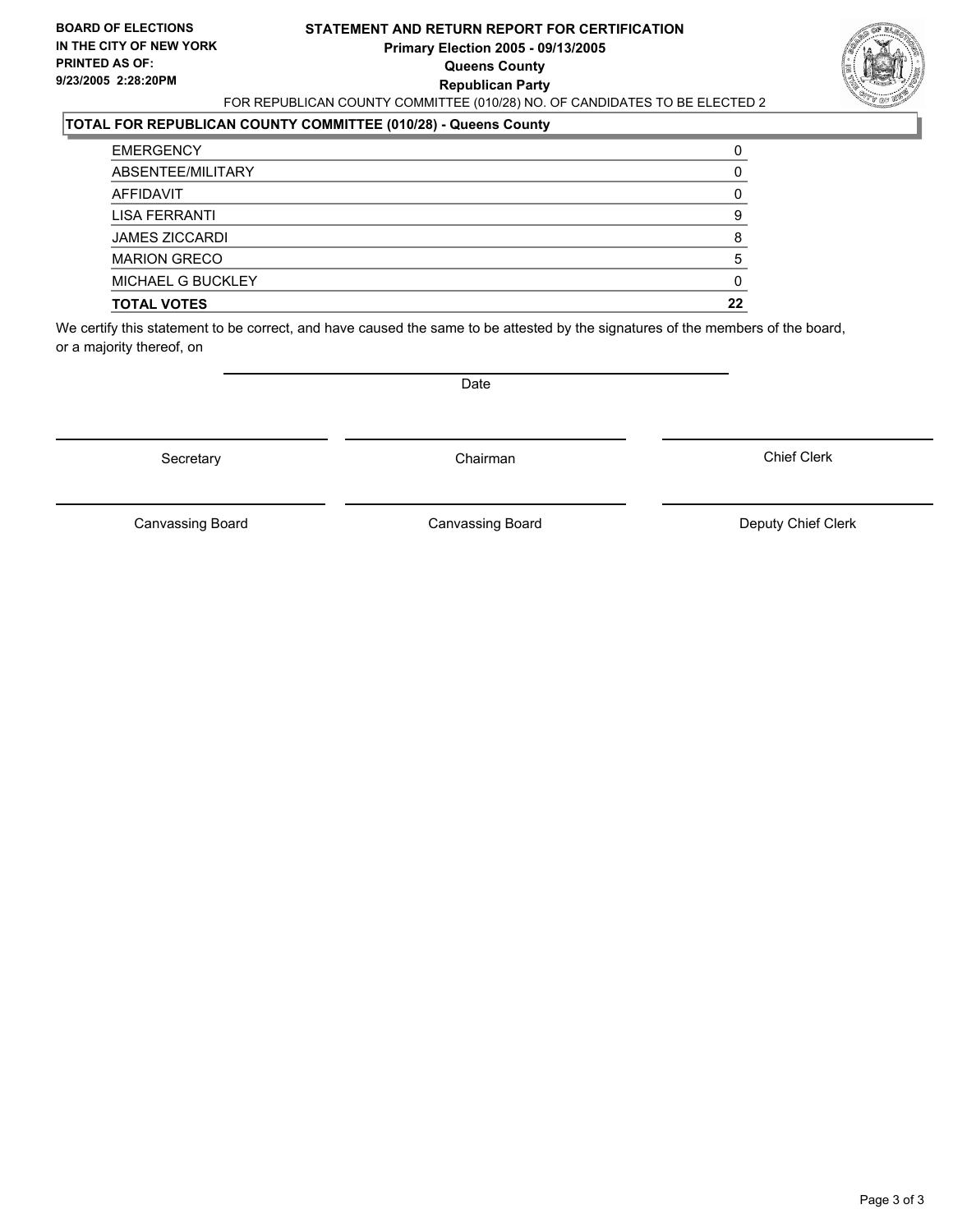#### **STATEMENT AND RETURN REPORT FOR CERTIFICATION Primary Election 2005 - 09/13/2005 Queens County Republican Party** FOR REPUBLICAN COUNTY COMMITTEE (010/28) NO. OF CANDIDATES TO BE ELECTED 2



### **TOTAL FOR REPUBLICAN COUNTY COMMITTEE (010/28) - Queens County**

| <b>TOTAL VOTES</b>       | 22 |
|--------------------------|----|
| <b>MICHAEL G BUCKLEY</b> |    |
| <b>MARION GRECO</b>      |    |
| <b>JAMES ZICCARDI</b>    |    |
| LISA FERRANTI            |    |
| AFFIDAVIT                |    |
| ABSENTEE/MILITARY        |    |
| <b>EMERGENCY</b>         |    |

We certify this statement to be correct, and have caused the same to be attested by the signatures of the members of the board, or a majority thereof, on

Secretary **Chairman** 

Date

Chief Clerk

Canvassing Board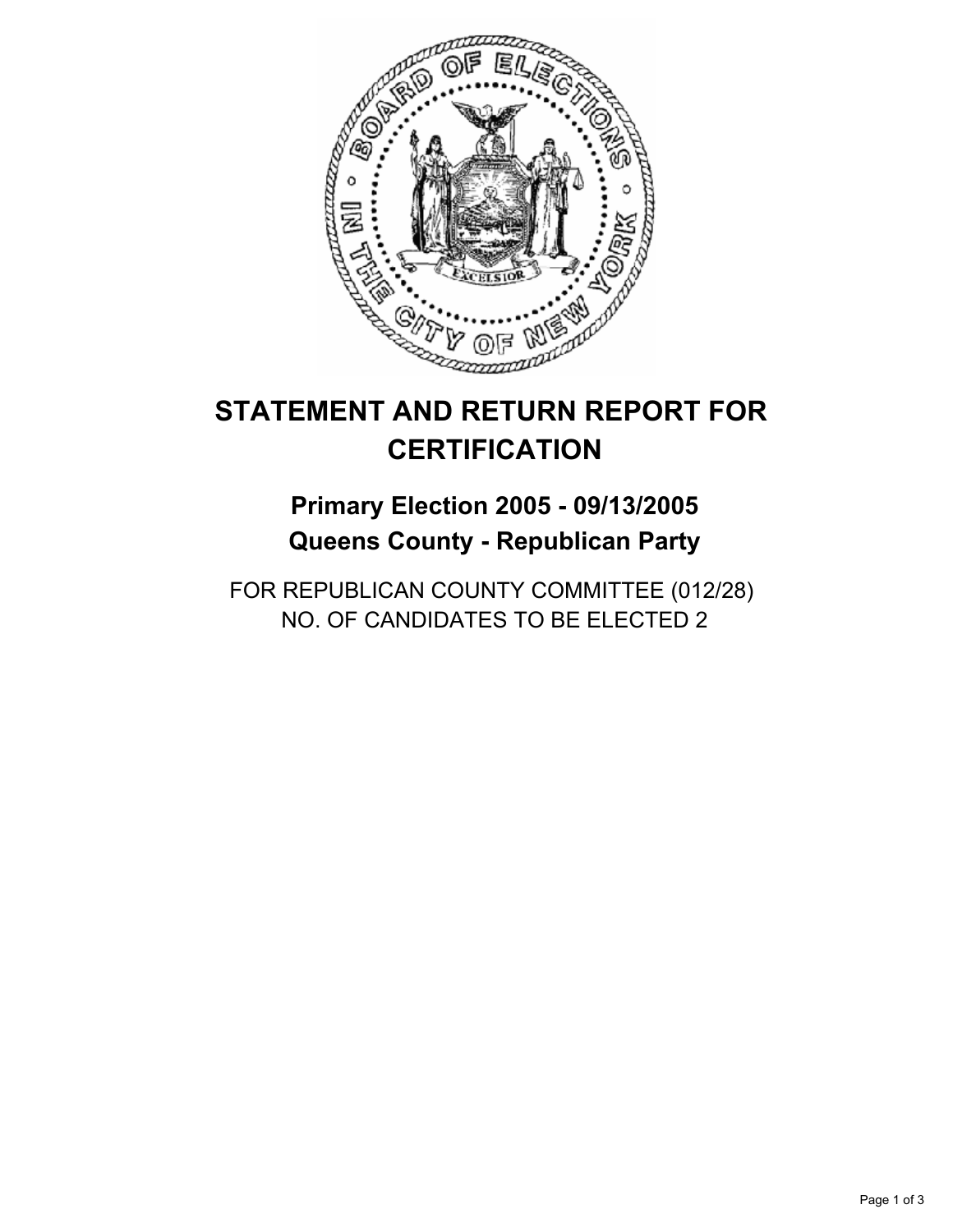

## **Primary Election 2005 - 09/13/2005 Queens County - Republican Party**

FOR REPUBLICAN COUNTY COMMITTEE (012/28) NO. OF CANDIDATES TO BE ELECTED 2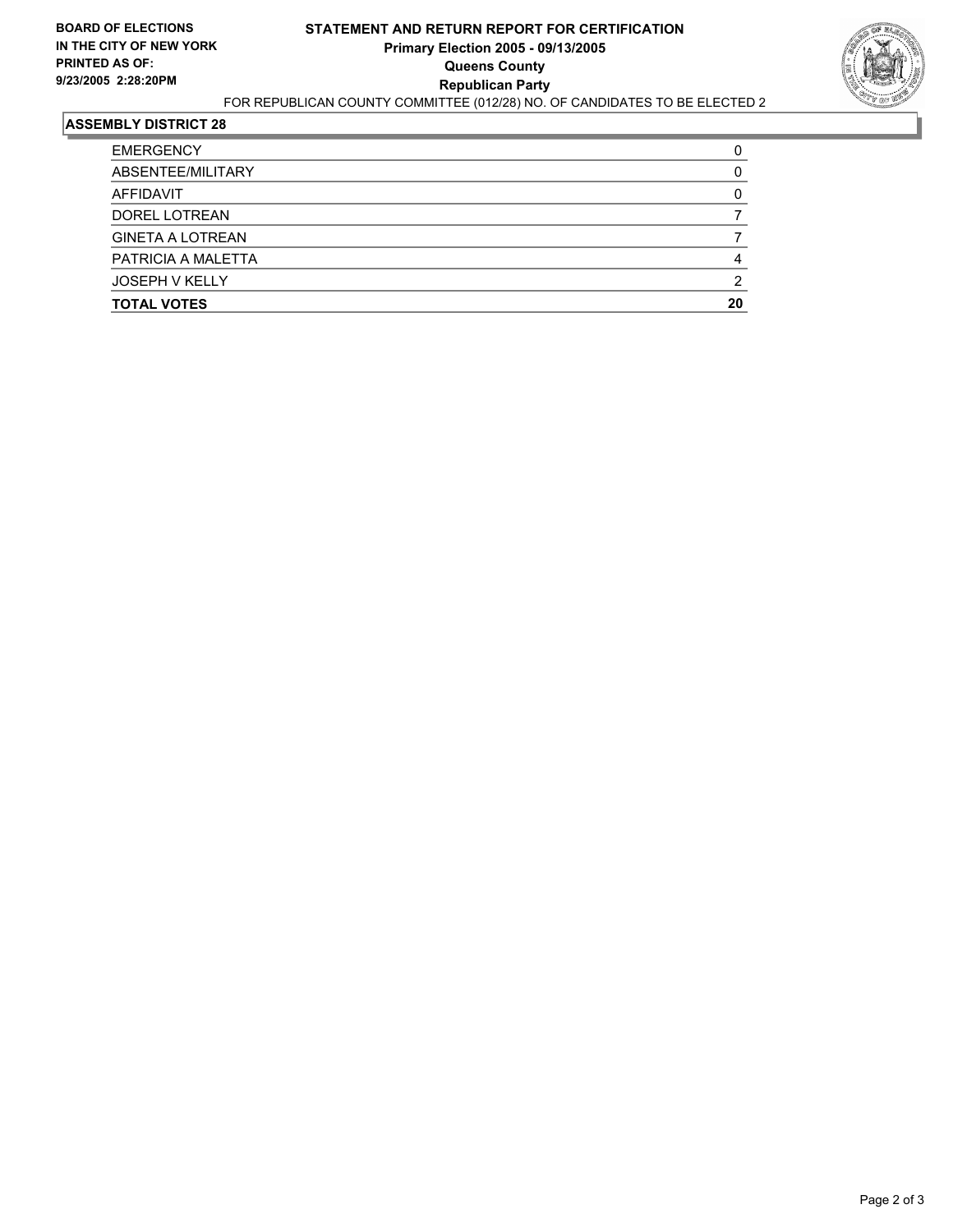

| <b>TOTAL VOTES</b>      | 20 |
|-------------------------|----|
| <b>JOSEPH V KELLY</b>   |    |
| PATRICIA A MALETTA      |    |
| <b>GINETA A LOTREAN</b> |    |
| DOREL LOTREAN           |    |
| AFFIDAVIT               |    |
| ABSENTEE/MILITARY       |    |
| <b>EMERGENCY</b>        |    |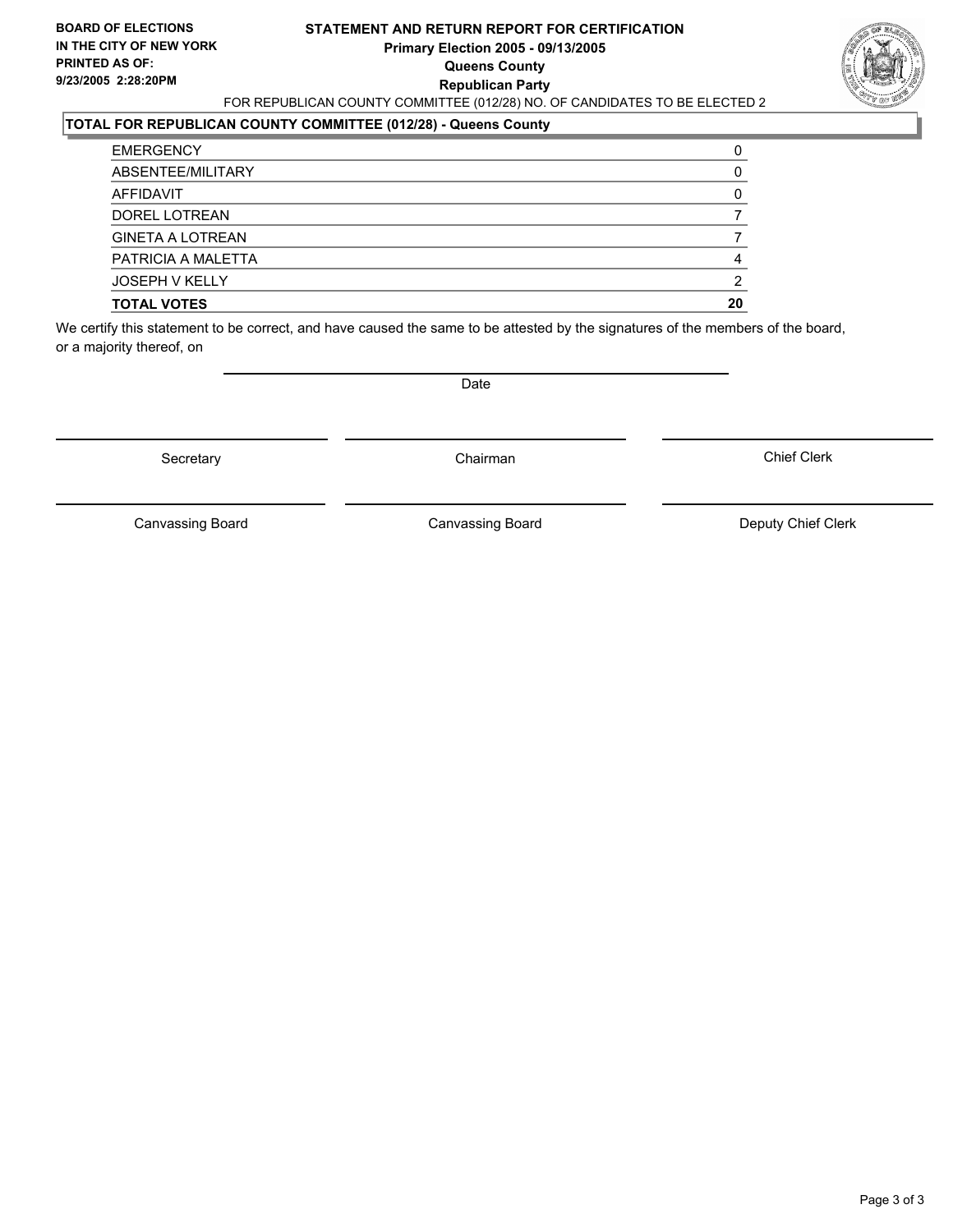#### **STATEMENT AND RETURN REPORT FOR CERTIFICATION Primary Election 2005 - 09/13/2005 Queens County Republican Party** FOR REPUBLICAN COUNTY COMMITTEE (012/28) NO. OF CANDIDATES TO BE ELECTED 2



#### **TOTAL FOR REPUBLICAN COUNTY COMMITTEE (012/28) - Queens County**

| <b>TOTAL VOTES</b>      | 20 |
|-------------------------|----|
| <b>JOSEPH V KELLY</b>   |    |
| PATRICIA A MALETTA      |    |
| <b>GINETA A LOTREAN</b> |    |
| DOREL LOTREAN           |    |
| AFFIDAVIT               |    |
| ABSENTEE/MILITARY       |    |
| <b>EMERGENCY</b>        |    |

We certify this statement to be correct, and have caused the same to be attested by the signatures of the members of the board, or a majority thereof, on

Secretary **Chairman** 

Date

Chief Clerk

Canvassing Board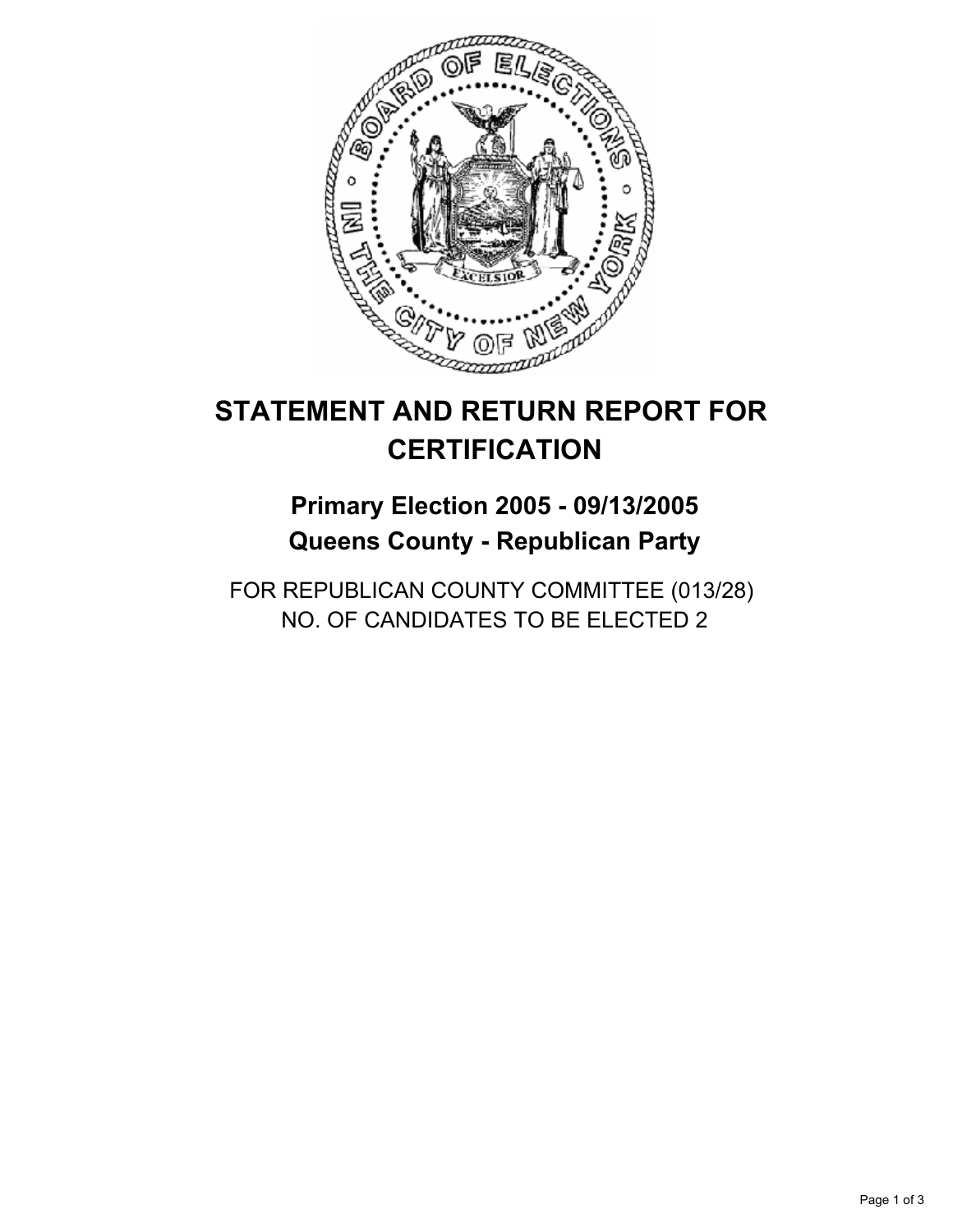

## **Primary Election 2005 - 09/13/2005 Queens County - Republican Party**

FOR REPUBLICAN COUNTY COMMITTEE (013/28) NO. OF CANDIDATES TO BE ELECTED 2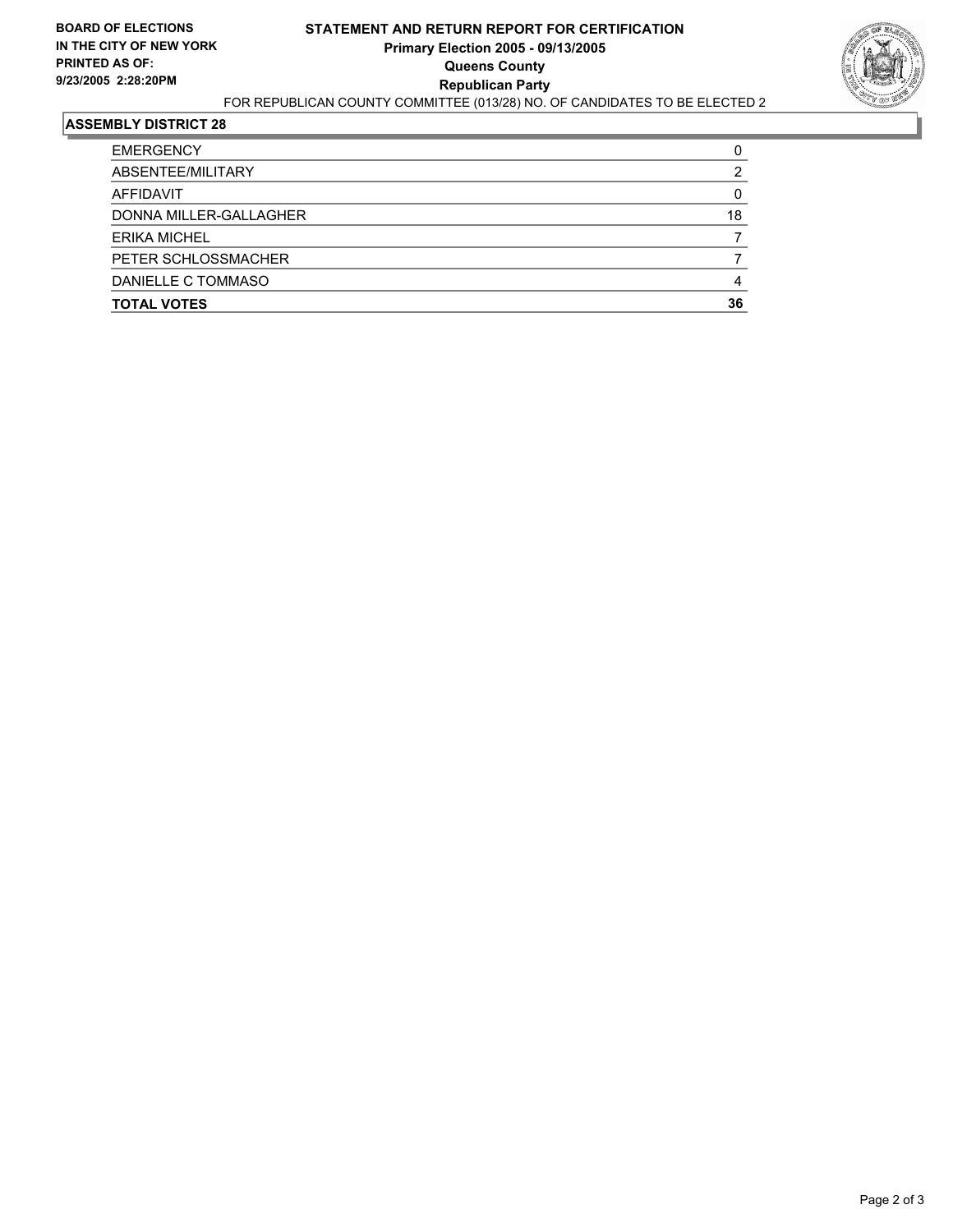

| <b>EMERGENCY</b>       |    |
|------------------------|----|
| ABSENTEE/MILITARY      |    |
| AFFIDAVIT              |    |
| DONNA MILLER-GALLAGHER | 18 |
| <b>ERIKA MICHEL</b>    |    |
| PETER SCHLOSSMACHER    |    |
| DANIELLE C TOMMASO     |    |
| <b>TOTAL VOTES</b>     | 36 |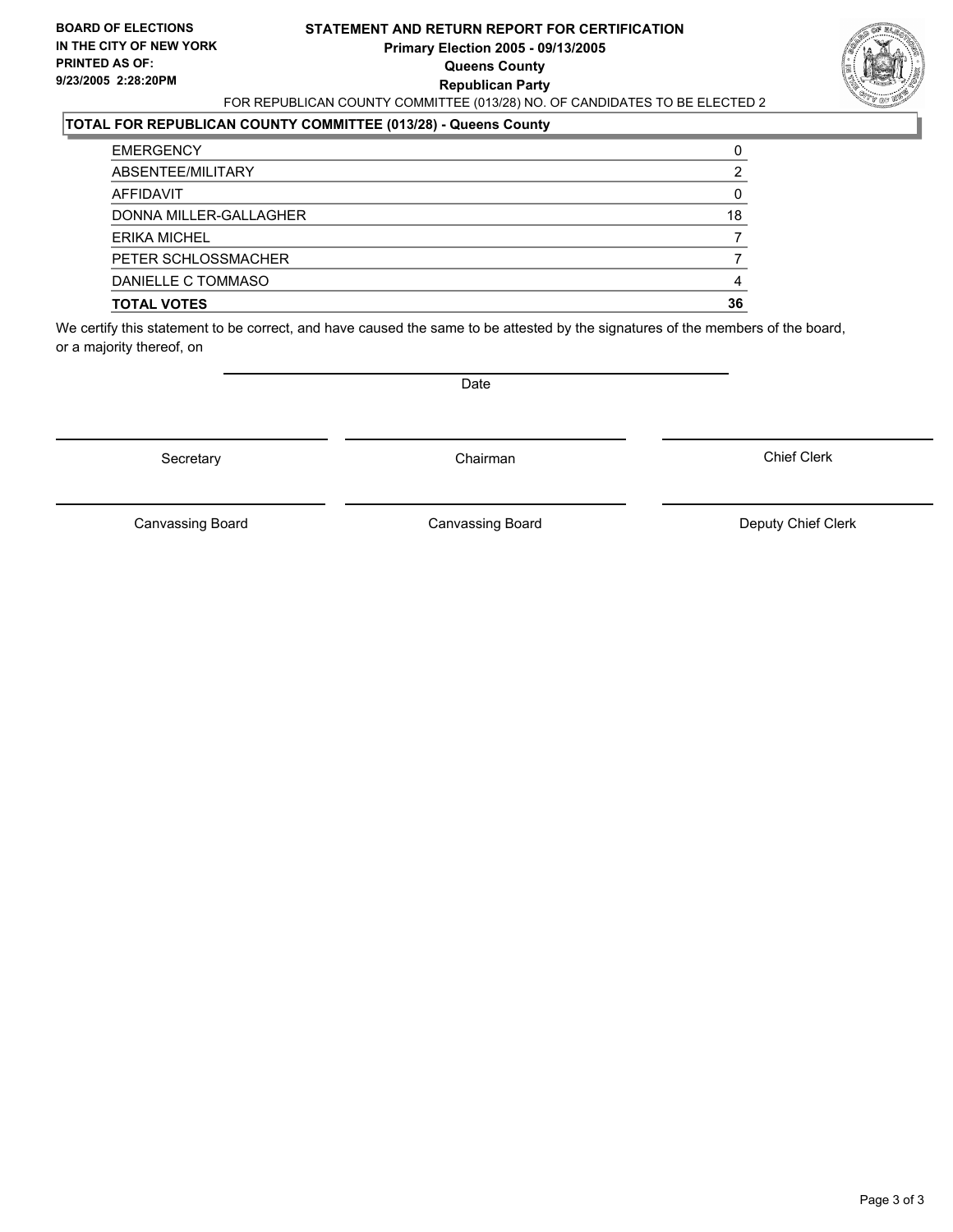#### **STATEMENT AND RETURN REPORT FOR CERTIFICATION Primary Election 2005 - 09/13/2005 Queens County Republican Party** FOR REPUBLICAN COUNTY COMMITTEE (013/28) NO. OF CANDIDATES TO BE ELECTED 2



### **TOTAL FOR REPUBLICAN COUNTY COMMITTEE (013/28) - Queens County**

| <b>EMERGENCY</b>       |    |
|------------------------|----|
| ABSENTEE/MILITARY      |    |
| AFFIDAVIT              |    |
| DONNA MILLER-GALLAGHER | 18 |
| ERIKA MICHEL           |    |
| PETER SCHLOSSMACHER    |    |
| DANIELLE C TOMMASO     |    |
| <b>TOTAL VOTES</b>     | 36 |

We certify this statement to be correct, and have caused the same to be attested by the signatures of the members of the board, or a majority thereof, on

Secretary **Chairman** 

Date

Chief Clerk

Canvassing Board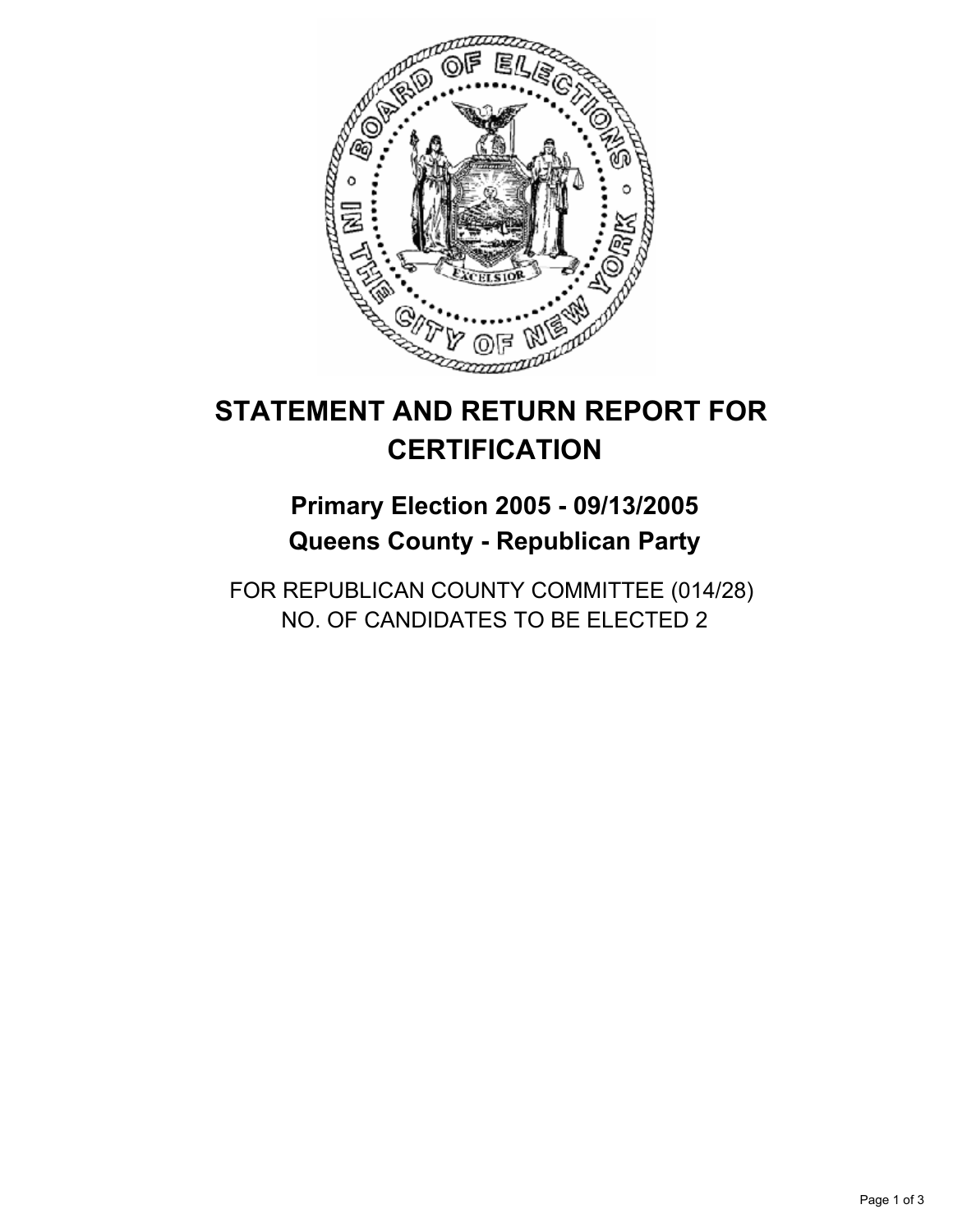

## **Primary Election 2005 - 09/13/2005 Queens County - Republican Party**

FOR REPUBLICAN COUNTY COMMITTEE (014/28) NO. OF CANDIDATES TO BE ELECTED 2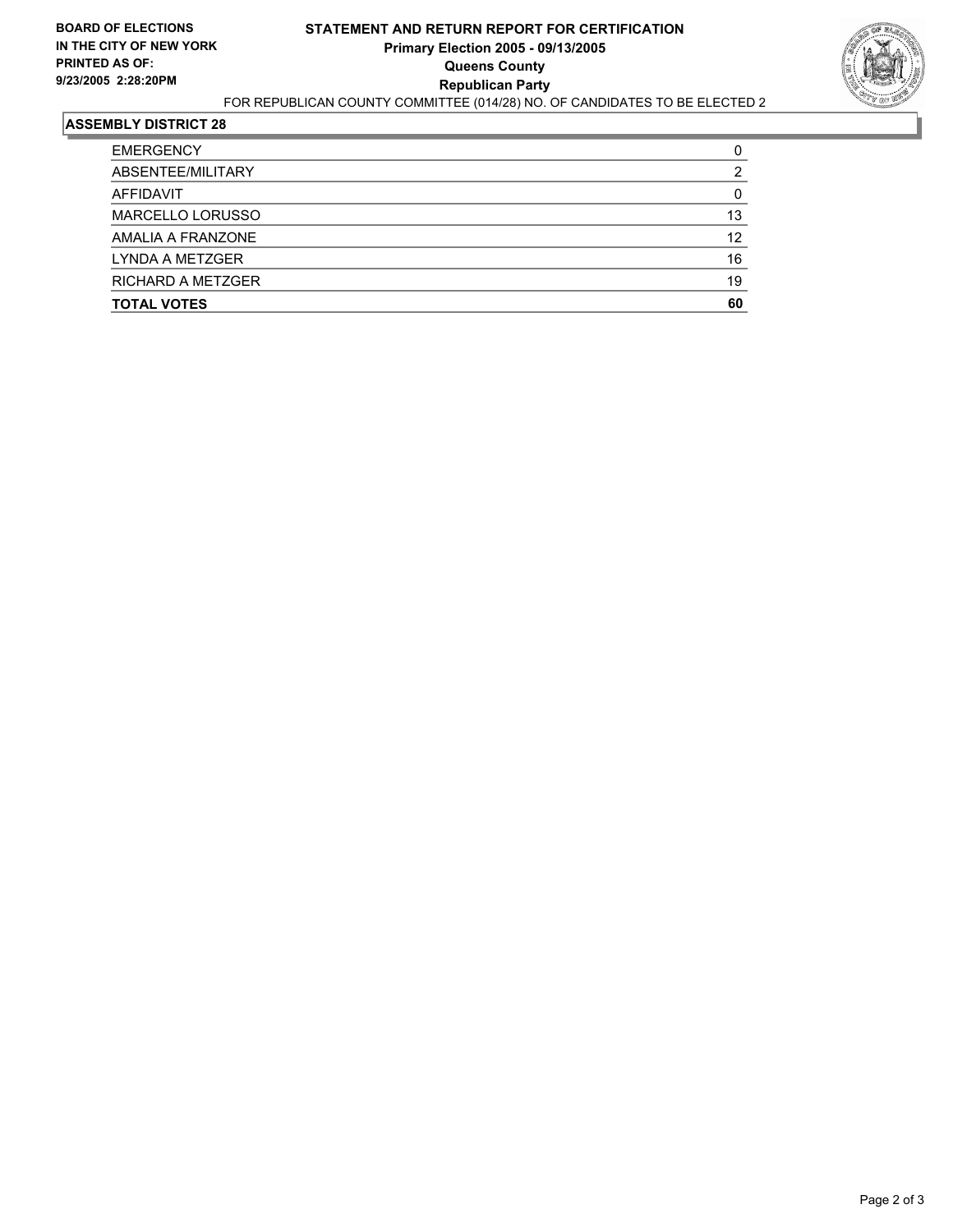

| ABSENTEE/MILITARY  | າ  |
|--------------------|----|
| AFFIDAVIT          |    |
| MARCELLO LORUSSO   | 13 |
| AMALIA A FRANZONE  | 12 |
| LYNDA A METZGER    | 16 |
| RICHARD A METZGER  | 19 |
| <b>TOTAL VOTES</b> | 60 |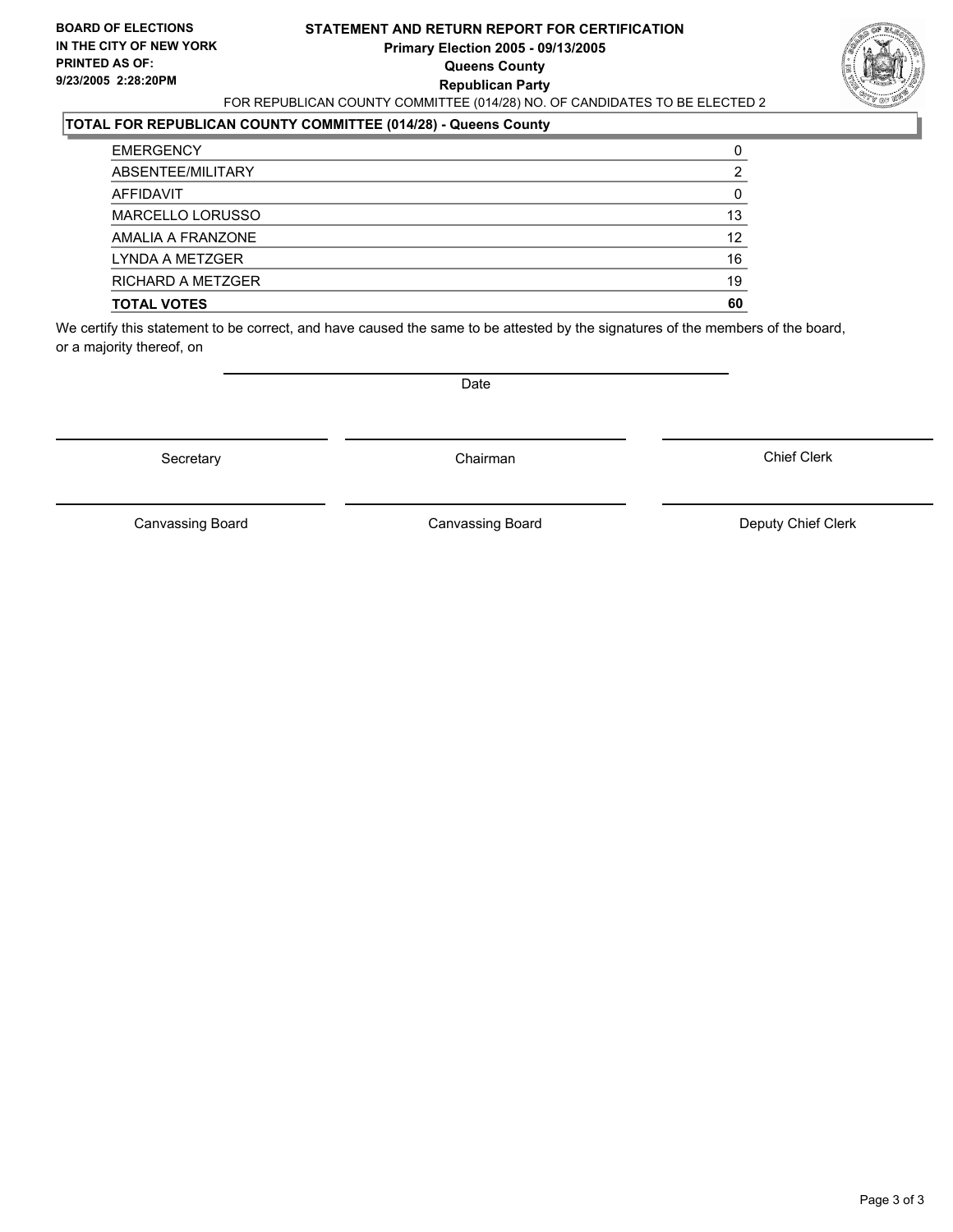#### **STATEMENT AND RETURN REPORT FOR CERTIFICATION Primary Election 2005 - 09/13/2005 Queens County Republican Party** FOR REPUBLICAN COUNTY COMMITTEE (014/28) NO. OF CANDIDATES TO BE ELECTED 2



### **TOTAL FOR REPUBLICAN COUNTY COMMITTEE (014/28) - Queens County**

| <b>EMERGENCY</b>         |    |
|--------------------------|----|
| ABSENTEE/MILITARY        |    |
| AFFIDAVIT                |    |
| MARCELLO LORUSSO         | 13 |
| AMALIA A FRANZONE        | 12 |
| LYNDA A METZGER          | 16 |
| <b>RICHARD A METZGER</b> | 19 |
| <b>TOTAL VOTES</b>       | 60 |

We certify this statement to be correct, and have caused the same to be attested by the signatures of the members of the board, or a majority thereof, on

Secretary **Chairman** 

Date

Chief Clerk

Canvassing Board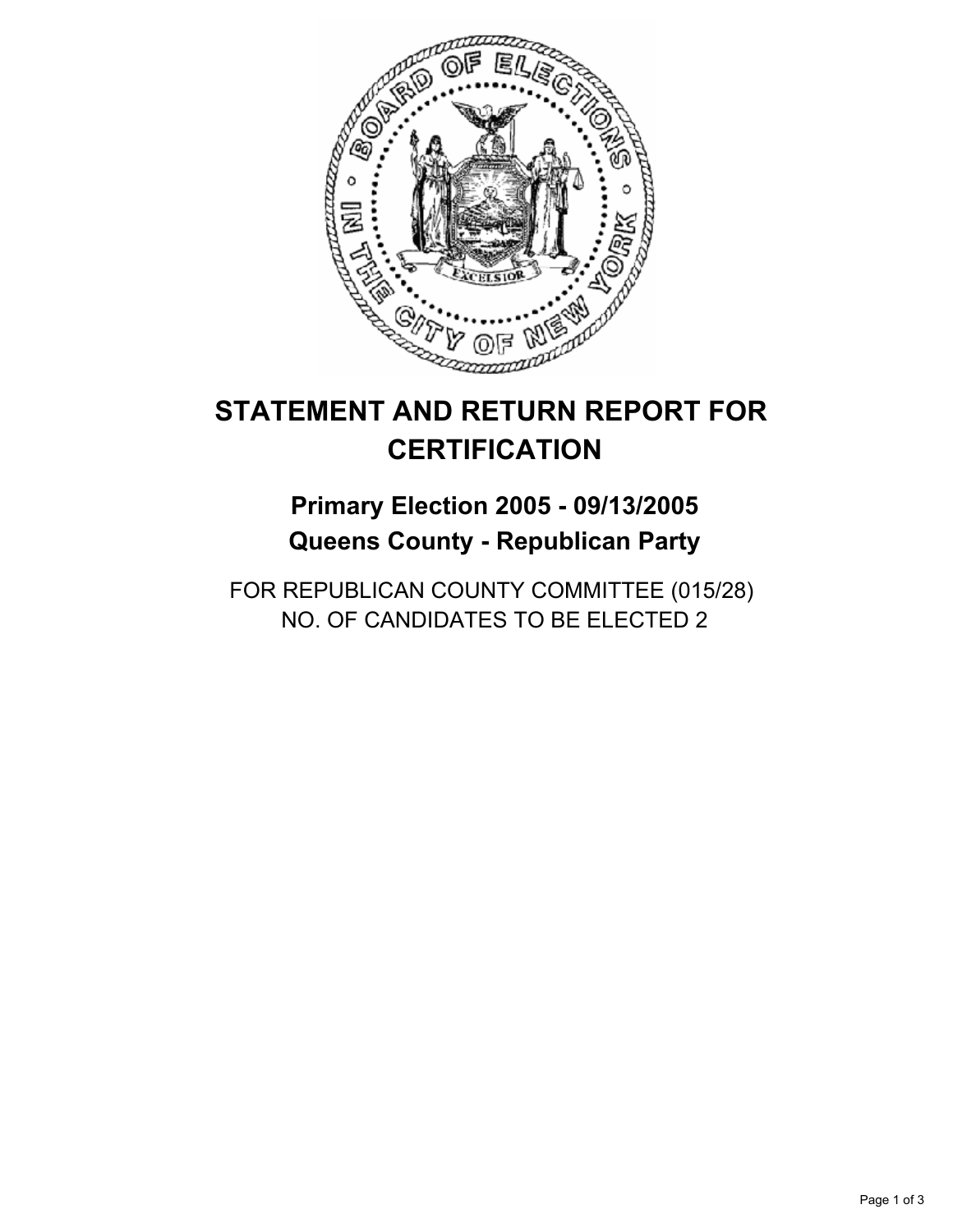

## **Primary Election 2005 - 09/13/2005 Queens County - Republican Party**

FOR REPUBLICAN COUNTY COMMITTEE (015/28) NO. OF CANDIDATES TO BE ELECTED 2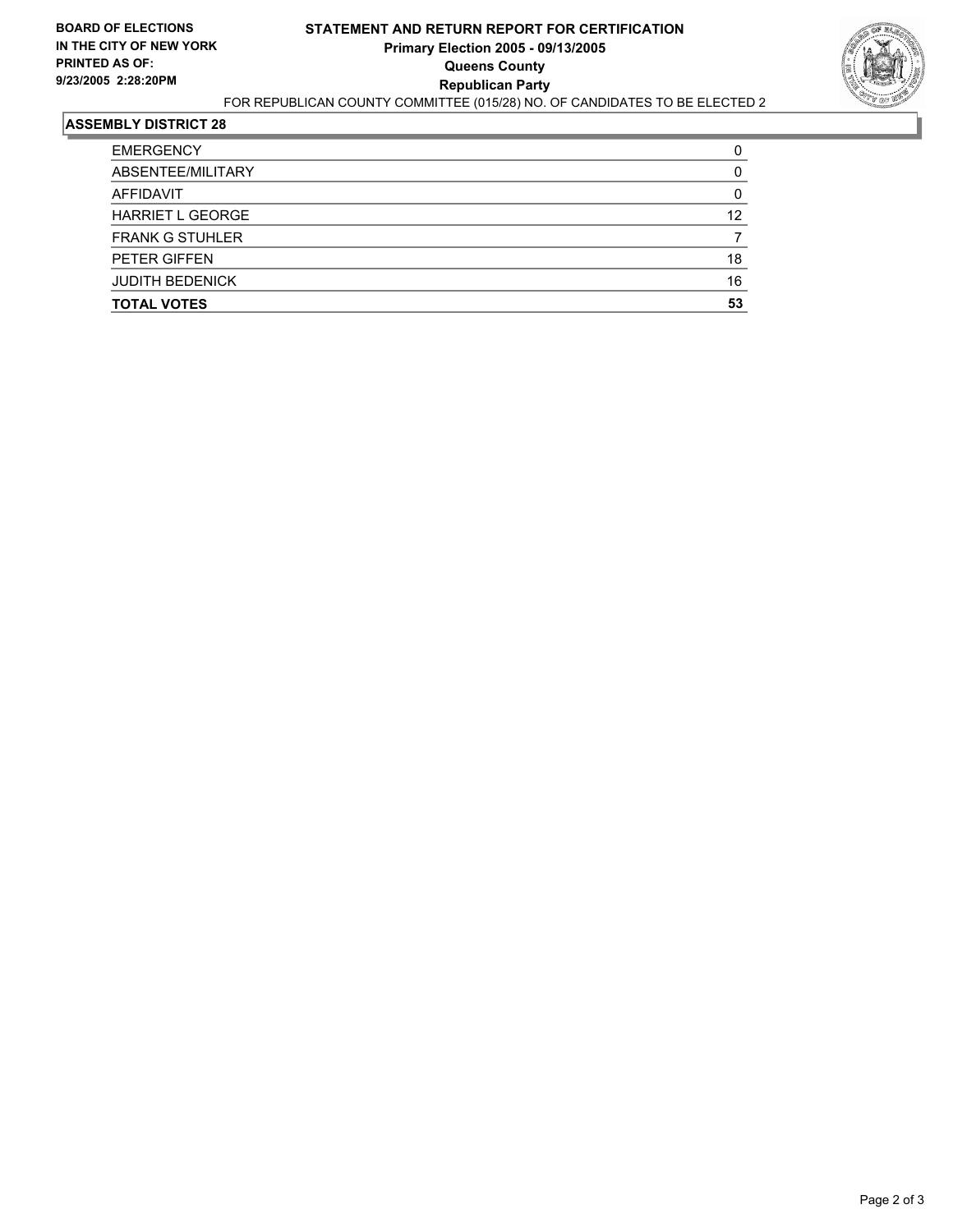

| <b>EMERGENCY</b>        |    |
|-------------------------|----|
| ABSENTEE/MILITARY       |    |
| AFFIDAVIT               |    |
| <b>HARRIET L GEORGE</b> | 12 |
| <b>FRANK G STUHLER</b>  |    |
| PETER GIFFEN            | 18 |
| <b>JUDITH BEDENICK</b>  | 16 |
| <b>TOTAL VOTES</b>      | 53 |
|                         |    |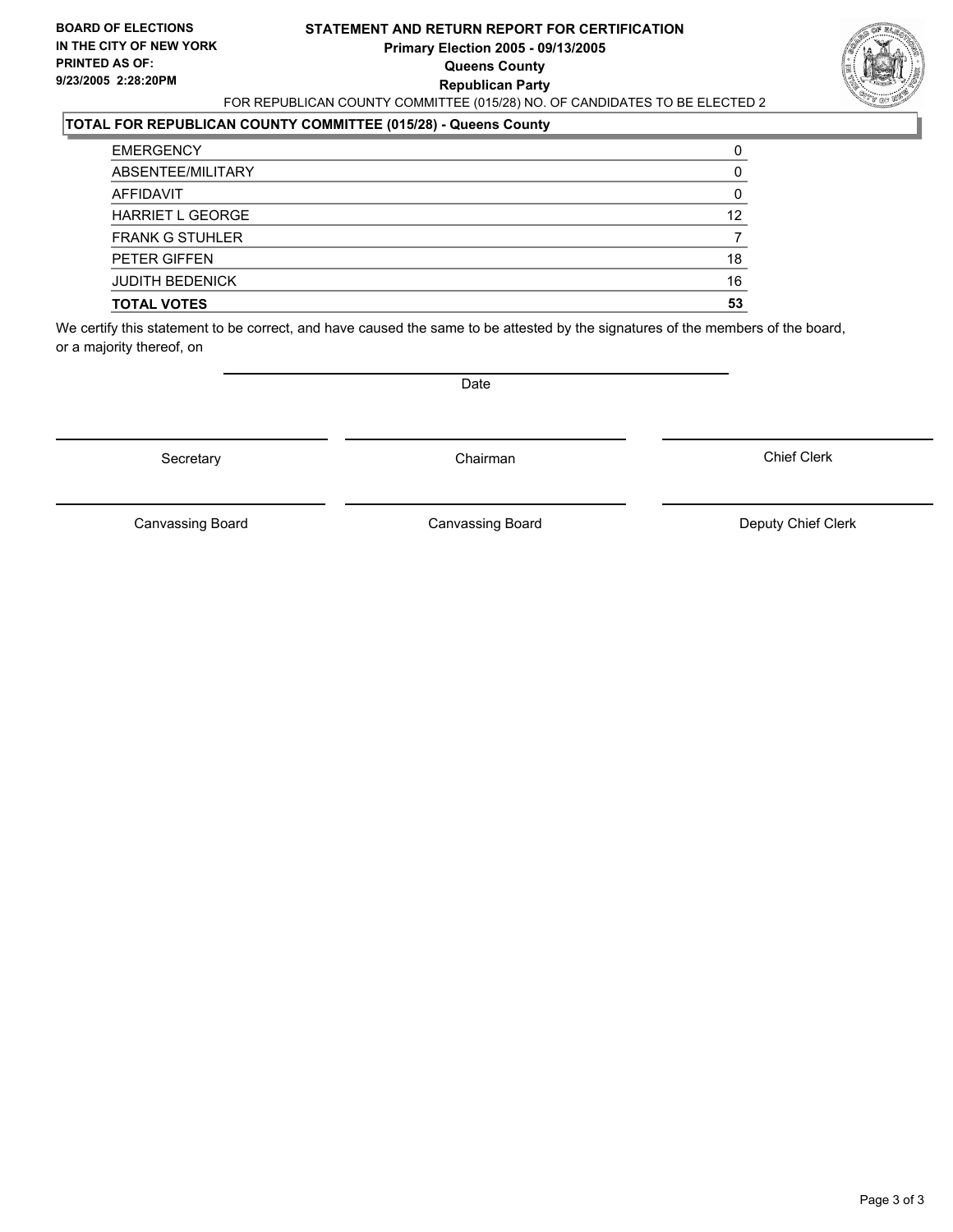#### **STATEMENT AND RETURN REPORT FOR CERTIFICATION Primary Election 2005 - 09/13/2005 Queens County Republican Party** FOR REPUBLICAN COUNTY COMMITTEE (015/28) NO. OF CANDIDATES TO BE ELECTED 2



### **TOTAL FOR REPUBLICAN COUNTY COMMITTEE (015/28) - Queens County**

| <b>EMERGENCY</b>        |    |
|-------------------------|----|
| ABSENTEE/MILITARY       |    |
| AFFIDAVIT               |    |
| <b>HARRIET L GEORGE</b> | 12 |
| <b>FRANK G STUHLER</b>  |    |
| PETER GIFFEN            | 18 |
| <b>JUDITH BEDENICK</b>  | 16 |
| <b>TOTAL VOTES</b>      | 53 |

We certify this statement to be correct, and have caused the same to be attested by the signatures of the members of the board, or a majority thereof, on

Secretary **Chairman** 

Date

Chief Clerk

Canvassing Board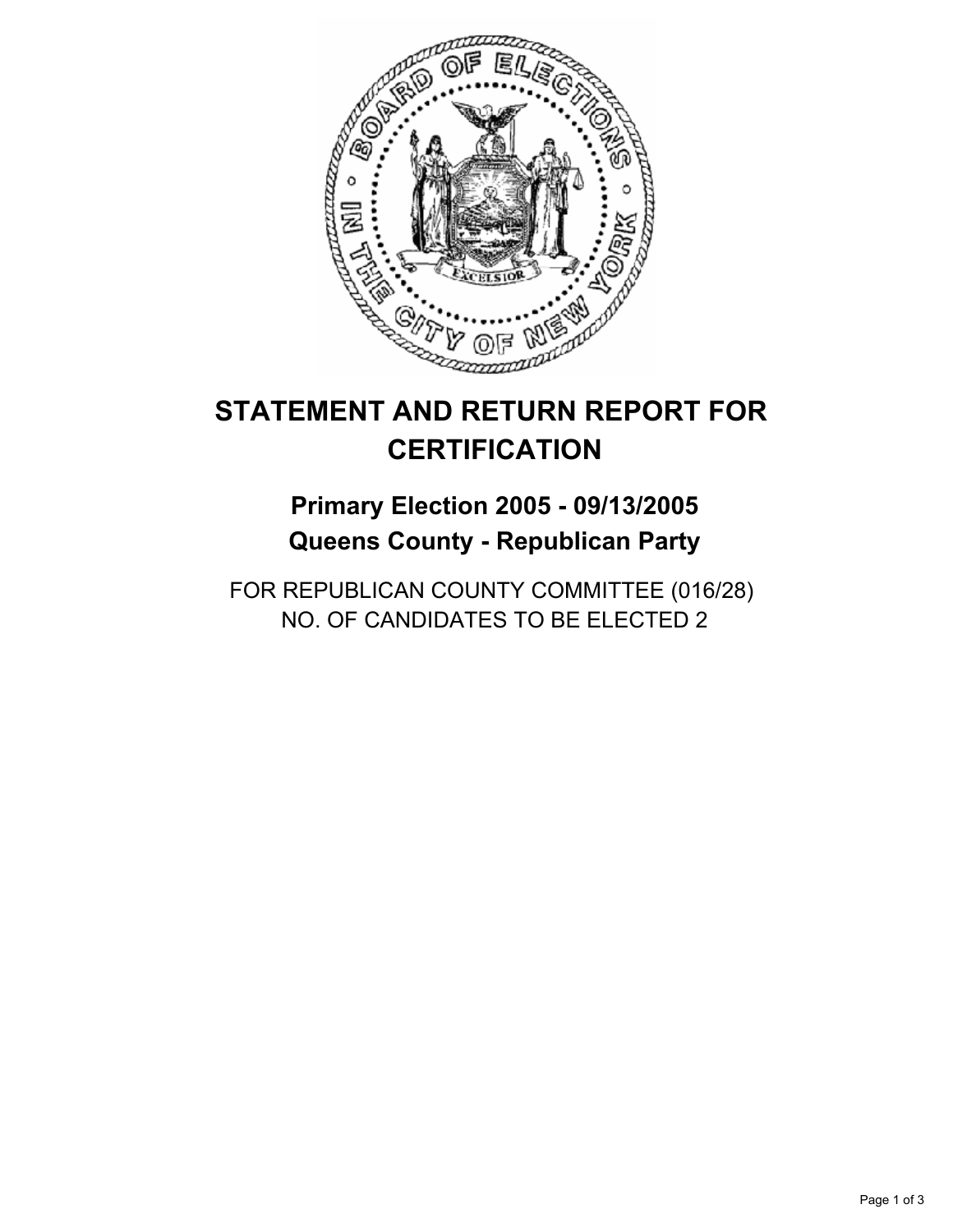

## **Primary Election 2005 - 09/13/2005 Queens County - Republican Party**

FOR REPUBLICAN COUNTY COMMITTEE (016/28) NO. OF CANDIDATES TO BE ELECTED 2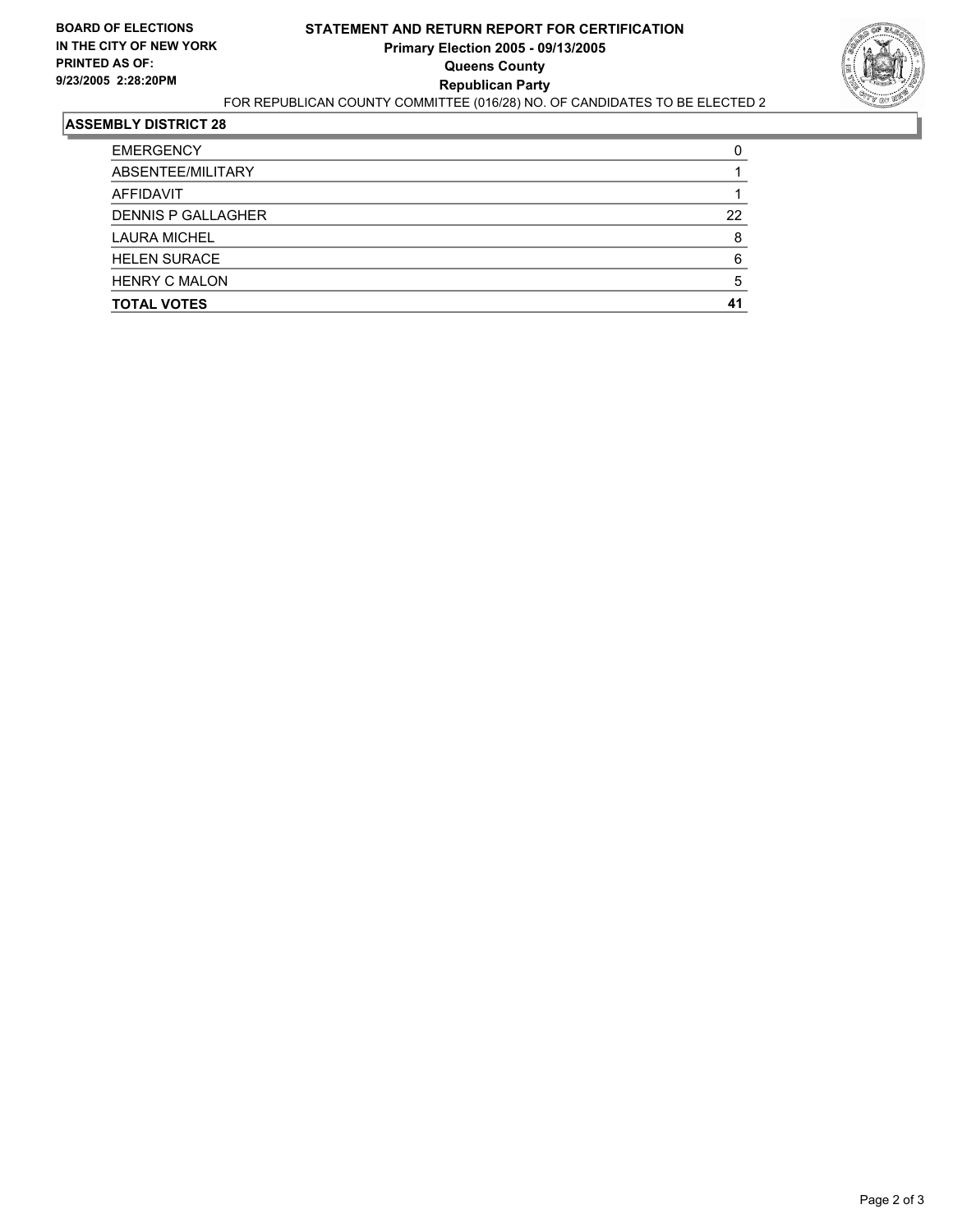

| <b>EMERGENCY</b>          |    |
|---------------------------|----|
| ABSENTEE/MILITARY         |    |
| AFFIDAVIT                 |    |
| <b>DENNIS P GALLAGHER</b> | 22 |
| <b>LAURA MICHEL</b>       |    |
| <b>HELEN SURACE</b>       |    |
| <b>HENRY C MALON</b>      |    |
| <b>TOTAL VOTES</b>        |    |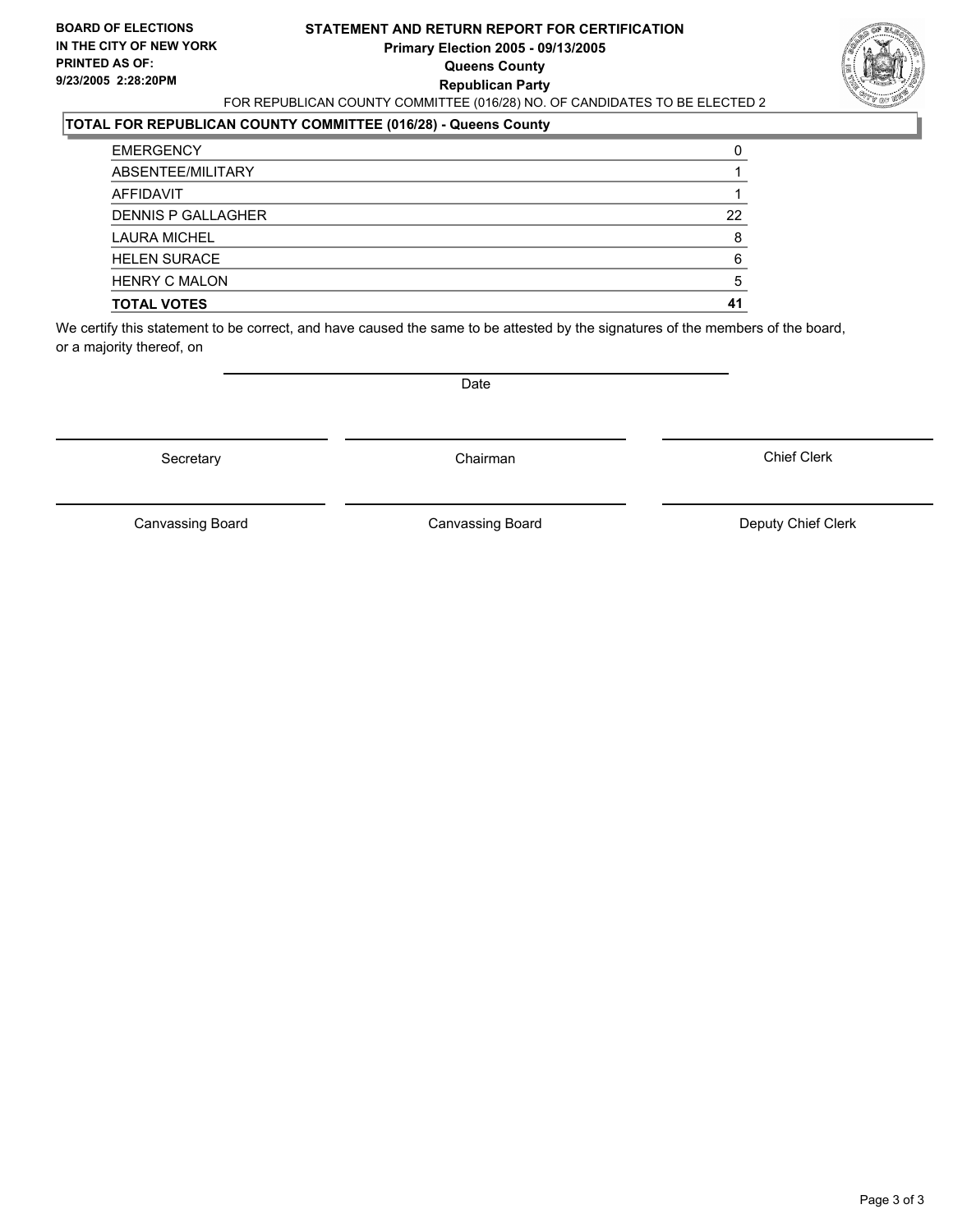#### **STATEMENT AND RETURN REPORT FOR CERTIFICATION Primary Election 2005 - 09/13/2005 Queens County Republican Party** FOR REPUBLICAN COUNTY COMMITTEE (016/28) NO. OF CANDIDATES TO BE ELECTED 2

### **TOTAL FOR REPUBLICAN COUNTY COMMITTEE (016/28) - Queens County**

| <b>TOTAL VOTES</b>        | 41 |
|---------------------------|----|
| <b>HENRY C MALON</b>      |    |
| <b>HELEN SURACE</b>       | 6  |
| <b>LAURA MICHEL</b>       | 8  |
| <b>DENNIS P GALLAGHER</b> | 22 |
| AFFIDAVIT                 |    |
| ABSENTEE/MILITARY         |    |
| <b>EMERGENCY</b>          |    |

We certify this statement to be correct, and have caused the same to be attested by the signatures of the members of the board, or a majority thereof, on

Secretary **Chairman** 

Date

Chief Clerk

Canvassing Board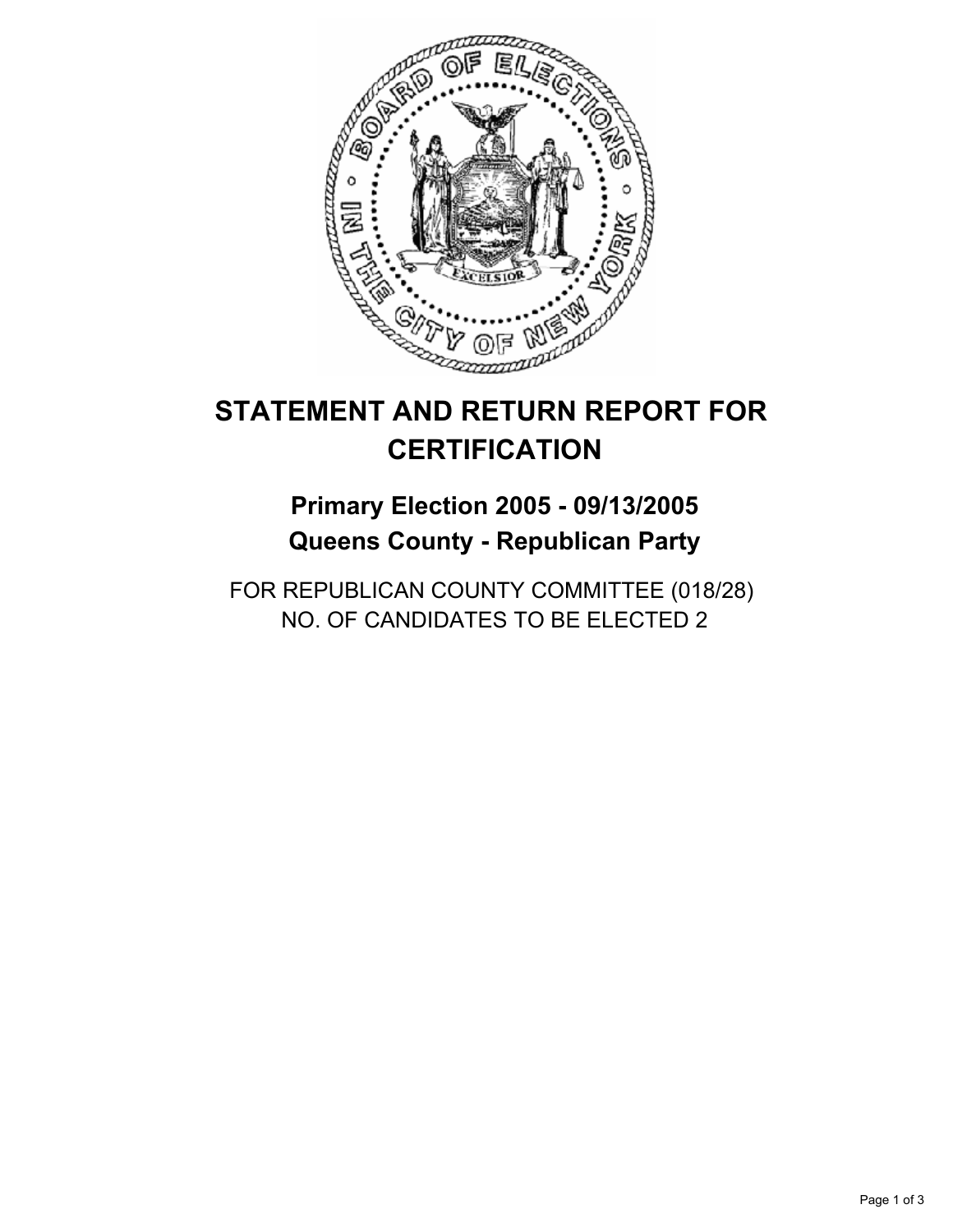

## **Primary Election 2005 - 09/13/2005 Queens County - Republican Party**

FOR REPUBLICAN COUNTY COMMITTEE (018/28) NO. OF CANDIDATES TO BE ELECTED 2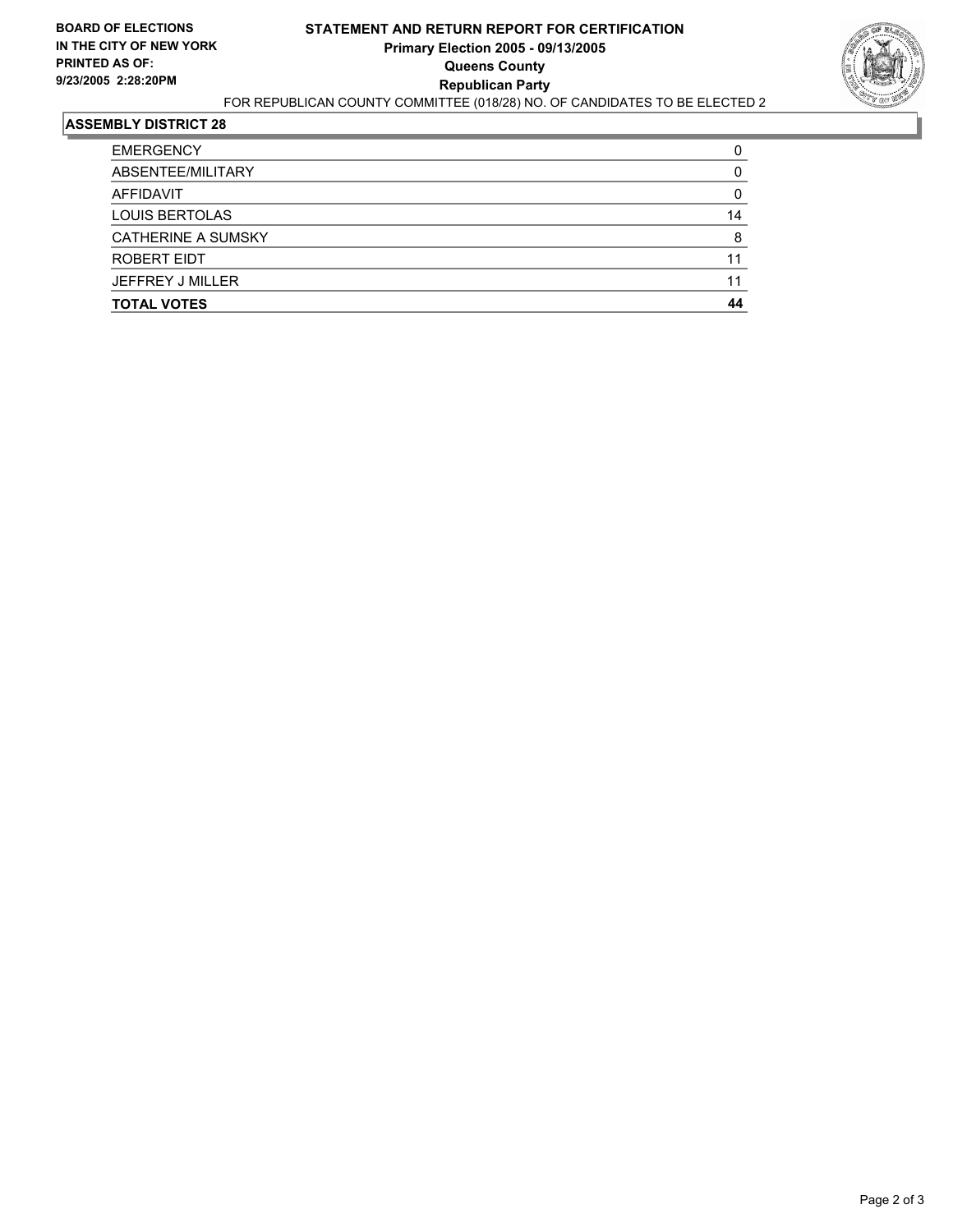

| <b>TOTAL VOTES</b>        | 44 |
|---------------------------|----|
| JEFFREY J MILLER          | 11 |
| ROBERT EIDT               | 11 |
| <b>CATHERINE A SUMSKY</b> |    |
| <b>LOUIS BERTOLAS</b>     | 14 |
| AFFIDAVIT                 |    |
| ABSENTEE/MILITARY         |    |
| <b>EMERGENCY</b>          |    |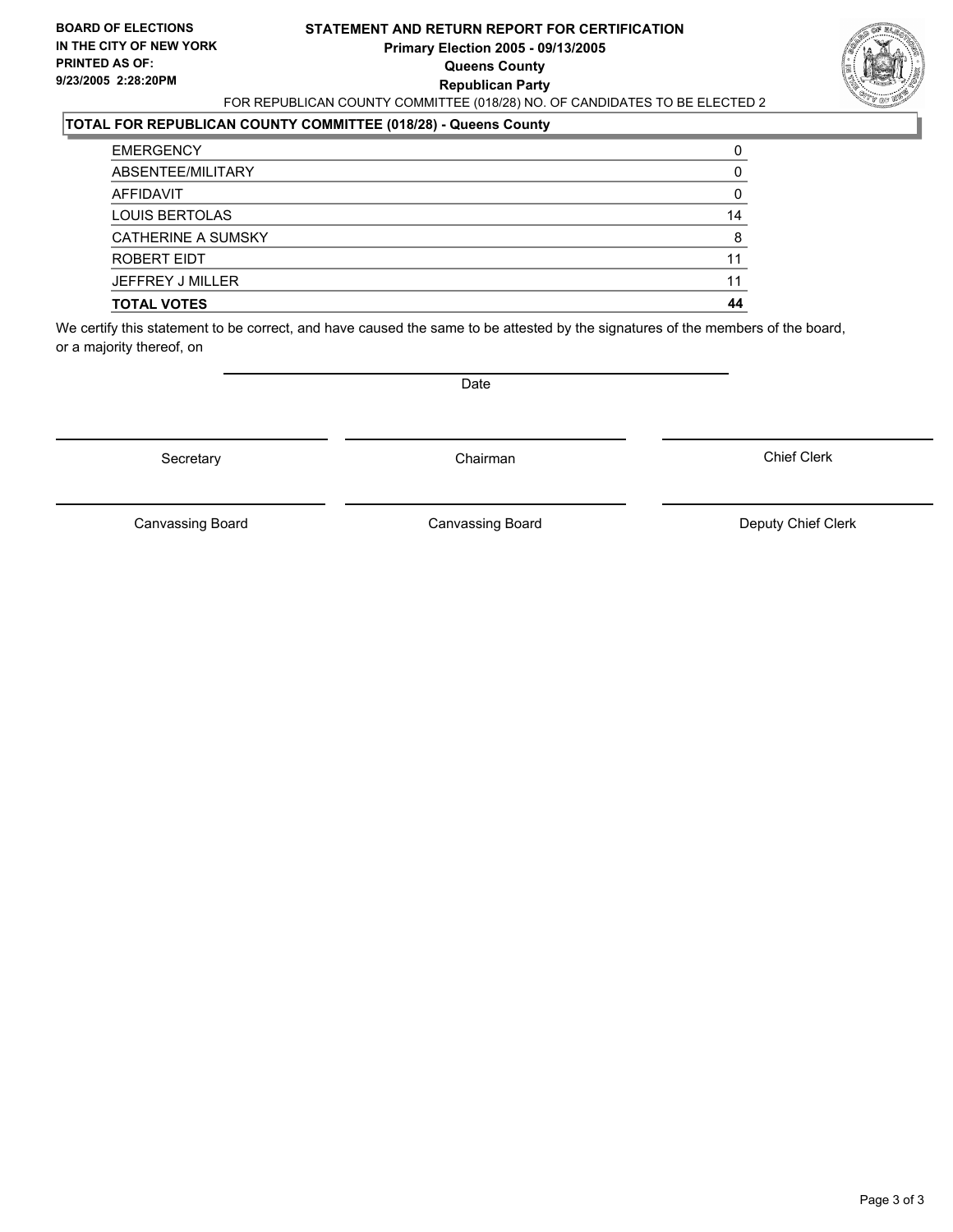#### **STATEMENT AND RETURN REPORT FOR CERTIFICATION Primary Election 2005 - 09/13/2005 Queens County Republican Party** FOR REPUBLICAN COUNTY COMMITTEE (018/28) NO. OF CANDIDATES TO BE ELECTED 2



### **TOTAL FOR REPUBLICAN COUNTY COMMITTEE (018/28) - Queens County**

| <b>TOTAL VOTES</b>        | 44 |
|---------------------------|----|
| JEFFREY J MILLER          | 11 |
| ROBERT EIDT               | 11 |
| <b>CATHERINE A SUMSKY</b> |    |
| <b>LOUIS BERTOLAS</b>     | 14 |
| AFFIDAVIT                 |    |
| ABSENTEE/MILITARY         |    |
| <b>EMERGENCY</b>          |    |

We certify this statement to be correct, and have caused the same to be attested by the signatures of the members of the board, or a majority thereof, on

Secretary **Chairman** 

Date

Chief Clerk

Canvassing Board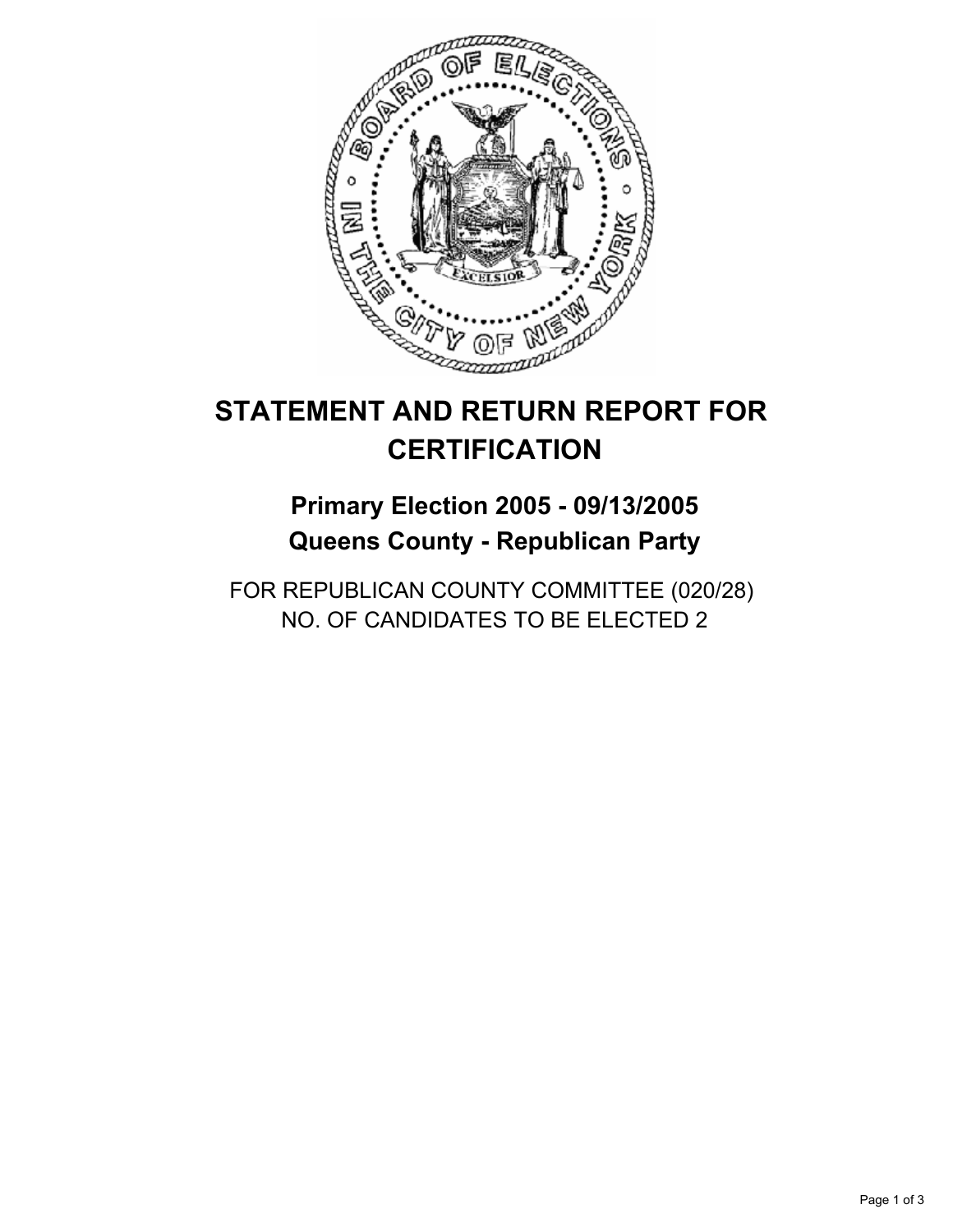

## **Primary Election 2005 - 09/13/2005 Queens County - Republican Party**

FOR REPUBLICAN COUNTY COMMITTEE (020/28) NO. OF CANDIDATES TO BE ELECTED 2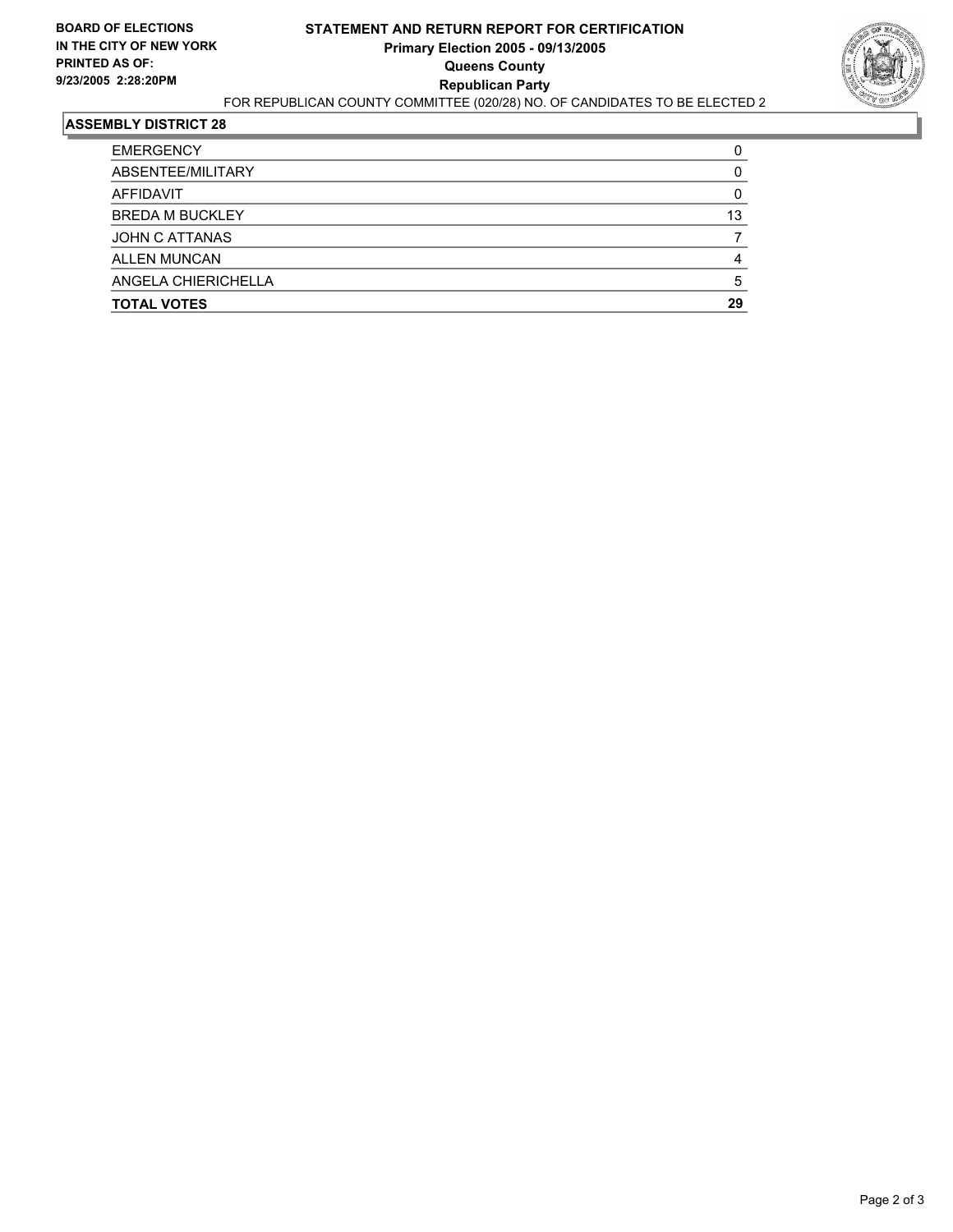

| <b>EMERGENCY</b>       |    |
|------------------------|----|
| ABSENTEE/MILITARY      |    |
| AFFIDAVIT              |    |
| <b>BREDA M BUCKLEY</b> | 13 |
| JOHN C ATTANAS         |    |
| <b>ALLEN MUNCAN</b>    |    |
| ANGELA CHIERICHELLA    |    |
| <b>TOTAL VOTES</b>     | 29 |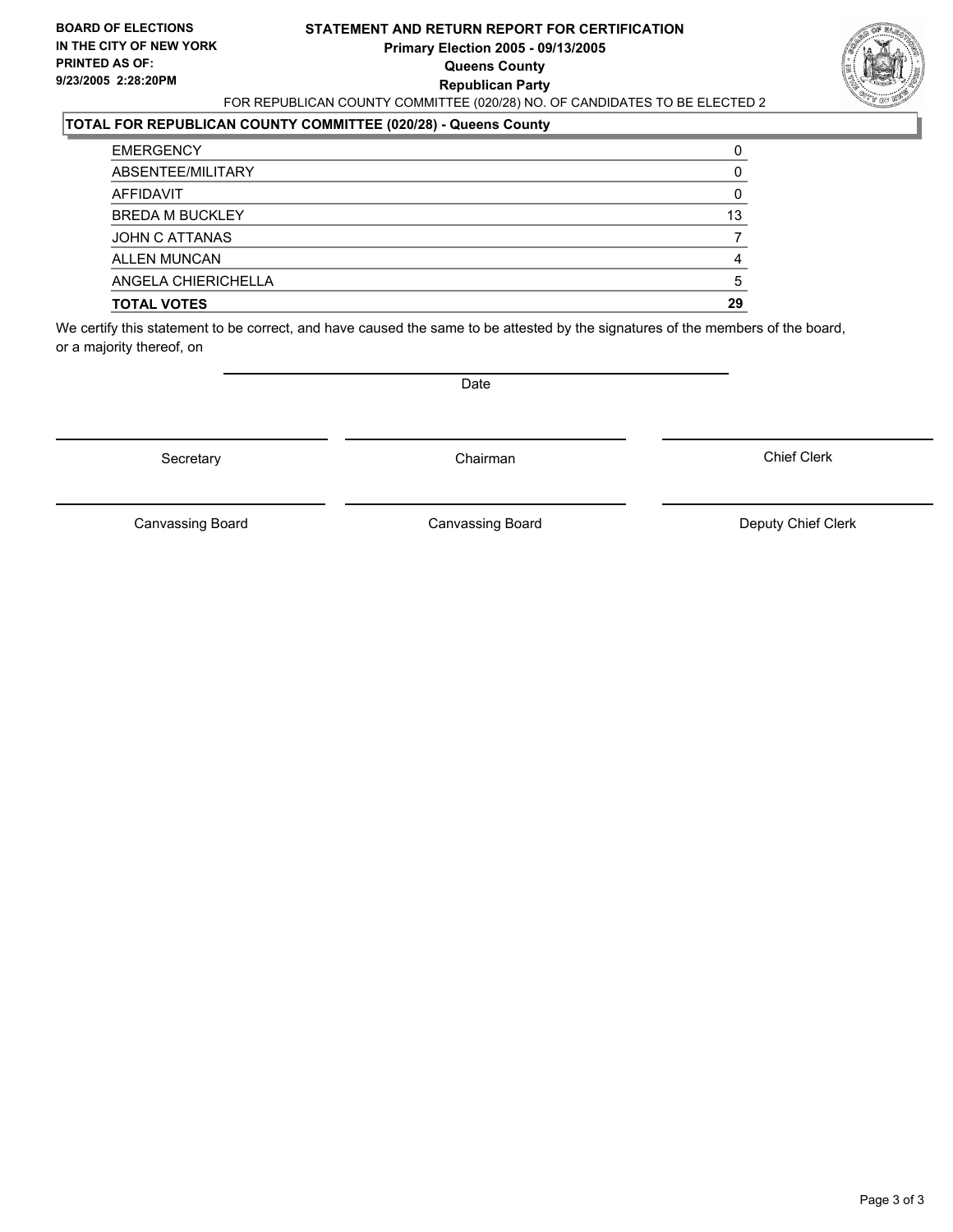#### **STATEMENT AND RETURN REPORT FOR CERTIFICATION Primary Election 2005 - 09/13/2005 Queens County Republican Party** FOR REPUBLICAN COUNTY COMMITTEE (020/28) NO. OF CANDIDATES TO BE ELECTED 2



### **TOTAL FOR REPUBLICAN COUNTY COMMITTEE (020/28) - Queens County**

| <b>EMERGENCY</b>       |    |
|------------------------|----|
| ABSENTEE/MILITARY      |    |
| AFFIDAVIT              |    |
| <b>BREDA M BUCKLEY</b> | 13 |
| JOHN C ATTANAS         |    |
| <b>ALLEN MUNCAN</b>    |    |
| ANGELA CHIERICHELLA    |    |
| <b>TOTAL VOTES</b>     | 29 |

We certify this statement to be correct, and have caused the same to be attested by the signatures of the members of the board, or a majority thereof, on

Secretary **Chairman** 

Date

Chief Clerk

Canvassing Board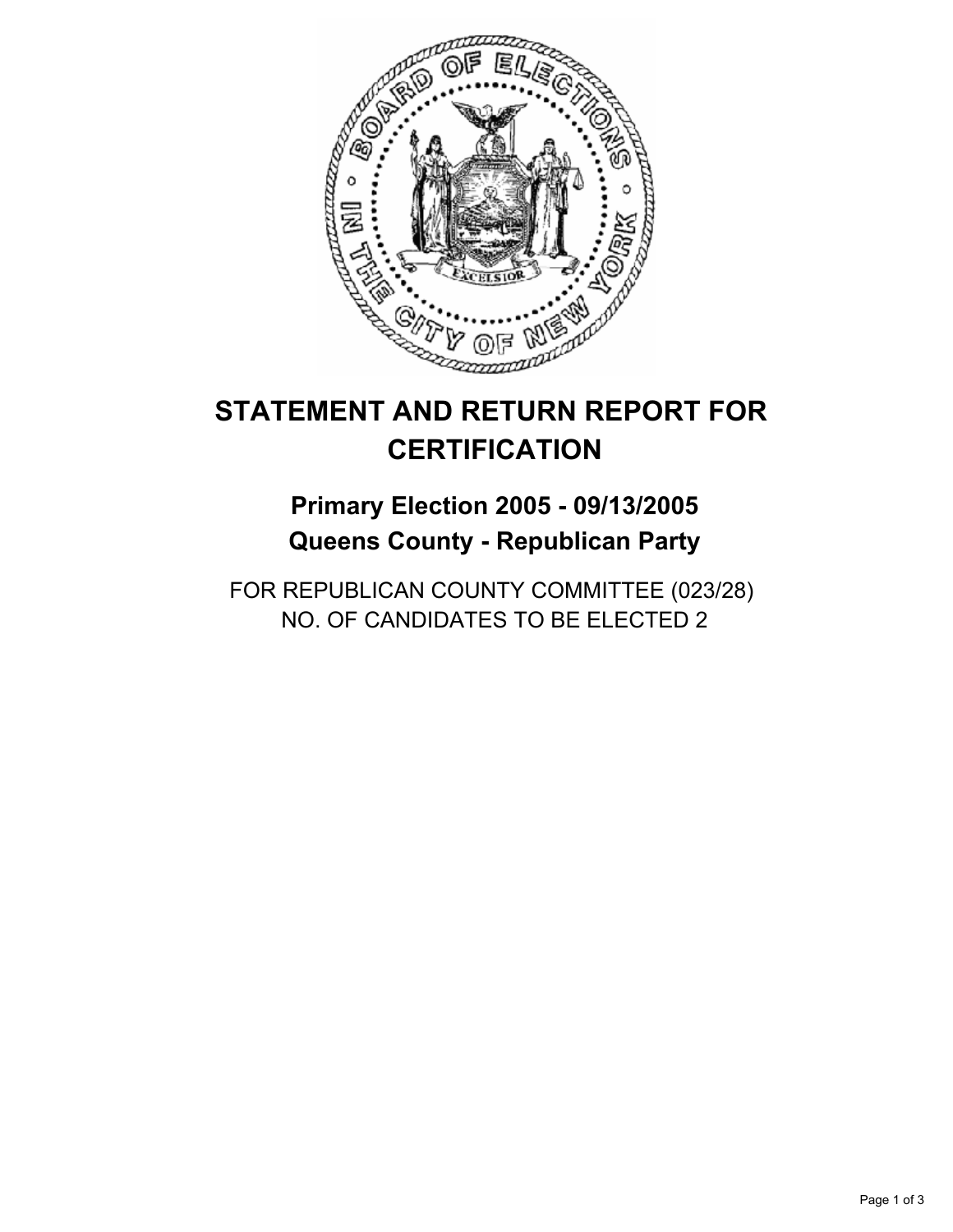

## **Primary Election 2005 - 09/13/2005 Queens County - Republican Party**

FOR REPUBLICAN COUNTY COMMITTEE (023/28) NO. OF CANDIDATES TO BE ELECTED 2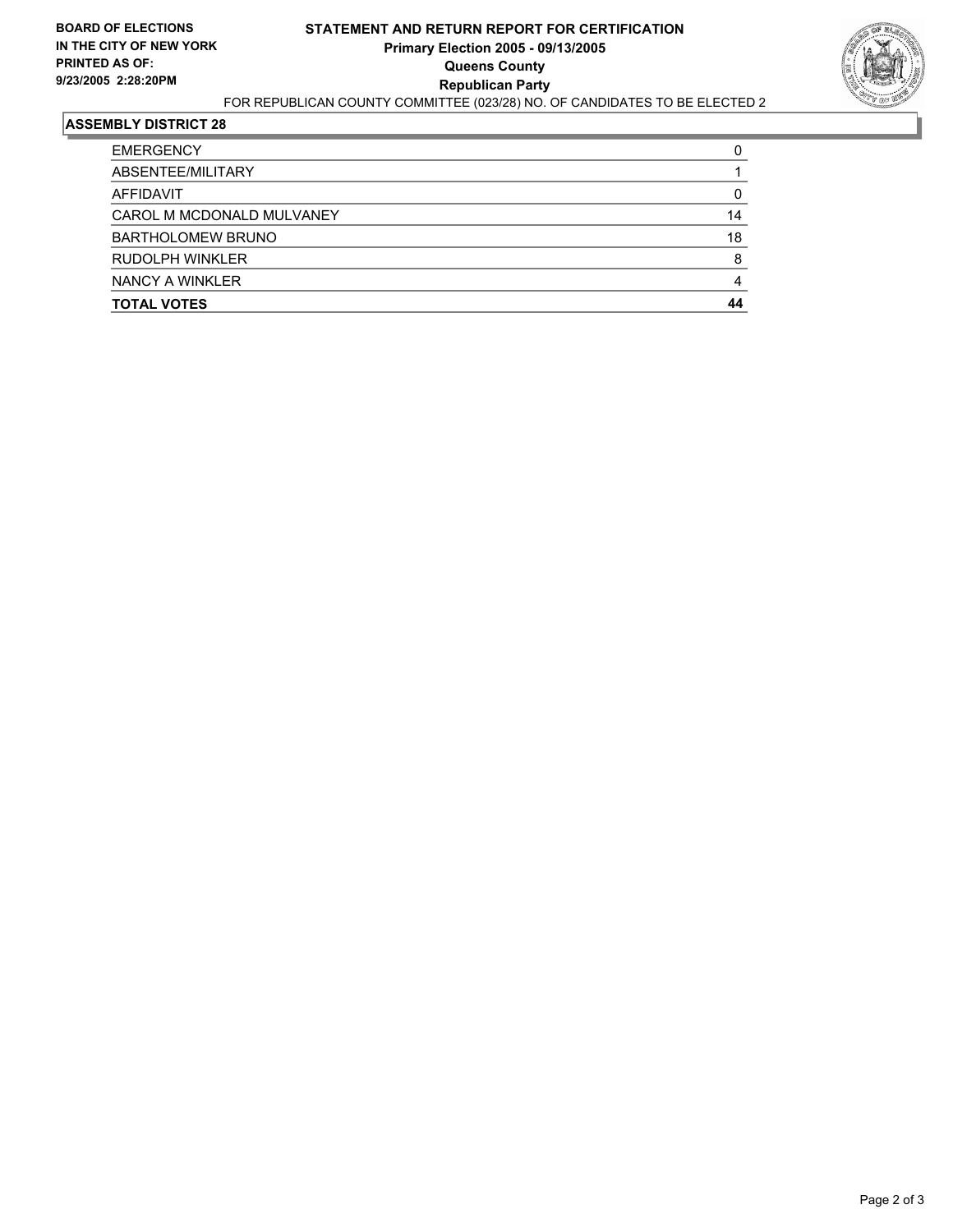

| <b>EMERGENCY</b>          |    |
|---------------------------|----|
| ABSENTEE/MILITARY         |    |
| AFFIDAVIT                 |    |
| CAROL M MCDONALD MULVANEY | 14 |
| <b>BARTHOLOMEW BRUNO</b>  | 18 |
| RUDOLPH WINKLER           |    |
| NANCY A WINKLER           |    |
| <b>TOTAL VOTES</b>        | 44 |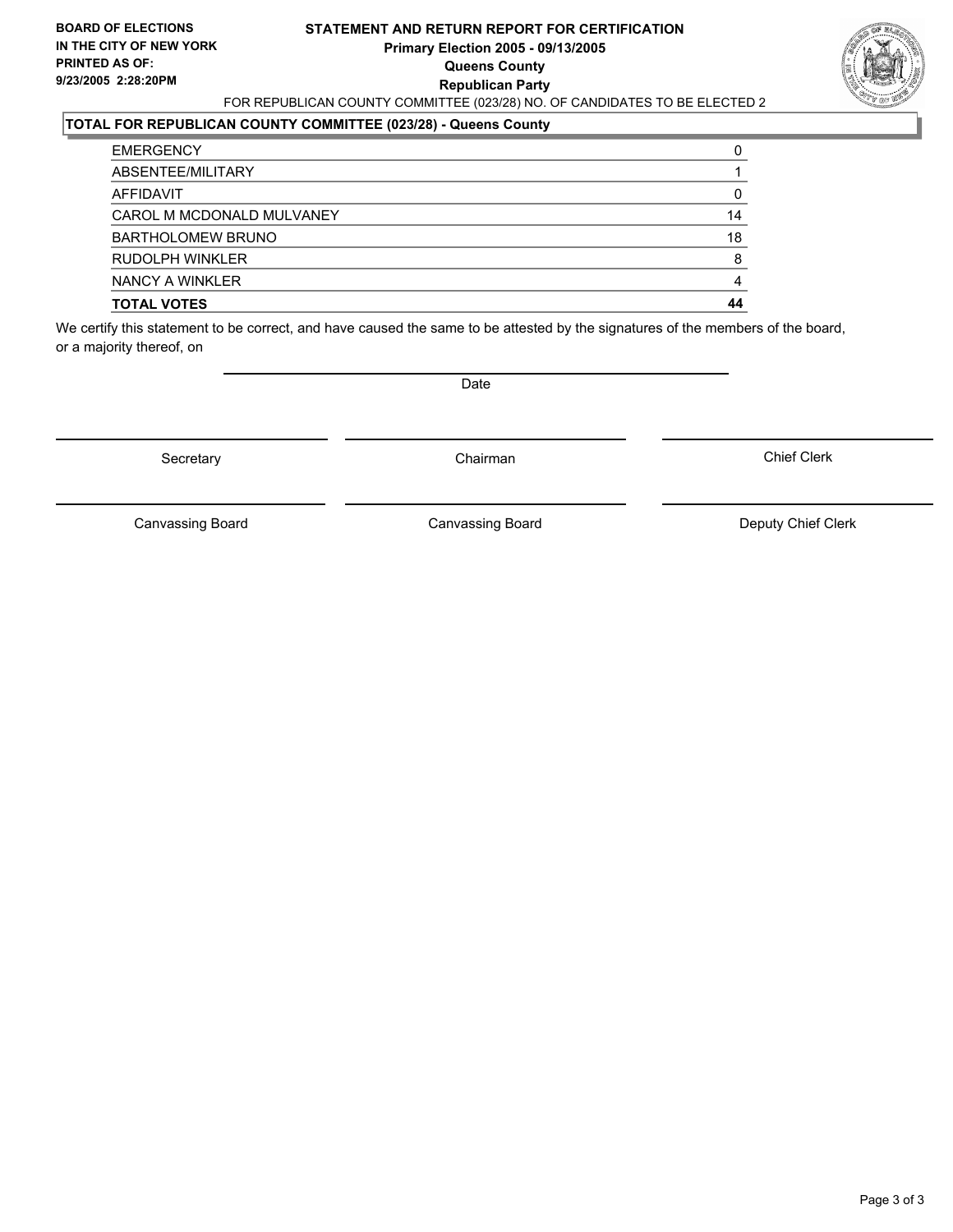#### **STATEMENT AND RETURN REPORT FOR CERTIFICATION Primary Election 2005 - 09/13/2005 Queens County Republican Party** FOR REPUBLICAN COUNTY COMMITTEE (023/28) NO. OF CANDIDATES TO BE ELECTED 2



#### **TOTAL FOR REPUBLICAN COUNTY COMMITTEE (023/28) - Queens County**

| <b>TOTAL VOTES</b>        | 44 |
|---------------------------|----|
| NANCY A WINKLER           |    |
| <b>RUDOLPH WINKLER</b>    |    |
| <b>BARTHOLOMEW BRUNO</b>  | 18 |
| CAROL M MCDONALD MULVANEY | 14 |
| AFFIDAVIT                 |    |
| ABSENTEE/MILITARY         |    |
| <b>EMERGENCY</b>          |    |

We certify this statement to be correct, and have caused the same to be attested by the signatures of the members of the board, or a majority thereof, on

Secretary **Chairman** 

Date

Chief Clerk

Canvassing Board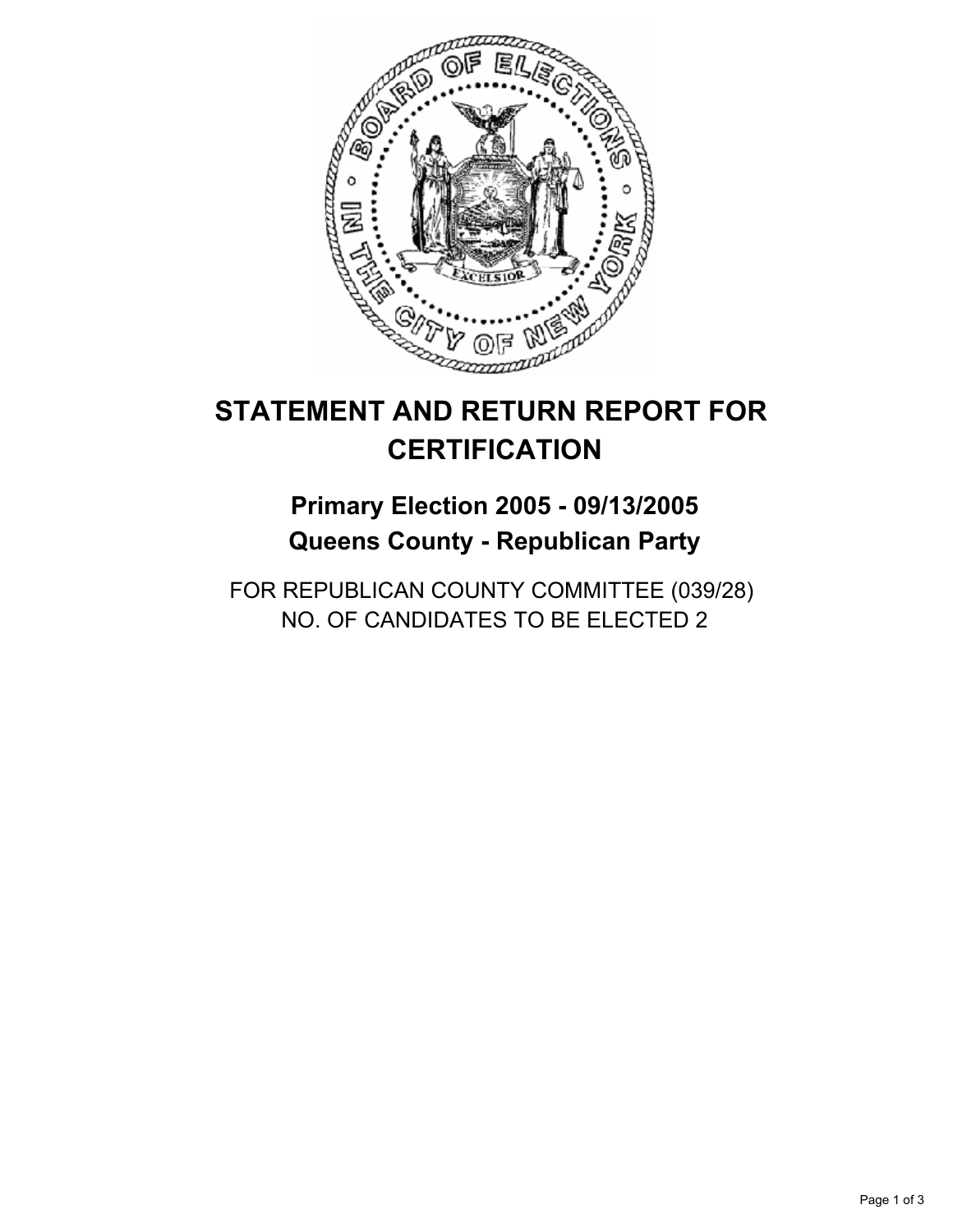

## **Primary Election 2005 - 09/13/2005 Queens County - Republican Party**

FOR REPUBLICAN COUNTY COMMITTEE (039/28) NO. OF CANDIDATES TO BE ELECTED 2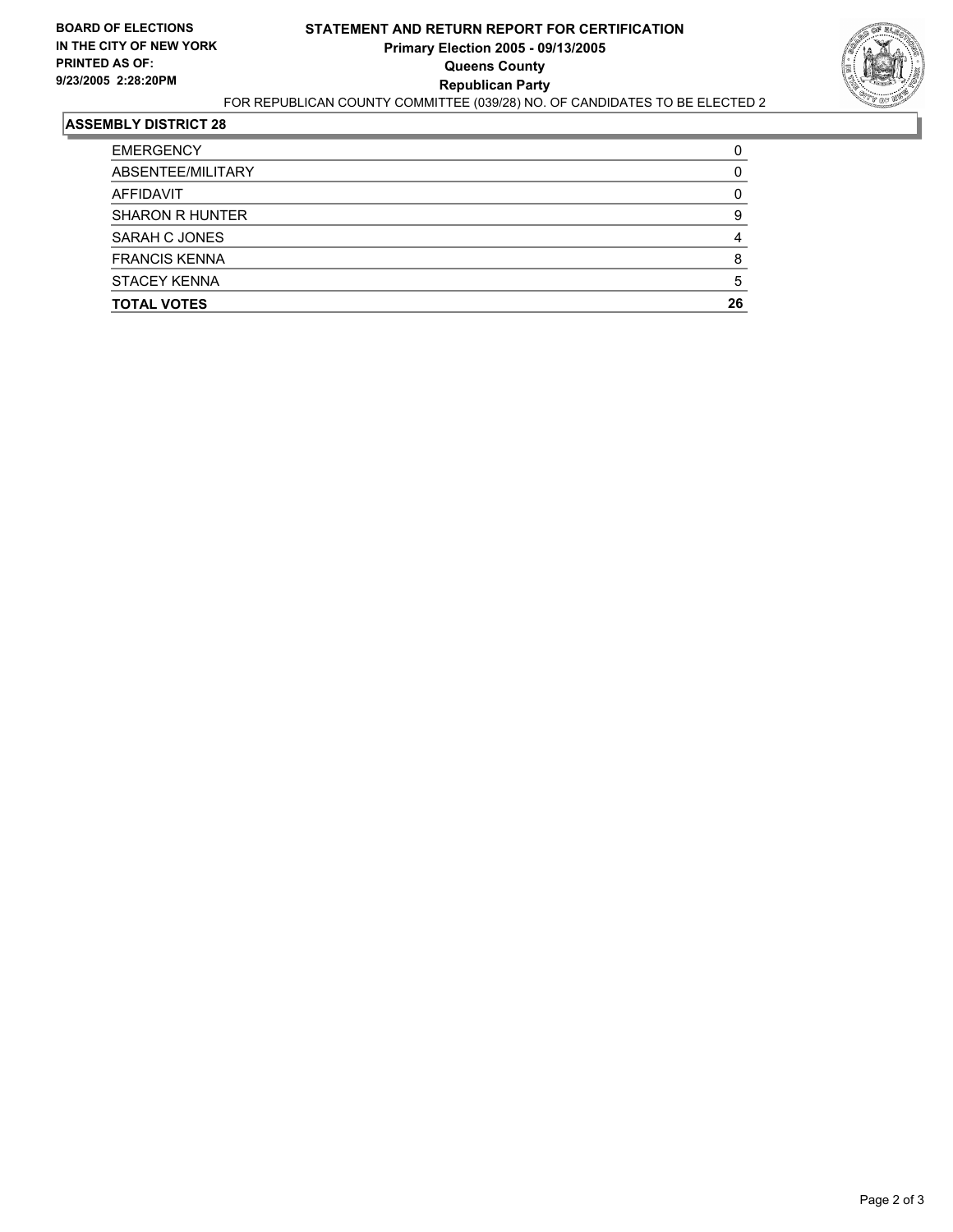

| <b>TOTAL VOTES</b>     | 26 |
|------------------------|----|
| <b>STACEY KENNA</b>    |    |
| <b>FRANCIS KENNA</b>   |    |
| SARAH C JONES          |    |
| <b>SHARON R HUNTER</b> |    |
| AFFIDAVIT              |    |
| ABSENTEE/MILITARY      |    |
| <b>EMERGENCY</b>       |    |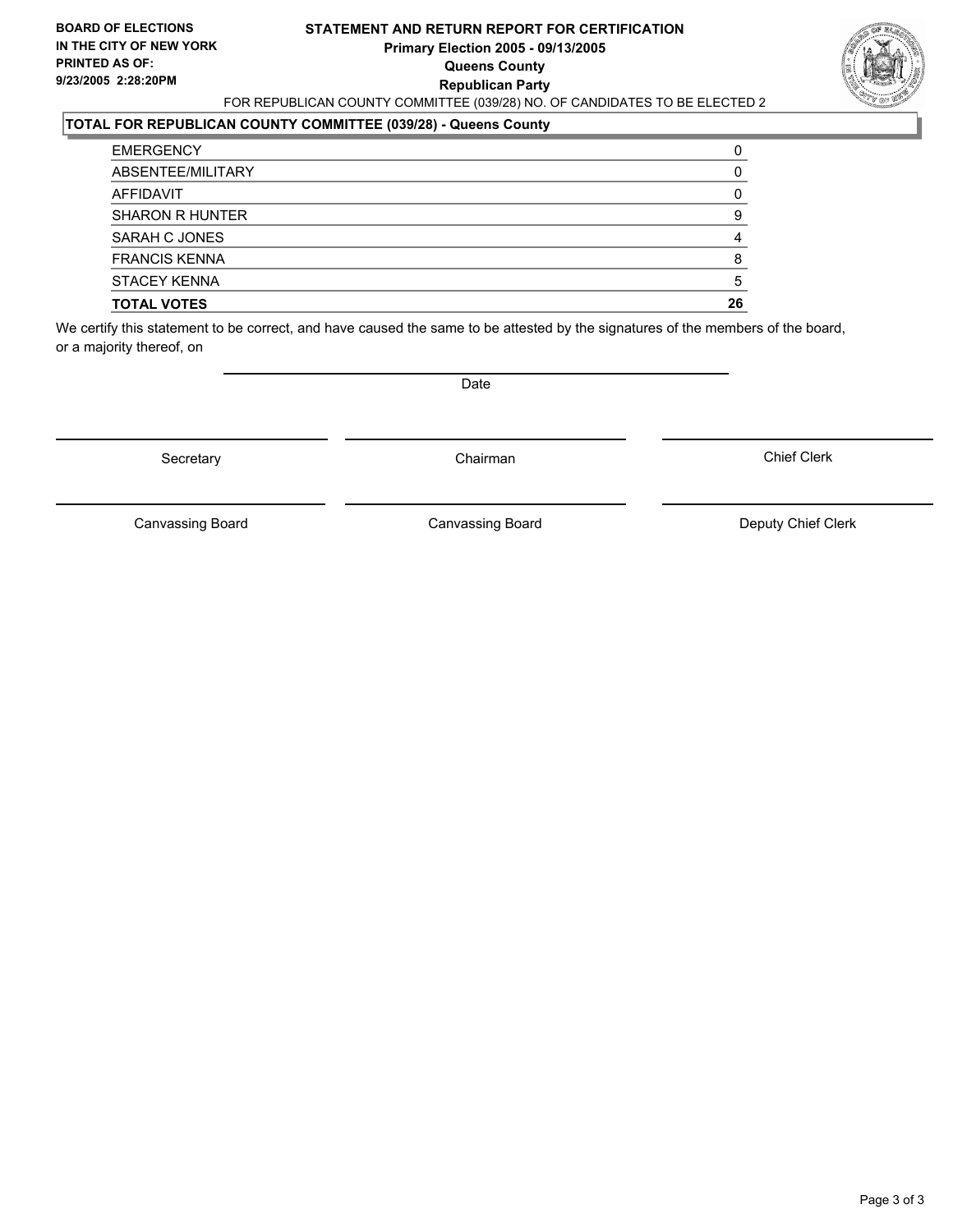#### **STATEMENT AND RETURN REPORT FOR CERTIFICATION Primary Election 2005 - 09/13/2005 Queens County Republican Party** FOR REPUBLICAN COUNTY COMMITTEE (039/28) NO. OF CANDIDATES TO BE ELECTED 2



#### **TOTAL FOR REPUBLICAN COUNTY COMMITTEE (039/28) - Queens County**

| <b>TOTAL VOTES</b>     | 26 |
|------------------------|----|
| <b>STACEY KENNA</b>    |    |
| <b>FRANCIS KENNA</b>   |    |
| SARAH C JONES          |    |
| <b>SHARON R HUNTER</b> |    |
| AFFIDAVIT              |    |
| ABSENTEE/MILITARY      |    |
| <b>EMERGENCY</b>       |    |

We certify this statement to be correct, and have caused the same to be attested by the signatures of the members of the board, or a majority thereof, on

Secretary **Chairman** 

Date

Chief Clerk

Canvassing Board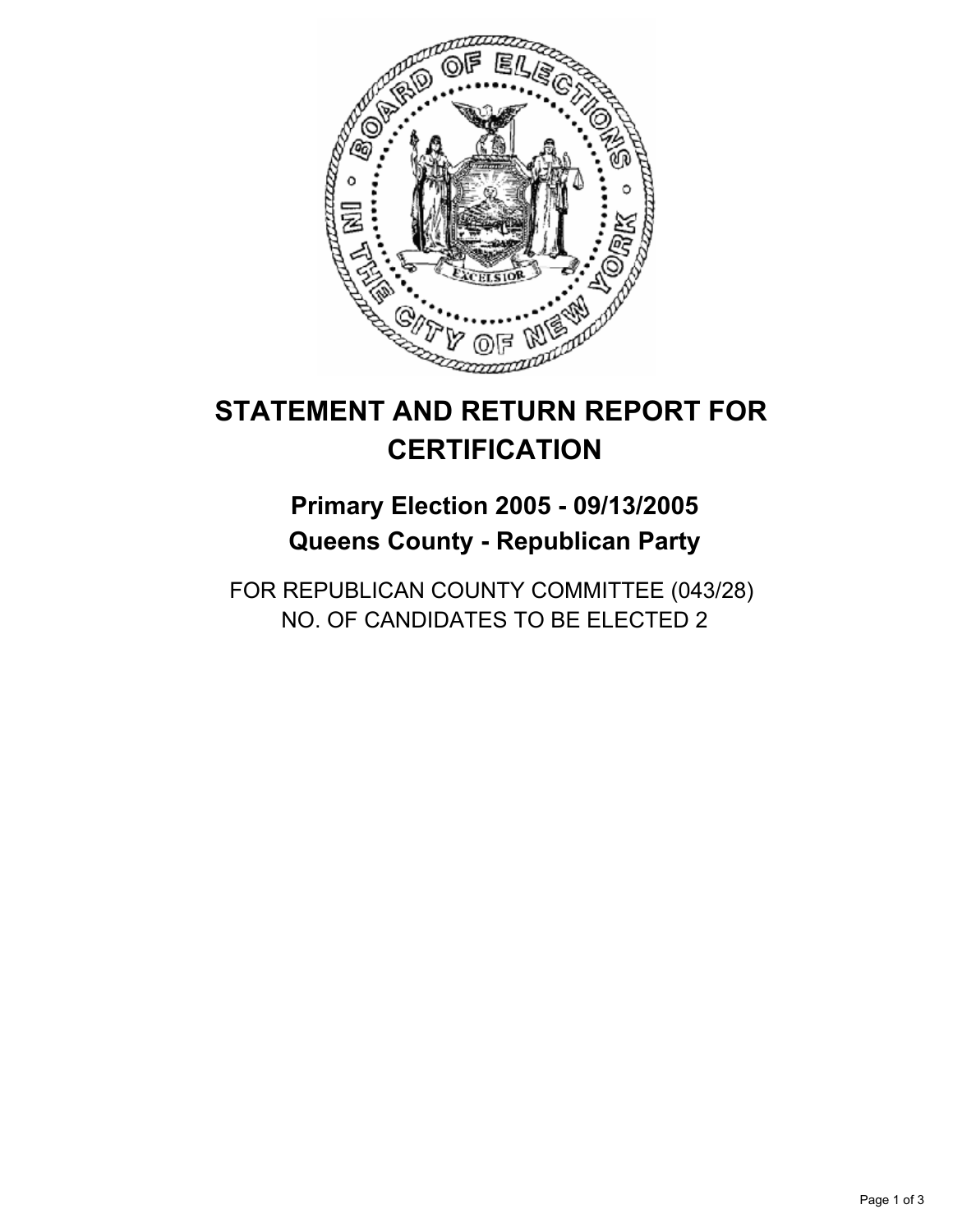

## **Primary Election 2005 - 09/13/2005 Queens County - Republican Party**

FOR REPUBLICAN COUNTY COMMITTEE (043/28) NO. OF CANDIDATES TO BE ELECTED 2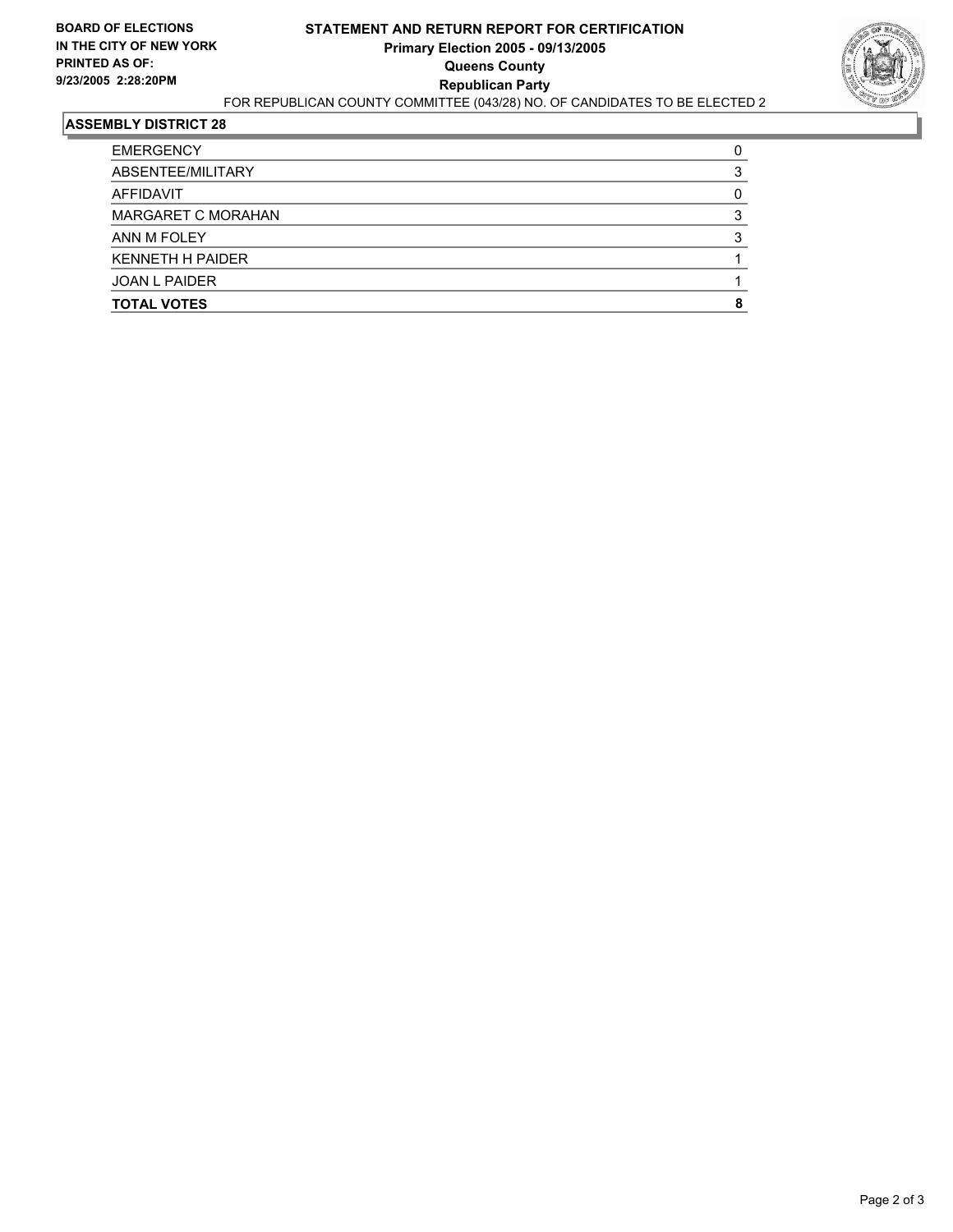

| <b>TOTAL VOTES</b>        |  |
|---------------------------|--|
| <b>JOAN L PAIDER</b>      |  |
| <b>KENNETH H PAIDER</b>   |  |
| ANN M FOLEY               |  |
| <b>MARGARET C MORAHAN</b> |  |
| AFFIDAVIT                 |  |
| ABSENTEE/MILITARY         |  |
| <b>EMERGENCY</b>          |  |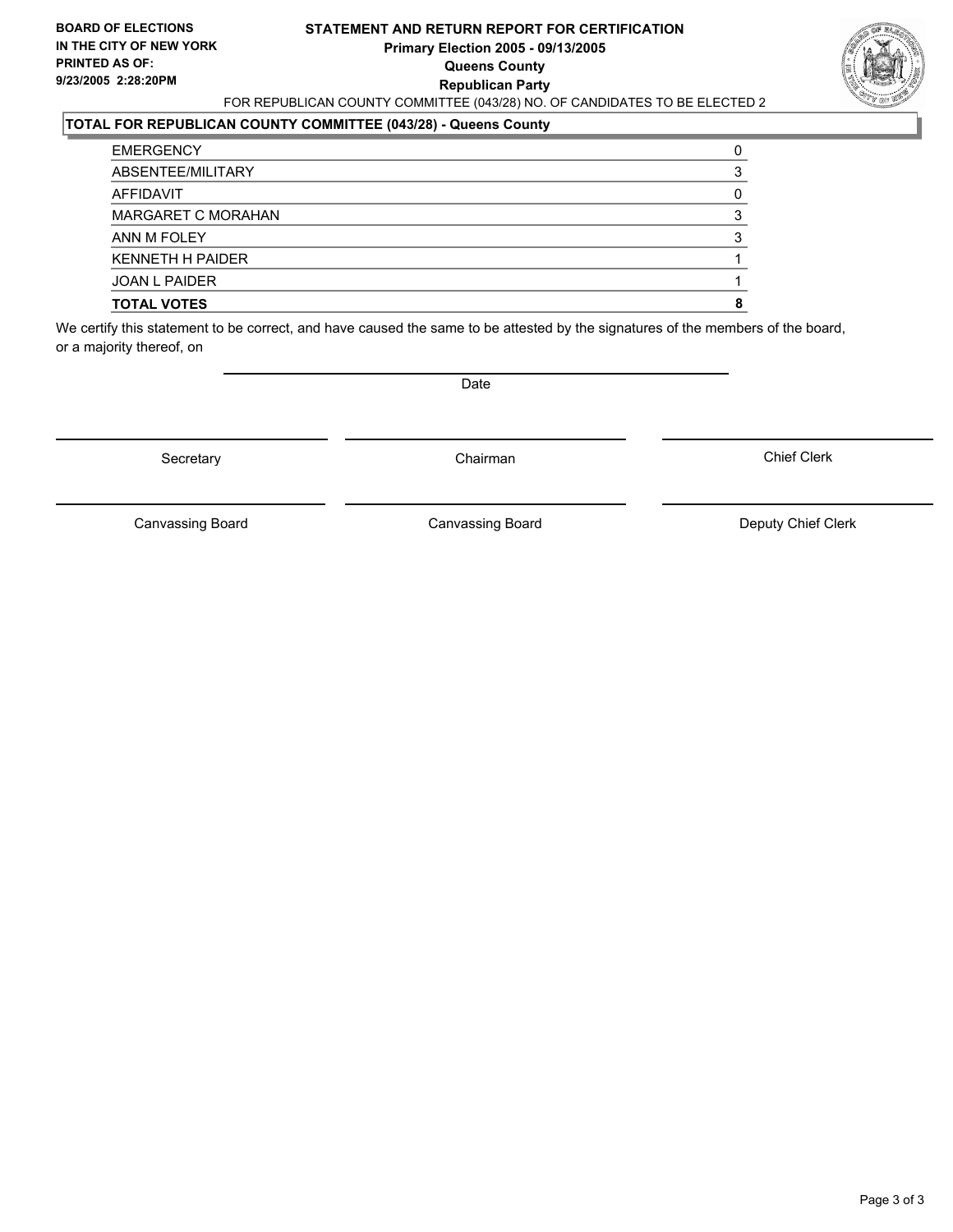#### **STATEMENT AND RETURN REPORT FOR CERTIFICATION Primary Election 2005 - 09/13/2005 Queens County Republican Party** FOR REPUBLICAN COUNTY COMMITTEE (043/28) NO. OF CANDIDATES TO BE ELECTED 2



#### **TOTAL FOR REPUBLICAN COUNTY COMMITTEE (043/28) - Queens County**

| <b>TOTAL VOTES</b>        |  |
|---------------------------|--|
| <b>JOAN L PAIDER</b>      |  |
| <b>KENNETH H PAIDER</b>   |  |
| ANN M FOLEY               |  |
| <b>MARGARET C MORAHAN</b> |  |
| AFFIDAVIT                 |  |
| ABSENTEE/MILITARY         |  |
| <b>EMERGENCY</b>          |  |

We certify this statement to be correct, and have caused the same to be attested by the signatures of the members of the board, or a majority thereof, on

Secretary **Chairman** 

Date

Chief Clerk

Canvassing Board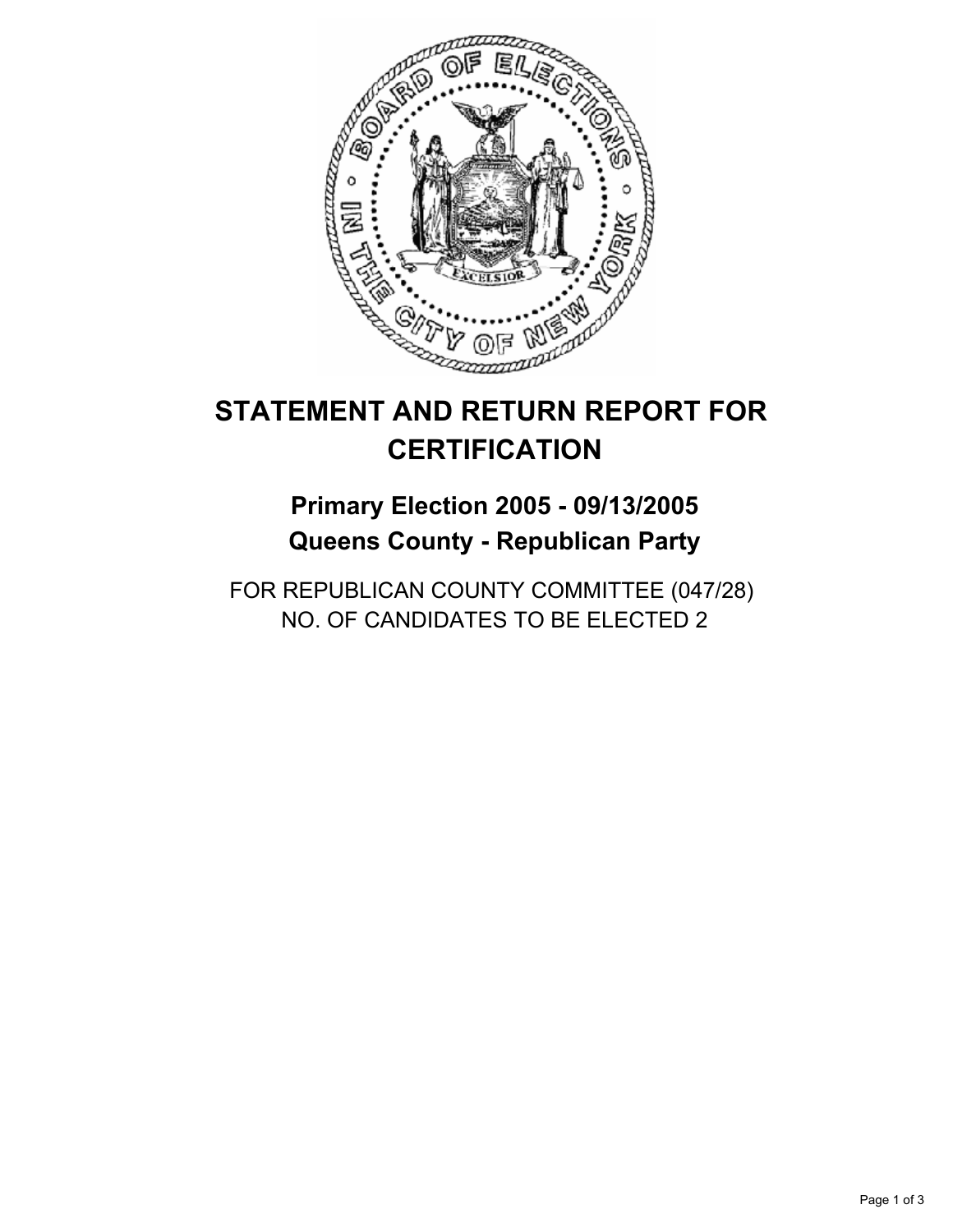

## **Primary Election 2005 - 09/13/2005 Queens County - Republican Party**

FOR REPUBLICAN COUNTY COMMITTEE (047/28) NO. OF CANDIDATES TO BE ELECTED 2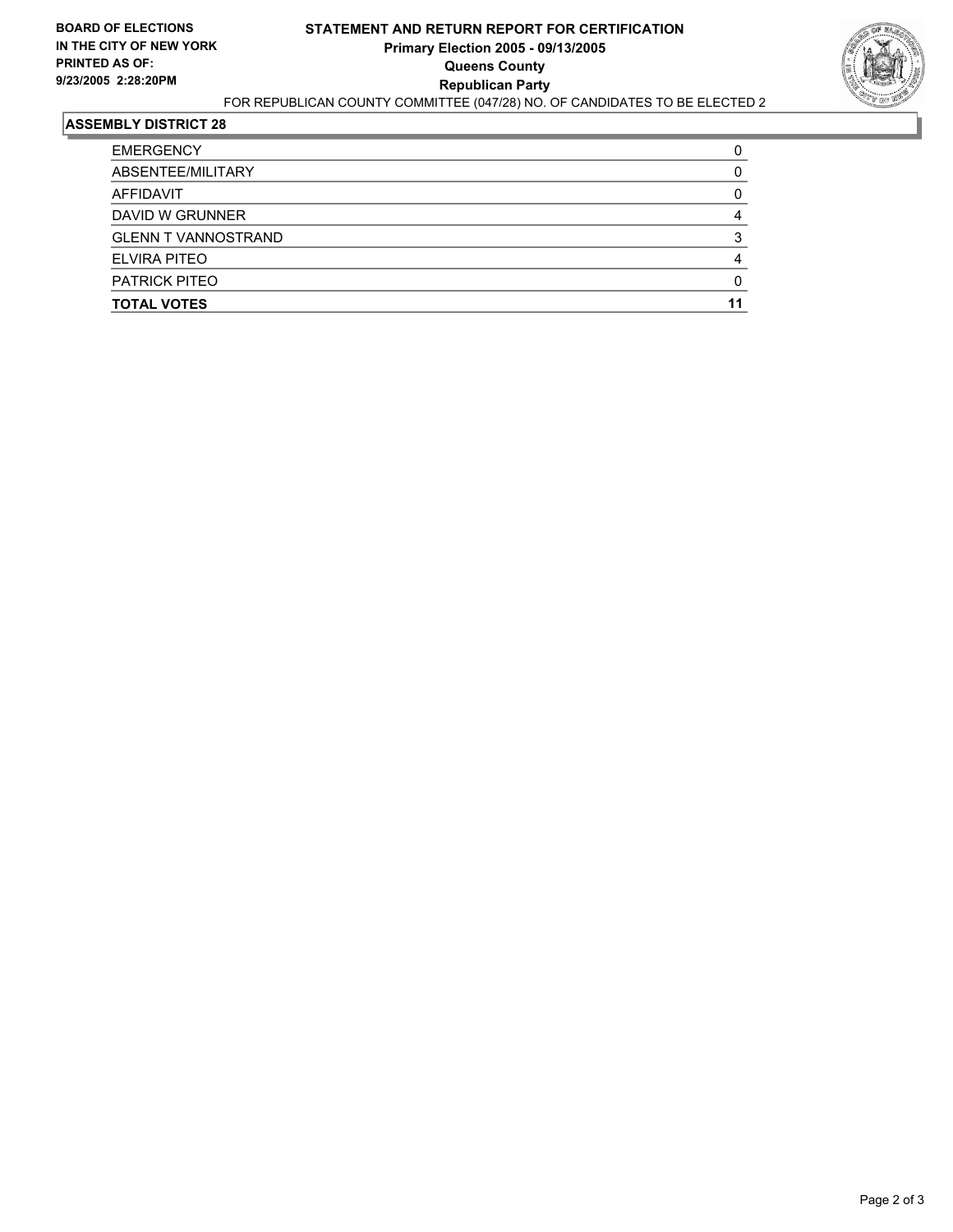

| <b>EMERGENCY</b>           |  |
|----------------------------|--|
| ABSENTEE/MILITARY          |  |
| AFFIDAVIT                  |  |
| DAVID W GRUNNER            |  |
| <b>GLENN T VANNOSTRAND</b> |  |
| ELVIRA PITEO               |  |
| <b>PATRICK PITEO</b>       |  |
| <b>TOTAL VOTES</b>         |  |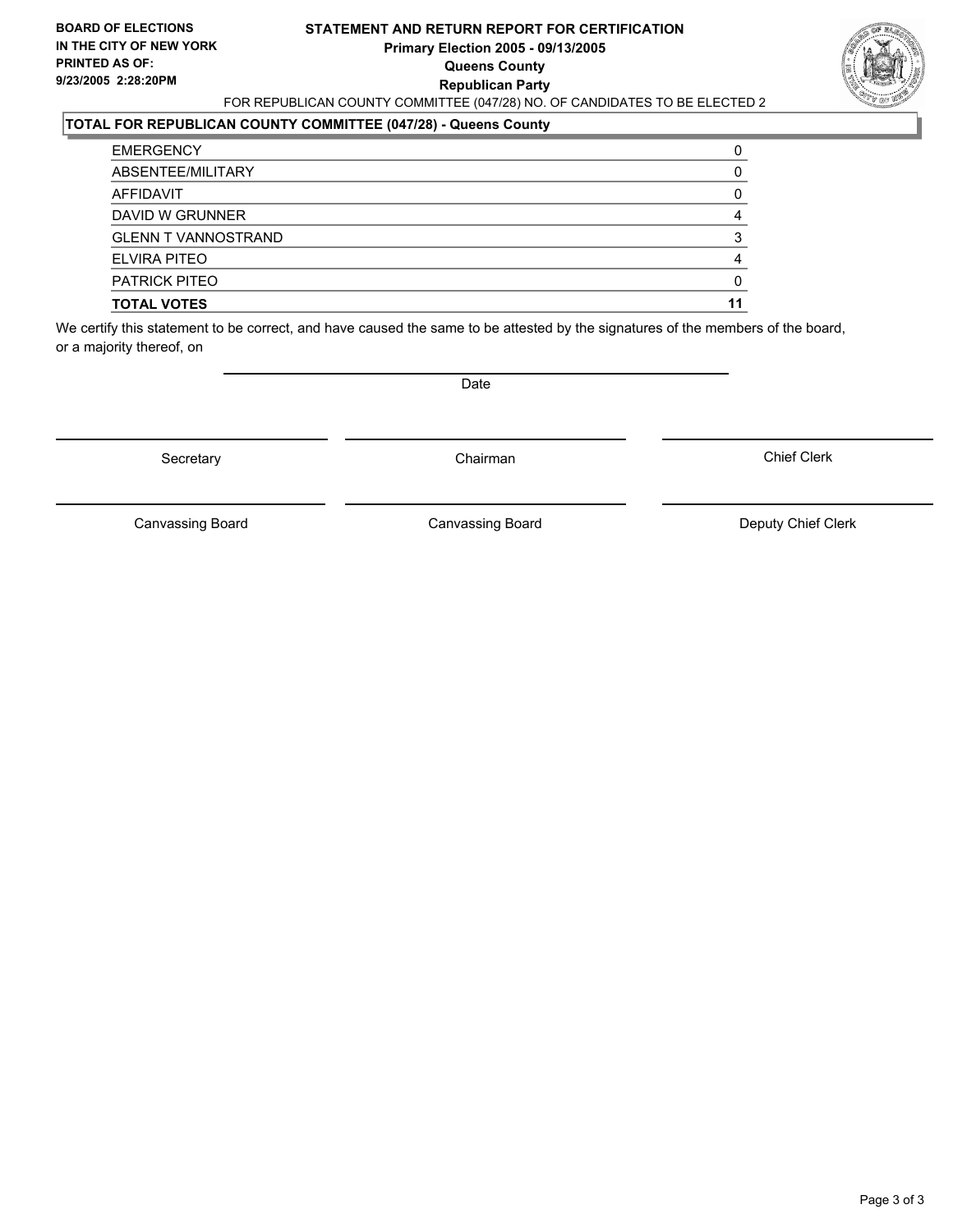#### **STATEMENT AND RETURN REPORT FOR CERTIFICATION Primary Election 2005 - 09/13/2005 Queens County Republican Party** FOR REPUBLICAN COUNTY COMMITTEE (047/28) NO. OF CANDIDATES TO BE ELECTED 2



### **TOTAL FOR REPUBLICAN COUNTY COMMITTEE (047/28) - Queens County**

| <b>TOTAL VOTES</b>         |   |
|----------------------------|---|
| <b>PATRICK PITEO</b>       |   |
| ELVIRA PITEO               |   |
| <b>GLENN T VANNOSTRAND</b> | 2 |
| DAVID W GRUNNER            |   |
| AFFIDAVIT                  |   |
| ABSENTEE/MILITARY          |   |
| <b>EMERGENCY</b>           |   |

We certify this statement to be correct, and have caused the same to be attested by the signatures of the members of the board, or a majority thereof, on

Secretary **Chairman** 

Date

Chief Clerk

Canvassing Board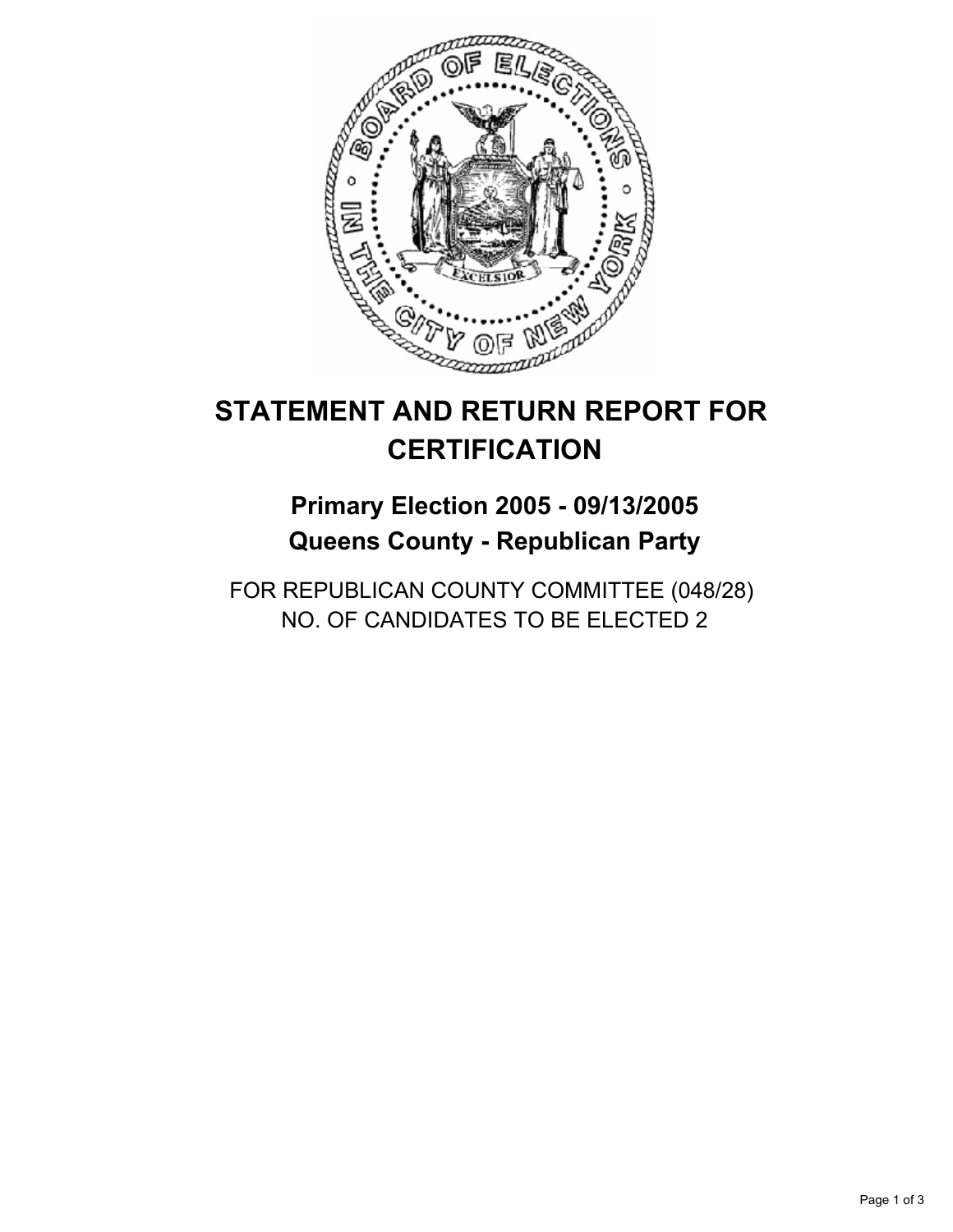

## **Primary Election 2005 - 09/13/2005 Queens County - Republican Party**

FOR REPUBLICAN COUNTY COMMITTEE (048/28) NO. OF CANDIDATES TO BE ELECTED 2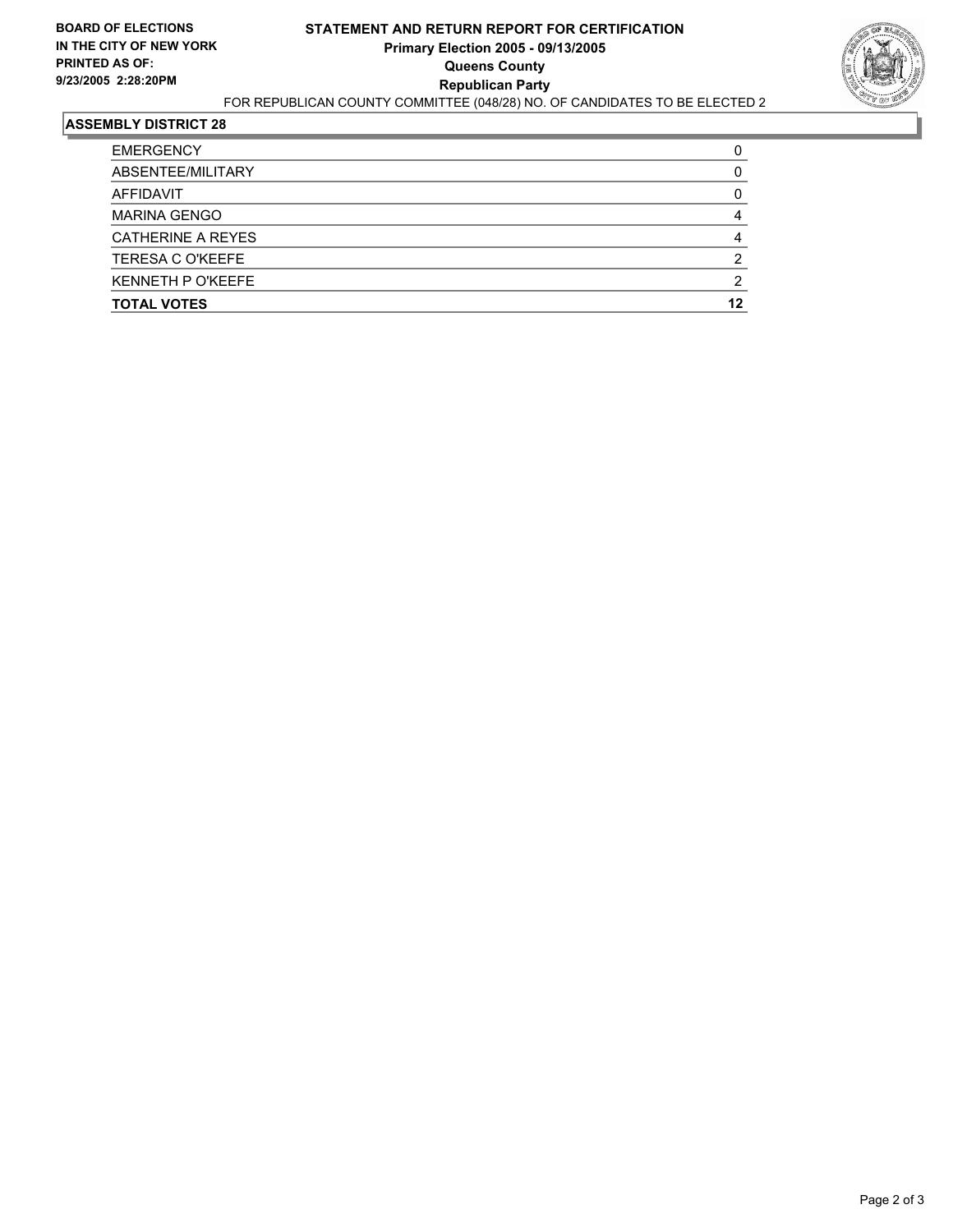

| <b>EMERGENCY</b>         |    |
|--------------------------|----|
| ABSENTEE/MILITARY        |    |
| AFFIDAVIT                |    |
| <b>MARINA GENGO</b>      |    |
| CATHERINE A REYES        |    |
| <b>TERESA C O'KEEFE</b>  |    |
| <b>KENNETH P O'KEEFE</b> |    |
| <b>TOTAL VOTES</b>       | 12 |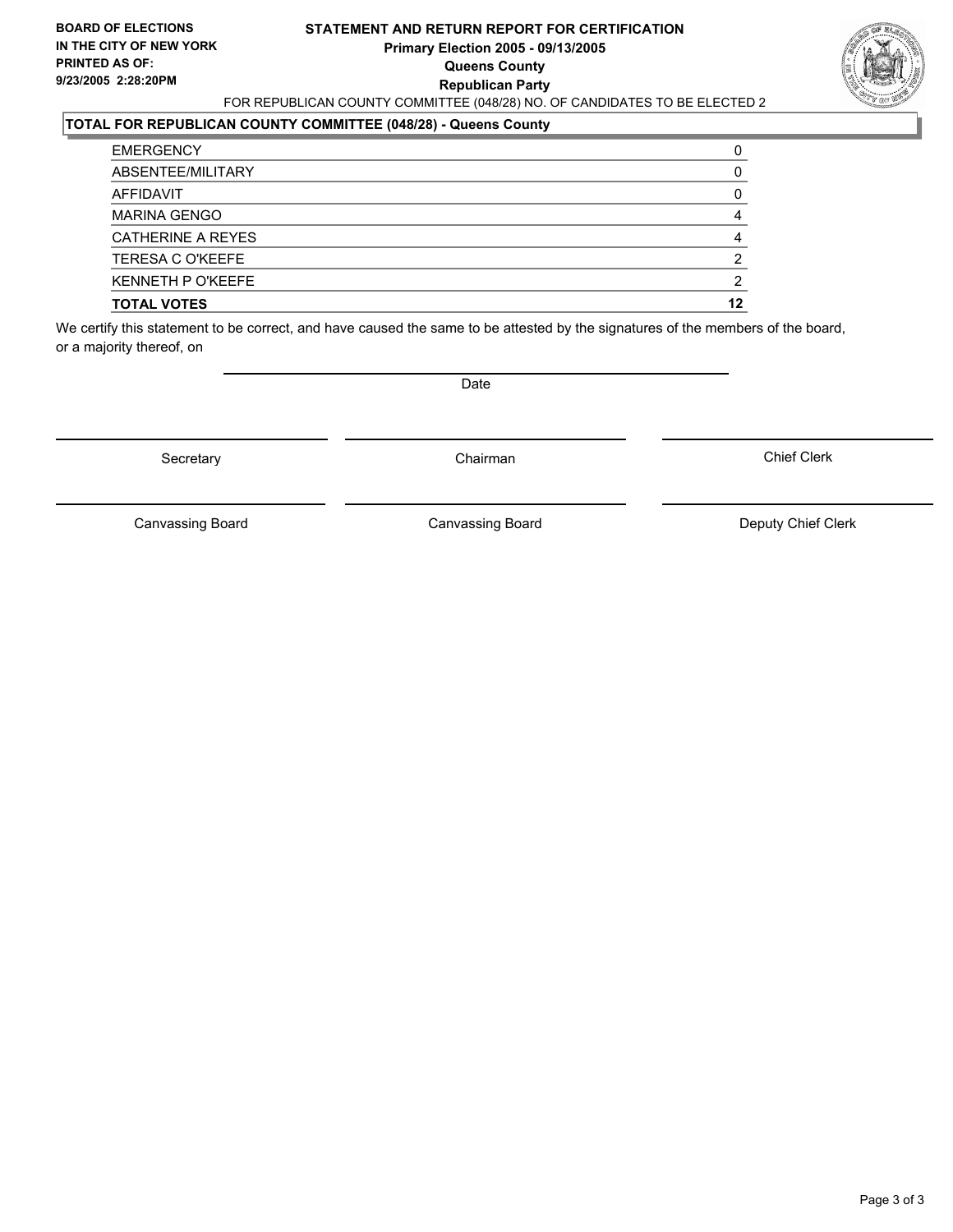#### **STATEMENT AND RETURN REPORT FOR CERTIFICATION Primary Election 2005 - 09/13/2005 Queens County Republican Party** FOR REPUBLICAN COUNTY COMMITTEE (048/28) NO. OF CANDIDATES TO BE ELECTED 2



### **TOTAL FOR REPUBLICAN COUNTY COMMITTEE (048/28) - Queens County**

| <b>TOTAL VOTES</b>       | 12 |
|--------------------------|----|
| <b>KENNETH P O'KEEFE</b> |    |
| <b>TERESA C O'KEEFE</b>  | ◠  |
| <b>CATHERINE A REYES</b> |    |
| <b>MARINA GENGO</b>      |    |
| AFFIDAVIT                |    |
| ABSENTEE/MILITARY        |    |
| <b>EMERGENCY</b>         |    |

We certify this statement to be correct, and have caused the same to be attested by the signatures of the members of the board, or a majority thereof, on

Secretary **Chairman** 

Date

Chief Clerk

Canvassing Board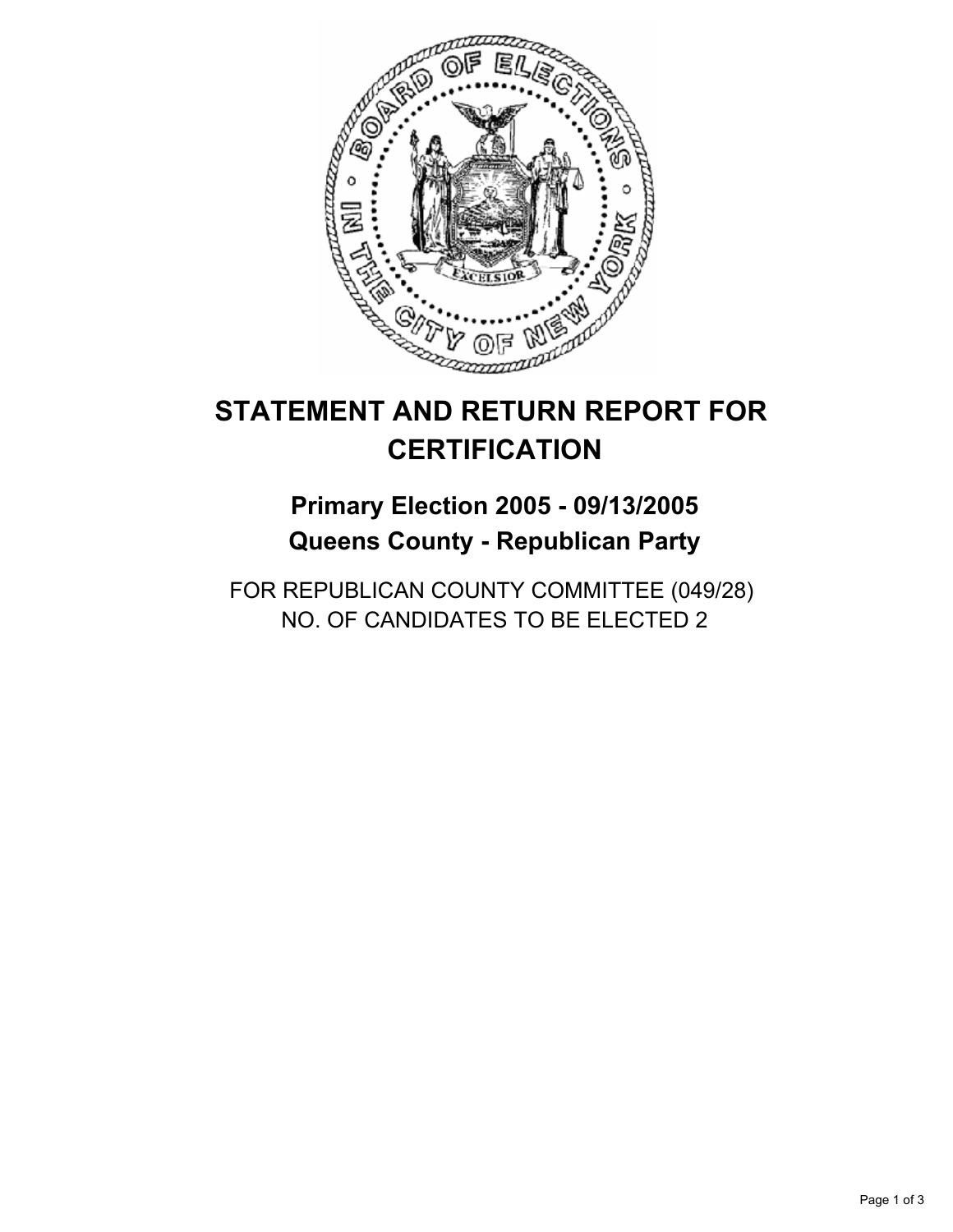

## **Primary Election 2005 - 09/13/2005 Queens County - Republican Party**

FOR REPUBLICAN COUNTY COMMITTEE (049/28) NO. OF CANDIDATES TO BE ELECTED 2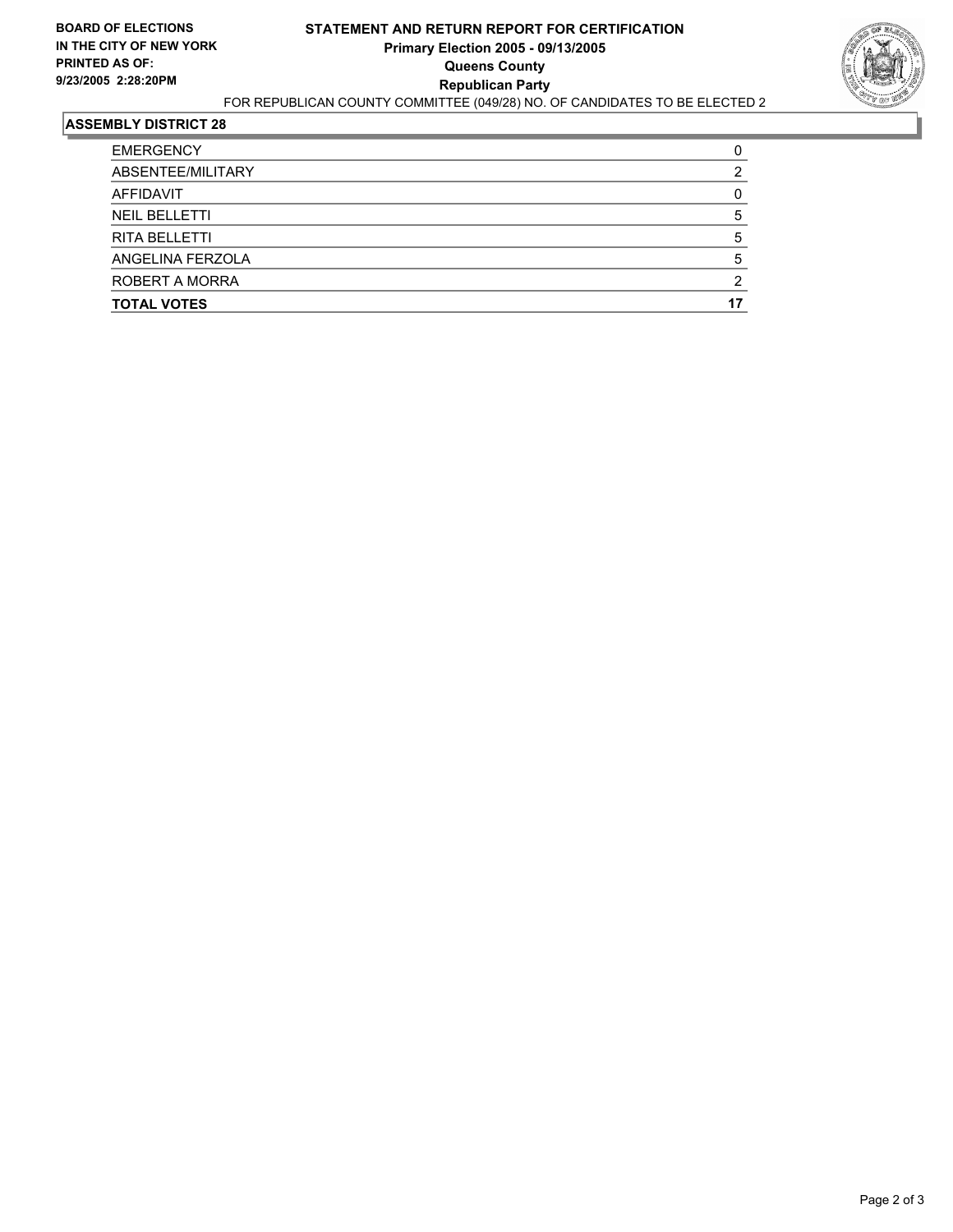

| <b>EMERGENCY</b>     |  |
|----------------------|--|
| ABSENTEE/MILITARY    |  |
| AFFIDAVIT            |  |
| <b>NEIL BELLETTI</b> |  |
| <b>RITA BELLETTI</b> |  |
| ANGELINA FERZOLA     |  |
| ROBERT A MORRA       |  |
| <b>TOTAL VOTES</b>   |  |
|                      |  |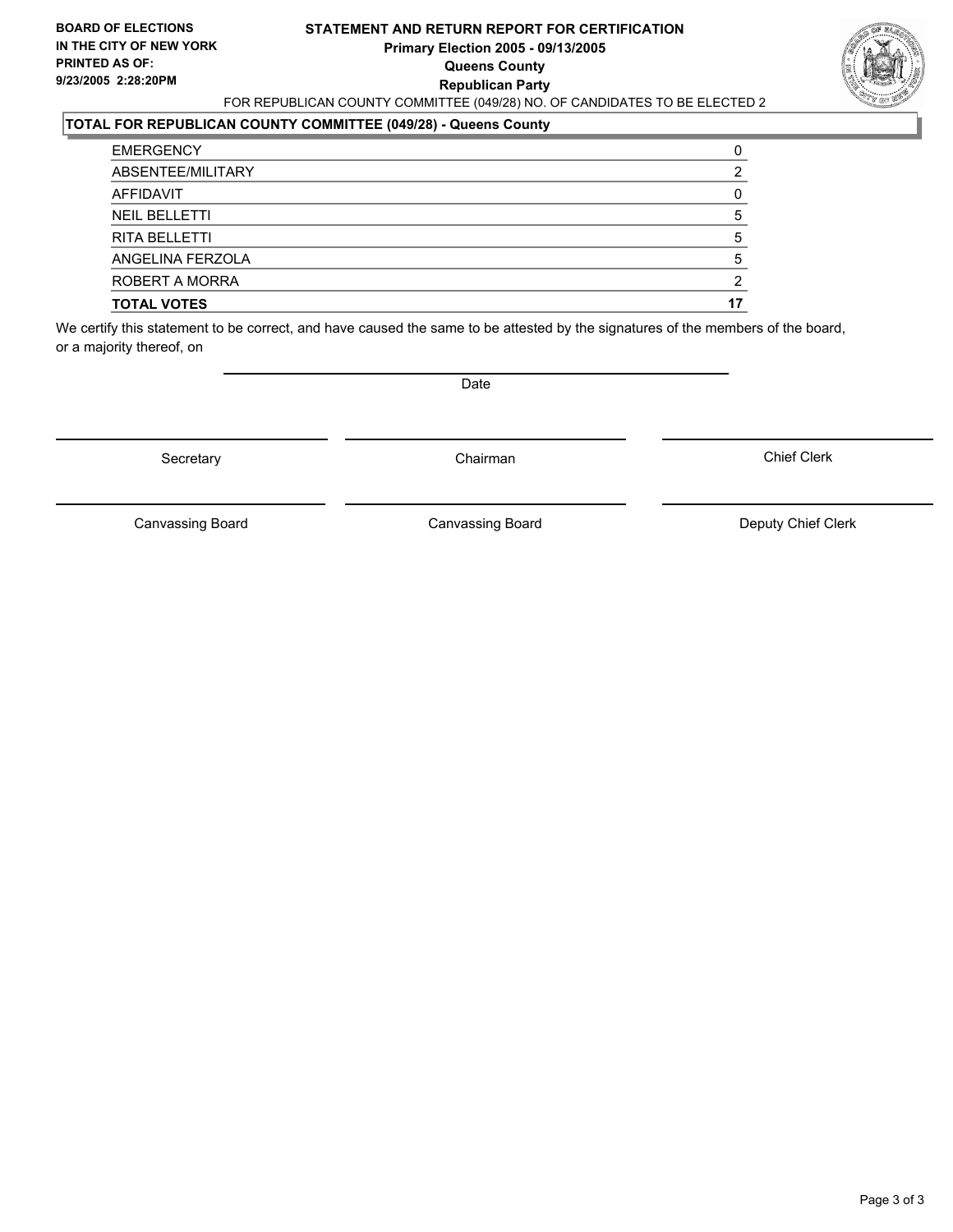#### **STATEMENT AND RETURN REPORT FOR CERTIFICATION Primary Election 2005 - 09/13/2005 Queens County Republican Party** FOR REPUBLICAN COUNTY COMMITTEE (049/28) NO. OF CANDIDATES TO BE ELECTED 2



#### **TOTAL FOR REPUBLICAN COUNTY COMMITTEE (049/28) - Queens County**

| <b>TOTAL VOTES</b>   |  |
|----------------------|--|
| ROBERT A MORRA       |  |
| ANGELINA FERZOLA     |  |
| <b>RITA BELLETTI</b> |  |
| <b>NEIL BELLETTI</b> |  |
| AFFIDAVIT            |  |
| ABSENTEE/MILITARY    |  |
| <b>EMERGENCY</b>     |  |

We certify this statement to be correct, and have caused the same to be attested by the signatures of the members of the board, or a majority thereof, on

Secretary **Chairman** 

Date

Chief Clerk

Canvassing Board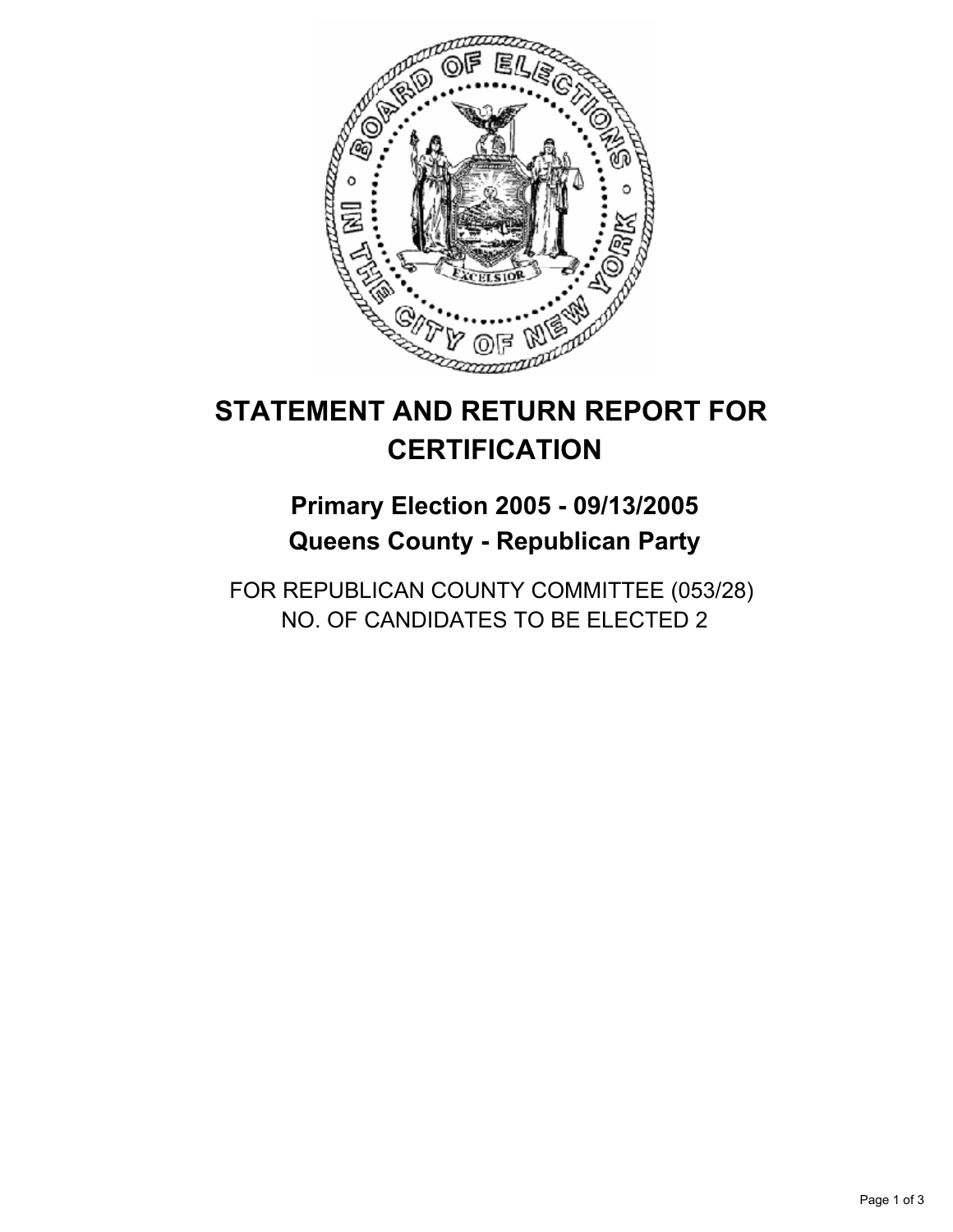

## **Primary Election 2005 - 09/13/2005 Queens County - Republican Party**

FOR REPUBLICAN COUNTY COMMITTEE (053/28) NO. OF CANDIDATES TO BE ELECTED 2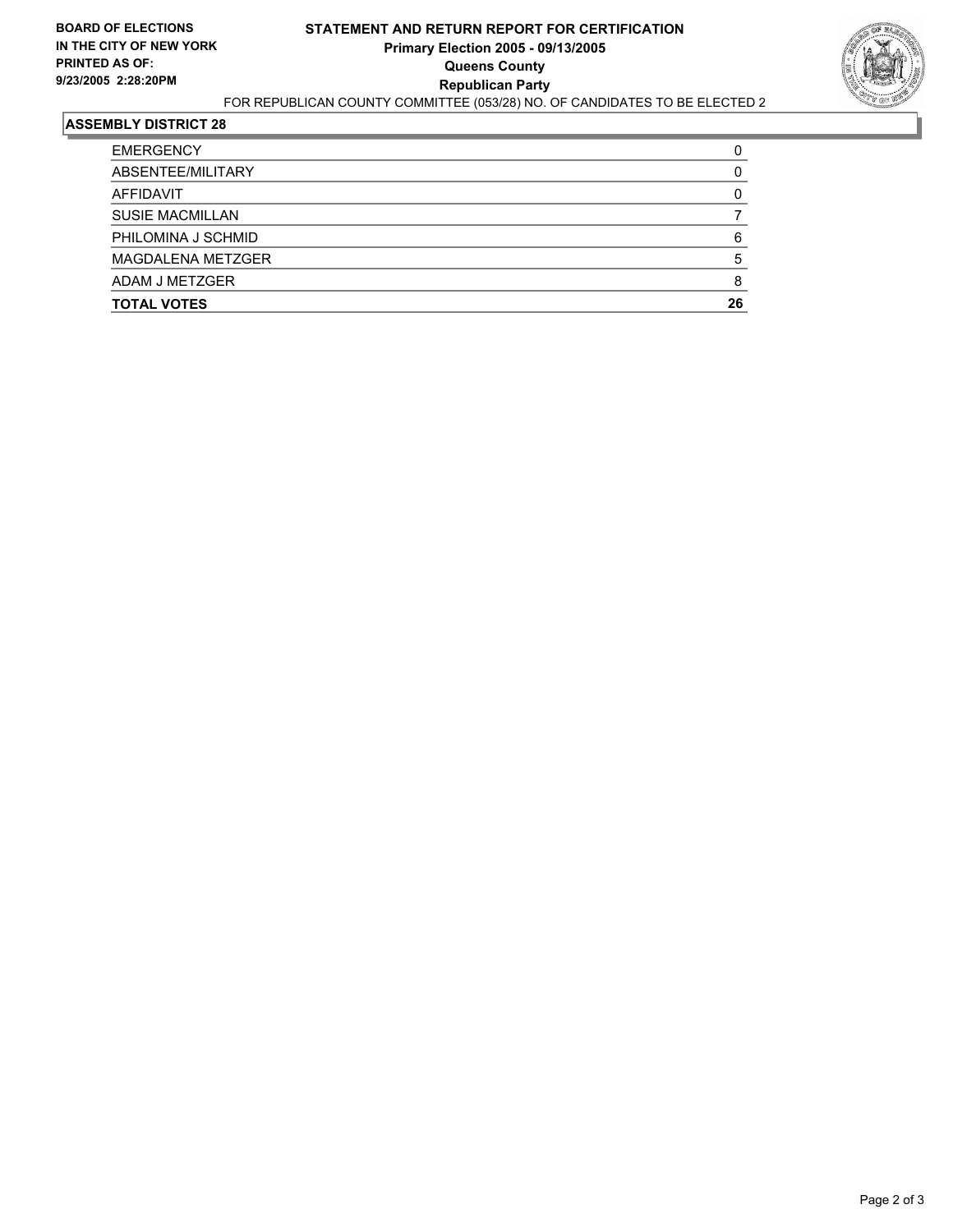

| <b>EMERGENCY</b>       |    |
|------------------------|----|
| ABSENTEE/MILITARY      |    |
| AFFIDAVIT              |    |
| <b>SUSIE MACMILLAN</b> |    |
| PHILOMINA J SCHMID     | 6  |
| MAGDALENA METZGER      |    |
| ADAM J METZGER         |    |
| <b>TOTAL VOTES</b>     | 26 |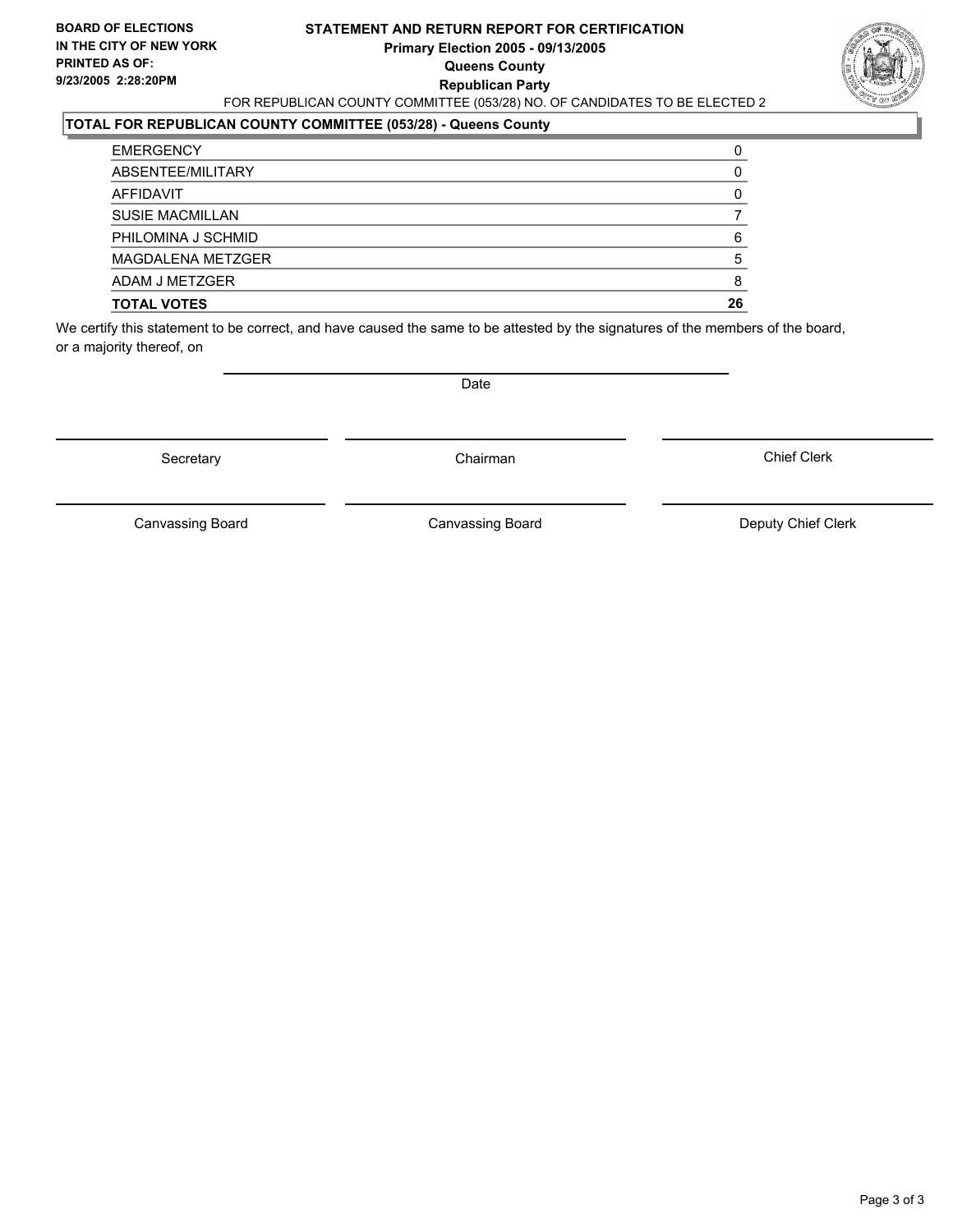#### **STATEMENT AND RETURN REPORT FOR CERTIFICATION Primary Election 2005 - 09/13/2005 Queens County Republican Party** FOR REPUBLICAN COUNTY COMMITTEE (053/28) NO. OF CANDIDATES TO BE ELECTED 2



### **TOTAL FOR REPUBLICAN COUNTY COMMITTEE (053/28) - Queens County**

| <b>TOTAL VOTES</b>       | 26 |
|--------------------------|----|
| ADAM J METZGER           |    |
| <b>MAGDALENA METZGER</b> |    |
| PHILOMINA J SCHMID       |    |
| <b>SUSIE MACMILLAN</b>   |    |
| AFFIDAVIT                |    |
| ABSENTEE/MILITARY        |    |
| <b>EMERGENCY</b>         |    |

We certify this statement to be correct, and have caused the same to be attested by the signatures of the members of the board, or a majority thereof, on

Secretary **Chairman** 

Date

Chief Clerk

Canvassing Board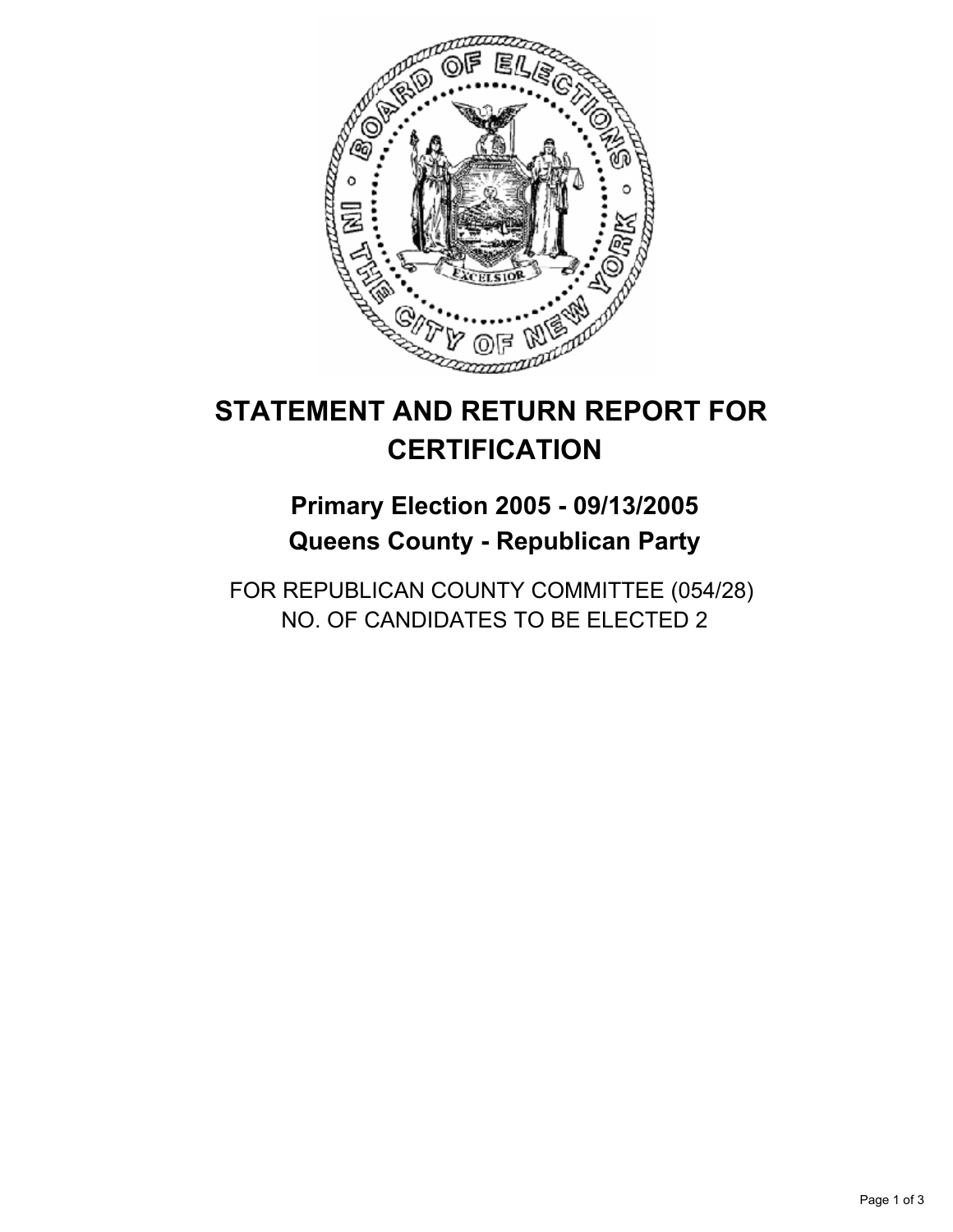

## **Primary Election 2005 - 09/13/2005 Queens County - Republican Party**

FOR REPUBLICAN COUNTY COMMITTEE (054/28) NO. OF CANDIDATES TO BE ELECTED 2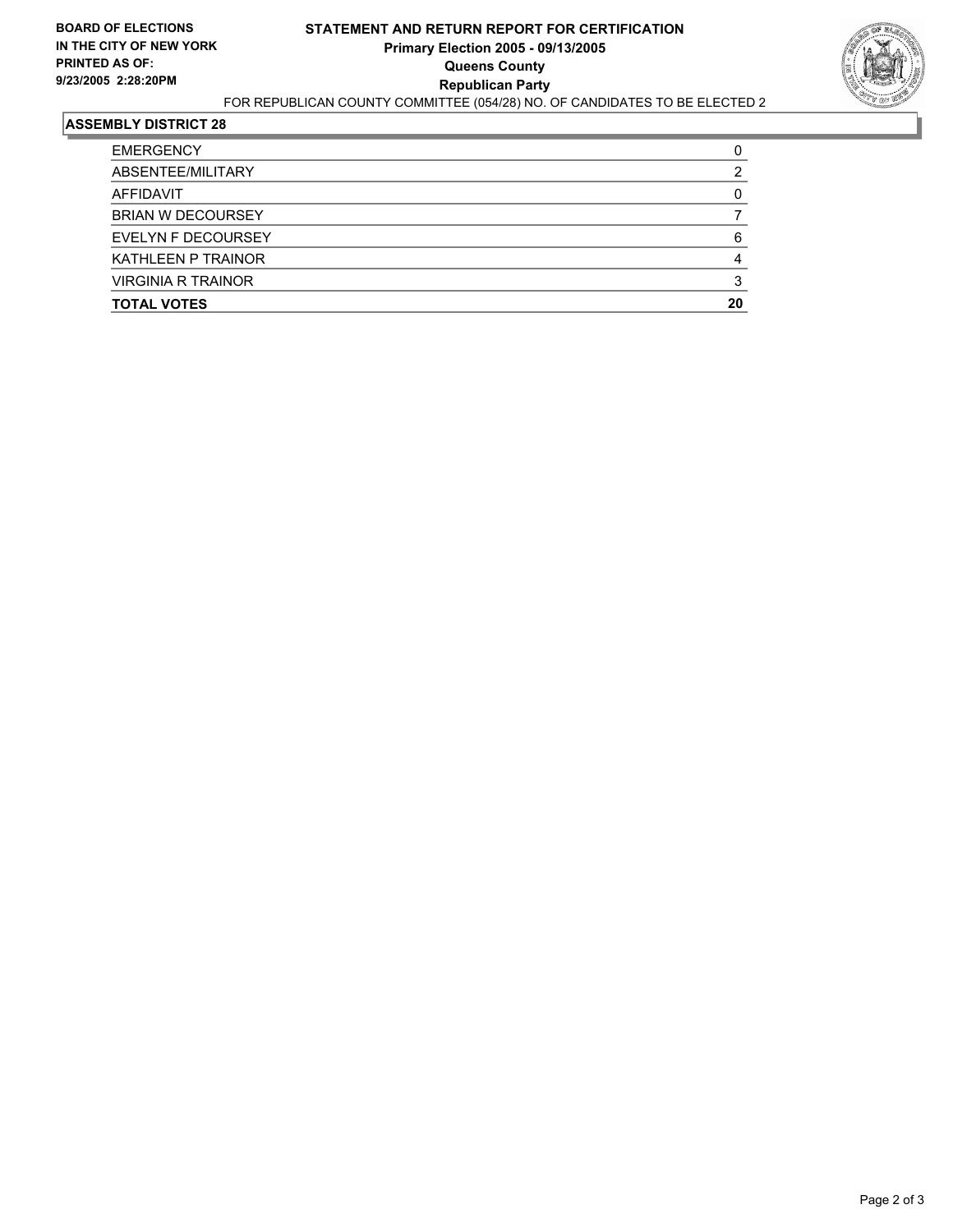

| <b>TOTAL VOTES</b>        | 20 |
|---------------------------|----|
| <b>VIRGINIA R TRAINOR</b> |    |
| <b>KATHLEEN P TRAINOR</b> |    |
| EVELYN F DECOURSEY        |    |
| <b>BRIAN W DECOURSEY</b>  |    |
| AFFIDAVIT                 |    |
| ABSENTEE/MILITARY         |    |
| <b>EMERGENCY</b>          |    |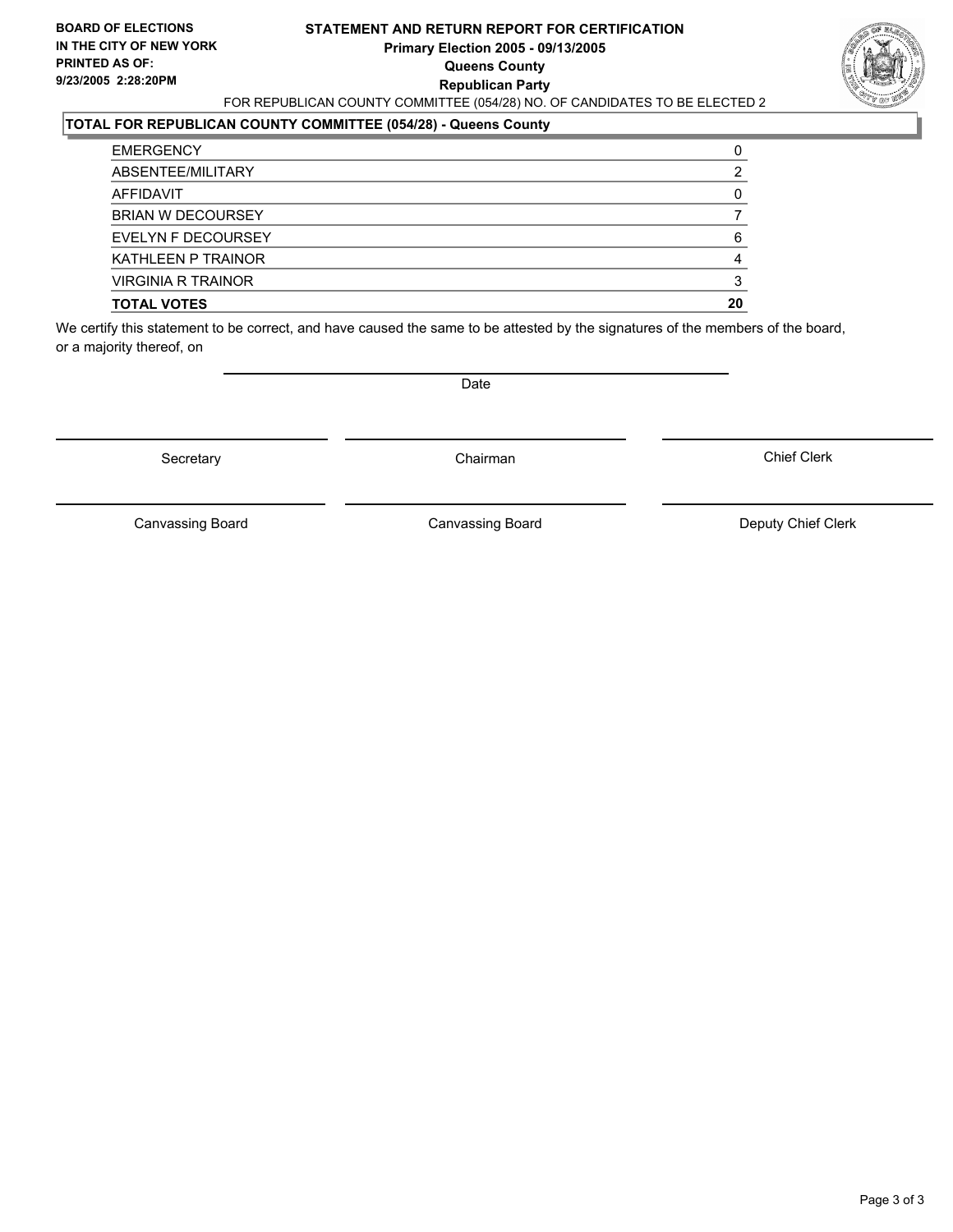#### **STATEMENT AND RETURN REPORT FOR CERTIFICATION Primary Election 2005 - 09/13/2005 Queens County Republican Party** FOR REPUBLICAN COUNTY COMMITTEE (054/28) NO. OF CANDIDATES TO BE ELECTED 2

### **TOTAL FOR REPUBLICAN COUNTY COMMITTEE (054/28) - Queens County**

| <b>TOTAL VOTES</b>        | 20 |
|---------------------------|----|
| <b>VIRGINIA R TRAINOR</b> |    |
| <b>KATHLEEN P TRAINOR</b> | 4  |
| EVELYN F DECOURSEY        | 6  |
| <b>BRIAN W DECOURSEY</b>  |    |
| AFFIDAVIT                 |    |
| ABSENTEE/MILITARY         |    |
| <b>EMERGENCY</b>          |    |

We certify this statement to be correct, and have caused the same to be attested by the signatures of the members of the board, or a majority thereof, on

Secretary **Chairman** 

Date

Chief Clerk

Canvassing Board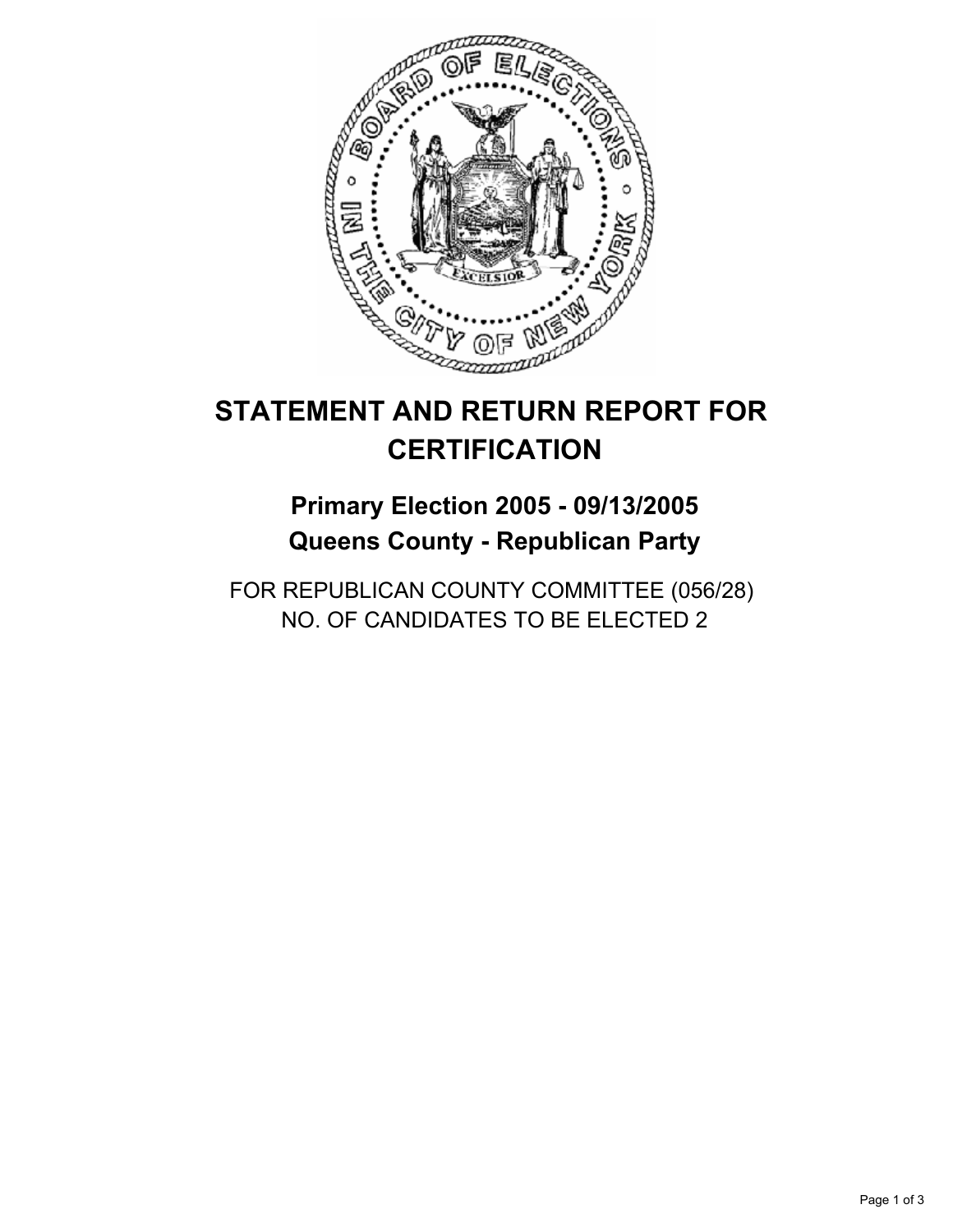

## **Primary Election 2005 - 09/13/2005 Queens County - Republican Party**

FOR REPUBLICAN COUNTY COMMITTEE (056/28) NO. OF CANDIDATES TO BE ELECTED 2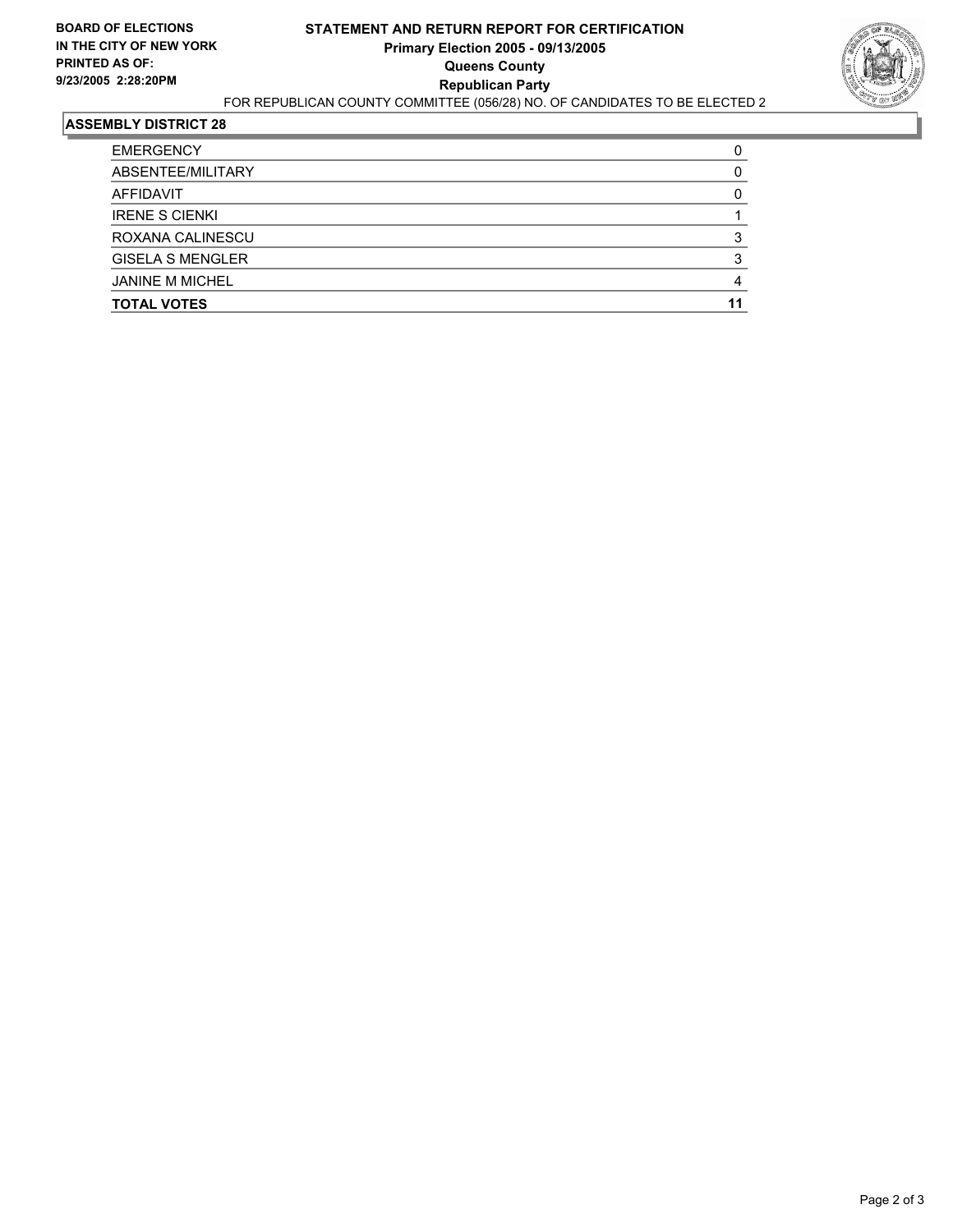

| <b>TOTAL VOTES</b>      |  |
|-------------------------|--|
| <b>JANINE M MICHEL</b>  |  |
| <b>GISELA S MENGLER</b> |  |
| ROXANA CALINESCU        |  |
| <b>IRENE S CIENKI</b>   |  |
| AFFIDAVIT               |  |
| ABSENTEE/MILITARY       |  |
| <b>EMERGENCY</b>        |  |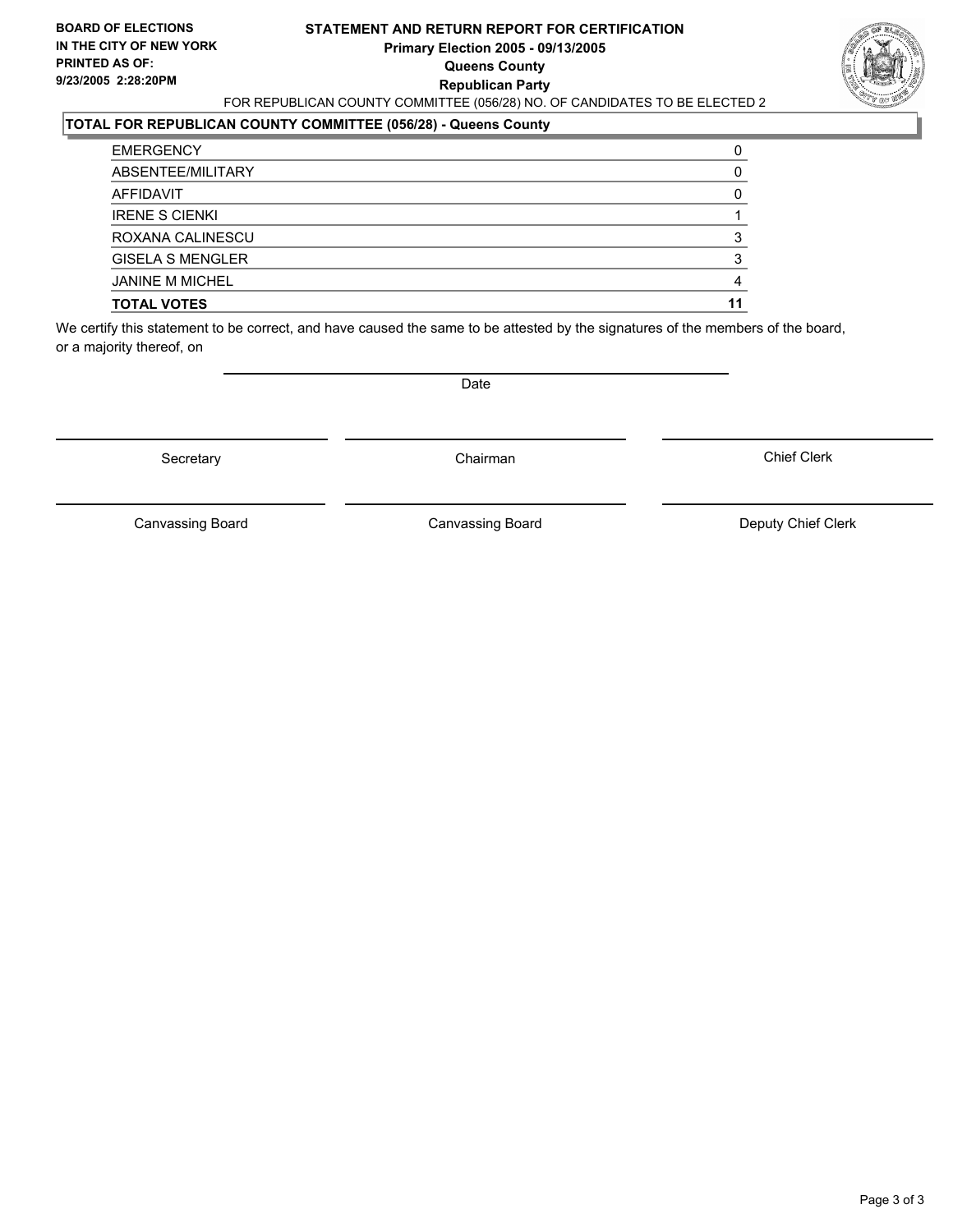#### **STATEMENT AND RETURN REPORT FOR CERTIFICATION Primary Election 2005 - 09/13/2005 Queens County Republican Party** FOR REPUBLICAN COUNTY COMMITTEE (056/28) NO. OF CANDIDATES TO BE ELECTED 2



### **TOTAL FOR REPUBLICAN COUNTY COMMITTEE (056/28) - Queens County**

| <b>TOTAL VOTES</b>      |  |
|-------------------------|--|
| <b>JANINE M MICHEL</b>  |  |
| <b>GISELA S MENGLER</b> |  |
| ROXANA CALINESCU        |  |
| <b>IRENE S CIENKI</b>   |  |
| AFFIDAVIT               |  |
| ABSENTEE/MILITARY       |  |
| <b>EMERGENCY</b>        |  |

We certify this statement to be correct, and have caused the same to be attested by the signatures of the members of the board, or a majority thereof, on

Secretary **Chairman** 

Date

Chief Clerk

Canvassing Board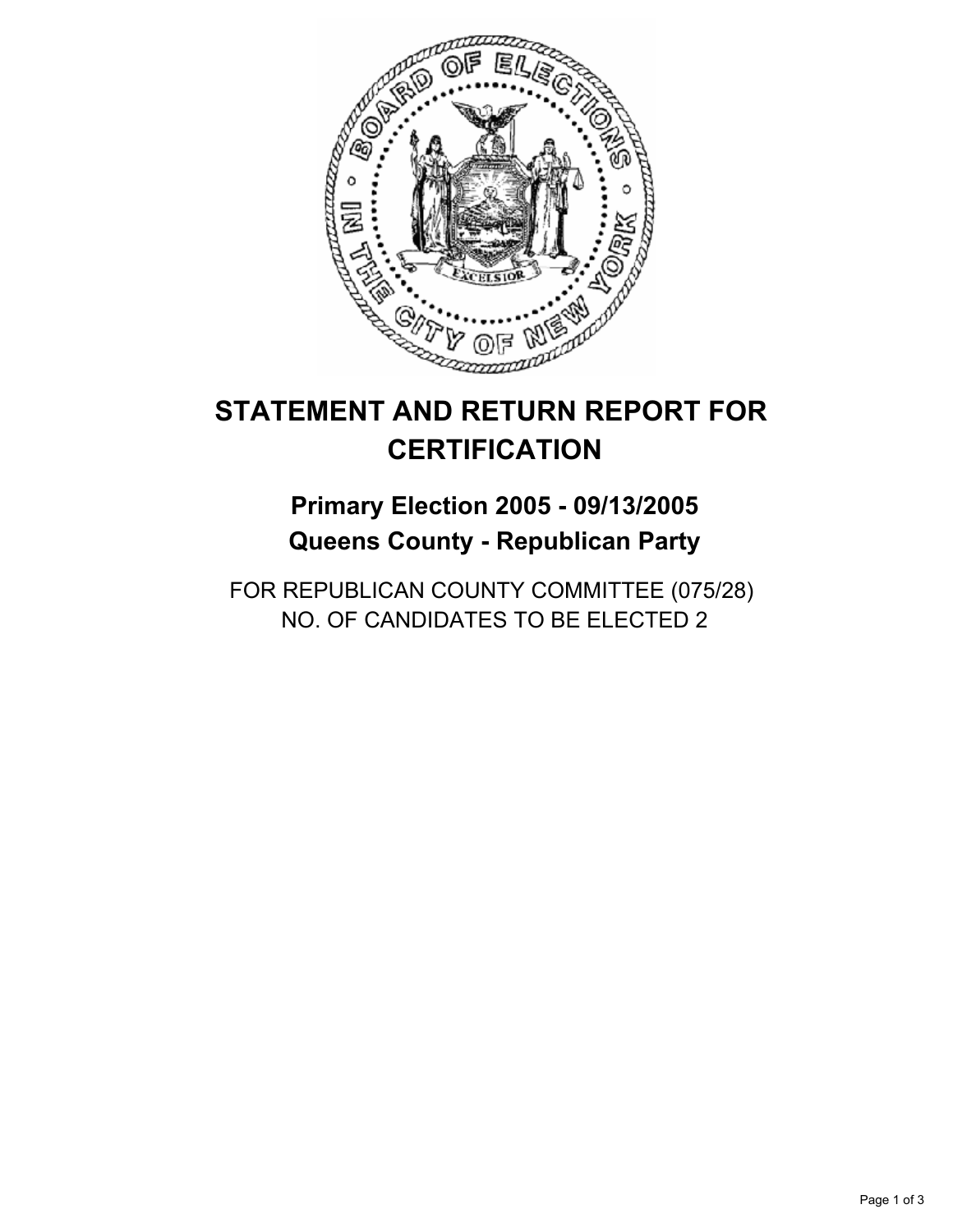

## **Primary Election 2005 - 09/13/2005 Queens County - Republican Party**

FOR REPUBLICAN COUNTY COMMITTEE (075/28) NO. OF CANDIDATES TO BE ELECTED 2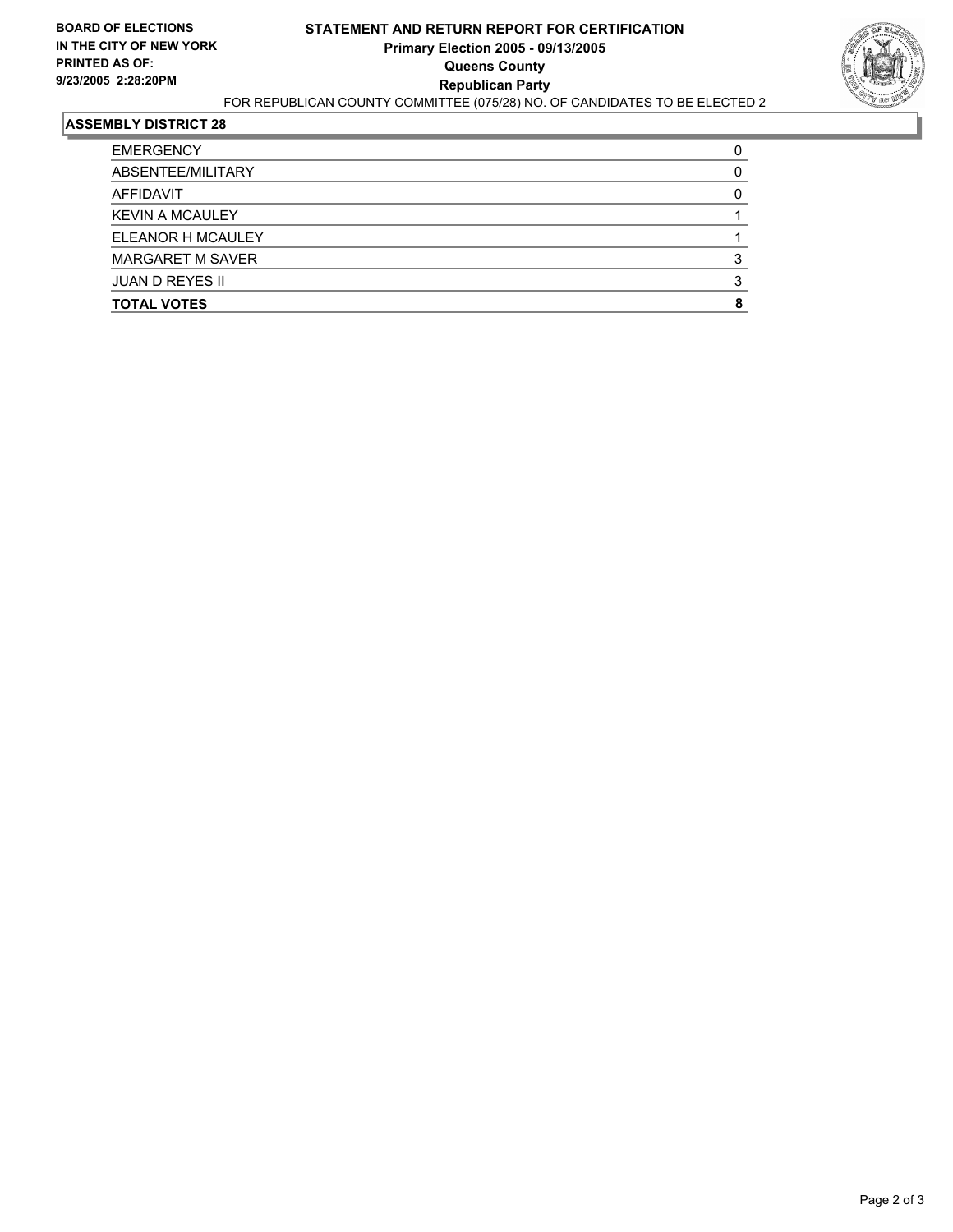

| <b>EMERGENCY</b>        |  |
|-------------------------|--|
| ABSENTEE/MILITARY       |  |
| AFFIDAVIT               |  |
| <b>KEVIN A MCAULEY</b>  |  |
| ELEANOR H MCAULEY       |  |
| <b>MARGARET M SAVER</b> |  |
| JUAN D REYES II         |  |
| <b>TOTAL VOTES</b>      |  |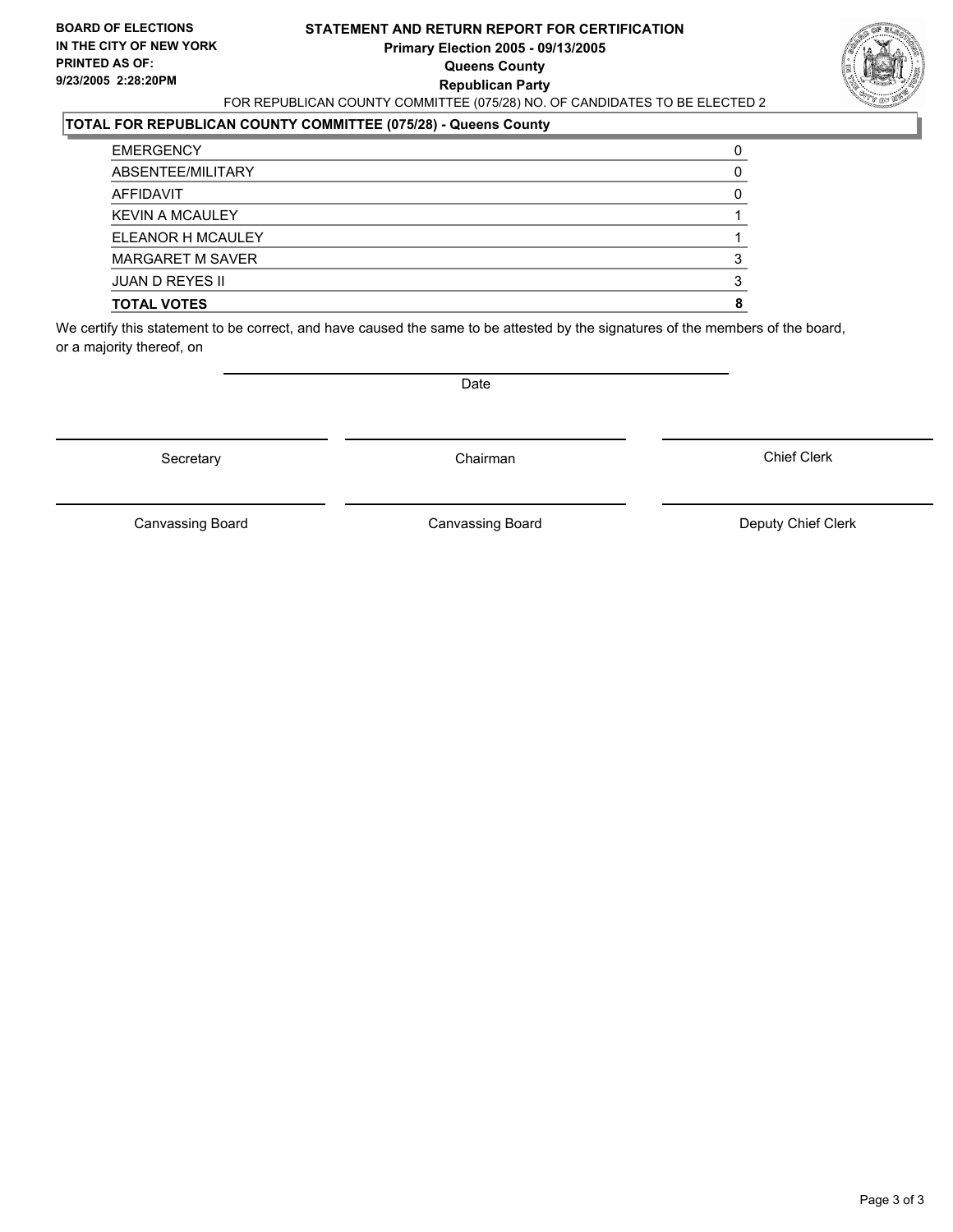#### **STATEMENT AND RETURN REPORT FOR CERTIFICATION Primary Election 2005 - 09/13/2005 Queens County Republican Party** FOR REPUBLICAN COUNTY COMMITTEE (075/28) NO. OF CANDIDATES TO BE ELECTED 2



### **TOTAL FOR REPUBLICAN COUNTY COMMITTEE (075/28) - Queens County**

| <b>TOTAL VOTES</b>     |  |
|------------------------|--|
| <b>JUAN D REYES II</b> |  |
| MARGARET M SAVER       |  |
| ELEANOR H MCAULEY      |  |
| <b>KEVIN A MCAULEY</b> |  |
| AFFIDAVIT              |  |
| ABSENTEE/MILITARY      |  |
| <b>EMERGENCY</b>       |  |

We certify this statement to be correct, and have caused the same to be attested by the signatures of the members of the board, or a majority thereof, on

Secretary **Chairman** 

Date

Chief Clerk

Canvassing Board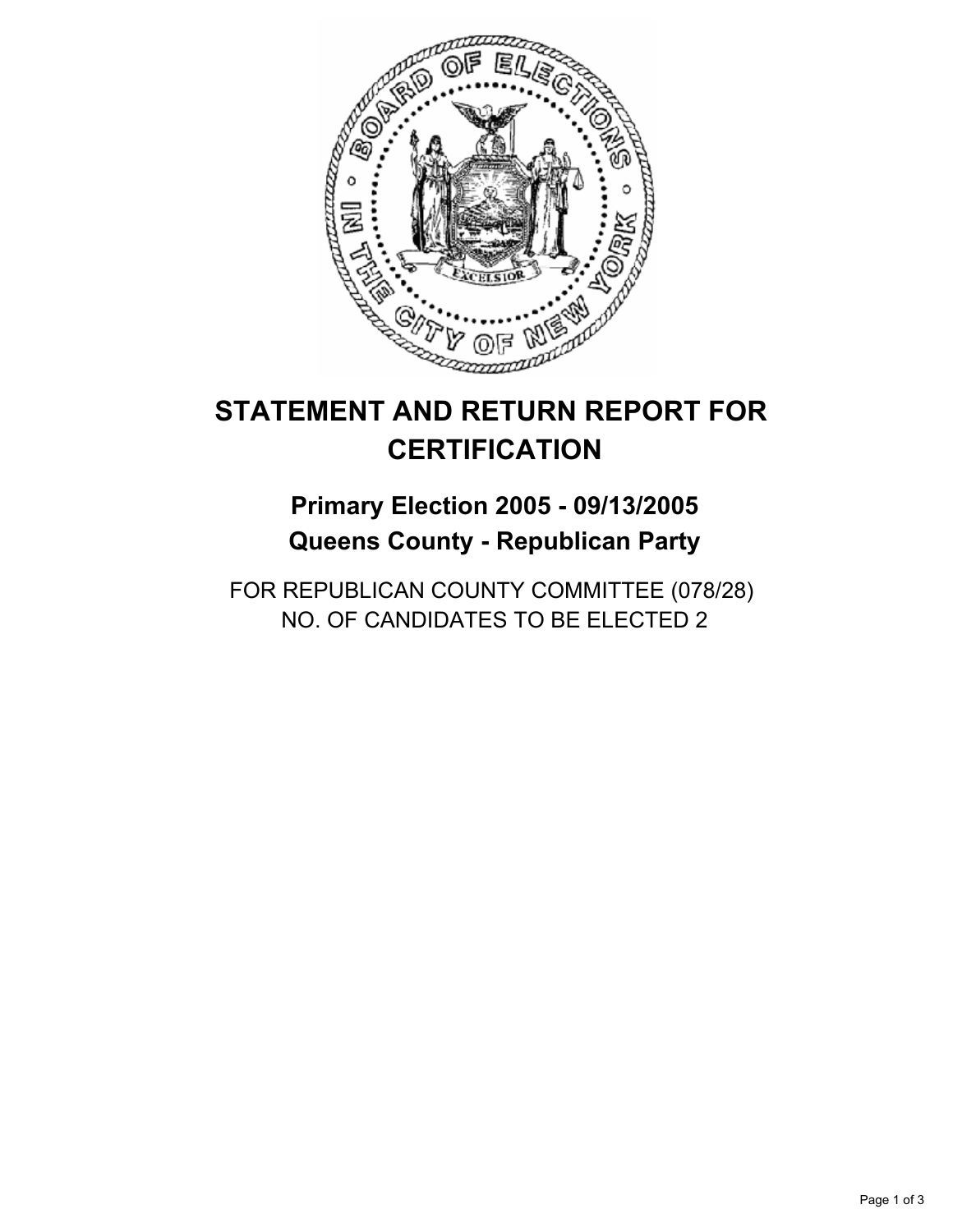

## **Primary Election 2005 - 09/13/2005 Queens County - Republican Party**

FOR REPUBLICAN COUNTY COMMITTEE (078/28) NO. OF CANDIDATES TO BE ELECTED 2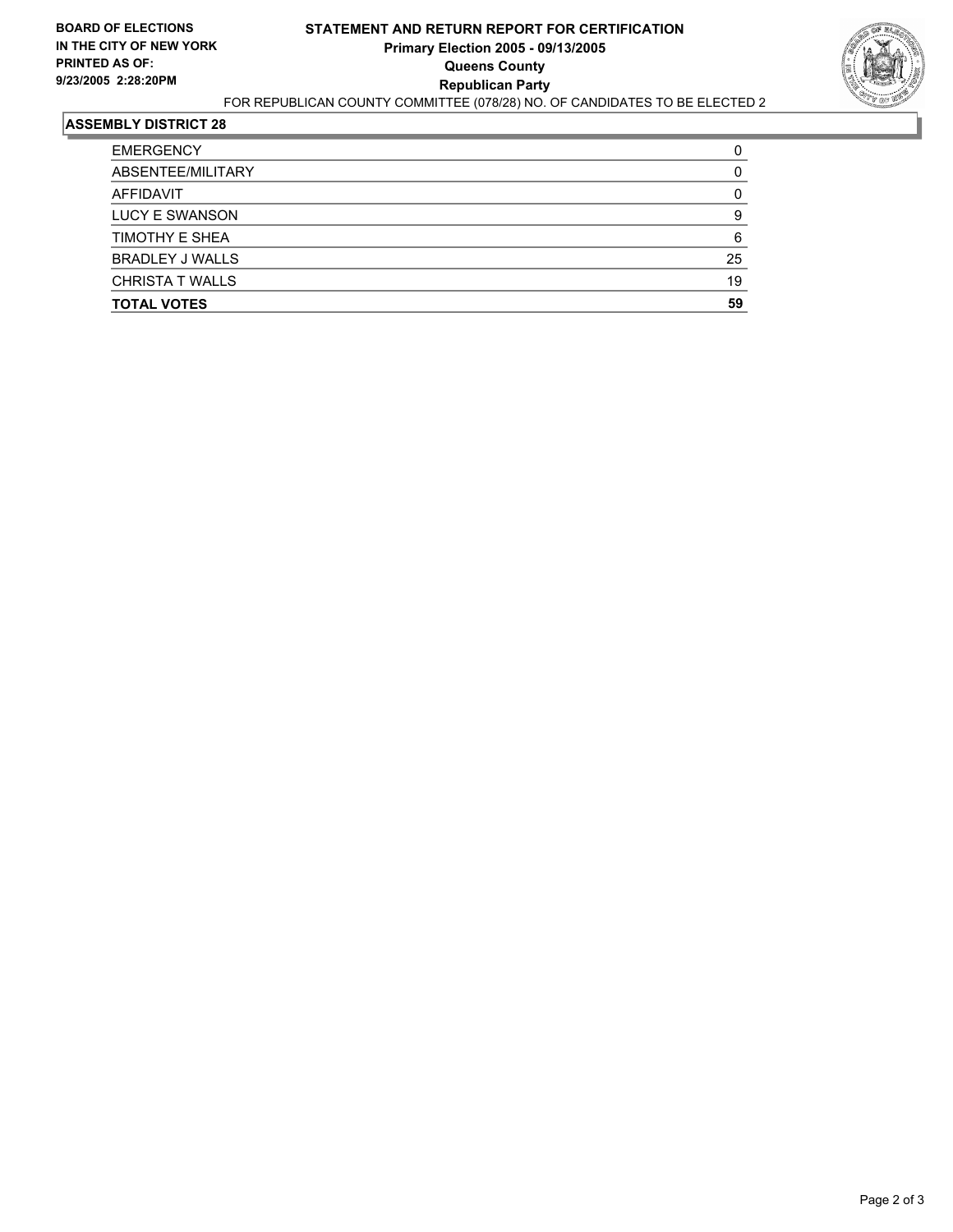

| <b>EMERGENCY</b>       |    |
|------------------------|----|
| ABSENTEE/MILITARY      |    |
| AFFIDAVIT              |    |
| <b>LUCY E SWANSON</b>  |    |
| <b>TIMOTHY E SHEA</b>  | 6  |
| <b>BRADLEY J WALLS</b> | 25 |
| <b>CHRISTA T WALLS</b> | 19 |
| <b>TOTAL VOTES</b>     | 59 |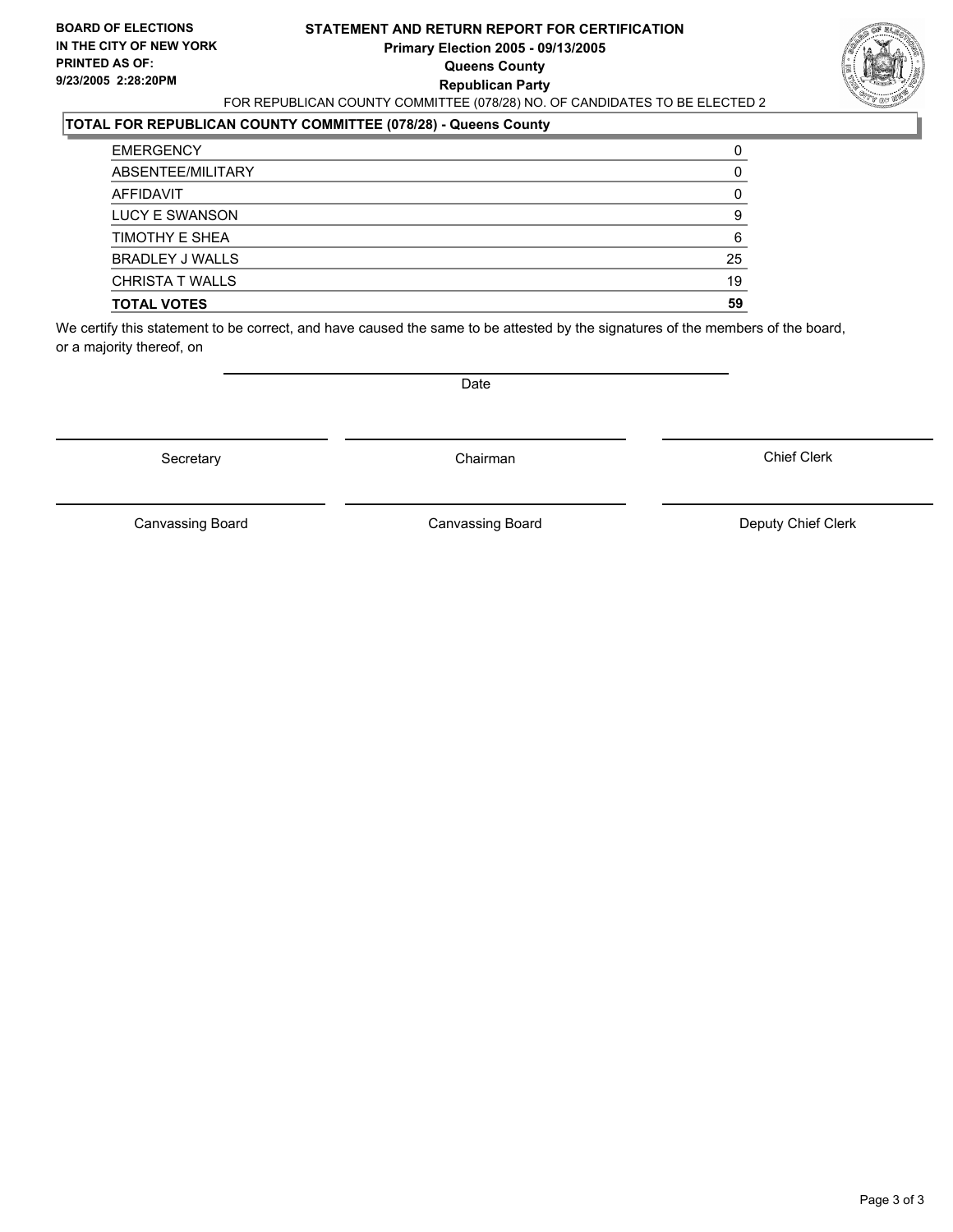#### **STATEMENT AND RETURN REPORT FOR CERTIFICATION Primary Election 2005 - 09/13/2005 Queens County Republican Party** FOR REPUBLICAN COUNTY COMMITTEE (078/28) NO. OF CANDIDATES TO BE ELECTED 2



### **TOTAL FOR REPUBLICAN COUNTY COMMITTEE (078/28) - Queens County**

| <b>TOTAL VOTES</b>     | 59 |
|------------------------|----|
| <b>CHRISTA T WALLS</b> | 19 |
| <b>BRADLEY J WALLS</b> | 25 |
| TIMOTHY E SHEA         | 6  |
| LUCY E SWANSON         |    |
| AFFIDAVIT              |    |
| ABSENTEE/MILITARY      |    |
| <b>EMERGENCY</b>       |    |

We certify this statement to be correct, and have caused the same to be attested by the signatures of the members of the board, or a majority thereof, on

Secretary **Chairman** 

Date

Chief Clerk

Canvassing Board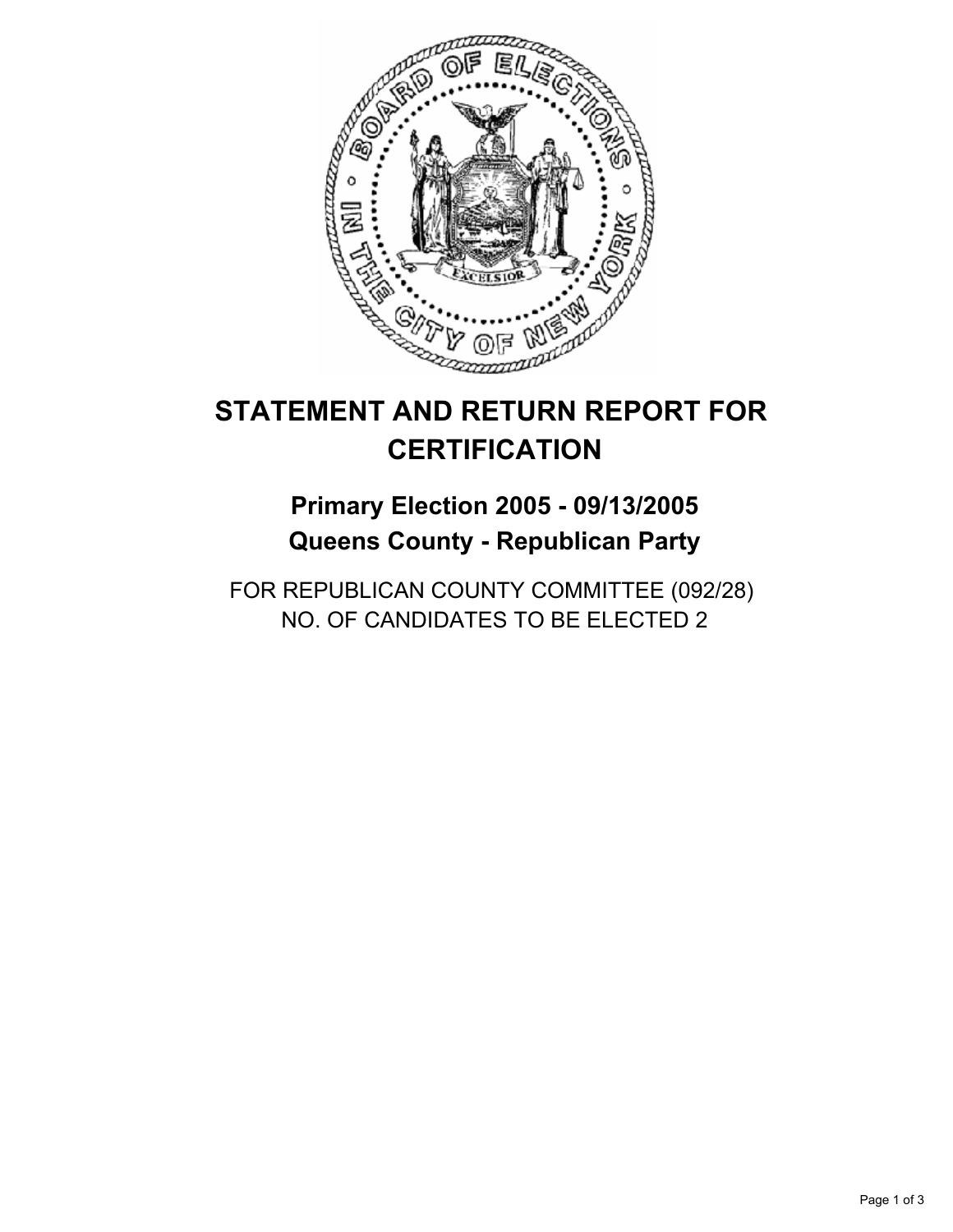

## **Primary Election 2005 - 09/13/2005 Queens County - Republican Party**

FOR REPUBLICAN COUNTY COMMITTEE (092/28) NO. OF CANDIDATES TO BE ELECTED 2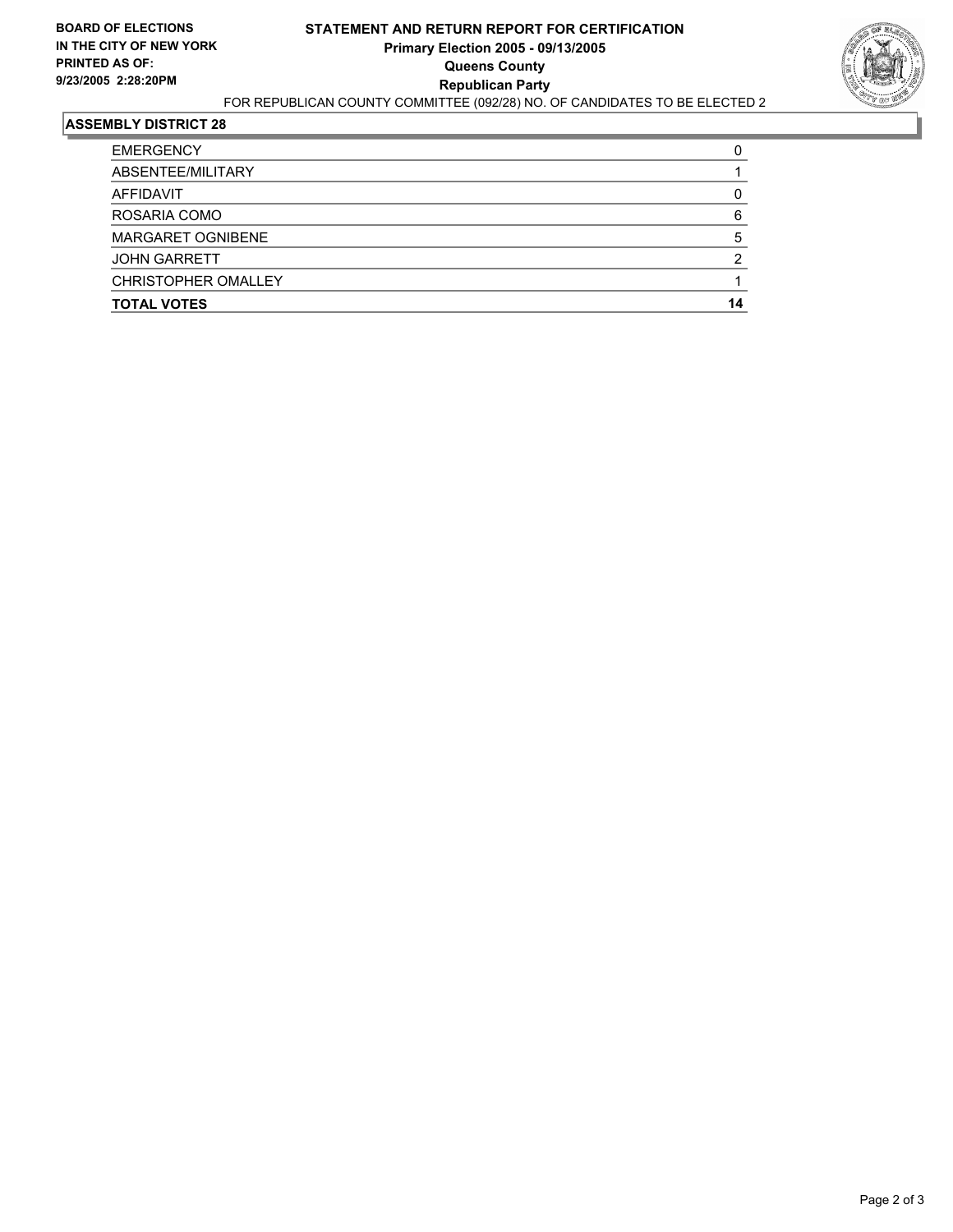

| <b>EMERGENCY</b>           |  |
|----------------------------|--|
| ABSENTEE/MILITARY          |  |
| AFFIDAVIT                  |  |
| ROSARIA COMO               |  |
| <b>MARGARET OGNIBENE</b>   |  |
| <b>JOHN GARRETT</b>        |  |
| <b>CHRISTOPHER OMALLEY</b> |  |
| <b>TOTAL VOTES</b>         |  |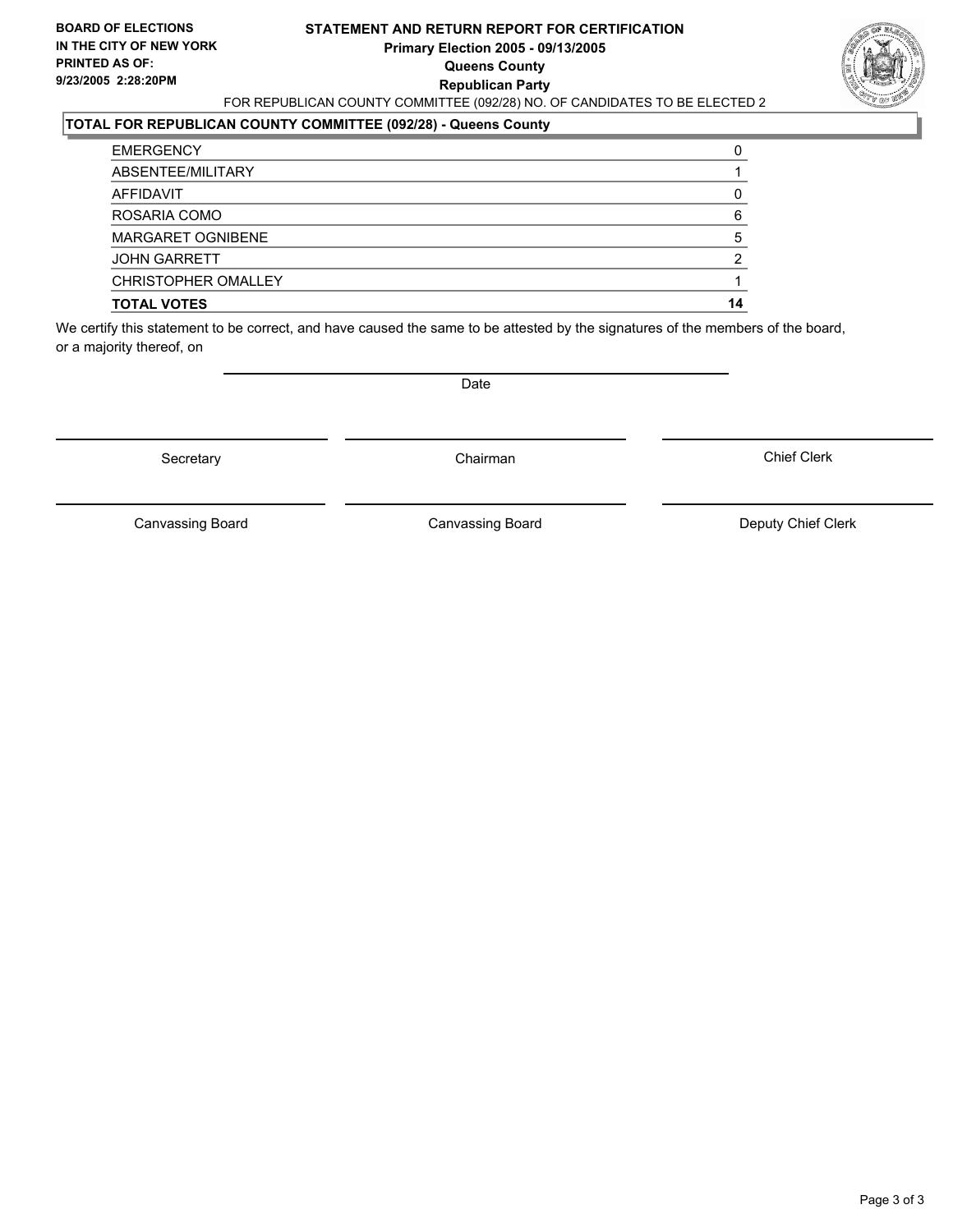#### **STATEMENT AND RETURN REPORT FOR CERTIFICATION Primary Election 2005 - 09/13/2005 Queens County Republican Party** FOR REPUBLICAN COUNTY COMMITTEE (092/28) NO. OF CANDIDATES TO BE ELECTED 2



### **TOTAL FOR REPUBLICAN COUNTY COMMITTEE (092/28) - Queens County**

| <b>TOTAL VOTES</b>       | 14 |
|--------------------------|----|
| CHRISTOPHER OMALLEY      |    |
| <b>JOHN GARRETT</b>      |    |
| <b>MARGARET OGNIBENE</b> |    |
| ROSARIA COMO             | 6  |
| AFFIDAVIT                |    |
| ABSENTEE/MILITARY        |    |
| <b>EMERGENCY</b>         |    |

We certify this statement to be correct, and have caused the same to be attested by the signatures of the members of the board, or a majority thereof, on

Secretary **Chairman** 

Date

Chief Clerk

Canvassing Board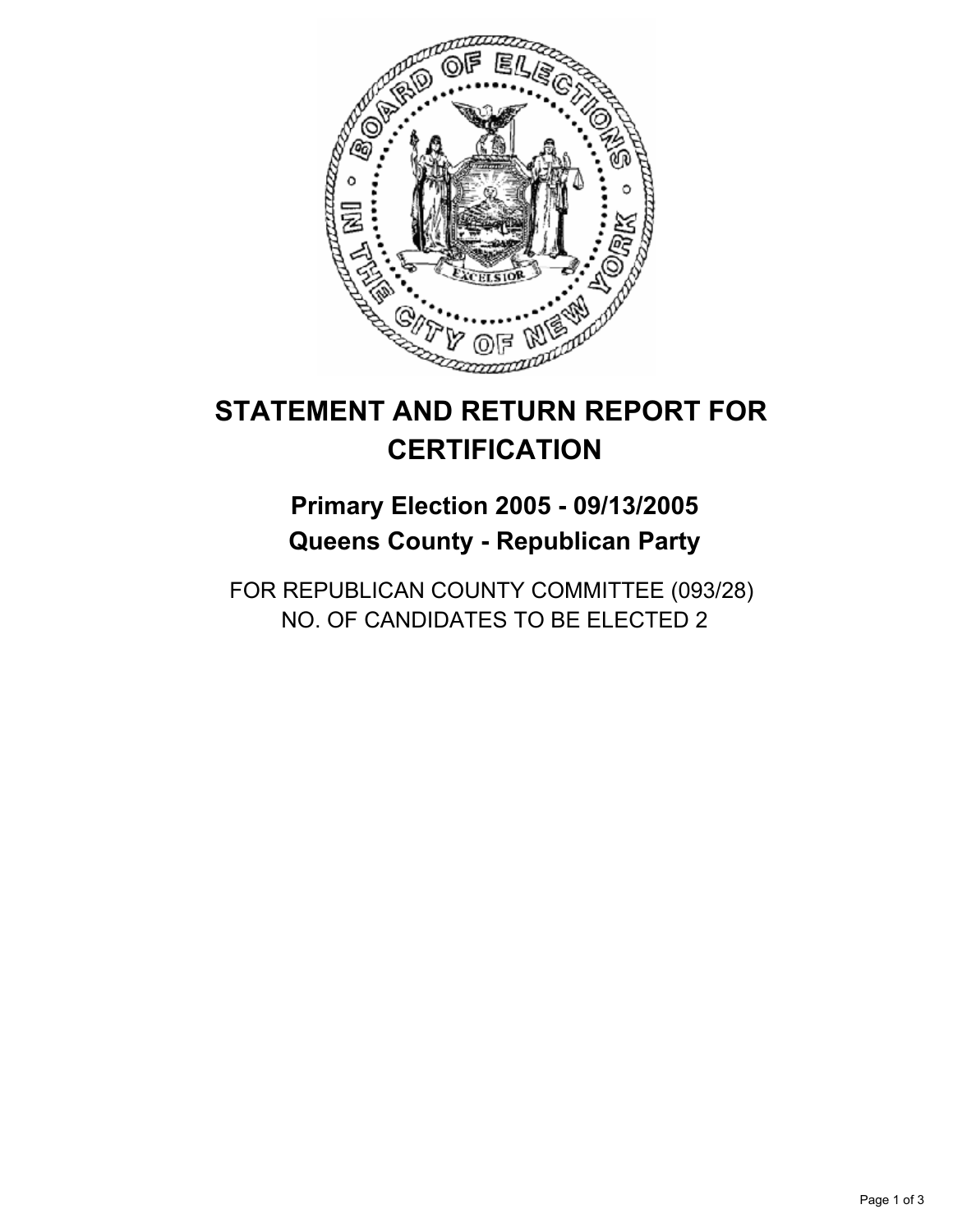

## **Primary Election 2005 - 09/13/2005 Queens County - Republican Party**

FOR REPUBLICAN COUNTY COMMITTEE (093/28) NO. OF CANDIDATES TO BE ELECTED 2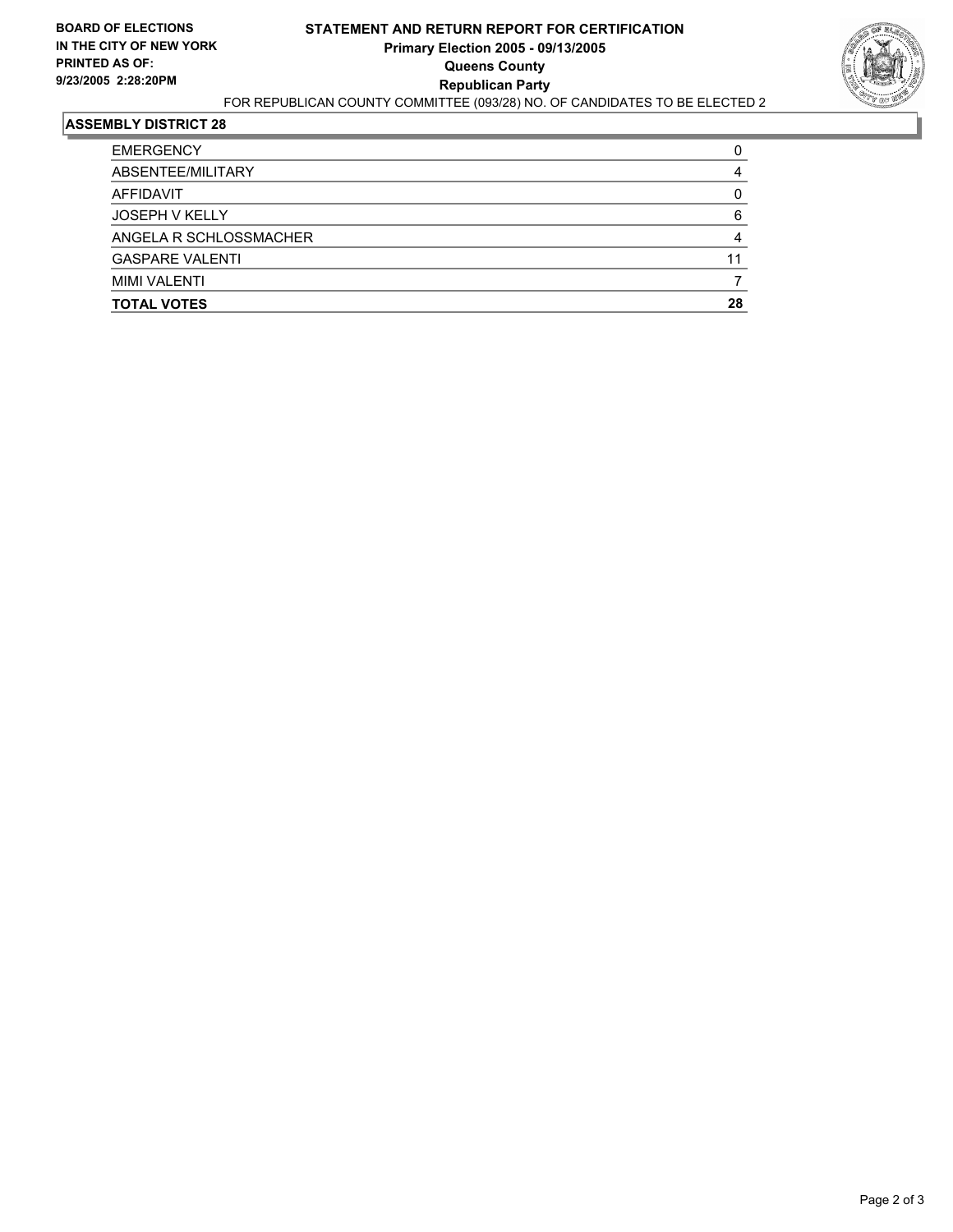

| <b>TOTAL VOTES</b>     | 28 |
|------------------------|----|
| <b>MIMI VALENTI</b>    |    |
| <b>GASPARE VALENTI</b> | 11 |
| ANGELA R SCHLOSSMACHER |    |
| <b>JOSEPH V KELLY</b>  |    |
| AFFIDAVIT              |    |
| ABSENTEE/MILITARY      |    |
| <b>EMERGENCY</b>       |    |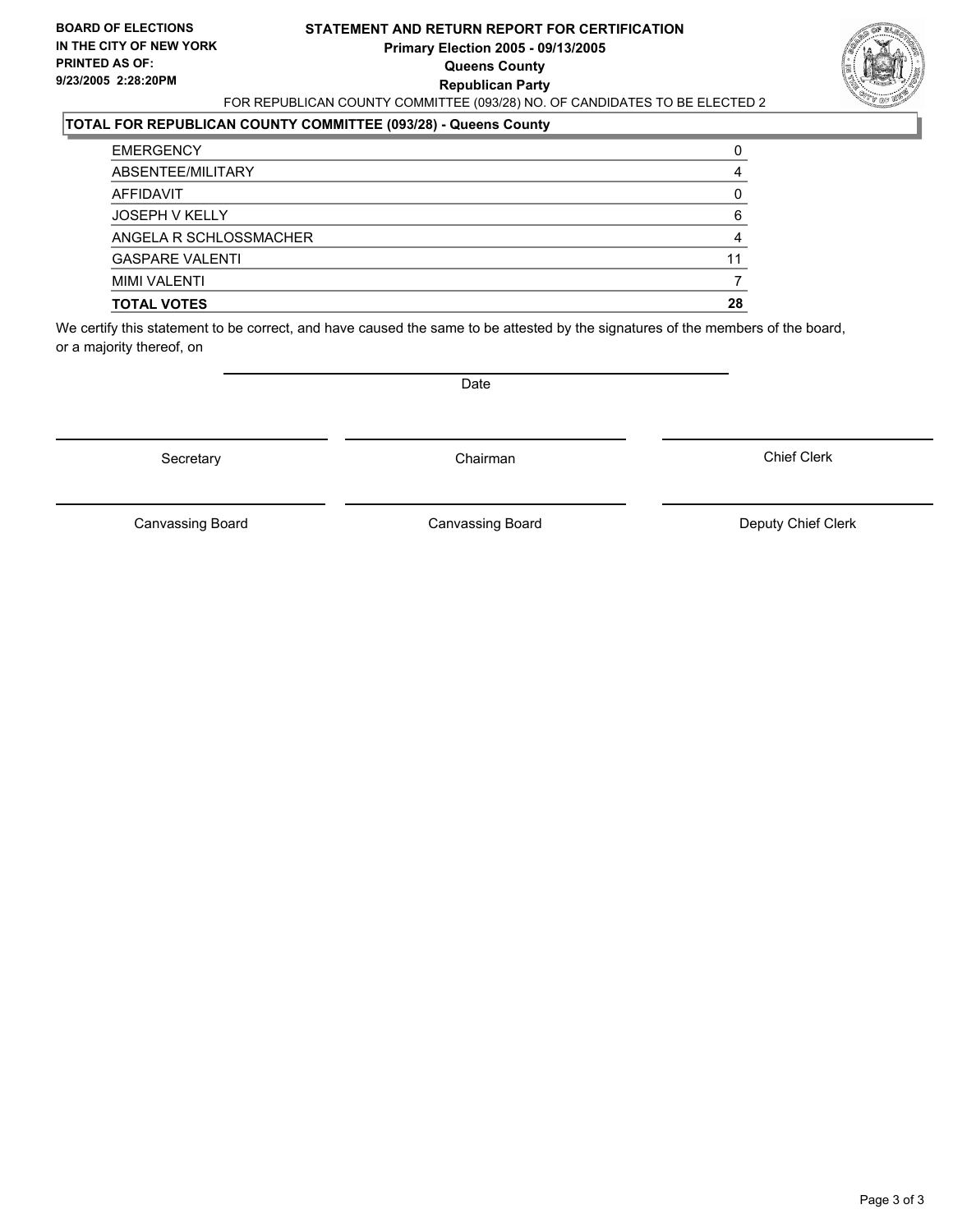#### **STATEMENT AND RETURN REPORT FOR CERTIFICATION Primary Election 2005 - 09/13/2005 Queens County Republican Party** FOR REPUBLICAN COUNTY COMMITTEE (093/28) NO. OF CANDIDATES TO BE ELECTED 2



#### **TOTAL FOR REPUBLICAN COUNTY COMMITTEE (093/28) - Queens County**

| <b>TOTAL VOTES</b>     | 28 |
|------------------------|----|
| <b>MIMI VALENTI</b>    |    |
| <b>GASPARE VALENTI</b> | 11 |
| ANGELA R SCHLOSSMACHER |    |
| <b>JOSEPH V KELLY</b>  |    |
| AFFIDAVIT              |    |
| ABSENTEE/MILITARY      |    |
| <b>EMERGENCY</b>       |    |

We certify this statement to be correct, and have caused the same to be attested by the signatures of the members of the board, or a majority thereof, on

Secretary **Chairman** 

Date

Chief Clerk

Canvassing Board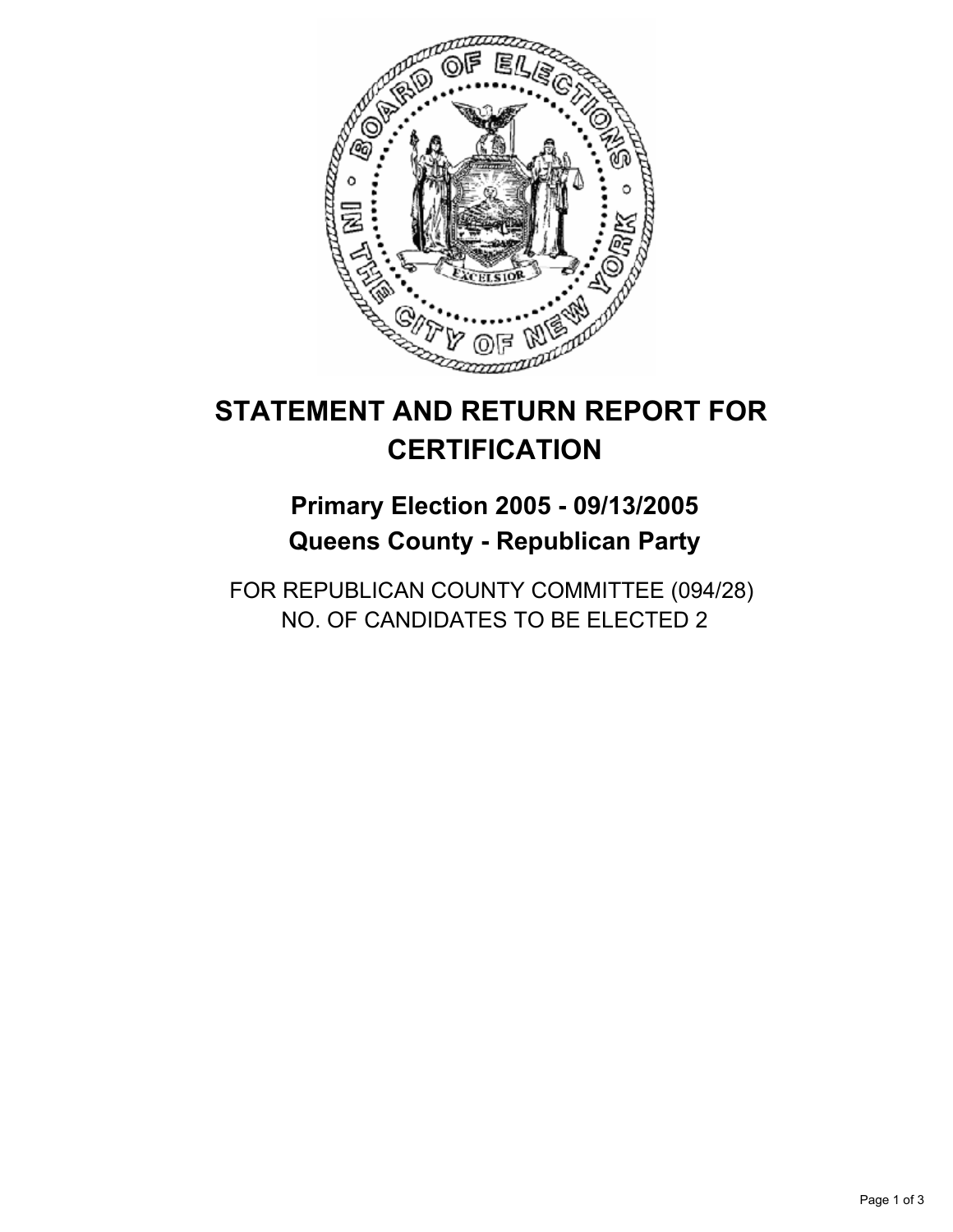

## **Primary Election 2005 - 09/13/2005 Queens County - Republican Party**

FOR REPUBLICAN COUNTY COMMITTEE (094/28) NO. OF CANDIDATES TO BE ELECTED 2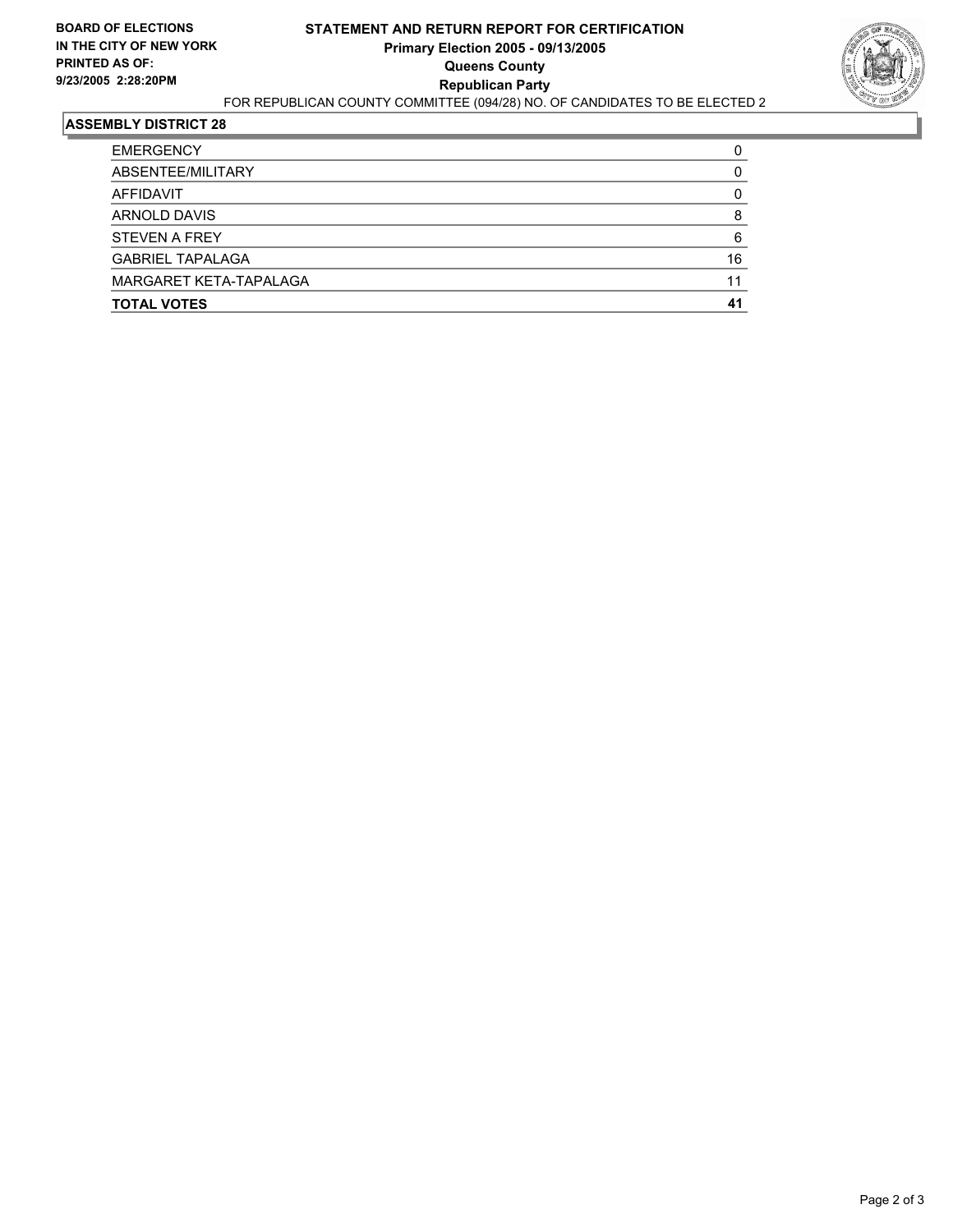

| <b>EMERGENCY</b>        |    |
|-------------------------|----|
| ABSENTEE/MILITARY       |    |
| AFFIDAVIT               |    |
| ARNOLD DAVIS            |    |
| <b>STEVEN A FREY</b>    |    |
| <b>GABRIEL TAPALAGA</b> | 16 |
| MARGARET KETA-TAPALAGA  |    |
| <b>TOTAL VOTES</b>      |    |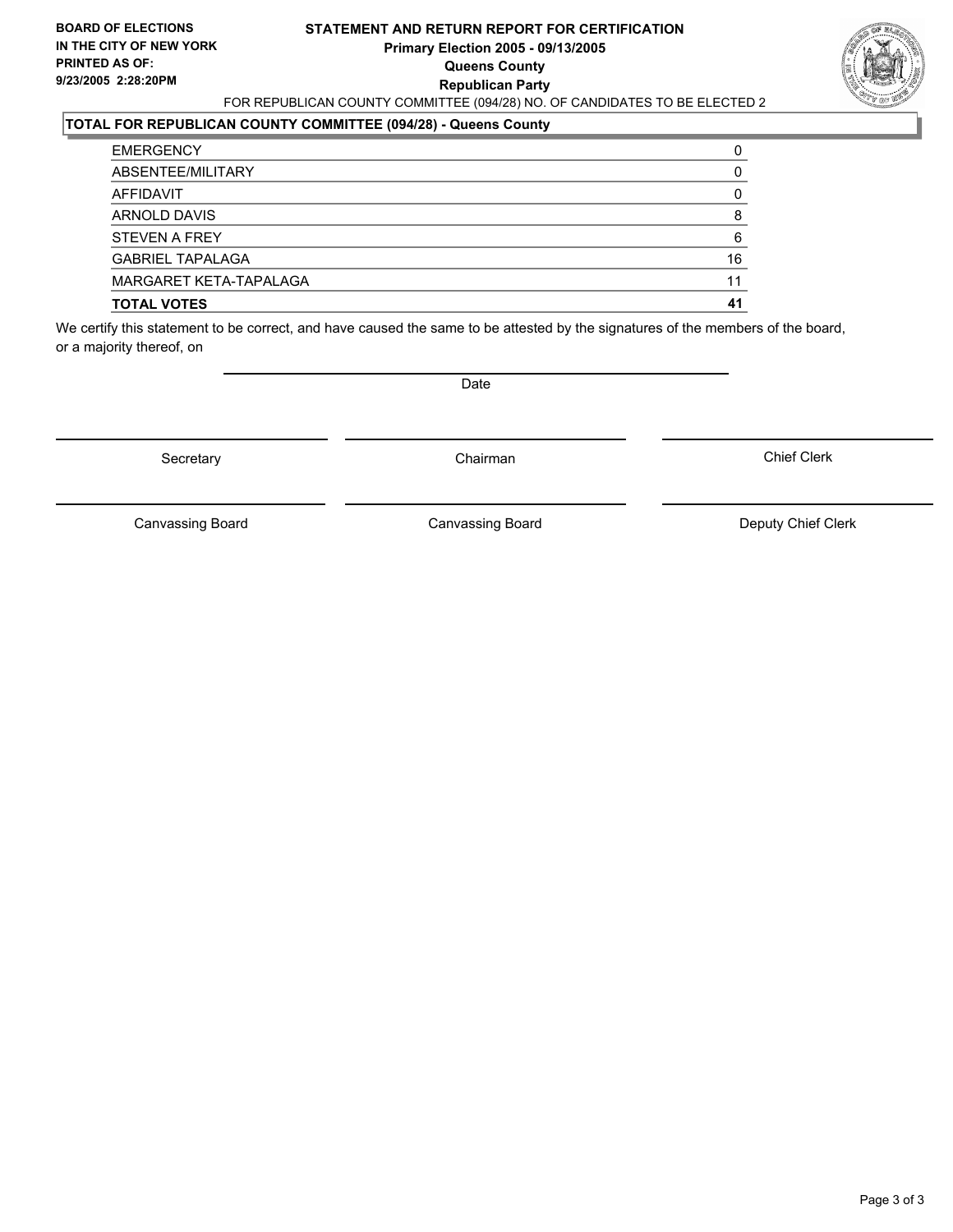#### **STATEMENT AND RETURN REPORT FOR CERTIFICATION Primary Election 2005 - 09/13/2005 Queens County Republican Party** FOR REPUBLICAN COUNTY COMMITTEE (094/28) NO. OF CANDIDATES TO BE ELECTED 2



### **TOTAL FOR REPUBLICAN COUNTY COMMITTEE (094/28) - Queens County**

| <b>TOTAL VOTES</b>      | 41 |
|-------------------------|----|
| MARGARET KETA-TAPALAGA  | 11 |
| <b>GABRIEL TAPALAGA</b> | 16 |
| <b>STEVEN A FREY</b>    | 6  |
| ARNOLD DAVIS            |    |
| AFFIDAVIT               |    |
| ABSENTEE/MILITARY       |    |
| <b>EMERGENCY</b>        |    |

We certify this statement to be correct, and have caused the same to be attested by the signatures of the members of the board, or a majority thereof, on

Secretary **Chairman** 

Date

Chief Clerk

Canvassing Board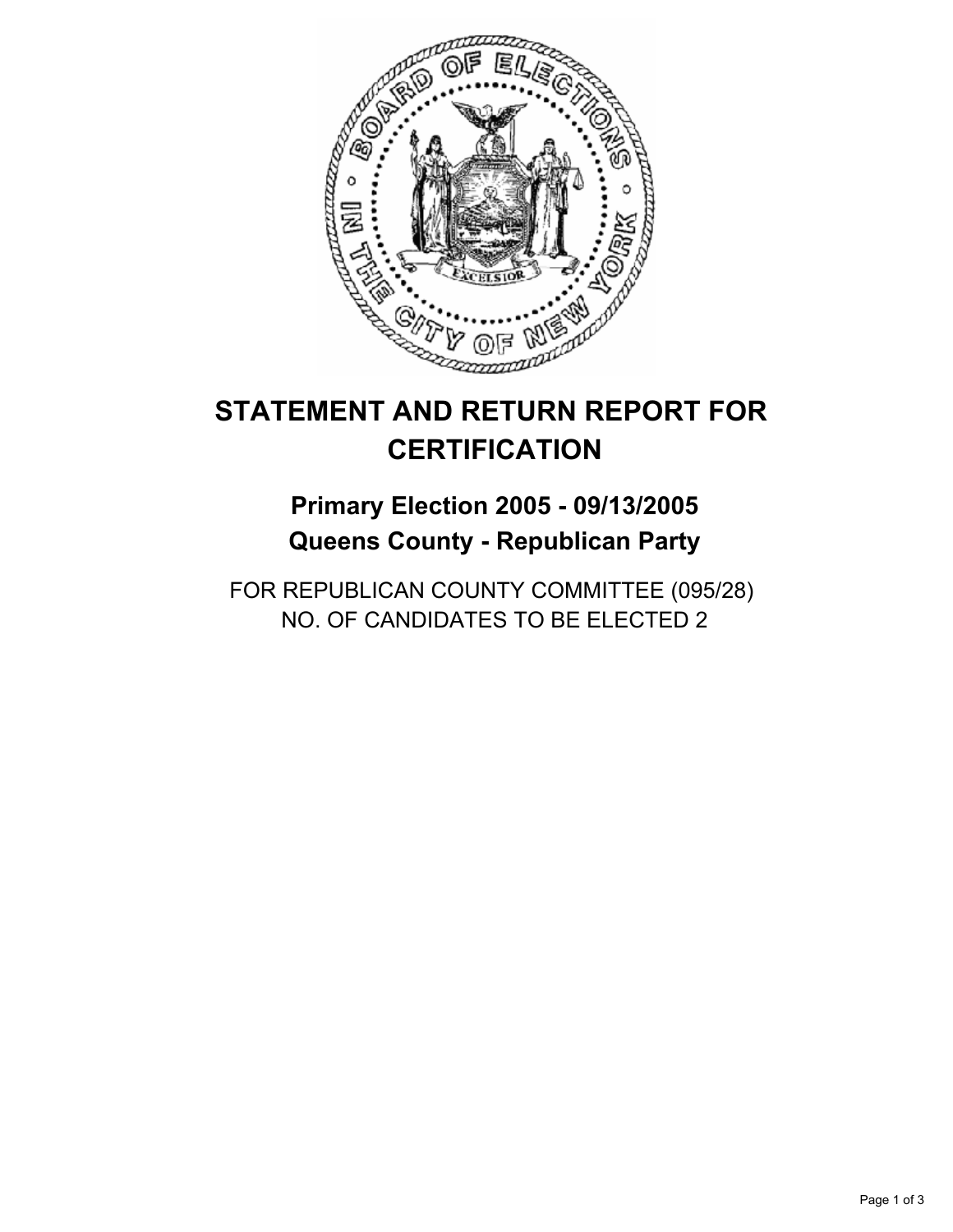

## **Primary Election 2005 - 09/13/2005 Queens County - Republican Party**

FOR REPUBLICAN COUNTY COMMITTEE (095/28) NO. OF CANDIDATES TO BE ELECTED 2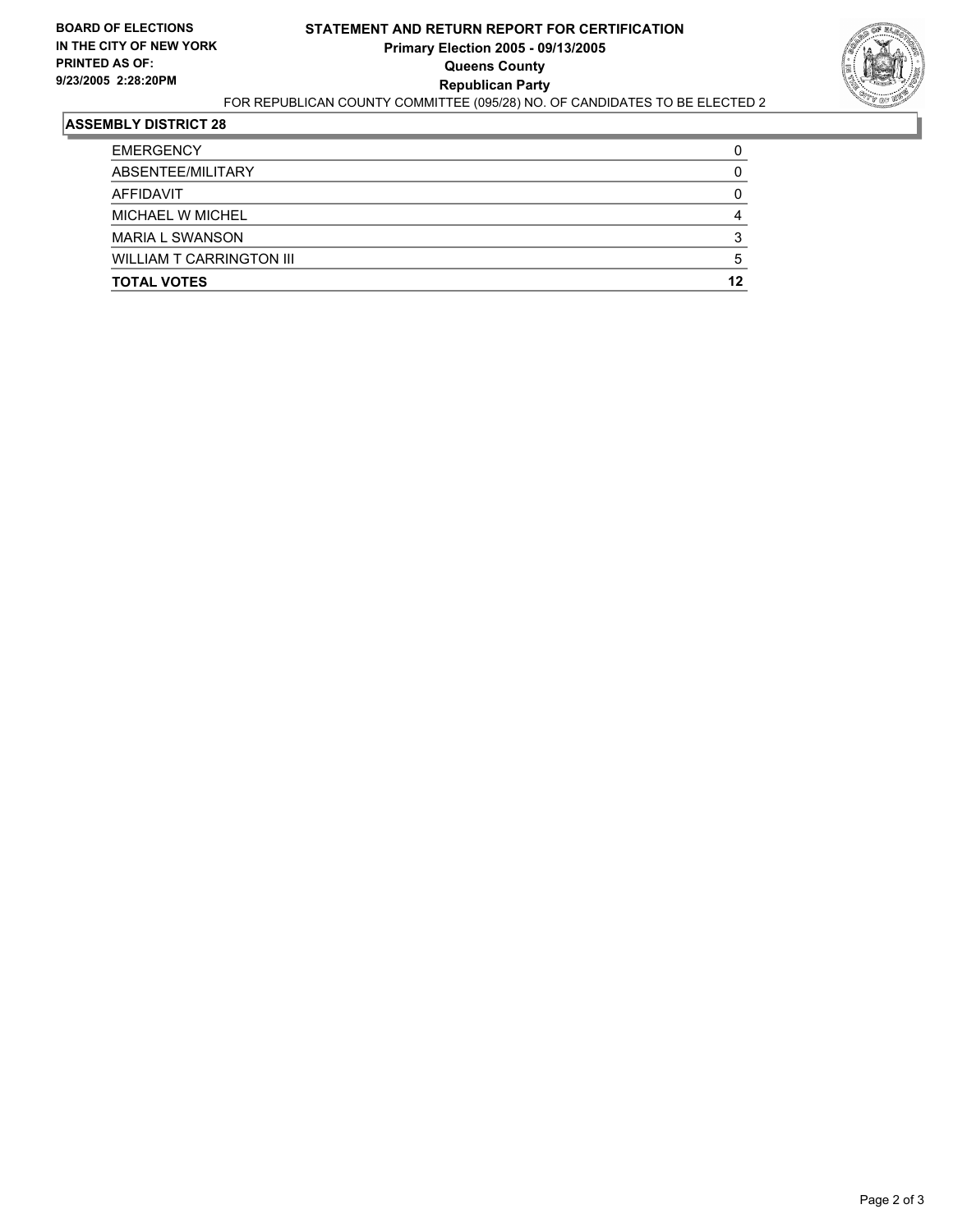

| <b>EMERGENCY</b>                |    |
|---------------------------------|----|
| ABSENTEE/MILITARY               |    |
| AFFIDAVIT                       |    |
| MICHAEL W MICHEL                |    |
| <b>MARIA L SWANSON</b>          |    |
| <b>WILLIAM T CARRINGTON III</b> |    |
| <b>TOTAL VOTES</b>              | 12 |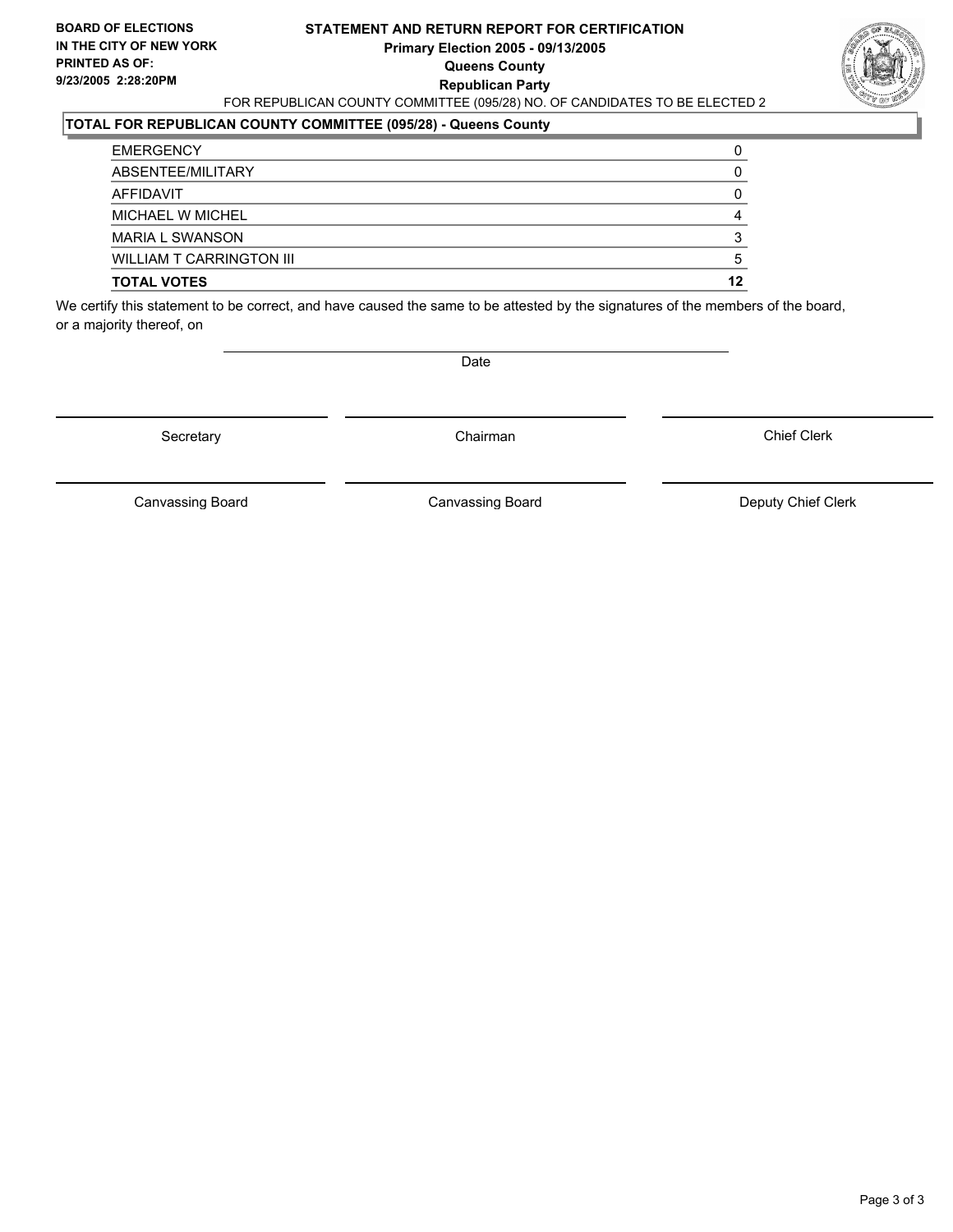#### **STATEMENT AND RETURN REPORT FOR CERTIFICATION Primary Election 2005 - 09/13/2005 Queens County Republican Party** FOR REPUBLICAN COUNTY COMMITTEE (095/28) NO. OF CANDIDATES TO BE ELECTED 2



#### **TOTAL FOR REPUBLICAN COUNTY COMMITTEE (095/28) - Queens County**

| <b>EMERGENCY</b>                |    |
|---------------------------------|----|
| ABSENTEE/MILITARY               |    |
| AFFIDAVIT                       |    |
| MICHAEL W MICHEL                |    |
| <b>MARIA L SWANSON</b>          |    |
| <b>WILLIAM T CARRINGTON III</b> | b  |
| <b>TOTAL VOTES</b>              | 12 |

We certify this statement to be correct, and have caused the same to be attested by the signatures of the members of the board, or a majority thereof, on

Date

Secretary **Chairman** 

Chief Clerk

Canvassing Board **Canvassing Board** Canvassing Board **Deputy Chief Clerk** 

Canvassing Board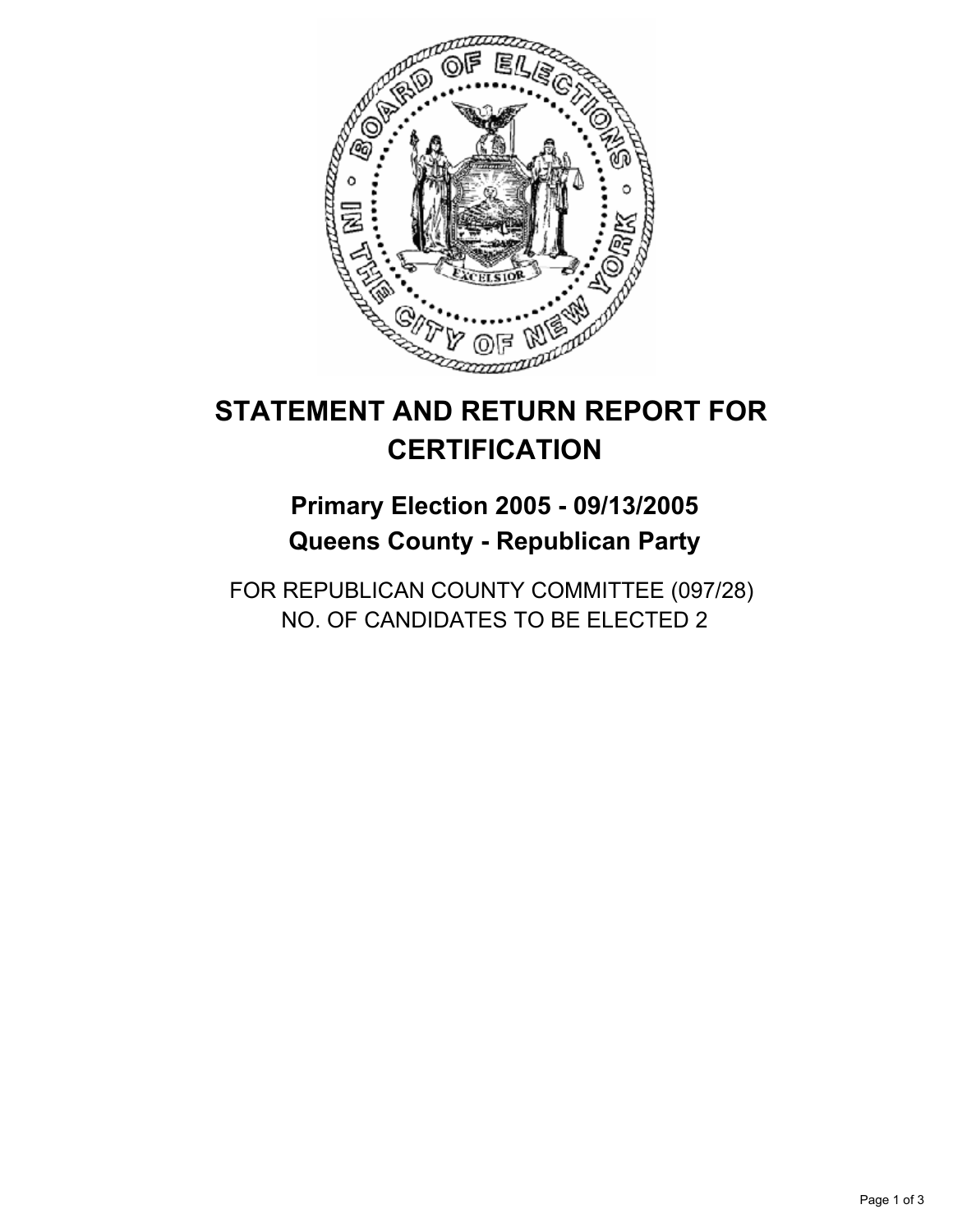

## **Primary Election 2005 - 09/13/2005 Queens County - Republican Party**

FOR REPUBLICAN COUNTY COMMITTEE (097/28) NO. OF CANDIDATES TO BE ELECTED 2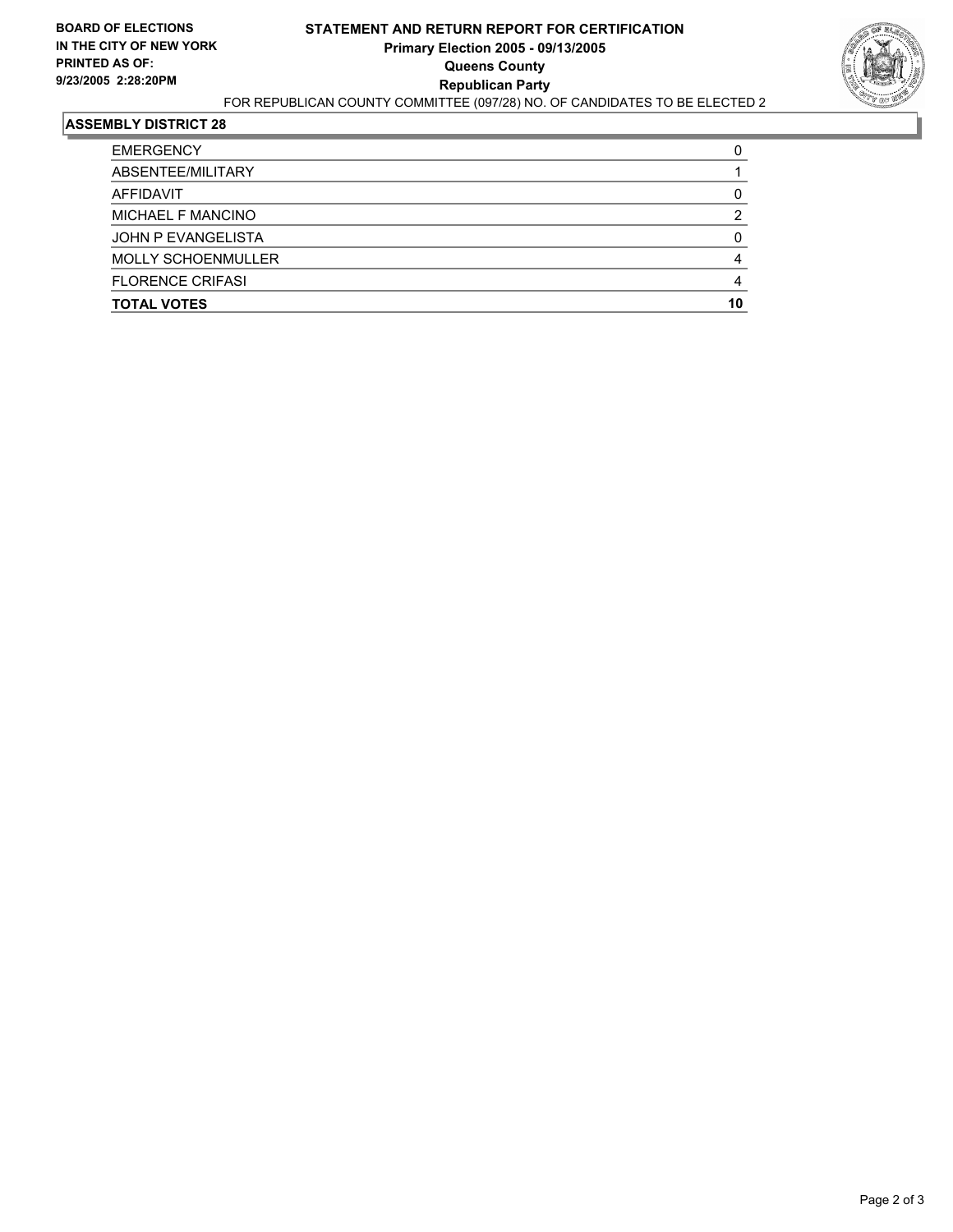

| <b>EMERGENCY</b>          |    |
|---------------------------|----|
| ABSENTEE/MILITARY         |    |
| AFFIDAVIT                 |    |
| MICHAEL F MANCINO         | ◠  |
| JOHN P EVANGELISTA        |    |
| <b>MOLLY SCHOENMULLER</b> |    |
| <b>FLORENCE CRIFASI</b>   |    |
| <b>TOTAL VOTES</b>        | 10 |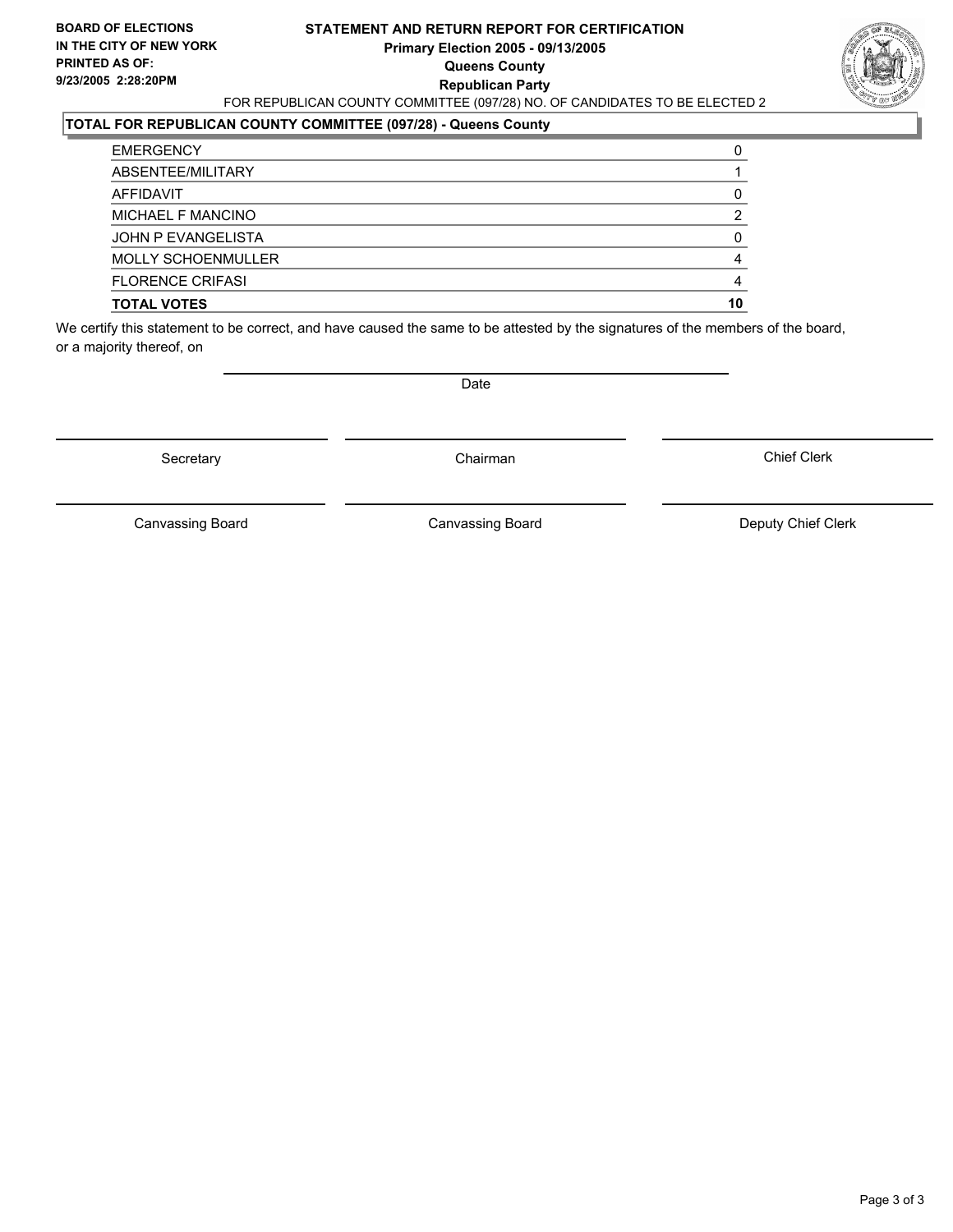#### **STATEMENT AND RETURN REPORT FOR CERTIFICATION Primary Election 2005 - 09/13/2005 Queens County Republican Party** FOR REPUBLICAN COUNTY COMMITTEE (097/28) NO. OF CANDIDATES TO BE ELECTED 2



### **TOTAL FOR REPUBLICAN COUNTY COMMITTEE (097/28) - Queens County**

| <b>TOTAL VOTES</b>        | 10 |
|---------------------------|----|
| <b>FLORENCE CRIFASI</b>   |    |
| <b>MOLLY SCHOENMULLER</b> |    |
| JOHN P EVANGELISTA        |    |
| MICHAEL F MANCINO         |    |
| AFFIDAVIT                 |    |
| ABSENTEE/MILITARY         |    |
| <b>EMERGENCY</b>          |    |

We certify this statement to be correct, and have caused the same to be attested by the signatures of the members of the board, or a majority thereof, on

Secretary **Chairman** 

Date

Chief Clerk

Canvassing Board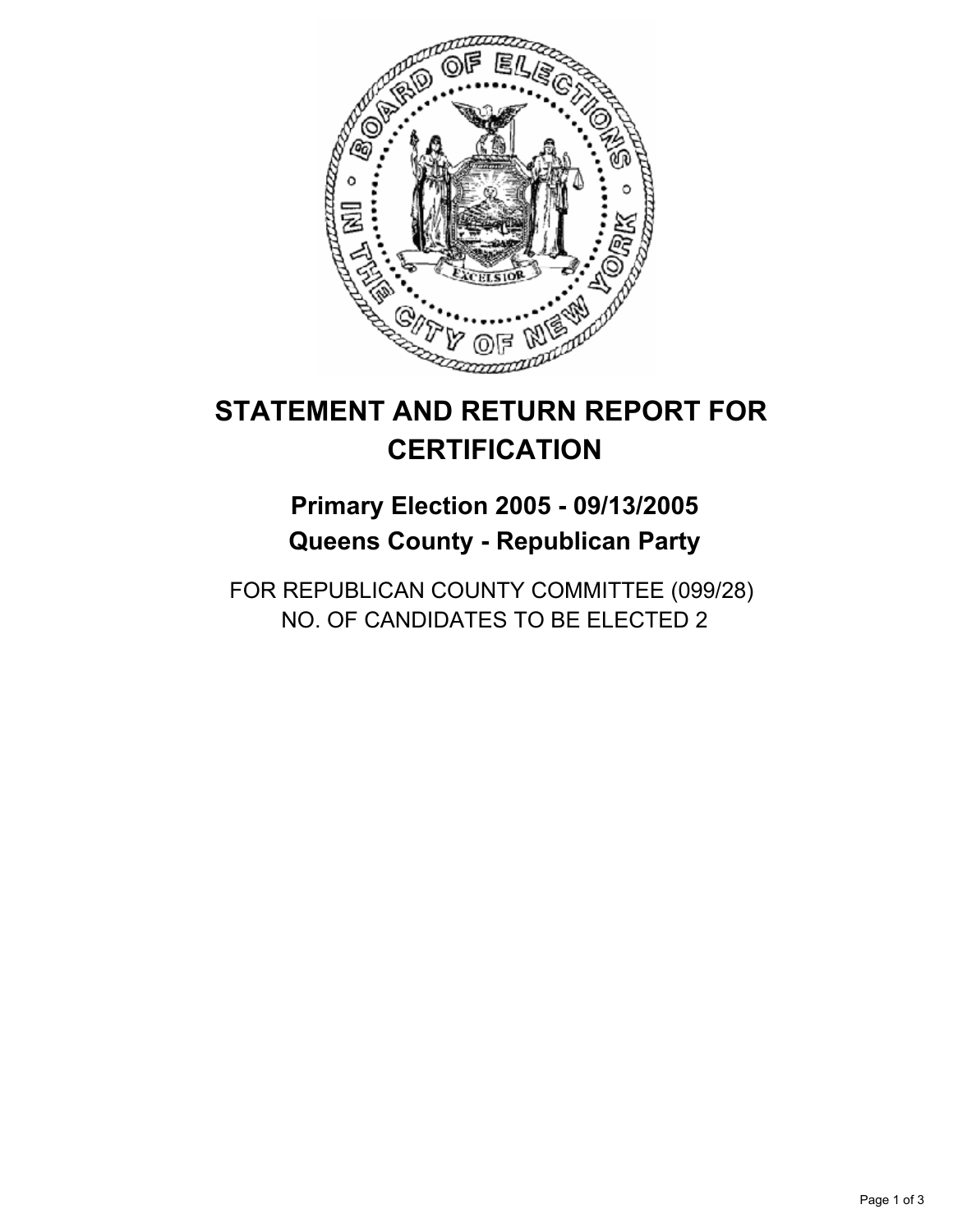

## **Primary Election 2005 - 09/13/2005 Queens County - Republican Party**

FOR REPUBLICAN COUNTY COMMITTEE (099/28) NO. OF CANDIDATES TO BE ELECTED 2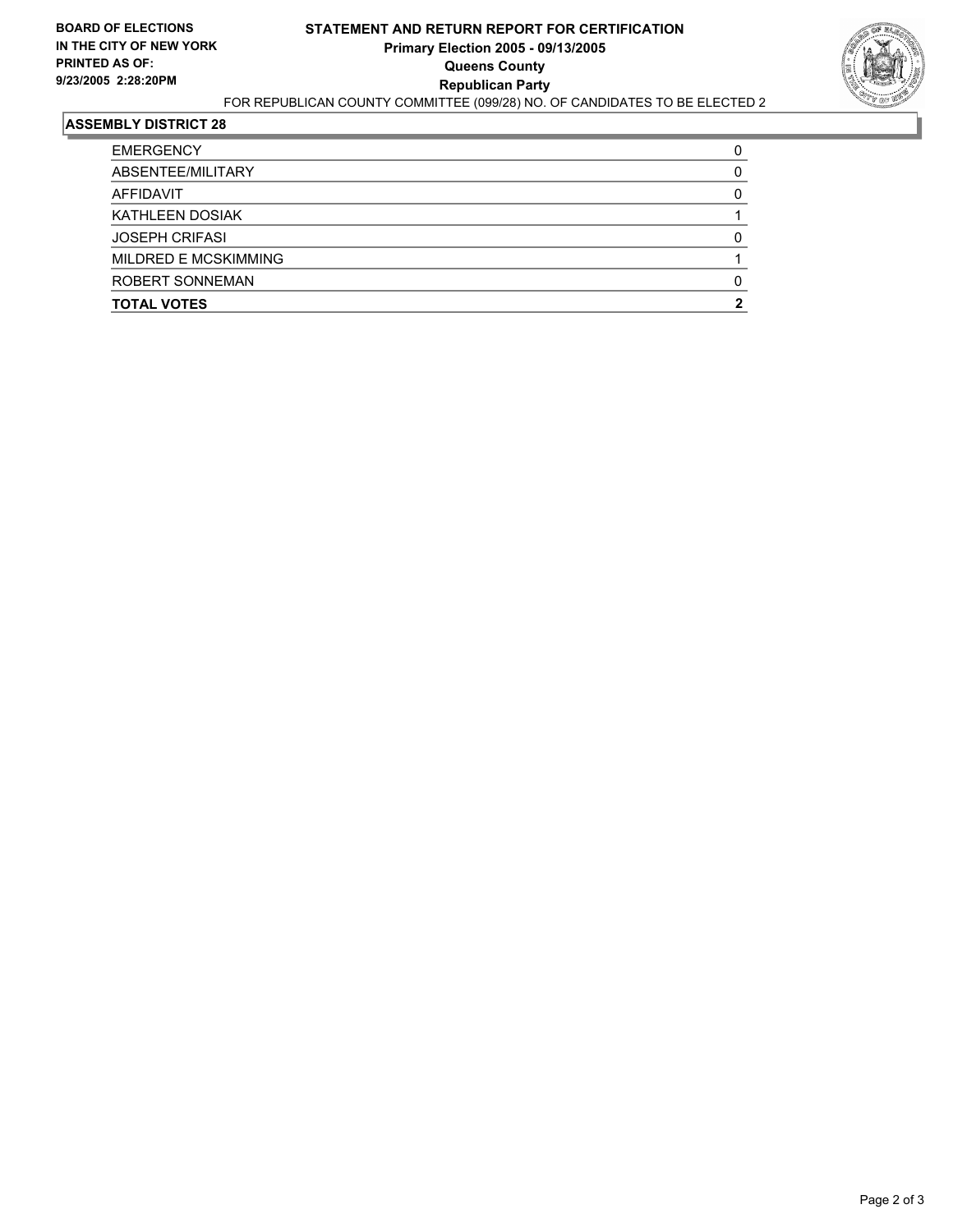

| <b>EMERGENCY</b>            |  |
|-----------------------------|--|
| ABSENTEE/MILITARY           |  |
| AFFIDAVIT                   |  |
| KATHLEEN DOSIAK             |  |
| <b>JOSEPH CRIFASI</b>       |  |
| <b>MILDRED E MCSKIMMING</b> |  |
| ROBERT SONNEMAN             |  |
| <b>TOTAL VOTES</b>          |  |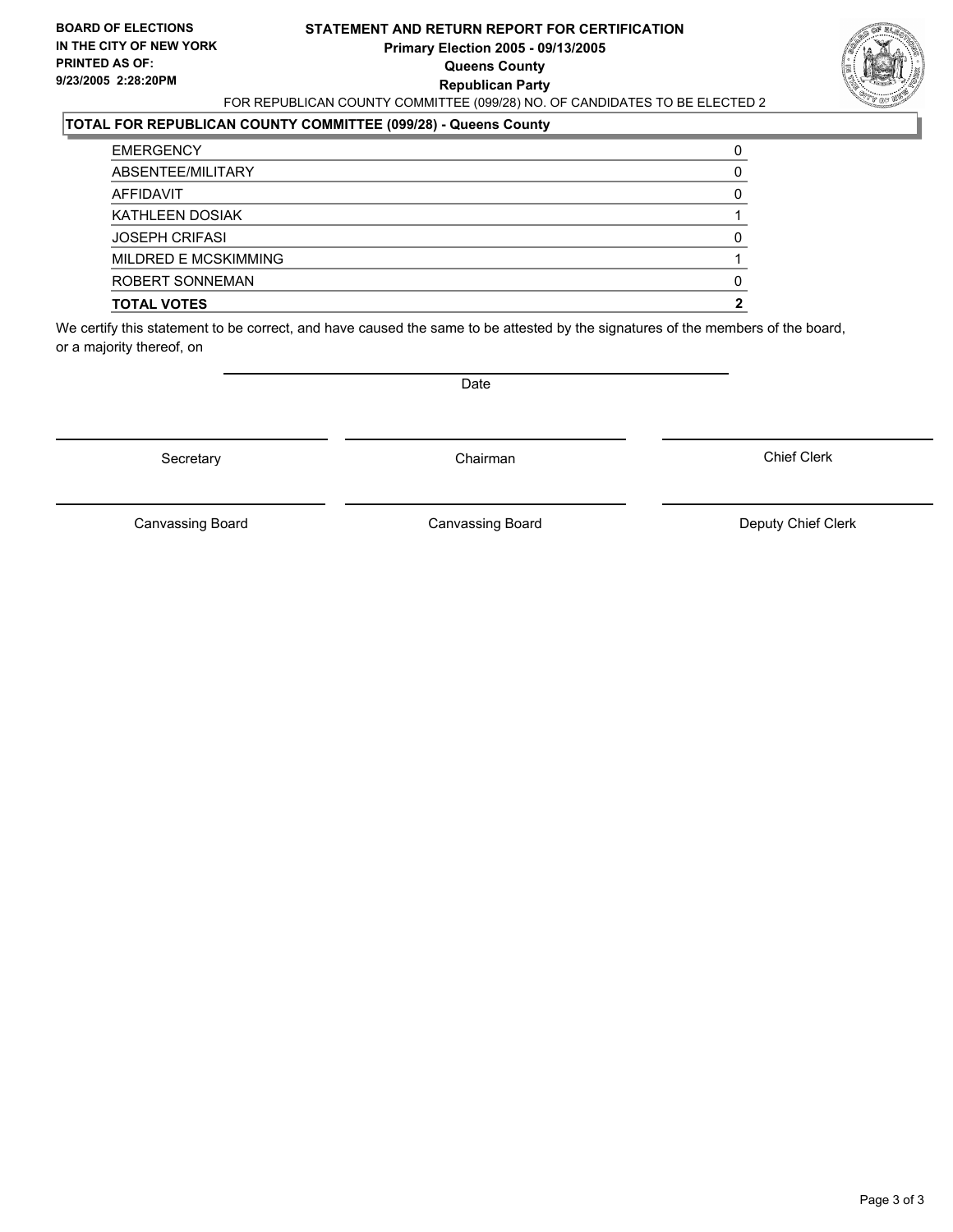#### **STATEMENT AND RETURN REPORT FOR CERTIFICATION Primary Election 2005 - 09/13/2005 Queens County Republican Party** FOR REPUBLICAN COUNTY COMMITTEE (099/28) NO. OF CANDIDATES TO BE ELECTED 2



### **TOTAL FOR REPUBLICAN COUNTY COMMITTEE (099/28) - Queens County**

| <b>EMERGENCY</b>            |  |
|-----------------------------|--|
| ABSENTEE/MILITARY           |  |
| AFFIDAVIT                   |  |
| KATHLEEN DOSIAK             |  |
| <b>JOSEPH CRIFASI</b>       |  |
| <b>MILDRED E MCSKIMMING</b> |  |
| <b>ROBERT SONNEMAN</b>      |  |
| <b>TOTAL VOTES</b>          |  |

We certify this statement to be correct, and have caused the same to be attested by the signatures of the members of the board, or a majority thereof, on

Secretary **Chairman** 

Date

Chief Clerk

Canvassing Board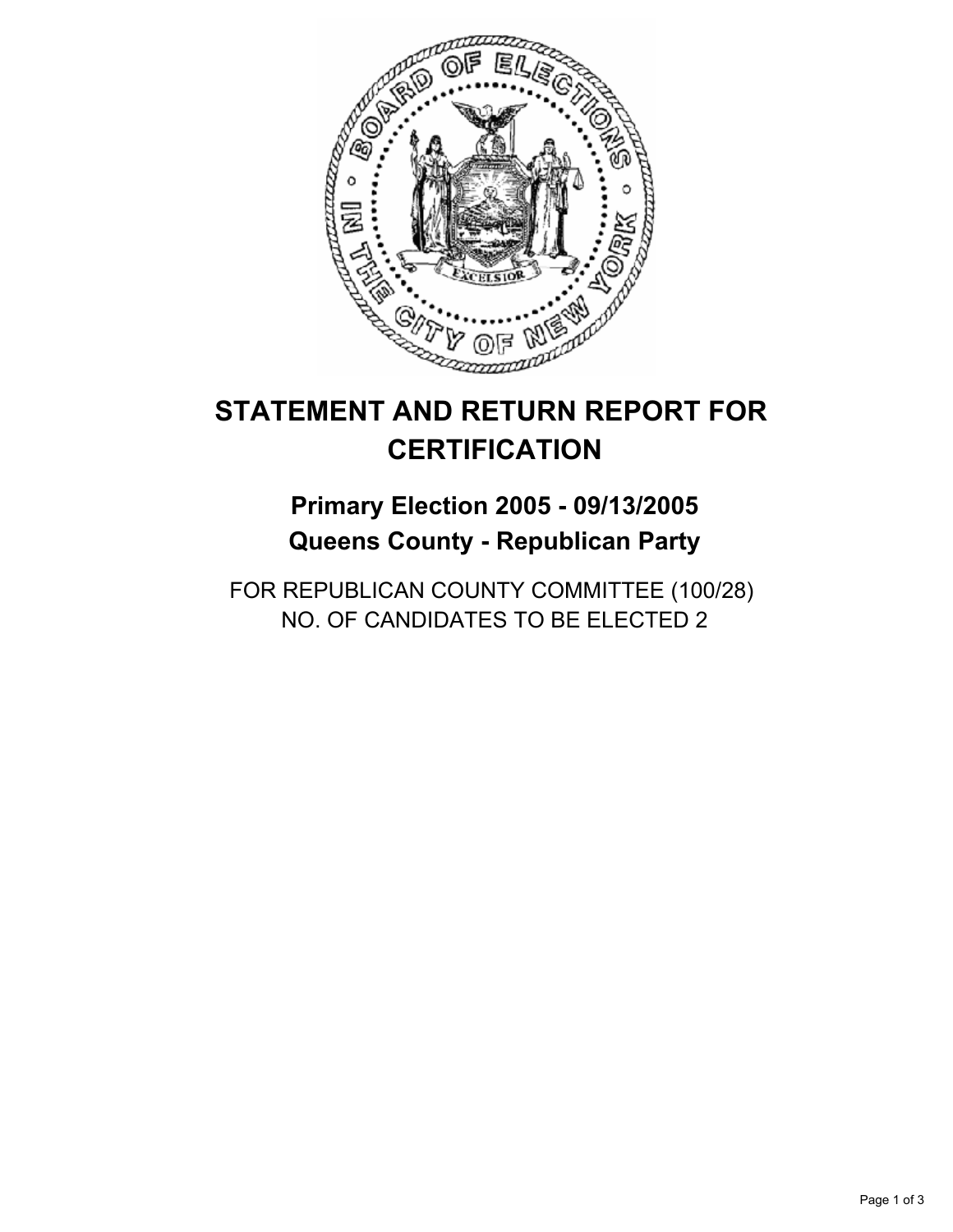

## **Primary Election 2005 - 09/13/2005 Queens County - Republican Party**

FOR REPUBLICAN COUNTY COMMITTEE (100/28) NO. OF CANDIDATES TO BE ELECTED 2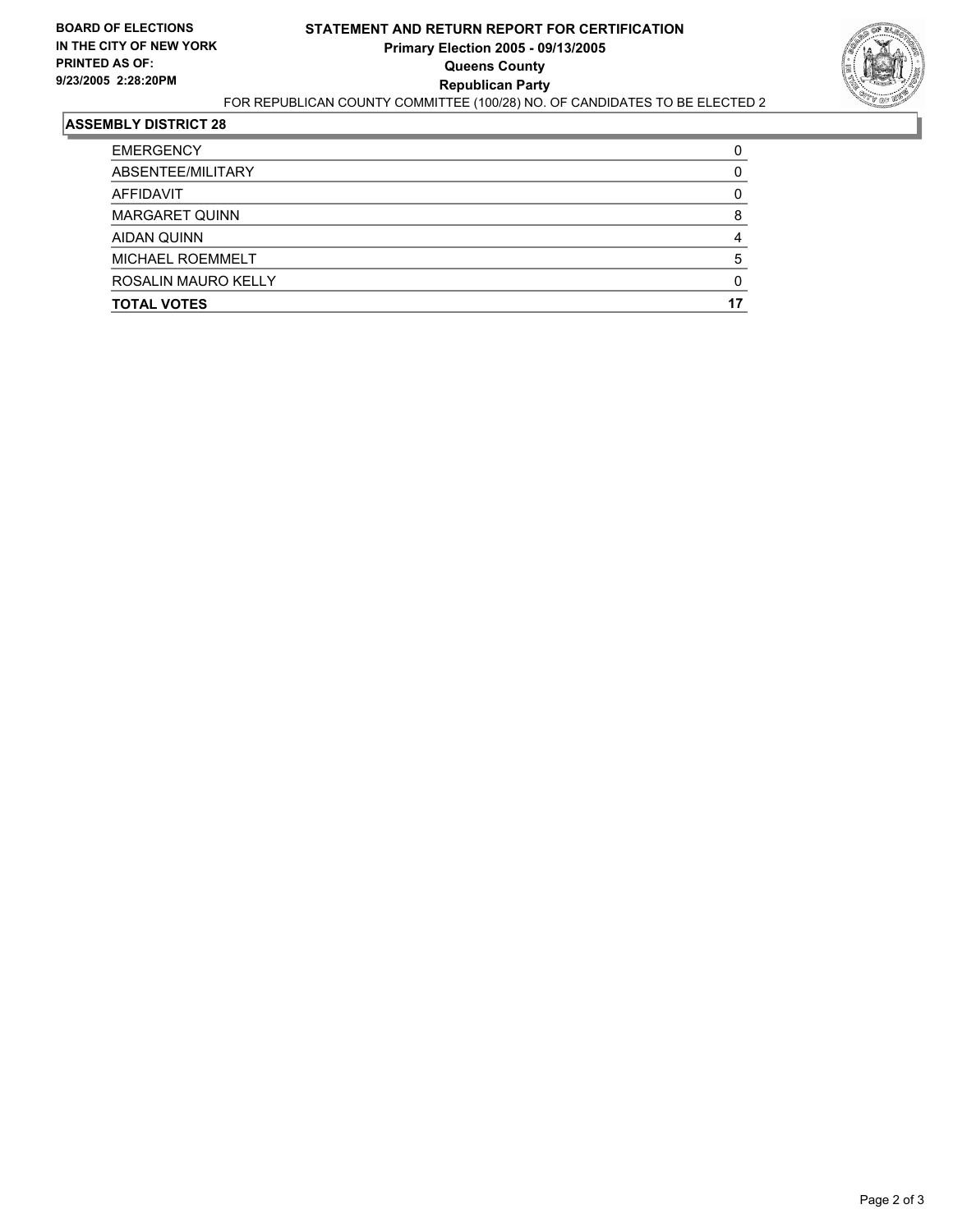

| <b>TOTAL VOTES</b>    |  |
|-----------------------|--|
| ROSALIN MAURO KELLY   |  |
| MICHAEL ROEMMELT      |  |
| AIDAN QUINN           |  |
| <b>MARGARET QUINN</b> |  |
| AFFIDAVIT             |  |
| ABSENTEE/MILITARY     |  |
| <b>EMERGENCY</b>      |  |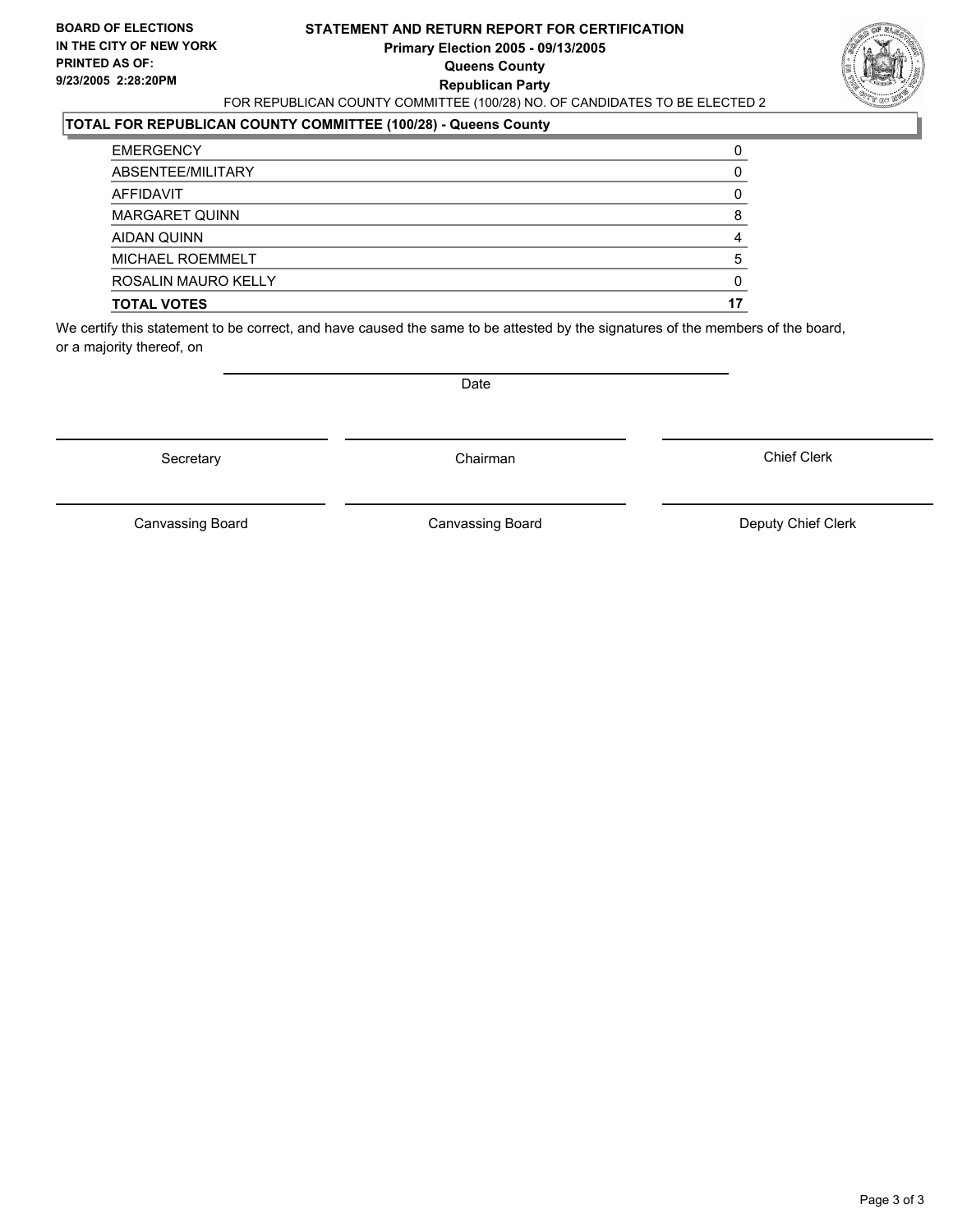#### **STATEMENT AND RETURN REPORT FOR CERTIFICATION Primary Election 2005 - 09/13/2005 Queens County Republican Party** FOR REPUBLICAN COUNTY COMMITTEE (100/28) NO. OF CANDIDATES TO BE ELECTED 2



### **TOTAL FOR REPUBLICAN COUNTY COMMITTEE (100/28) - Queens County**

| <b>EMERGENCY</b>      |  |
|-----------------------|--|
| ABSENTEE/MILITARY     |  |
| AFFIDAVIT             |  |
| <b>MARGARET QUINN</b> |  |
| AIDAN QUINN           |  |
| MICHAEL ROEMMELT      |  |
| ROSALIN MAURO KELLY   |  |
| <b>TOTAL VOTES</b>    |  |

We certify this statement to be correct, and have caused the same to be attested by the signatures of the members of the board, or a majority thereof, on

Secretary **Chairman** 

Date

Chief Clerk

Canvassing Board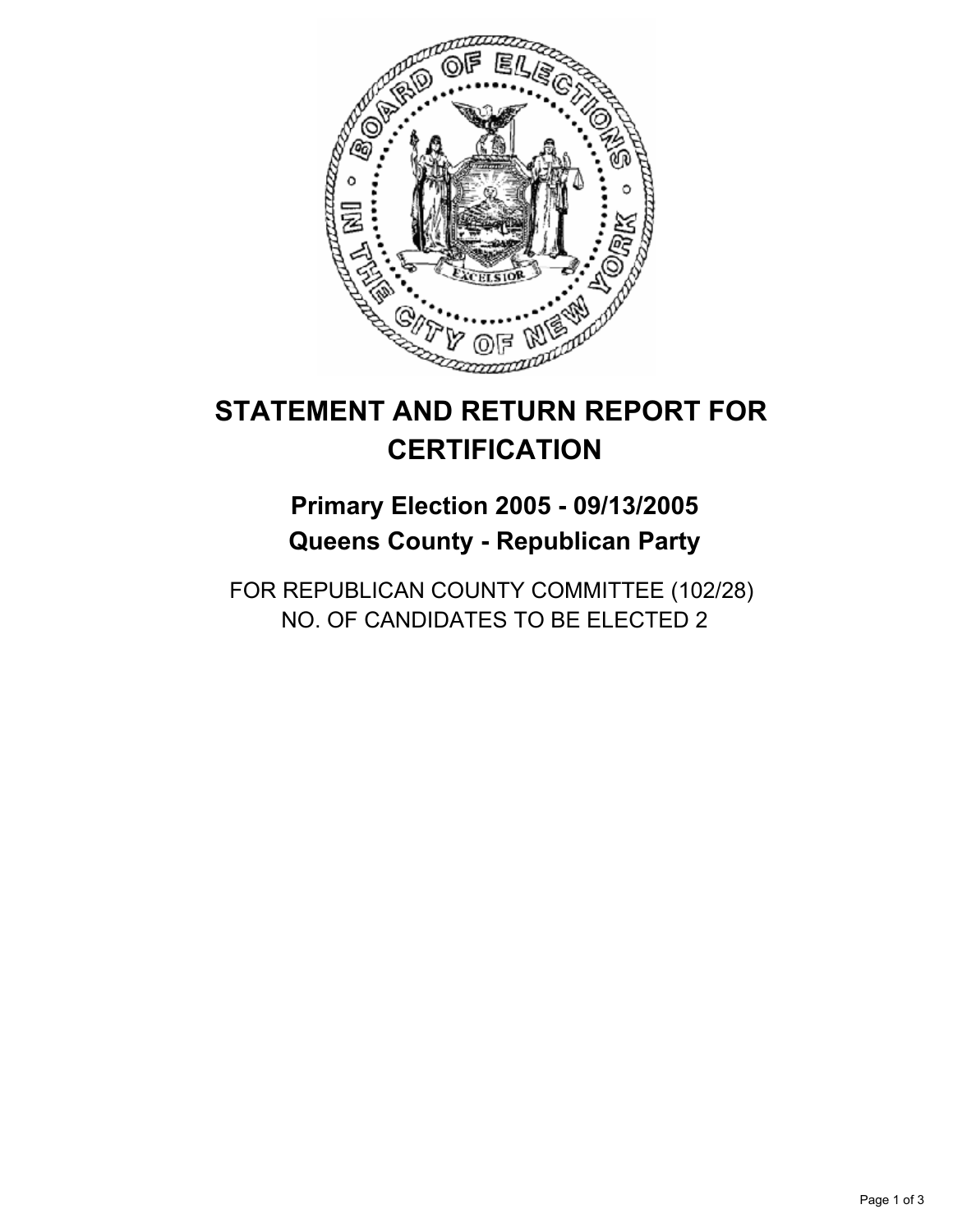

## **Primary Election 2005 - 09/13/2005 Queens County - Republican Party**

FOR REPUBLICAN COUNTY COMMITTEE (102/28) NO. OF CANDIDATES TO BE ELECTED 2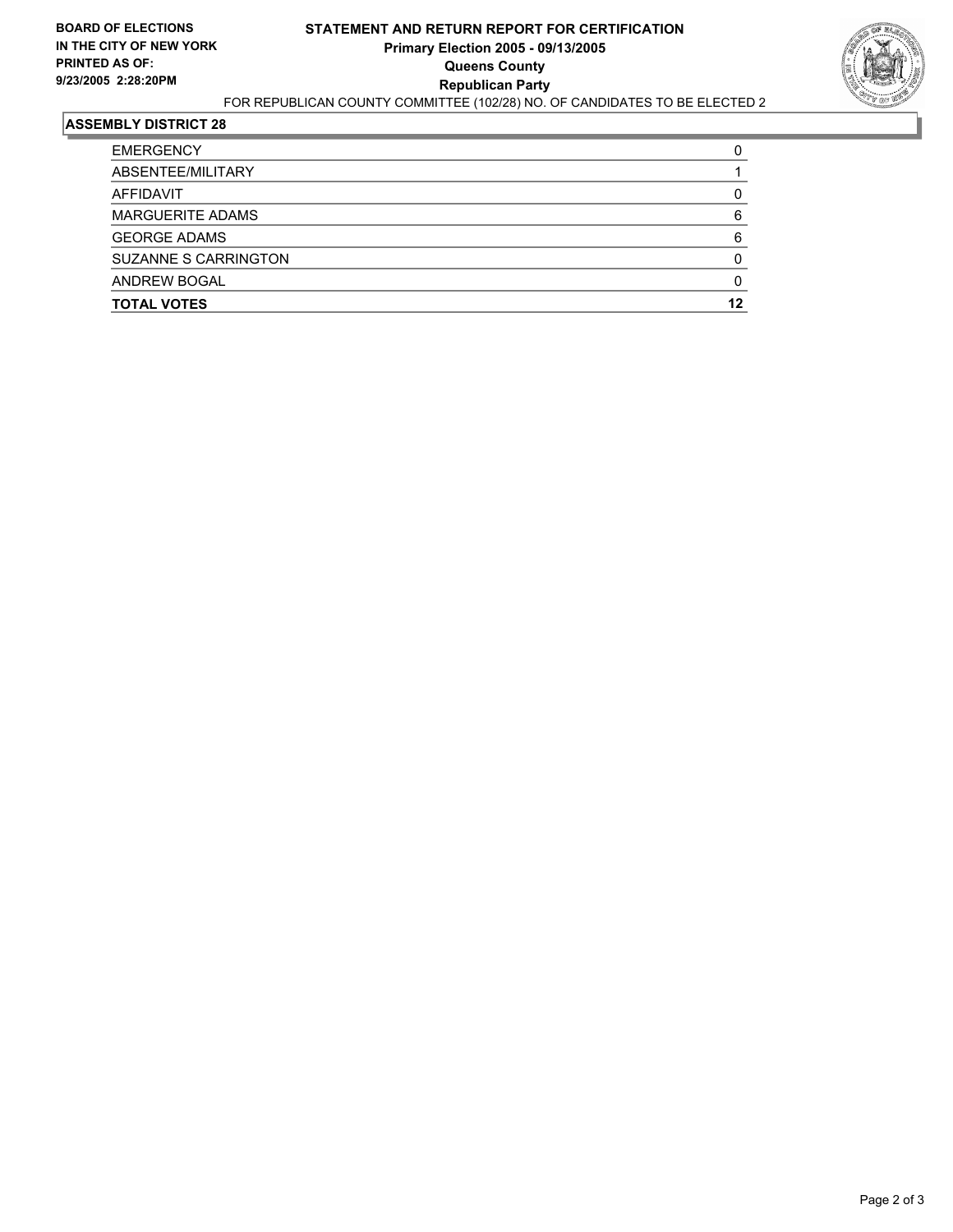

| <b>TOTAL VOTES</b>      | 12 |
|-------------------------|----|
| <b>ANDREW BOGAL</b>     |    |
| SUZANNE S CARRINGTON    |    |
| <b>GEORGE ADAMS</b>     |    |
| <b>MARGUERITE ADAMS</b> |    |
| AFFIDAVIT               |    |
| ABSENTEE/MILITARY       |    |
| <b>EMERGENCY</b>        |    |